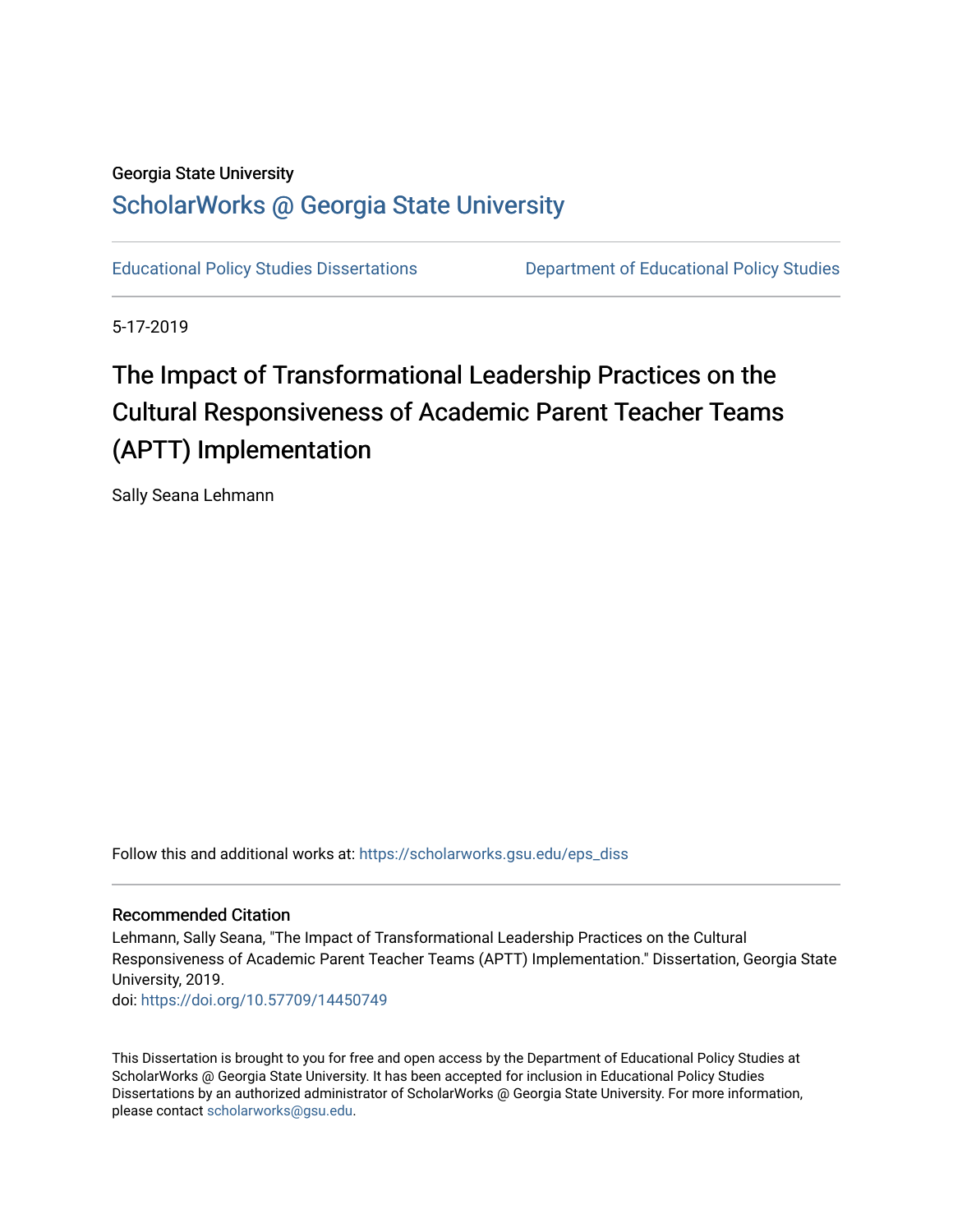## Georgia State University

## [ScholarWorks @ Georgia State University](https://scholarworks.gsu.edu/)

[Educational Policy Studies Dissertations](https://scholarworks.gsu.edu/eps_diss) [Department of Educational Policy Studies](https://scholarworks.gsu.edu/eps) 

5-17-2019

## The Impact of Transformational Leadership Practices on the Cultural Responsiveness of Academic Parent Teacher Teams (APTT) Implementation

Sally Seana Lehmann

Follow this and additional works at: [https://scholarworks.gsu.edu/eps\\_diss](https://scholarworks.gsu.edu/eps_diss?utm_source=scholarworks.gsu.edu%2Feps_diss%2F194&utm_medium=PDF&utm_campaign=PDFCoverPages) 

#### Recommended Citation

Lehmann, Sally Seana, "The Impact of Transformational Leadership Practices on the Cultural Responsiveness of Academic Parent Teacher Teams (APTT) Implementation." Dissertation, Georgia State University, 2019.

doi: <https://doi.org/10.57709/14450749>

This Dissertation is brought to you for free and open access by the Department of Educational Policy Studies at ScholarWorks @ Georgia State University. It has been accepted for inclusion in Educational Policy Studies Dissertations by an authorized administrator of ScholarWorks @ Georgia State University. For more information, please contact [scholarworks@gsu.edu.](mailto:scholarworks@gsu.edu)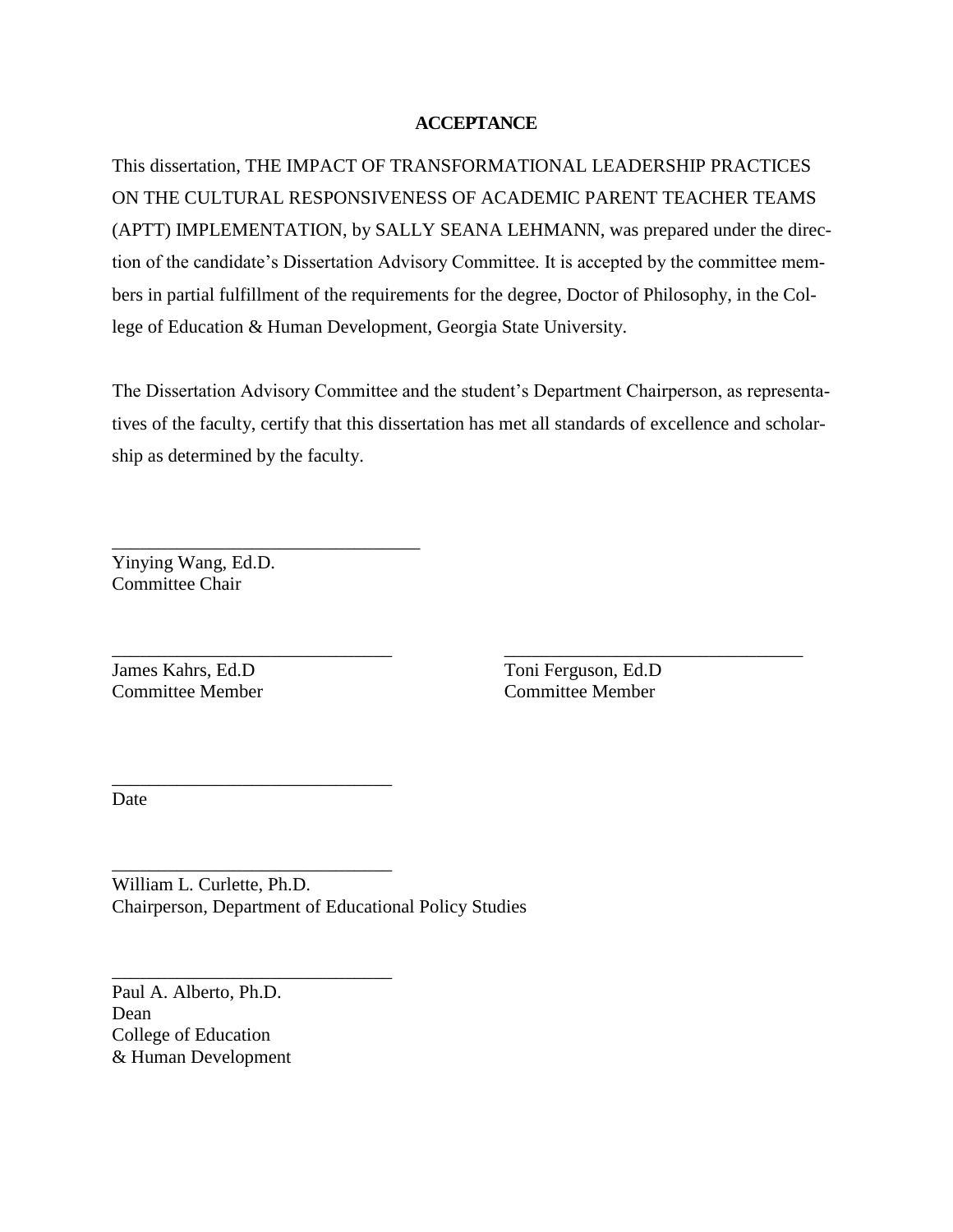## **ACCEPTANCE**

This dissertation, THE IMPACT OF TRANSFORMATIONAL LEADERSHIP PRACTICES ON THE CULTURAL RESPONSIVENESS OF ACADEMIC PARENT TEACHER TEAMS (APTT) IMPLEMENTATION, by SALLY SEANA LEHMANN, was prepared under the direction of the candidate's Dissertation Advisory Committee. It is accepted by the committee members in partial fulfillment of the requirements for the degree, Doctor of Philosophy, in the College of Education & Human Development, Georgia State University.

The Dissertation Advisory Committee and the student's Department Chairperson, as representatives of the faculty, certify that this dissertation has met all standards of excellence and scholarship as determined by the faculty.

\_\_\_\_\_\_\_\_\_\_\_\_\_\_\_\_\_\_\_\_\_\_\_\_\_\_\_\_\_\_ \_\_\_\_\_\_\_\_\_\_\_\_\_\_\_\_\_\_\_\_\_\_\_\_\_\_\_\_\_\_\_\_

Yinying Wang, Ed.D. Committee Chair

\_\_\_\_\_\_\_\_\_\_\_\_\_\_\_\_\_\_\_\_\_\_\_\_\_\_\_\_\_\_\_\_\_

\_\_\_\_\_\_\_\_\_\_\_\_\_\_\_\_\_\_\_\_\_\_\_\_\_\_\_\_\_\_

\_\_\_\_\_\_\_\_\_\_\_\_\_\_\_\_\_\_\_\_\_\_\_\_\_\_\_\_\_\_

\_\_\_\_\_\_\_\_\_\_\_\_\_\_\_\_\_\_\_\_\_\_\_\_\_\_\_\_\_\_

James Kahrs, Ed.D Toni Ferguson, Ed.D Committee Member Committee Member

Date

William L. Curlette, Ph.D. Chairperson, Department of Educational Policy Studies

Paul A. Alberto, Ph.D. Dean College of Education & Human Development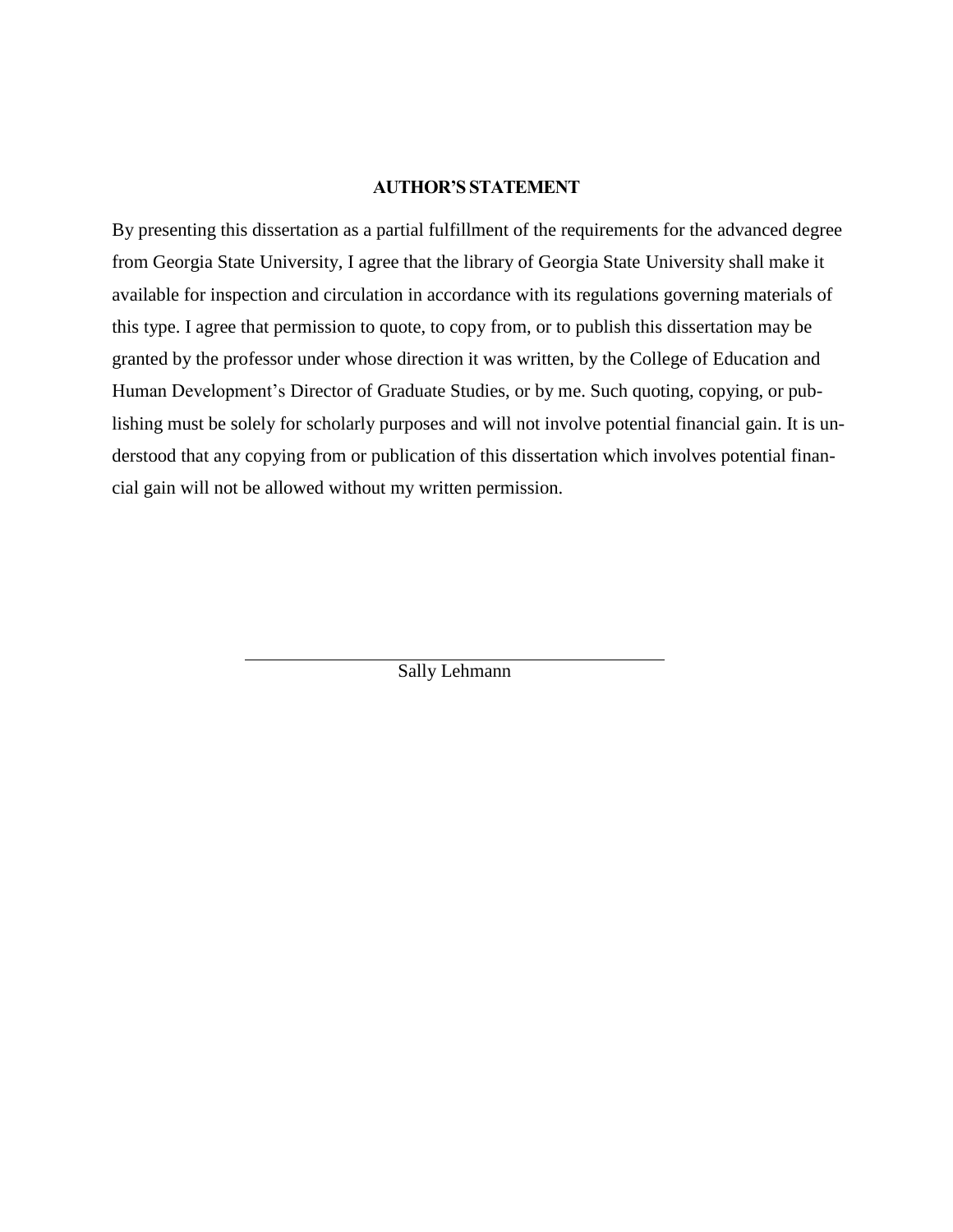### **AUTHOR'S STATEMENT**

By presenting this dissertation as a partial fulfillment of the requirements for the advanced degree from Georgia State University, I agree that the library of Georgia State University shall make it available for inspection and circulation in accordance with its regulations governing materials of this type. I agree that permission to quote, to copy from, or to publish this dissertation may be granted by the professor under whose direction it was written, by the College of Education and Human Development's Director of Graduate Studies, or by me. Such quoting, copying, or publishing must be solely for scholarly purposes and will not involve potential financial gain. It is understood that any copying from or publication of this dissertation which involves potential financial gain will not be allowed without my written permission.

Sally Lehmann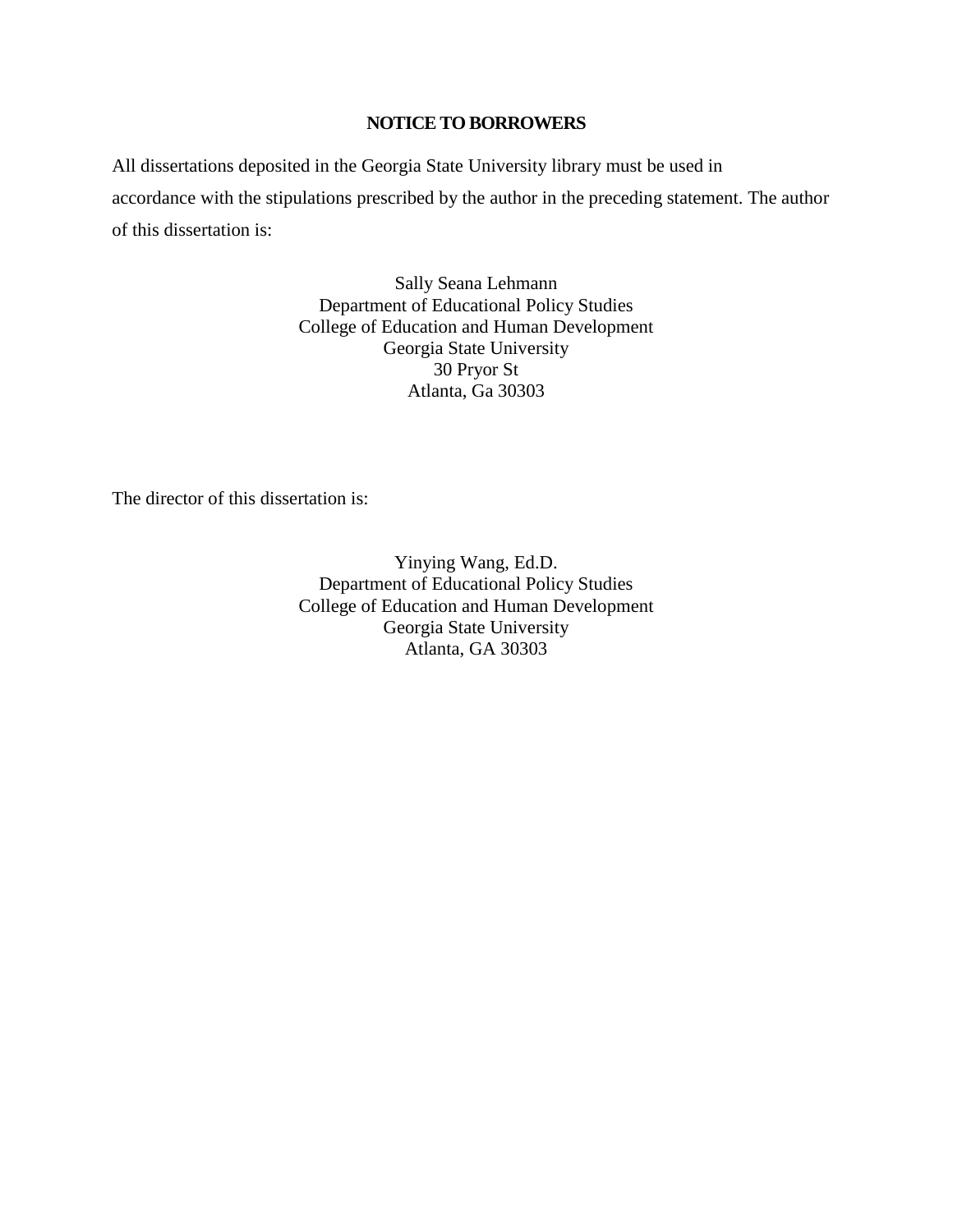## **NOTICE TO BORROWERS**

All dissertations deposited in the Georgia State University library must be used in accordance with the stipulations prescribed by the author in the preceding statement. The author of this dissertation is:

> Sally Seana Lehmann Department of Educational Policy Studies College of Education and Human Development Georgia State University 30 Pryor St Atlanta, Ga 30303

The director of this dissertation is:

Yinying Wang, Ed.D. Department of Educational Policy Studies College of Education and Human Development Georgia State University Atlanta, GA 30303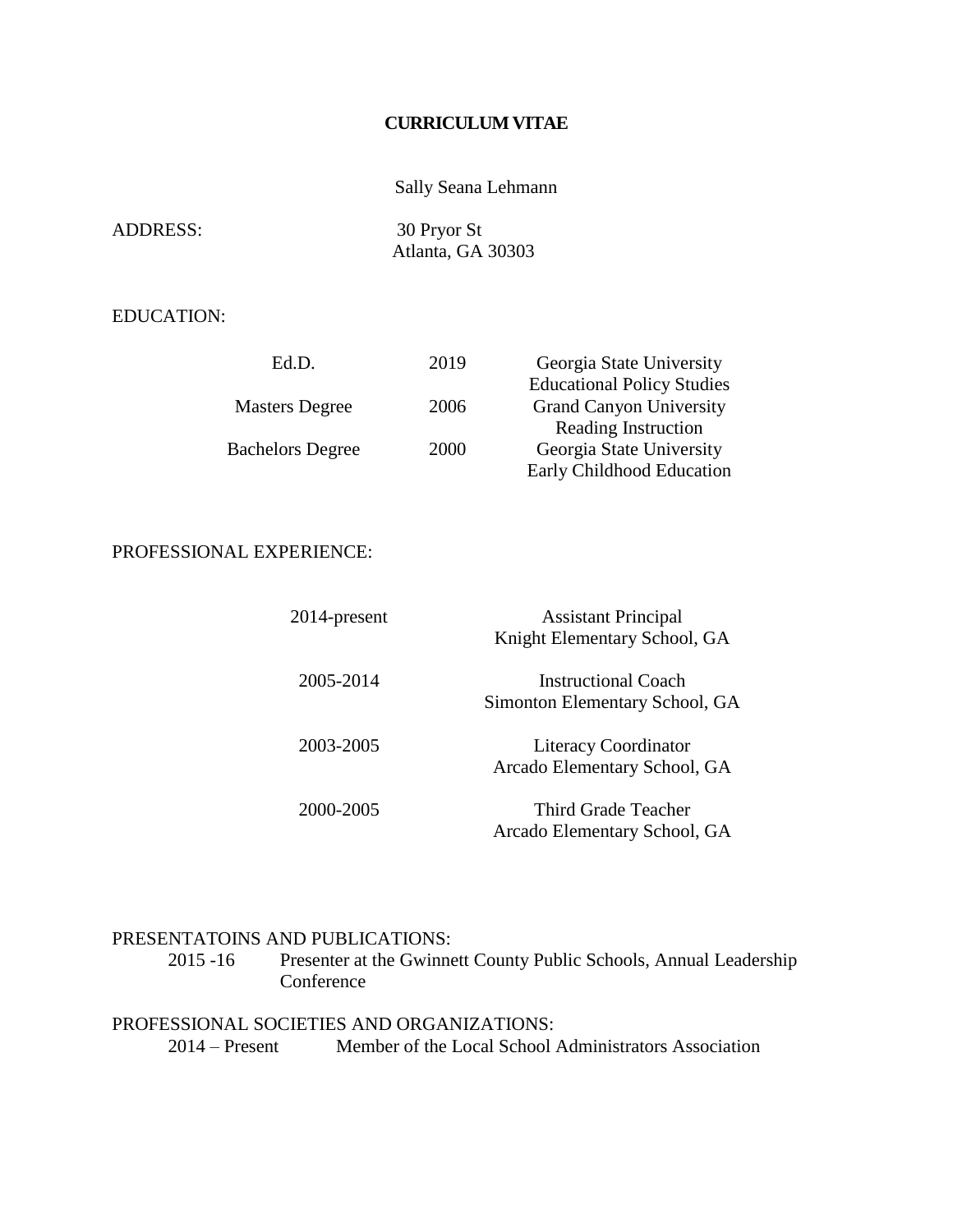## **CURRICULUM VITAE**

## Sally Seana Lehmann

| <b>ADDRESS:</b> | 30 Pryor St       |
|-----------------|-------------------|
|                 | Atlanta, GA 30303 |

## EDUCATION:

| Ed.D.                   | 2019 | Georgia State University          |
|-------------------------|------|-----------------------------------|
|                         |      | <b>Educational Policy Studies</b> |
| <b>Masters Degree</b>   | 2006 | <b>Grand Canyon University</b>    |
|                         |      | Reading Instruction               |
| <b>Bachelors Degree</b> | 2000 | Georgia State University          |
|                         |      | Early Childhood Education         |

## PROFESSIONAL EXPERIENCE:

| 2014-present | <b>Assistant Principal</b><br>Knight Elementary School, GA  |
|--------------|-------------------------------------------------------------|
| 2005-2014    | Instructional Coach<br>Simonton Elementary School, GA       |
| 2003-2005    | <b>Literacy Coordinator</b><br>Arcado Elementary School, GA |
| 2000-2005    | Third Grade Teacher<br>Arcado Elementary School, GA         |

## **PRESENTATOINS AND PUBLICATIONS:**<br>2015 -16 Presenter at the Gwinner

Presenter at the Gwinnett County Public Schools, Annual Leadership **Conference** 

## PROFESSIONAL SOCIETIES AND ORGANIZATIONS:

2014 – Present Member of the Local School Administrators Association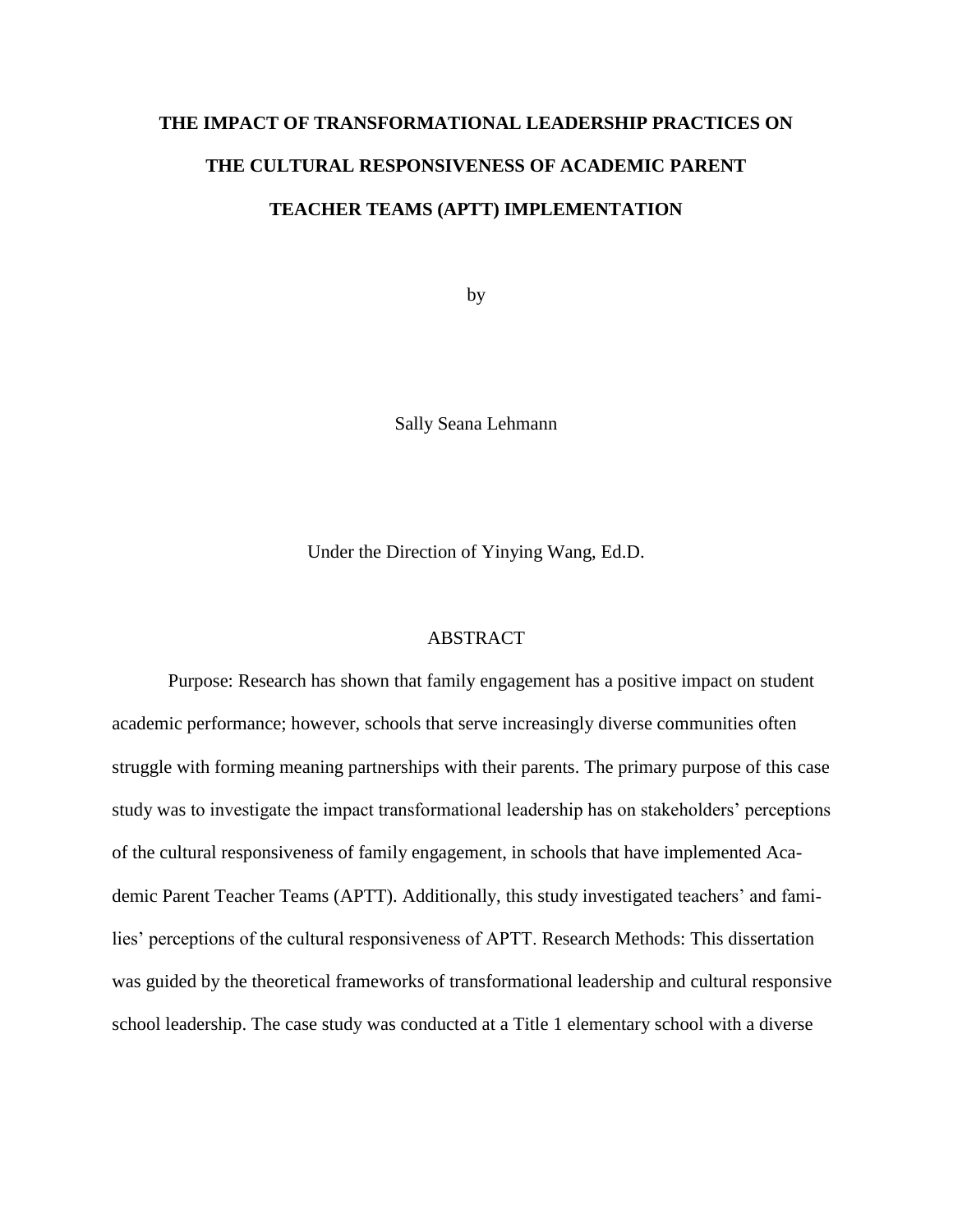## **THE IMPACT OF TRANSFORMATIONAL LEADERSHIP PRACTICES ON THE CULTURAL RESPONSIVENESS OF ACADEMIC PARENT TEACHER TEAMS (APTT) IMPLEMENTATION**

by

Sally Seana Lehmann

Under the Direction of Yinying Wang, Ed.D.

#### ABSTRACT

Purpose: Research has shown that family engagement has a positive impact on student academic performance; however, schools that serve increasingly diverse communities often struggle with forming meaning partnerships with their parents. The primary purpose of this case study was to investigate the impact transformational leadership has on stakeholders' perceptions of the cultural responsiveness of family engagement, in schools that have implemented Academic Parent Teacher Teams (APTT). Additionally, this study investigated teachers' and families' perceptions of the cultural responsiveness of APTT. Research Methods: This dissertation was guided by the theoretical frameworks of transformational leadership and cultural responsive school leadership. The case study was conducted at a Title 1 elementary school with a diverse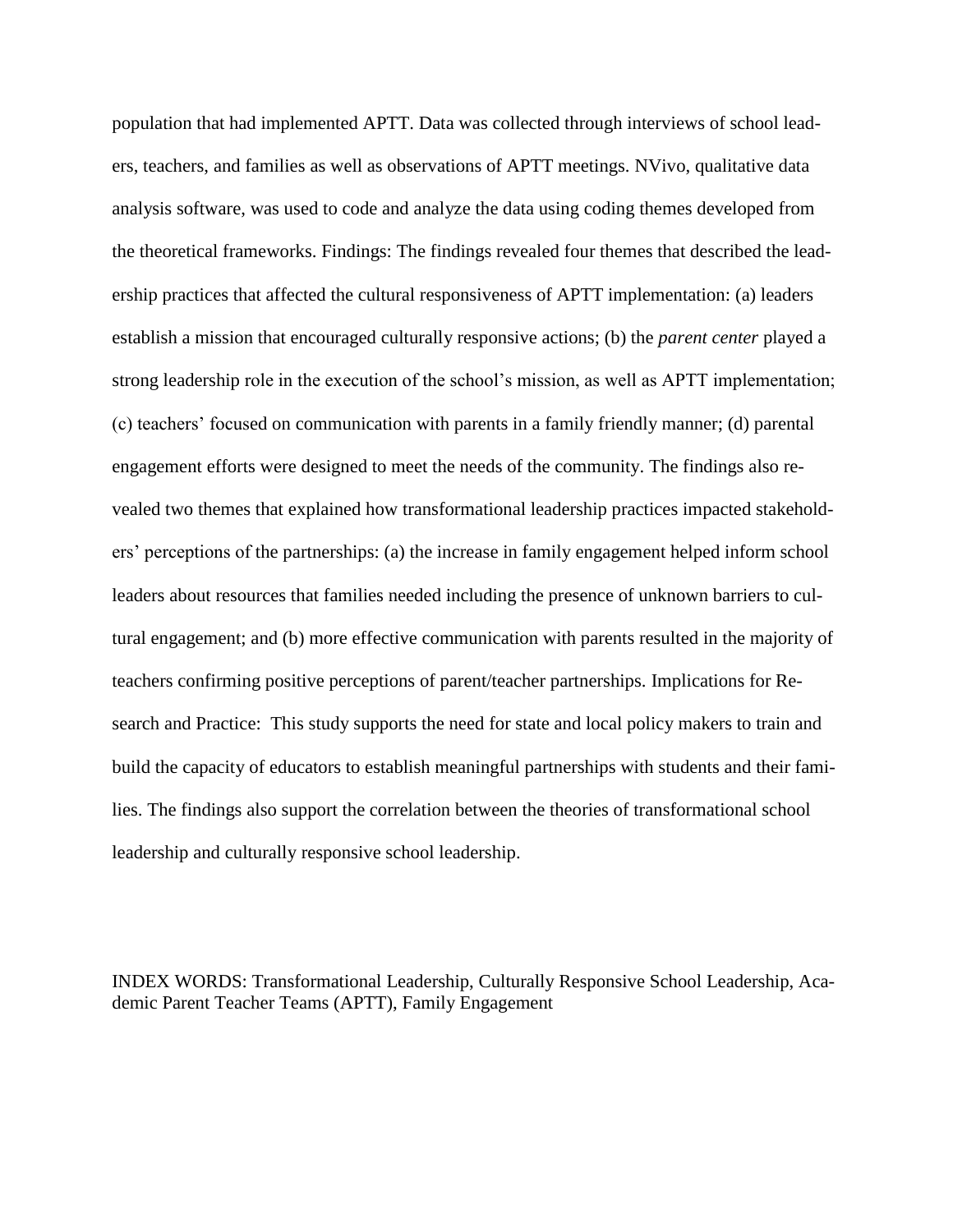population that had implemented APTT. Data was collected through interviews of school leaders, teachers, and families as well as observations of APTT meetings. NVivo, qualitative data analysis software, was used to code and analyze the data using coding themes developed from the theoretical frameworks. Findings: The findings revealed four themes that described the leadership practices that affected the cultural responsiveness of APTT implementation: (a) leaders establish a mission that encouraged culturally responsive actions; (b) the *parent center* played a strong leadership role in the execution of the school's mission, as well as APTT implementation; (c) teachers' focused on communication with parents in a family friendly manner; (d) parental engagement efforts were designed to meet the needs of the community. The findings also revealed two themes that explained how transformational leadership practices impacted stakeholders' perceptions of the partnerships: (a) the increase in family engagement helped inform school leaders about resources that families needed including the presence of unknown barriers to cultural engagement; and (b) more effective communication with parents resulted in the majority of teachers confirming positive perceptions of parent/teacher partnerships. Implications for Research and Practice: This study supports the need for state and local policy makers to train and build the capacity of educators to establish meaningful partnerships with students and their families. The findings also support the correlation between the theories of transformational school leadership and culturally responsive school leadership.

INDEX WORDS: Transformational Leadership, Culturally Responsive School Leadership, Academic Parent Teacher Teams (APTT), Family Engagement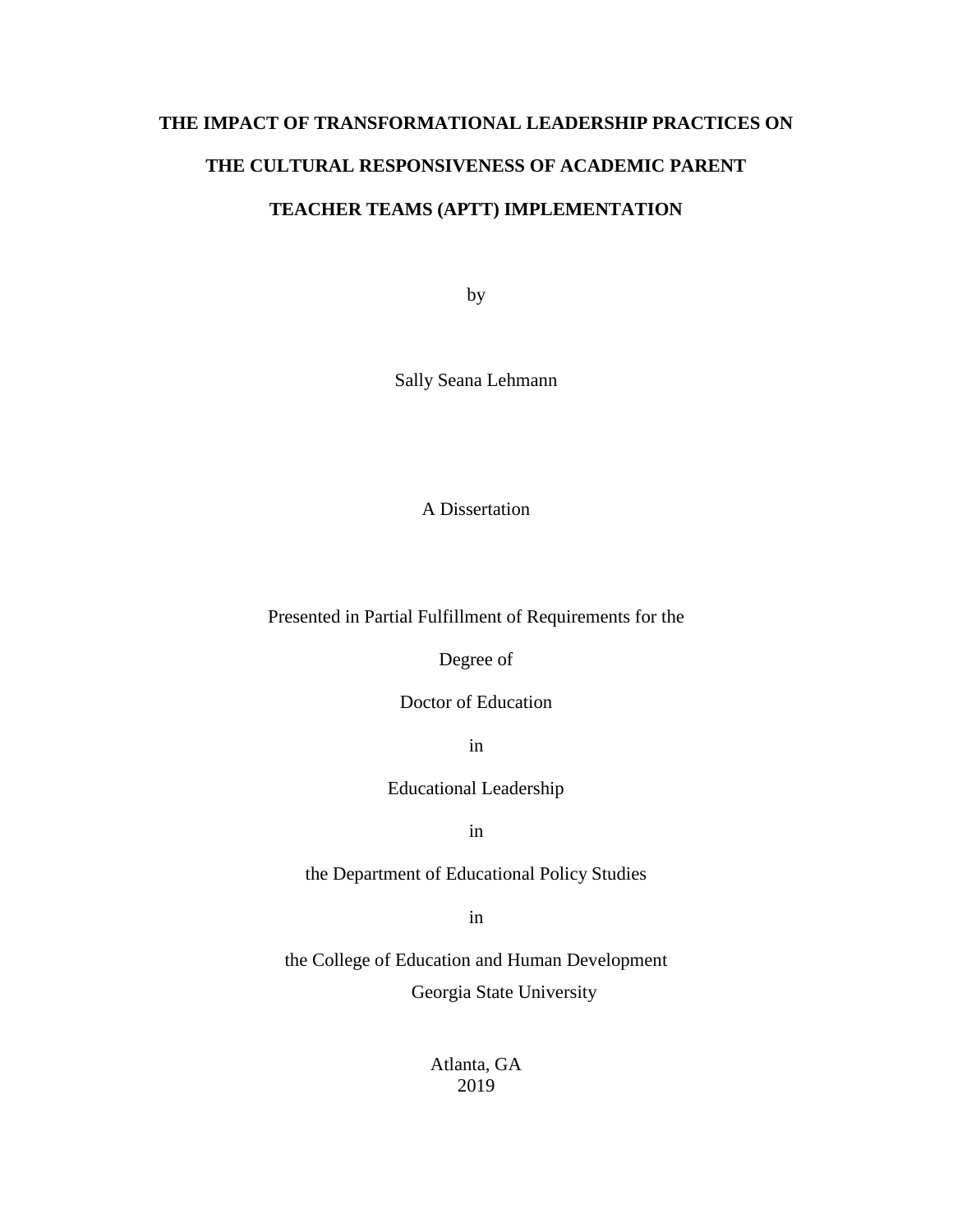## **THE IMPACT OF TRANSFORMATIONAL LEADERSHIP PRACTICES ON THE CULTURAL RESPONSIVENESS OF ACADEMIC PARENT TEACHER TEAMS (APTT) IMPLEMENTATION**

by

Sally Seana Lehmann

A Dissertation

Presented in Partial Fulfillment of Requirements for the

Degree of

Doctor of Education

in

Educational Leadership

in

the Department of Educational Policy Studies

in

the College of Education and Human Development Georgia State University

> Atlanta, GA 2019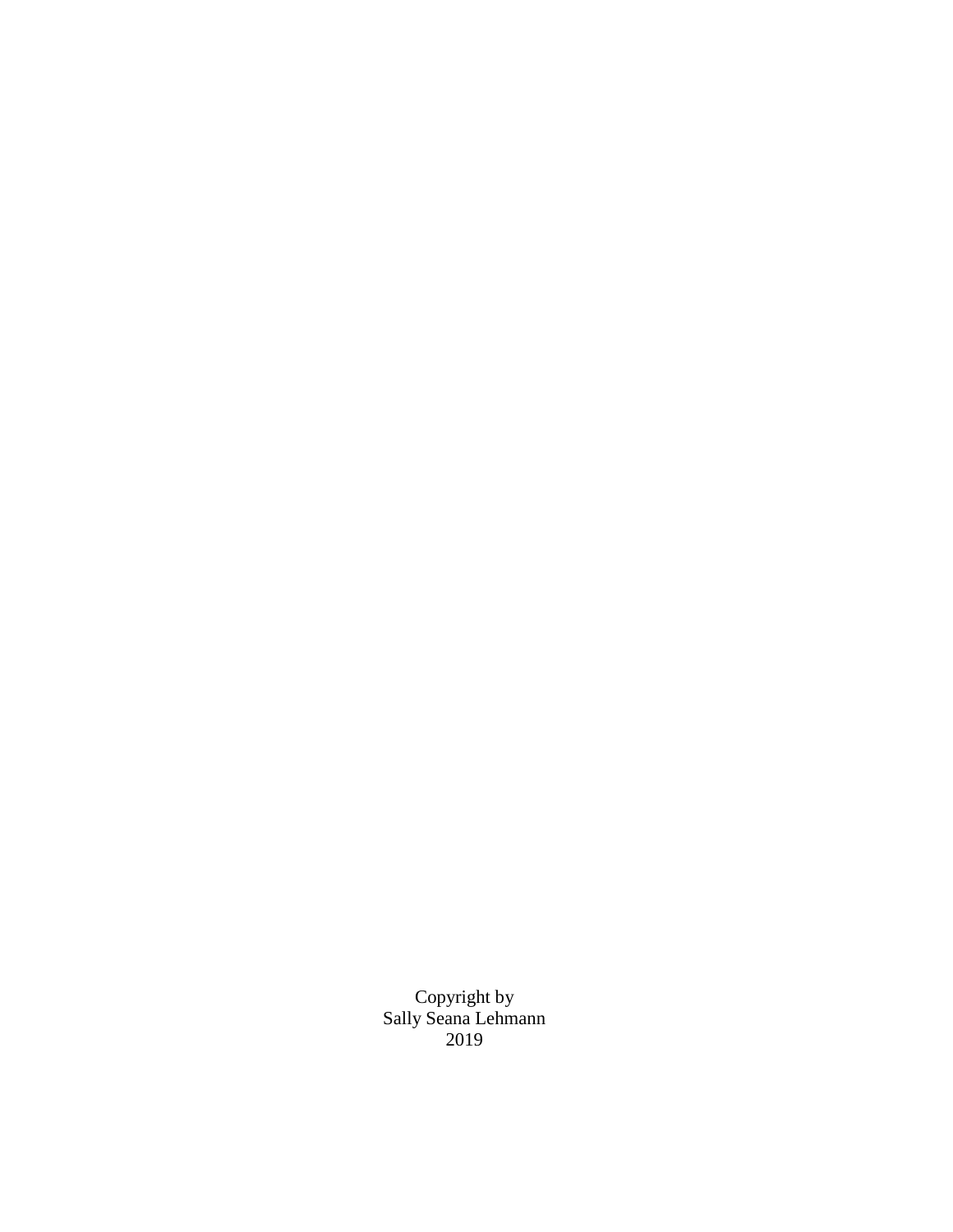Copyright by Sally Seana Lehmann 2019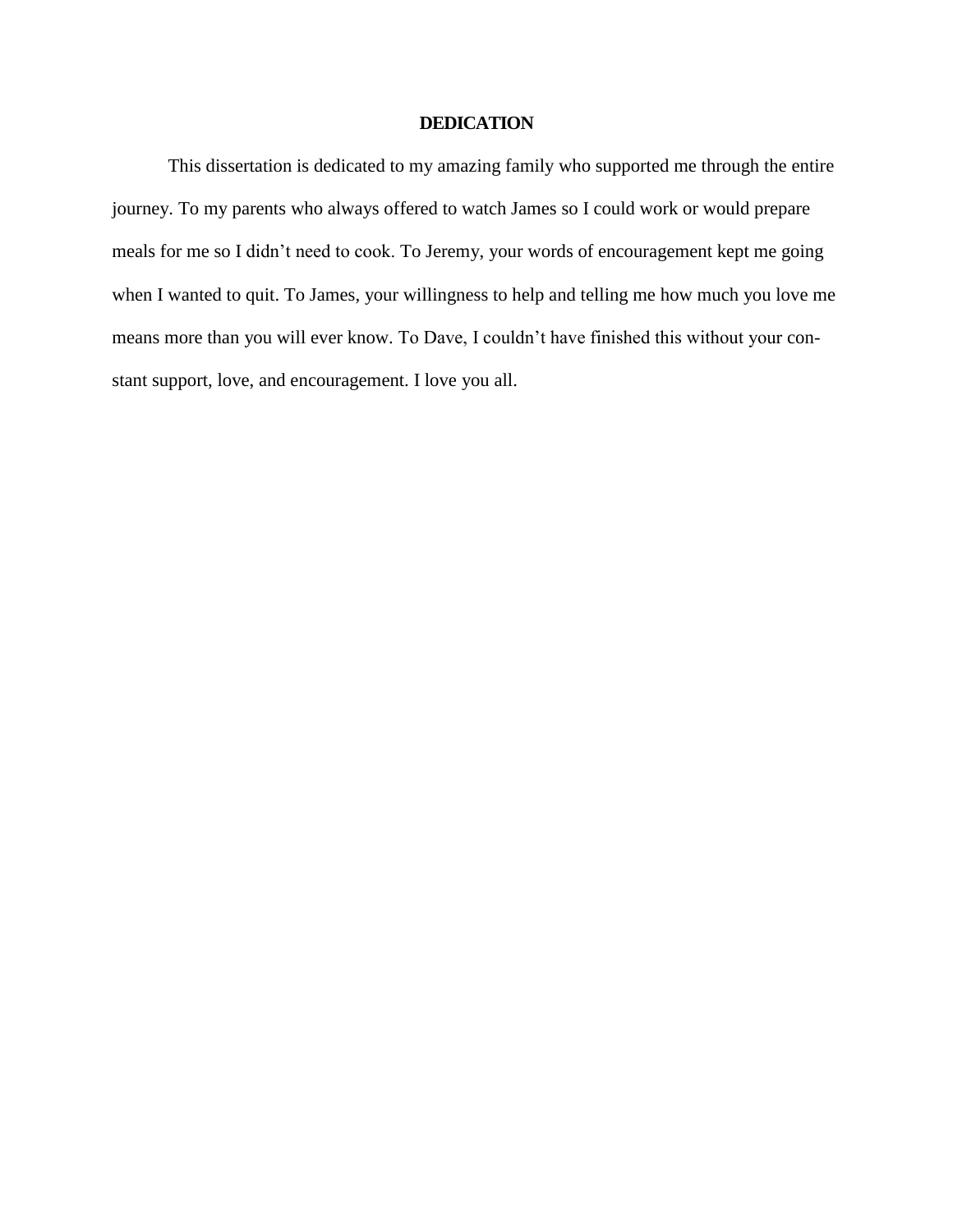## **DEDICATION**

This dissertation is dedicated to my amazing family who supported me through the entire journey. To my parents who always offered to watch James so I could work or would prepare meals for me so I didn't need to cook. To Jeremy, your words of encouragement kept me going when I wanted to quit. To James, your willingness to help and telling me how much you love me means more than you will ever know. To Dave, I couldn't have finished this without your constant support, love, and encouragement. I love you all.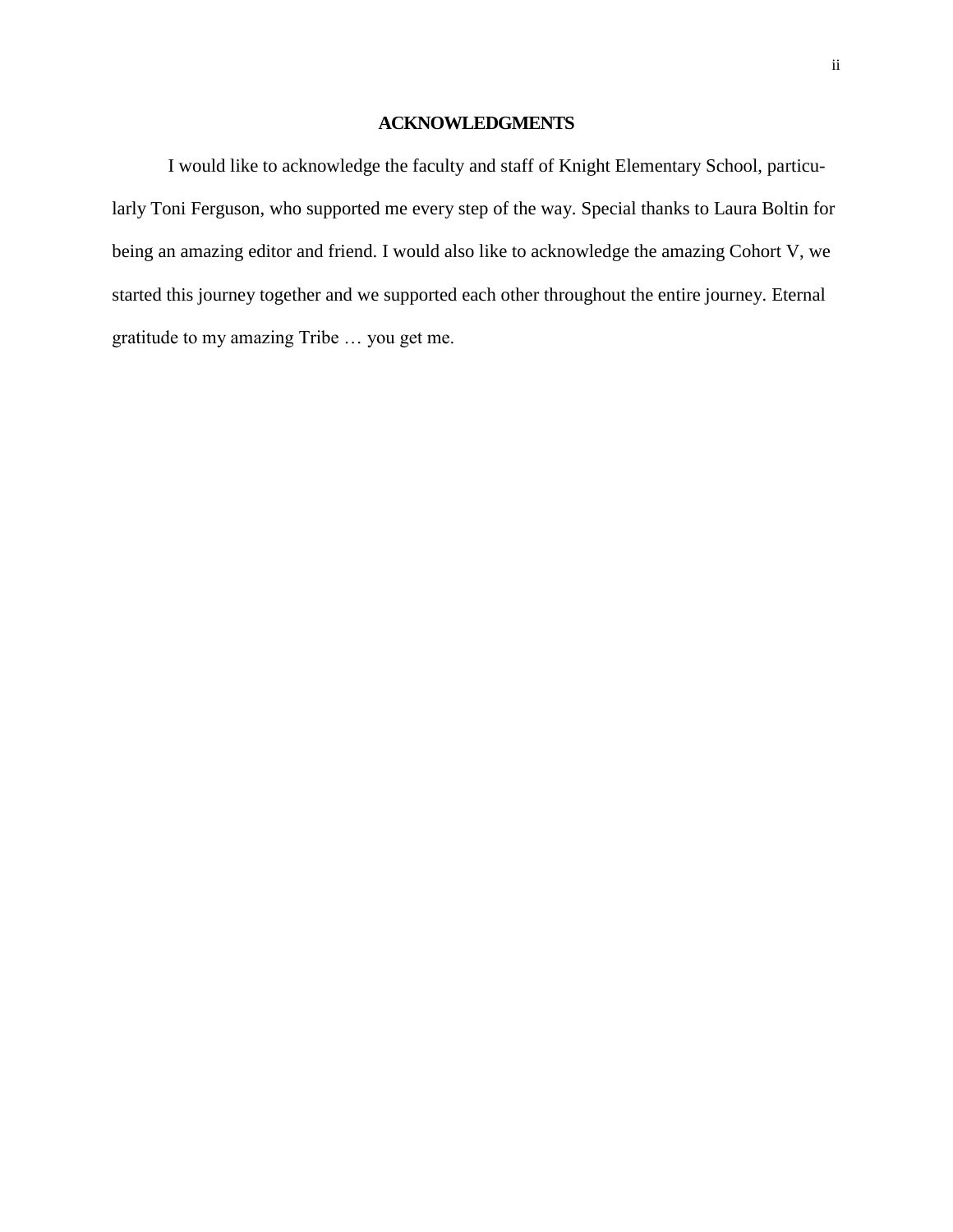## **ACKNOWLEDGMENTS**

I would like to acknowledge the faculty and staff of Knight Elementary School, particularly Toni Ferguson, who supported me every step of the way. Special thanks to Laura Boltin for being an amazing editor and friend. I would also like to acknowledge the amazing Cohort V, we started this journey together and we supported each other throughout the entire journey. Eternal gratitude to my amazing Tribe … you get me.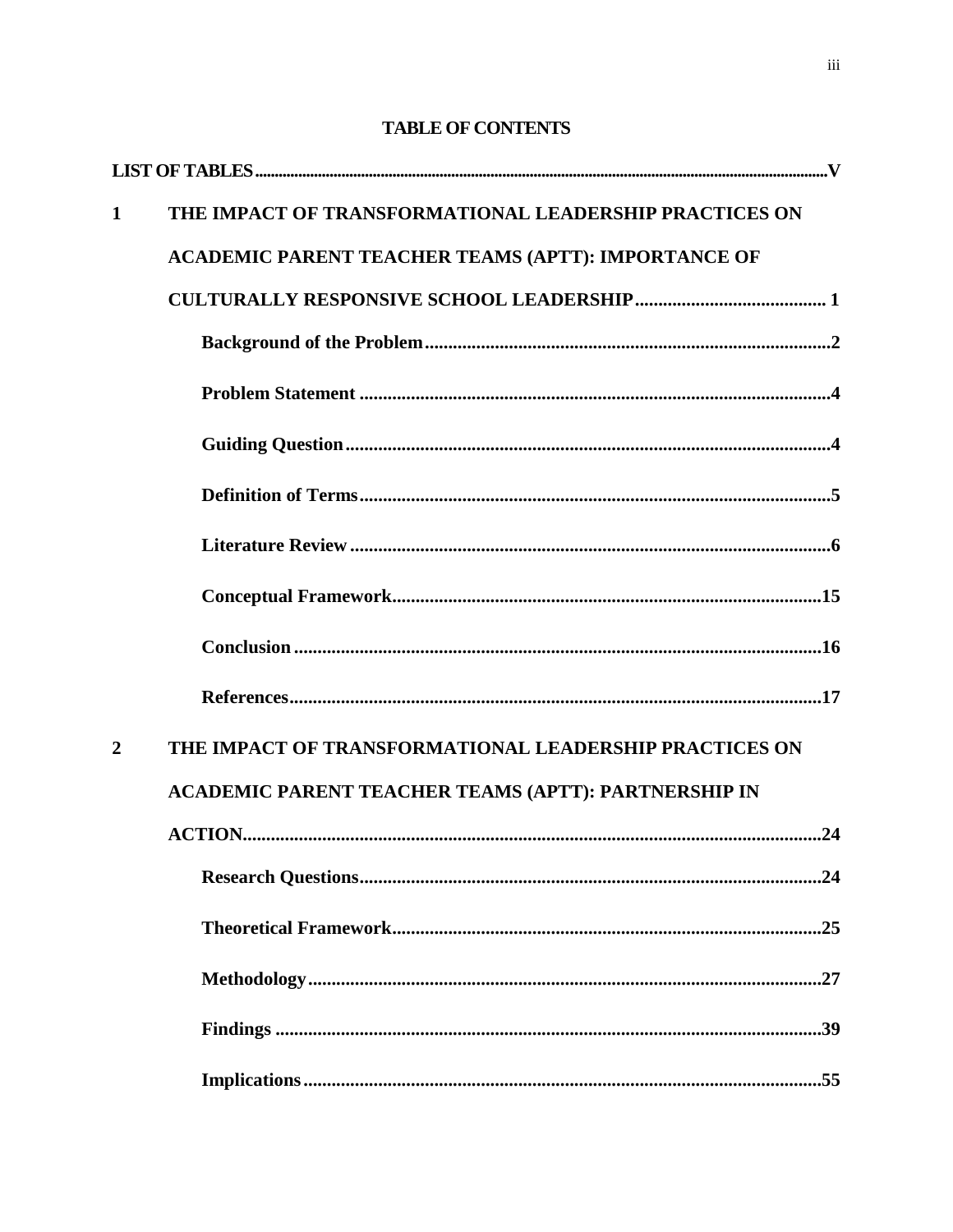# THE IMPACT OF TRANSFORMATIONAL LEADERSHIP PRACTICES ON  $\mathbf{1}$ **ACADEMIC PARENT TEACHER TEAMS (APTT): IMPORTANCE OF**  $\mathbf{2}$ THE IMPACT OF TRANSFORMATIONAL LEADERSHIP PRACTICES ON **ACADEMIC PARENT TEACHER TEAMS (APTT): PARTNERSHIP IN**

## **TABLE OF CONTENTS**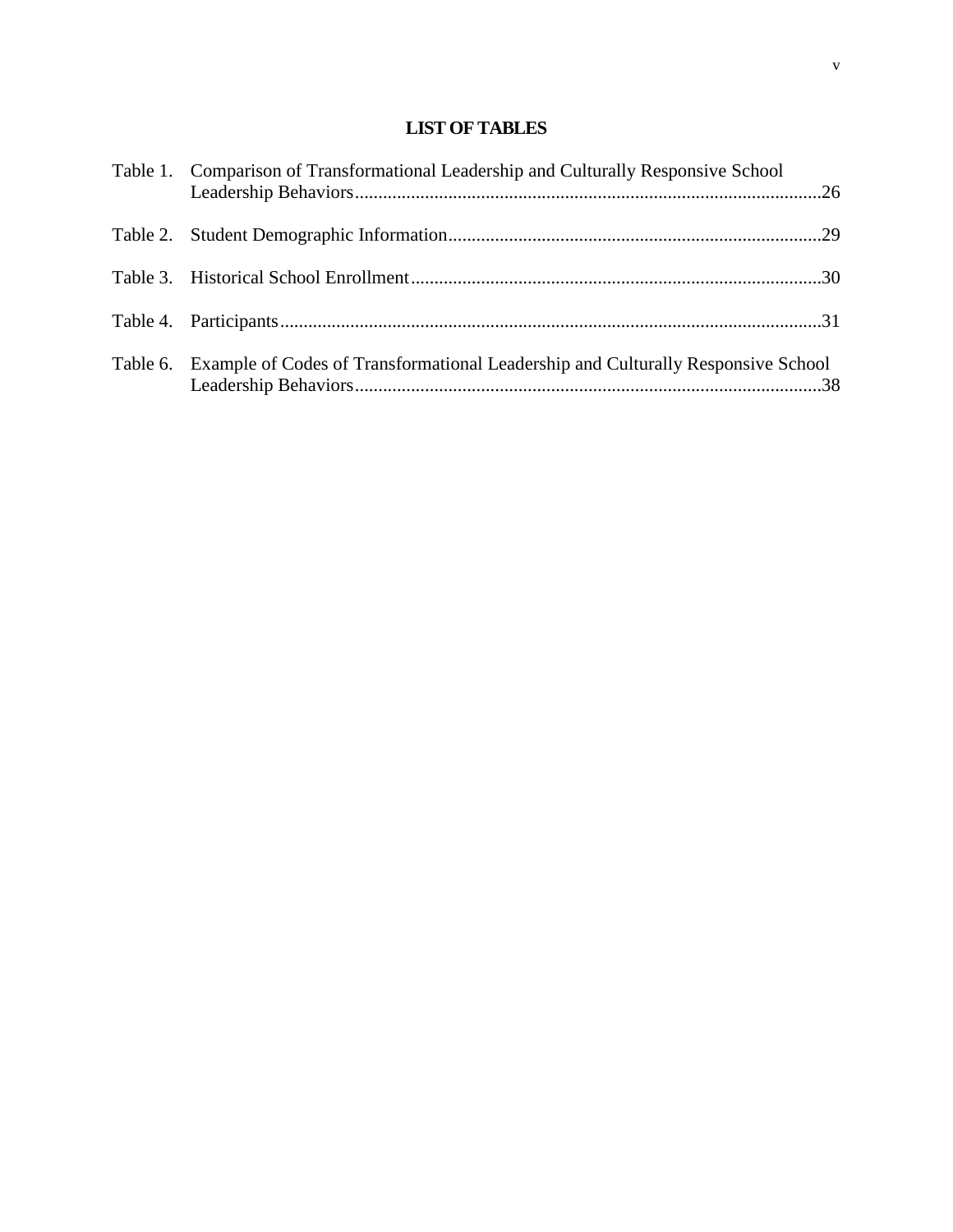## **LIST OF TABLES**

| Table 1. Comparison of Transformational Leadership and Culturally Responsive School       |  |
|-------------------------------------------------------------------------------------------|--|
|                                                                                           |  |
|                                                                                           |  |
|                                                                                           |  |
| Table 6. Example of Codes of Transformational Leadership and Culturally Responsive School |  |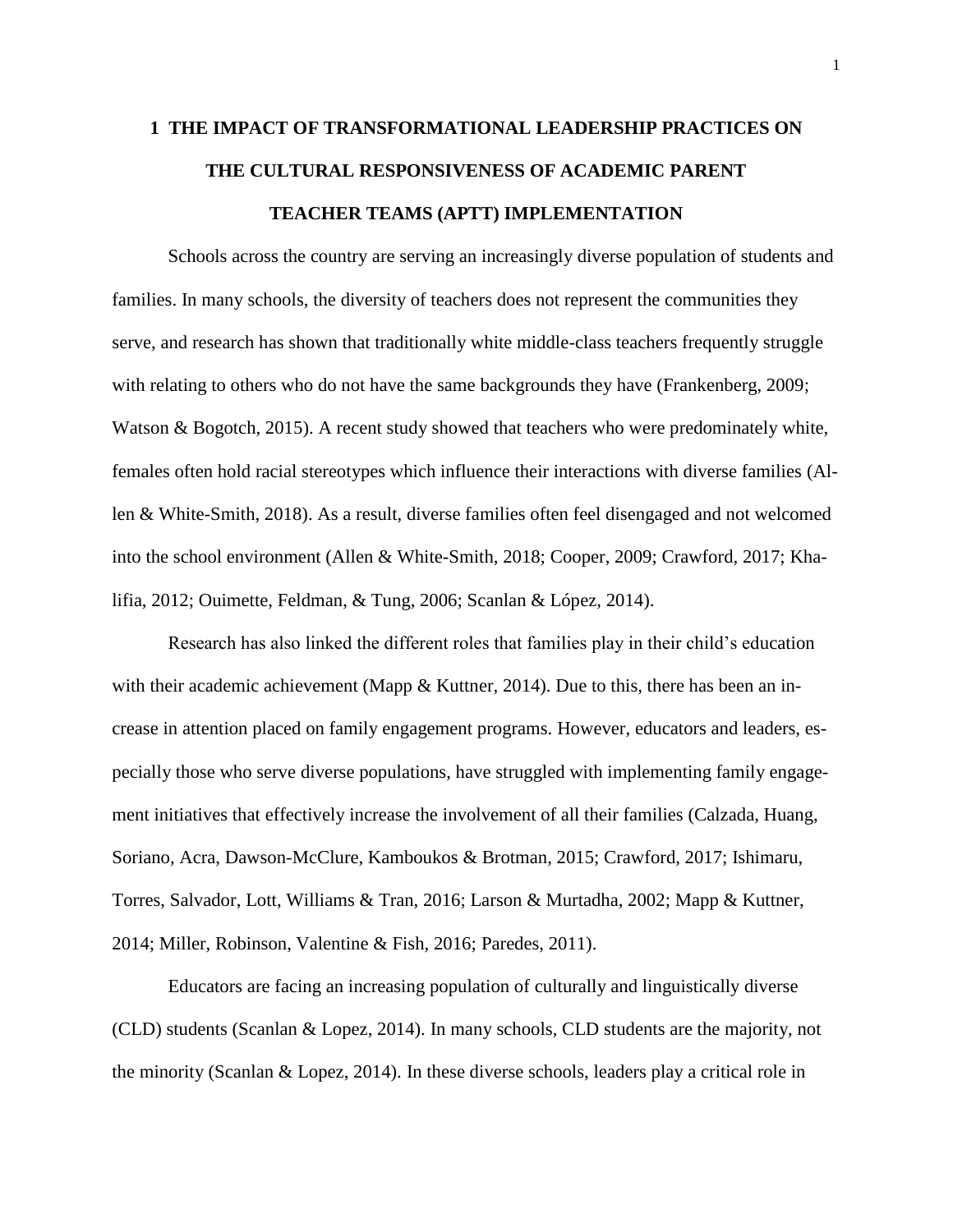## <span id="page-14-0"></span>**1 THE IMPACT OF TRANSFORMATIONAL LEADERSHIP PRACTICES ON THE CULTURAL RESPONSIVENESS OF ACADEMIC PARENT TEACHER TEAMS (APTT) IMPLEMENTATION**

Schools across the country are serving an increasingly diverse population of students and families. In many schools, the diversity of teachers does not represent the communities they serve, and research has shown that traditionally white middle-class teachers frequently struggle with relating to others who do not have the same backgrounds they have (Frankenberg, 2009; Watson & Bogotch, 2015). A recent study showed that teachers who were predominately white, females often hold racial stereotypes which influence their interactions with diverse families (Allen & White-Smith, 2018). As a result, diverse families often feel disengaged and not welcomed into the school environment (Allen & White-Smith, 2018; Cooper, 2009; Crawford, 2017; Khalifia, 2012; Ouimette, Feldman, & Tung, 2006; Scanlan & López, 2014).

Research has also linked the different roles that families play in their child's education with their academic achievement (Mapp & Kuttner, 2014). Due to this, there has been an increase in attention placed on family engagement programs. However, educators and leaders, especially those who serve diverse populations, have struggled with implementing family engagement initiatives that effectively increase the involvement of all their families (Calzada, Huang, Soriano, Acra, Dawson-McClure, Kamboukos & Brotman, 2015; Crawford, 2017; Ishimaru, Torres, Salvador, Lott, Williams & Tran, 2016; Larson & Murtadha, 2002; Mapp & Kuttner, 2014; Miller, Robinson, Valentine & Fish, 2016; Paredes, 2011).

Educators are facing an increasing population of culturally and linguistically diverse (CLD) students (Scanlan & Lopez, 2014). In many schools, CLD students are the majority, not the minority (Scanlan & Lopez, 2014). In these diverse schools, leaders play a critical role in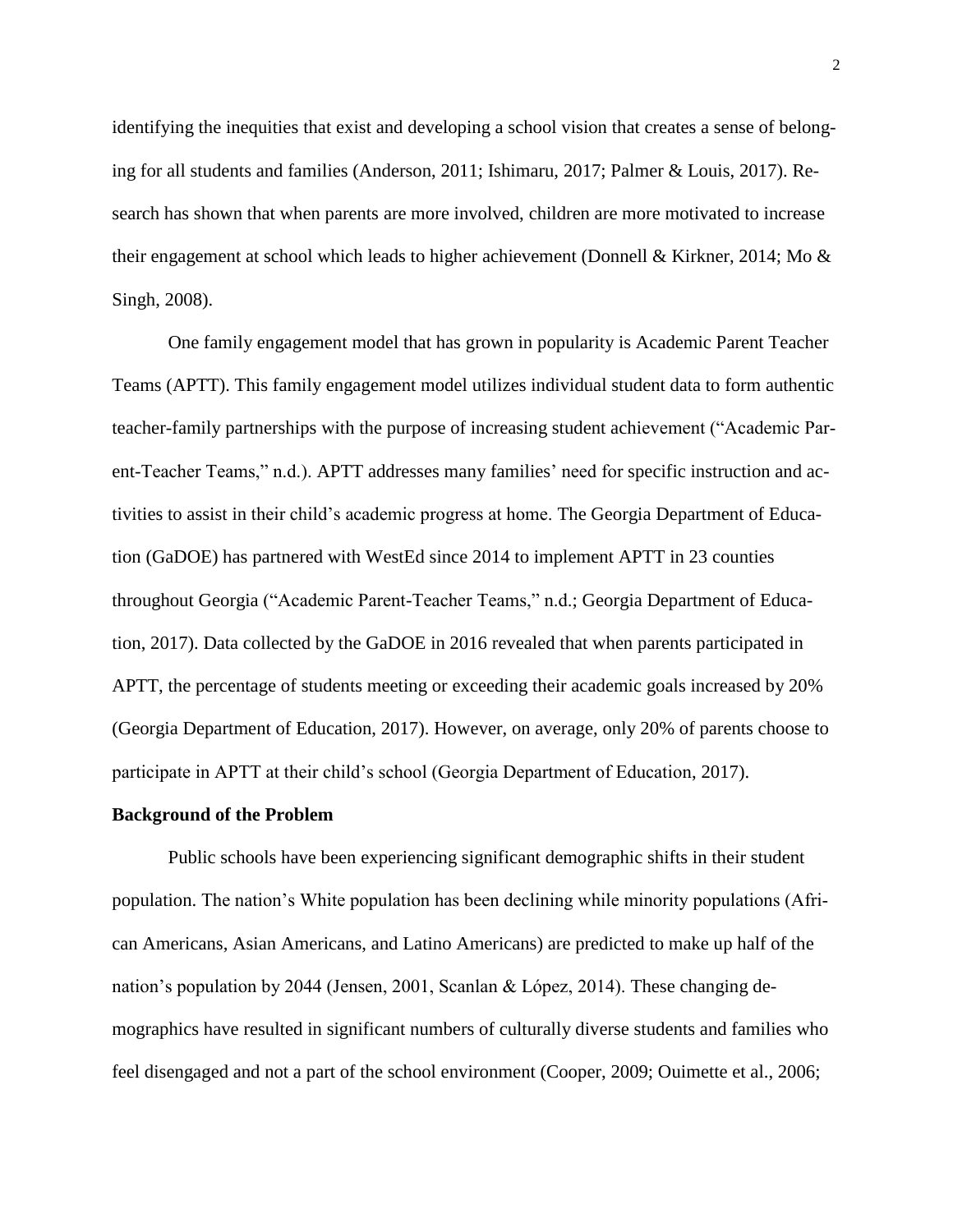identifying the inequities that exist and developing a school vision that creates a sense of belonging for all students and families (Anderson, 2011; Ishimaru, 2017; Palmer & Louis, 2017). Research has shown that when parents are more involved, children are more motivated to increase their engagement at school which leads to higher achievement (Donnell & Kirkner, 2014; Mo & Singh, 2008).

One family engagement model that has grown in popularity is Academic Parent Teacher Teams (APTT). This family engagement model utilizes individual student data to form authentic teacher-family partnerships with the purpose of increasing student achievement ("Academic Parent-Teacher Teams," n.d.). APTT addresses many families' need for specific instruction and activities to assist in their child's academic progress at home. The Georgia Department of Education (GaDOE) has partnered with WestEd since 2014 to implement APTT in 23 counties throughout Georgia ("Academic Parent-Teacher Teams," n.d.; Georgia Department of Education, 2017). Data collected by the GaDOE in 2016 revealed that when parents participated in APTT, the percentage of students meeting or exceeding their academic goals increased by 20% (Georgia Department of Education, 2017). However, on average, only 20% of parents choose to participate in APTT at their child's school (Georgia Department of Education, 2017).

#### **Background of the Problem**

Public schools have been experiencing significant demographic shifts in their student population. The nation's White population has been declining while minority populations (African Americans, Asian Americans, and Latino Americans) are predicted to make up half of the nation's population by 2044 (Jensen, 2001, Scanlan & López, 2014). These changing demographics have resulted in significant numbers of culturally diverse students and families who feel disengaged and not a part of the school environment (Cooper, 2009; Ouimette et al., 2006;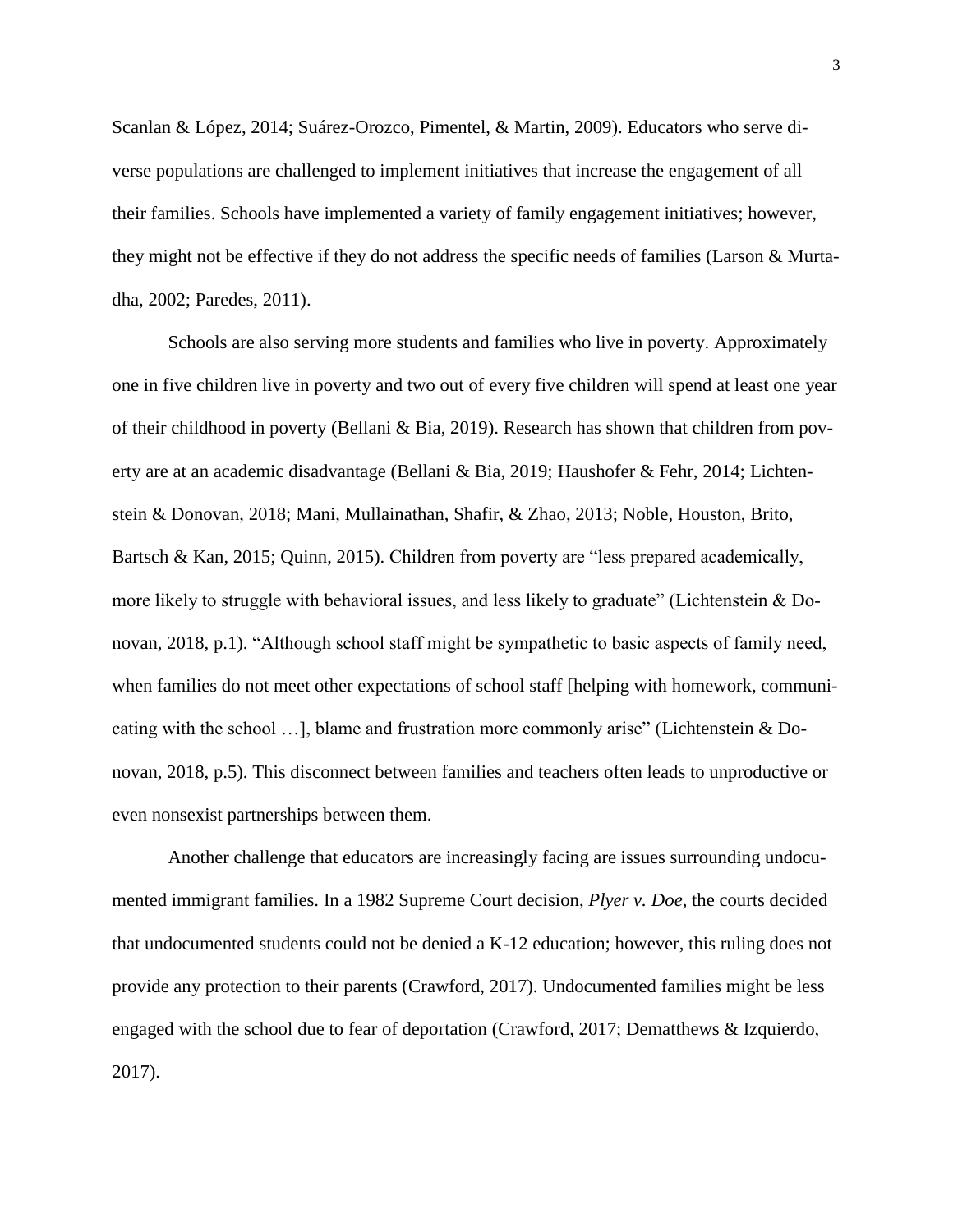Scanlan & López, 2014; Suárez-Orozco, Pimentel, & Martin, 2009). Educators who serve diverse populations are challenged to implement initiatives that increase the engagement of all their families. Schools have implemented a variety of family engagement initiatives; however, they might not be effective if they do not address the specific needs of families (Larson & Murtadha, 2002; Paredes, 2011).

Schools are also serving more students and families who live in poverty. Approximately one in five children live in poverty and two out of every five children will spend at least one year of their childhood in poverty (Bellani & Bia, 2019). Research has shown that children from poverty are at an academic disadvantage (Bellani & Bia, 2019; Haushofer & Fehr, 2014; Lichtenstein & Donovan, 2018; Mani, Mullainathan, Shafir, & Zhao, 2013; Noble, Houston, Brito, Bartsch & Kan, 2015; Quinn, 2015). Children from poverty are "less prepared academically, more likely to struggle with behavioral issues, and less likely to graduate" (Lichtenstein & Donovan, 2018, p.1). "Although school staff might be sympathetic to basic aspects of family need, when families do not meet other expectations of school staff [helping with homework, communicating with the school …], blame and frustration more commonly arise" (Lichtenstein & Donovan, 2018, p.5). This disconnect between families and teachers often leads to unproductive or even nonsexist partnerships between them.

Another challenge that educators are increasingly facing are issues surrounding undocumented immigrant families. In a 1982 Supreme Court decision, *Plyer v. Doe*, the courts decided that undocumented students could not be denied a K-12 education; however, this ruling does not provide any protection to their parents (Crawford, 2017). Undocumented families might be less engaged with the school due to fear of deportation (Crawford, 2017; Dematthews & Izquierdo, 2017).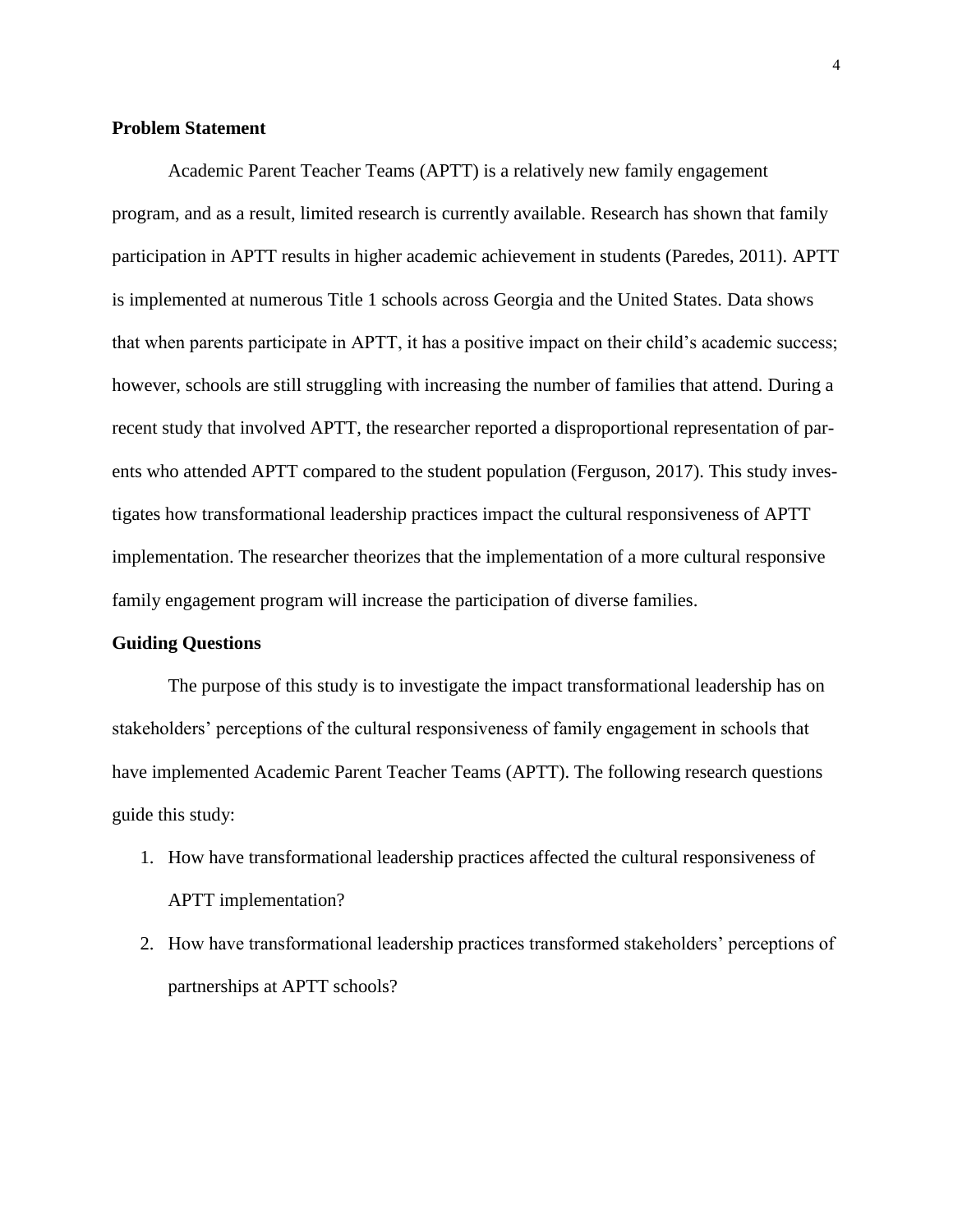### **Problem Statement**

Academic Parent Teacher Teams (APTT) is a relatively new family engagement program, and as a result, limited research is currently available. Research has shown that family participation in APTT results in higher academic achievement in students (Paredes, 2011). APTT is implemented at numerous Title 1 schools across Georgia and the United States. Data shows that when parents participate in APTT, it has a positive impact on their child's academic success; however, schools are still struggling with increasing the number of families that attend. During a recent study that involved APTT, the researcher reported a disproportional representation of parents who attended APTT compared to the student population (Ferguson, 2017). This study investigates how transformational leadership practices impact the cultural responsiveness of APTT implementation. The researcher theorizes that the implementation of a more cultural responsive family engagement program will increase the participation of diverse families.

### **Guiding Questions**

<span id="page-17-0"></span>The purpose of this study is to investigate the impact transformational leadership has on stakeholders' perceptions of the cultural responsiveness of family engagement in schools that have implemented Academic Parent Teacher Teams (APTT). The following research questions guide this study:

- 1. How have transformational leadership practices affected the cultural responsiveness of APTT implementation?
- 2. How have transformational leadership practices transformed stakeholders' perceptions of partnerships at APTT schools?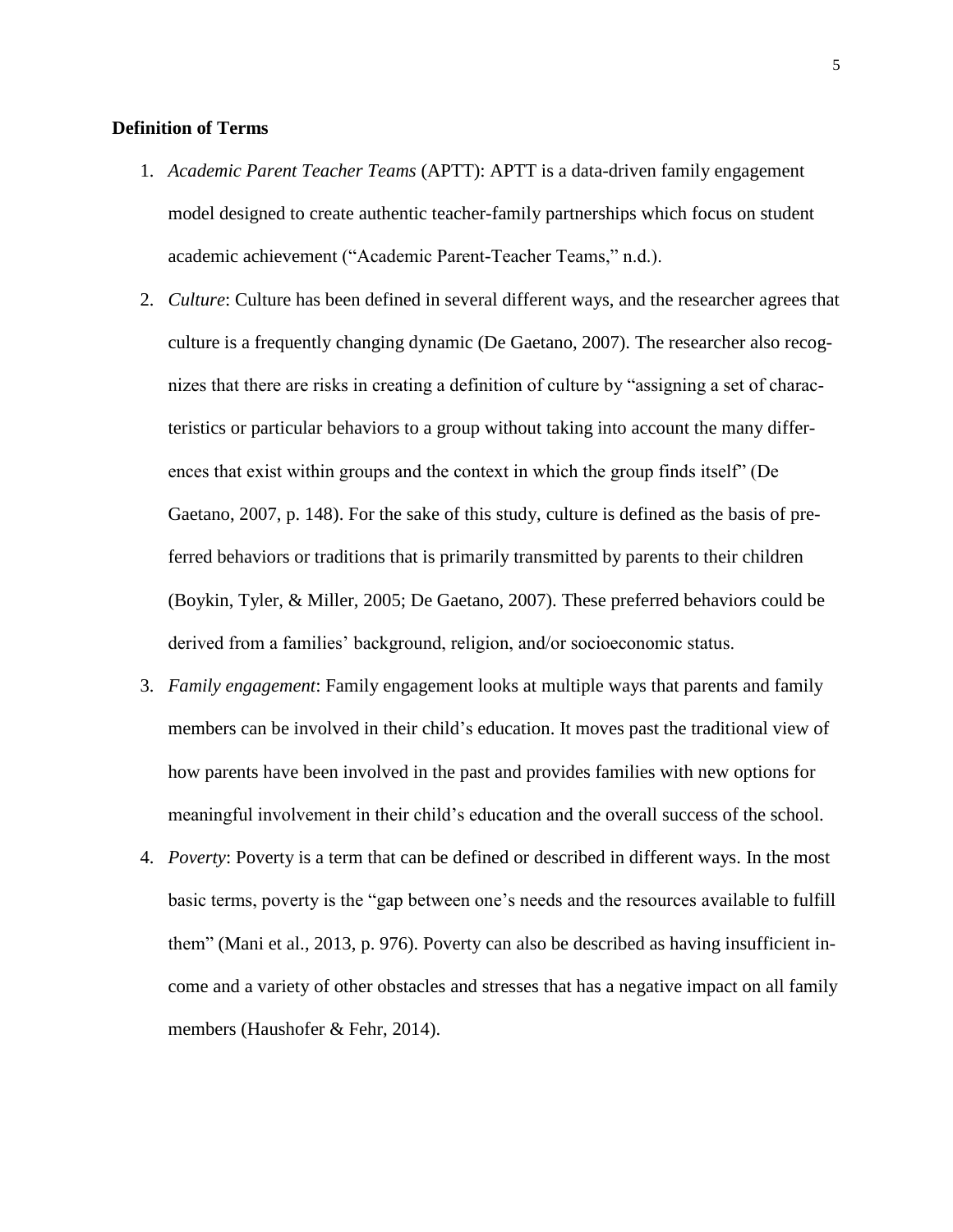## **Definition of Terms**

- 1. *Academic Parent Teacher Teams* (APTT): APTT is a data-driven family engagement model designed to create authentic teacher-family partnerships which focus on student academic achievement ("Academic Parent-Teacher Teams," n.d.).
- 2. *Culture*: Culture has been defined in several different ways, and the researcher agrees that culture is a frequently changing dynamic (De Gaetano, 2007). The researcher also recognizes that there are risks in creating a definition of culture by "assigning a set of characteristics or particular behaviors to a group without taking into account the many differences that exist within groups and the context in which the group finds itself" (De Gaetano, 2007, p. 148). For the sake of this study, culture is defined as the basis of preferred behaviors or traditions that is primarily transmitted by parents to their children (Boykin, Tyler, & Miller, 2005; De Gaetano, 2007). These preferred behaviors could be derived from a families' background, religion, and/or socioeconomic status.
- 3. *Family engagement*: Family engagement looks at multiple ways that parents and family members can be involved in their child's education. It moves past the traditional view of how parents have been involved in the past and provides families with new options for meaningful involvement in their child's education and the overall success of the school.
- 4. *Poverty*: Poverty is a term that can be defined or described in different ways. In the most basic terms, poverty is the "gap between one's needs and the resources available to fulfill them" (Mani et al., 2013, p. 976). Poverty can also be described as having insufficient income and a variety of other obstacles and stresses that has a negative impact on all family members (Haushofer & Fehr, 2014).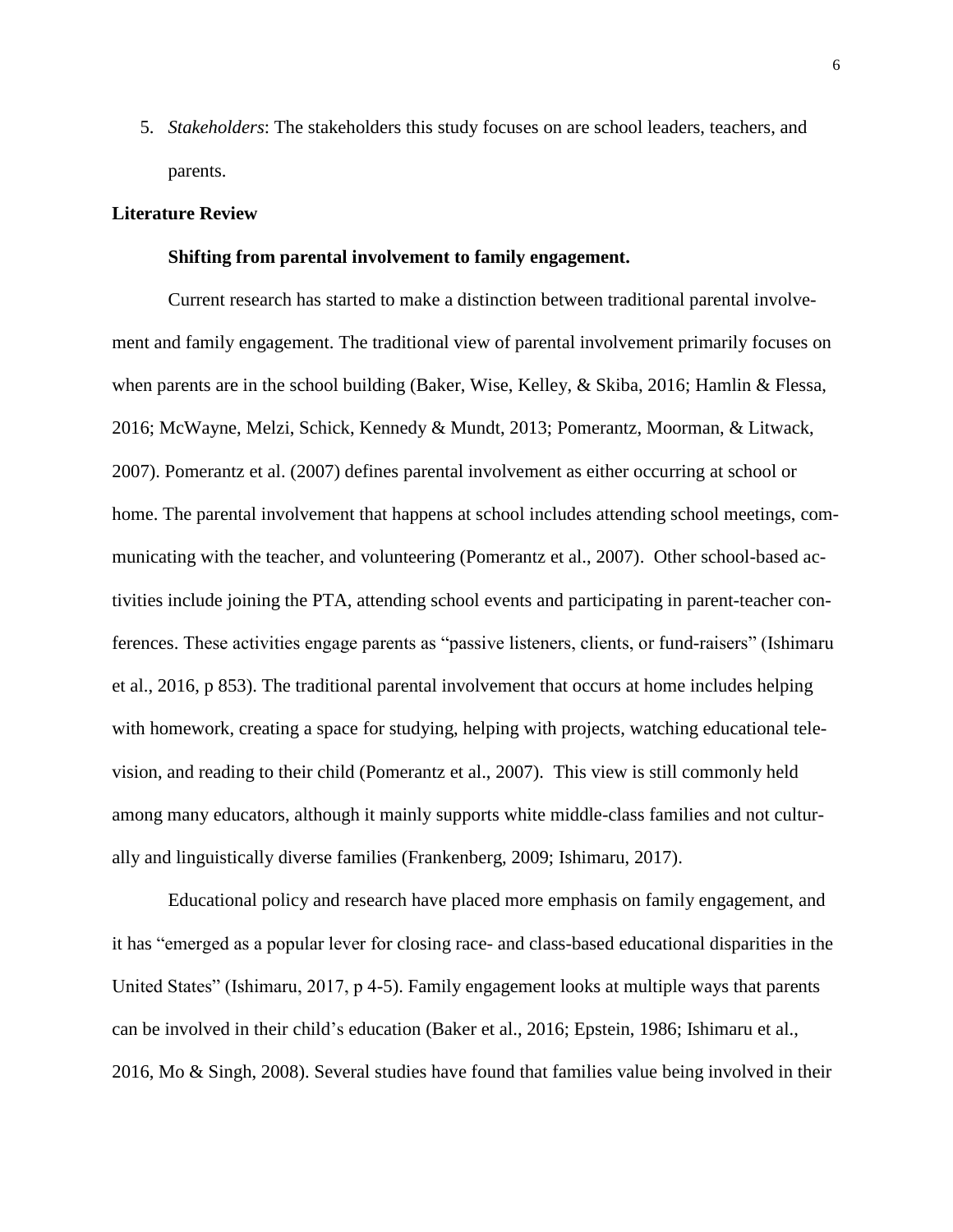5. *Stakeholders*: The stakeholders this study focuses on are school leaders, teachers, and parents.

## <span id="page-19-0"></span>**Literature Review**

#### **Shifting from parental involvement to family engagement.**

Current research has started to make a distinction between traditional parental involvement and family engagement. The traditional view of parental involvement primarily focuses on when parents are in the school building (Baker, Wise, Kelley, & Skiba, 2016; Hamlin & Flessa, 2016; McWayne, Melzi, Schick, Kennedy & Mundt, 2013; Pomerantz, Moorman, & Litwack, 2007). Pomerantz et al. (2007) defines parental involvement as either occurring at school or home. The parental involvement that happens at school includes attending school meetings, communicating with the teacher, and volunteering (Pomerantz et al., 2007). Other school-based activities include joining the PTA, attending school events and participating in parent-teacher conferences. These activities engage parents as "passive listeners, clients, or fund-raisers" (Ishimaru et al., 2016, p 853). The traditional parental involvement that occurs at home includes helping with homework, creating a space for studying, helping with projects, watching educational television, and reading to their child (Pomerantz et al., 2007). This view is still commonly held among many educators, although it mainly supports white middle-class families and not culturally and linguistically diverse families (Frankenberg, 2009; Ishimaru, 2017).

Educational policy and research have placed more emphasis on family engagement, and it has "emerged as a popular lever for closing race- and class-based educational disparities in the United States" (Ishimaru, 2017, p 4-5). Family engagement looks at multiple ways that parents can be involved in their child's education (Baker et al., 2016; Epstein, 1986; Ishimaru et al., 2016, Mo & Singh, 2008). Several studies have found that families value being involved in their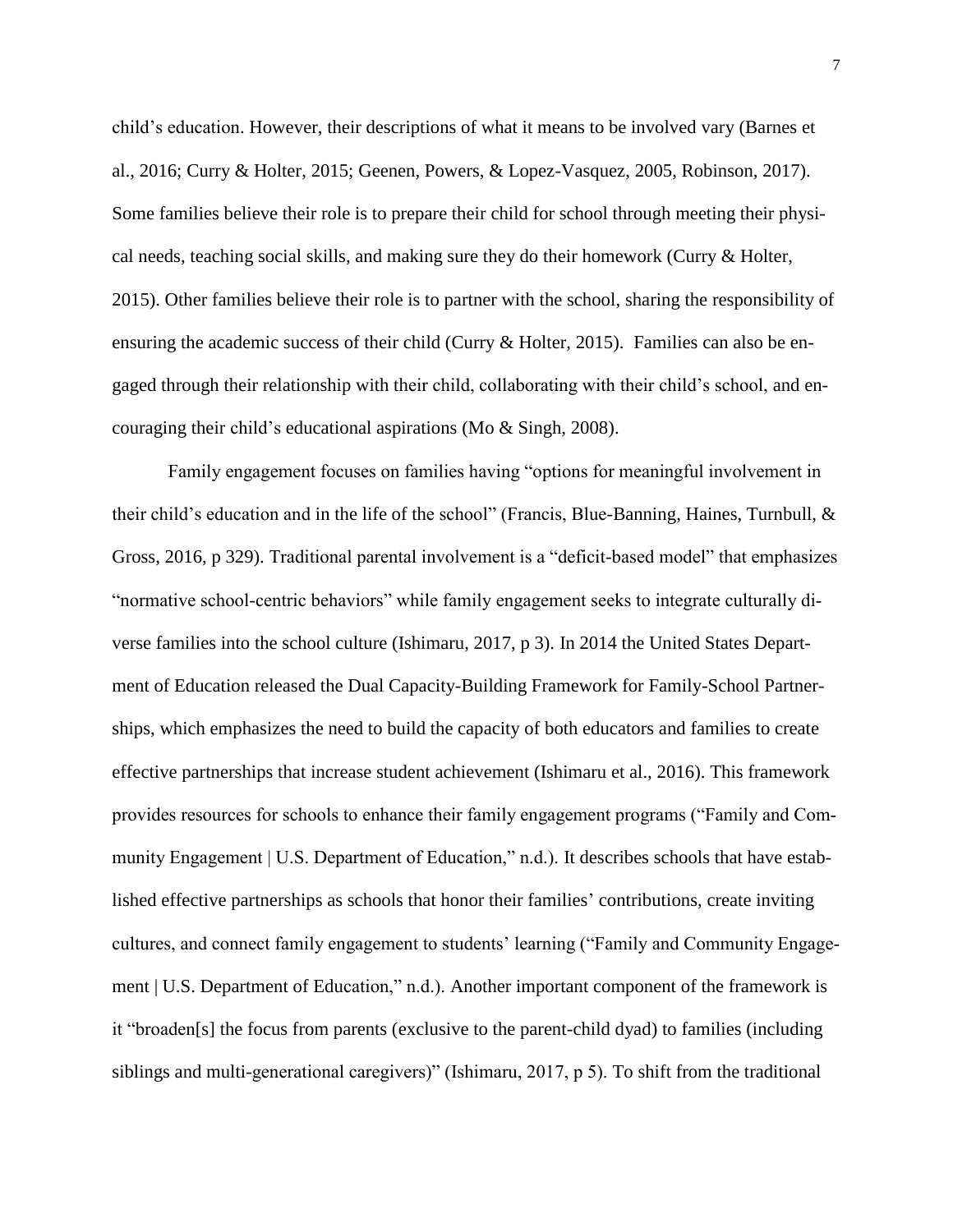child's education. However, their descriptions of what it means to be involved vary (Barnes et al., 2016; Curry & Holter, 2015; Geenen, Powers, & Lopez-Vasquez, 2005, Robinson, 2017). Some families believe their role is to prepare their child for school through meeting their physical needs, teaching social skills, and making sure they do their homework (Curry & Holter, 2015). Other families believe their role is to partner with the school, sharing the responsibility of ensuring the academic success of their child (Curry & Holter, 2015). Families can also be engaged through their relationship with their child, collaborating with their child's school, and encouraging their child's educational aspirations (Mo & Singh, 2008).

Family engagement focuses on families having "options for meaningful involvement in their child's education and in the life of the school" (Francis, Blue-Banning, Haines, Turnbull, & Gross, 2016, p 329). Traditional parental involvement is a "deficit-based model" that emphasizes "normative school-centric behaviors" while family engagement seeks to integrate culturally diverse families into the school culture (Ishimaru, 2017, p 3). In 2014 the United States Department of Education released the Dual Capacity-Building Framework for Family-School Partnerships, which emphasizes the need to build the capacity of both educators and families to create effective partnerships that increase student achievement (Ishimaru et al., 2016). This framework provides resources for schools to enhance their family engagement programs ("Family and Community Engagement | U.S. Department of Education," n.d.). It describes schools that have established effective partnerships as schools that honor their families' contributions, create inviting cultures, and connect family engagement to students' learning ("Family and Community Engagement | U.S. Department of Education," n.d.). Another important component of the framework is it "broaden[s] the focus from parents (exclusive to the parent-child dyad) to families (including siblings and multi-generational caregivers)" (Ishimaru, 2017, p 5). To shift from the traditional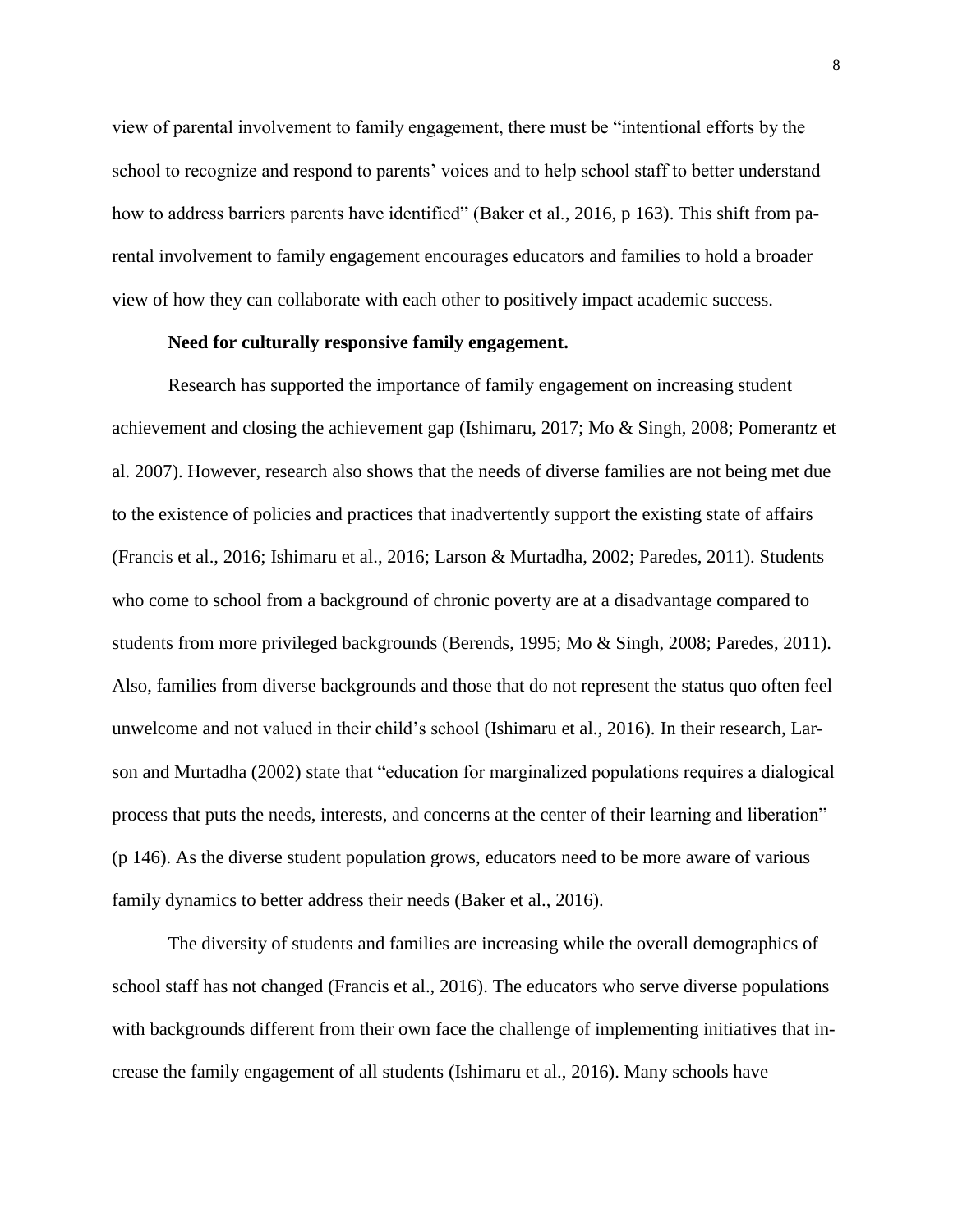view of parental involvement to family engagement, there must be "intentional efforts by the school to recognize and respond to parents' voices and to help school staff to better understand how to address barriers parents have identified" (Baker et al., 2016, p 163). This shift from parental involvement to family engagement encourages educators and families to hold a broader view of how they can collaborate with each other to positively impact academic success.

## **Need for culturally responsive family engagement.**

Research has supported the importance of family engagement on increasing student achievement and closing the achievement gap (Ishimaru, 2017; Mo & Singh, 2008; Pomerantz et al. 2007). However, research also shows that the needs of diverse families are not being met due to the existence of policies and practices that inadvertently support the existing state of affairs (Francis et al., 2016; Ishimaru et al., 2016; Larson & Murtadha, 2002; Paredes, 2011). Students who come to school from a background of chronic poverty are at a disadvantage compared to students from more privileged backgrounds (Berends, 1995; Mo & Singh, 2008; Paredes, 2011). Also, families from diverse backgrounds and those that do not represent the status quo often feel unwelcome and not valued in their child's school (Ishimaru et al., 2016). In their research, Larson and Murtadha (2002) state that "education for marginalized populations requires a dialogical process that puts the needs, interests, and concerns at the center of their learning and liberation" (p 146). As the diverse student population grows, educators need to be more aware of various family dynamics to better address their needs (Baker et al., 2016).

The diversity of students and families are increasing while the overall demographics of school staff has not changed (Francis et al., 2016). The educators who serve diverse populations with backgrounds different from their own face the challenge of implementing initiatives that increase the family engagement of all students (Ishimaru et al., 2016). Many schools have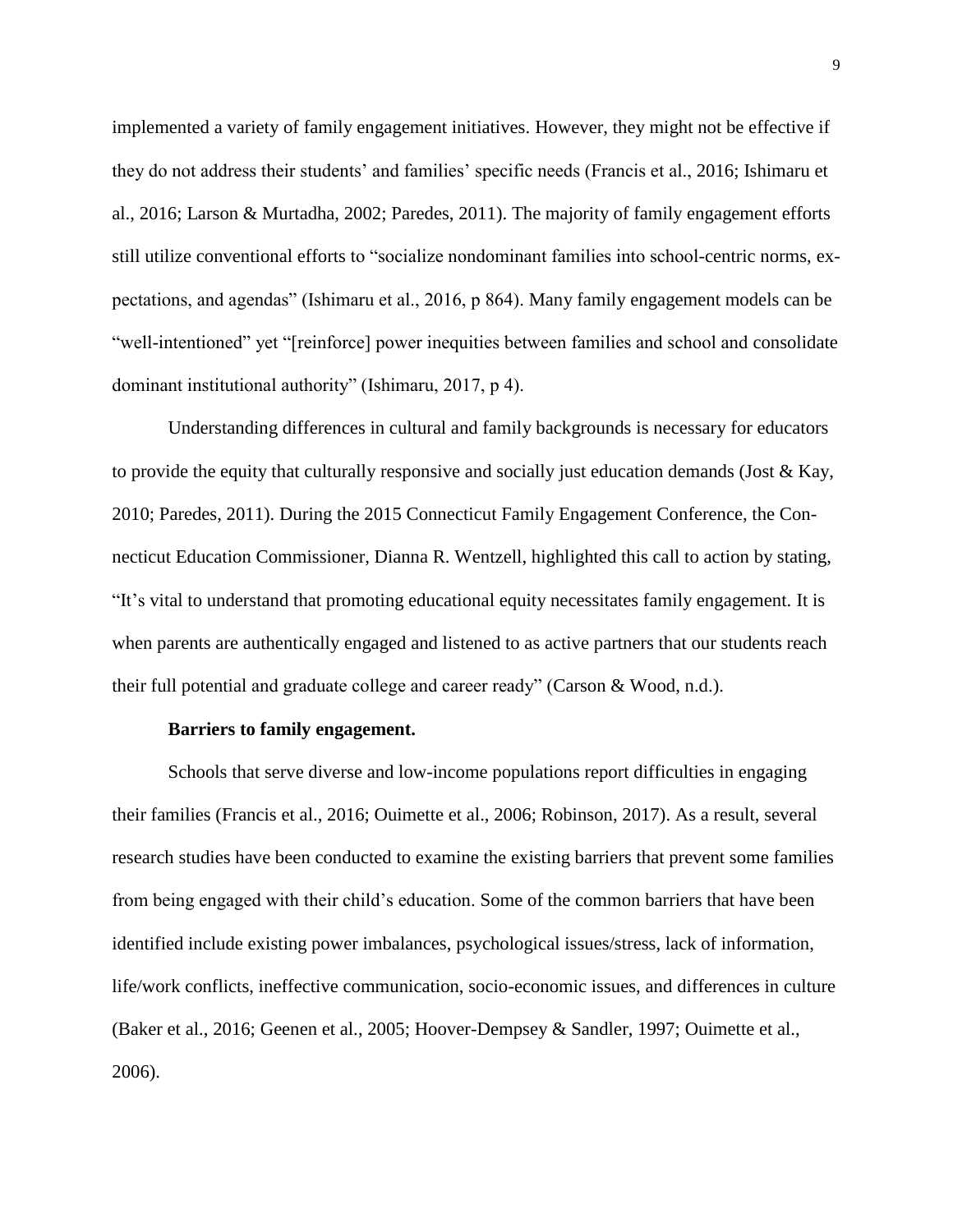implemented a variety of family engagement initiatives. However, they might not be effective if they do not address their students' and families' specific needs (Francis et al., 2016; Ishimaru et al., 2016; Larson & Murtadha, 2002; Paredes, 2011). The majority of family engagement efforts still utilize conventional efforts to "socialize nondominant families into school-centric norms, expectations, and agendas" (Ishimaru et al., 2016, p 864). Many family engagement models can be "well-intentioned" yet "[reinforce] power inequities between families and school and consolidate dominant institutional authority" (Ishimaru, 2017, p 4).

Understanding differences in cultural and family backgrounds is necessary for educators to provide the equity that culturally responsive and socially just education demands (Jost & Kay, 2010; Paredes, 2011). During the 2015 Connecticut Family Engagement Conference, the Connecticut Education Commissioner, Dianna R. Wentzell, highlighted this call to action by stating, "It's vital to understand that promoting educational equity necessitates family engagement. It is when parents are authentically engaged and listened to as active partners that our students reach their full potential and graduate college and career ready" (Carson & Wood, n.d.).

#### **Barriers to family engagement.**

Schools that serve diverse and low-income populations report difficulties in engaging their families (Francis et al., 2016; Ouimette et al., 2006; Robinson, 2017). As a result, several research studies have been conducted to examine the existing barriers that prevent some families from being engaged with their child's education. Some of the common barriers that have been identified include existing power imbalances, psychological issues/stress, lack of information, life/work conflicts, ineffective communication, socio-economic issues, and differences in culture (Baker et al., 2016; Geenen et al., 2005; Hoover-Dempsey & Sandler, 1997; Ouimette et al., 2006).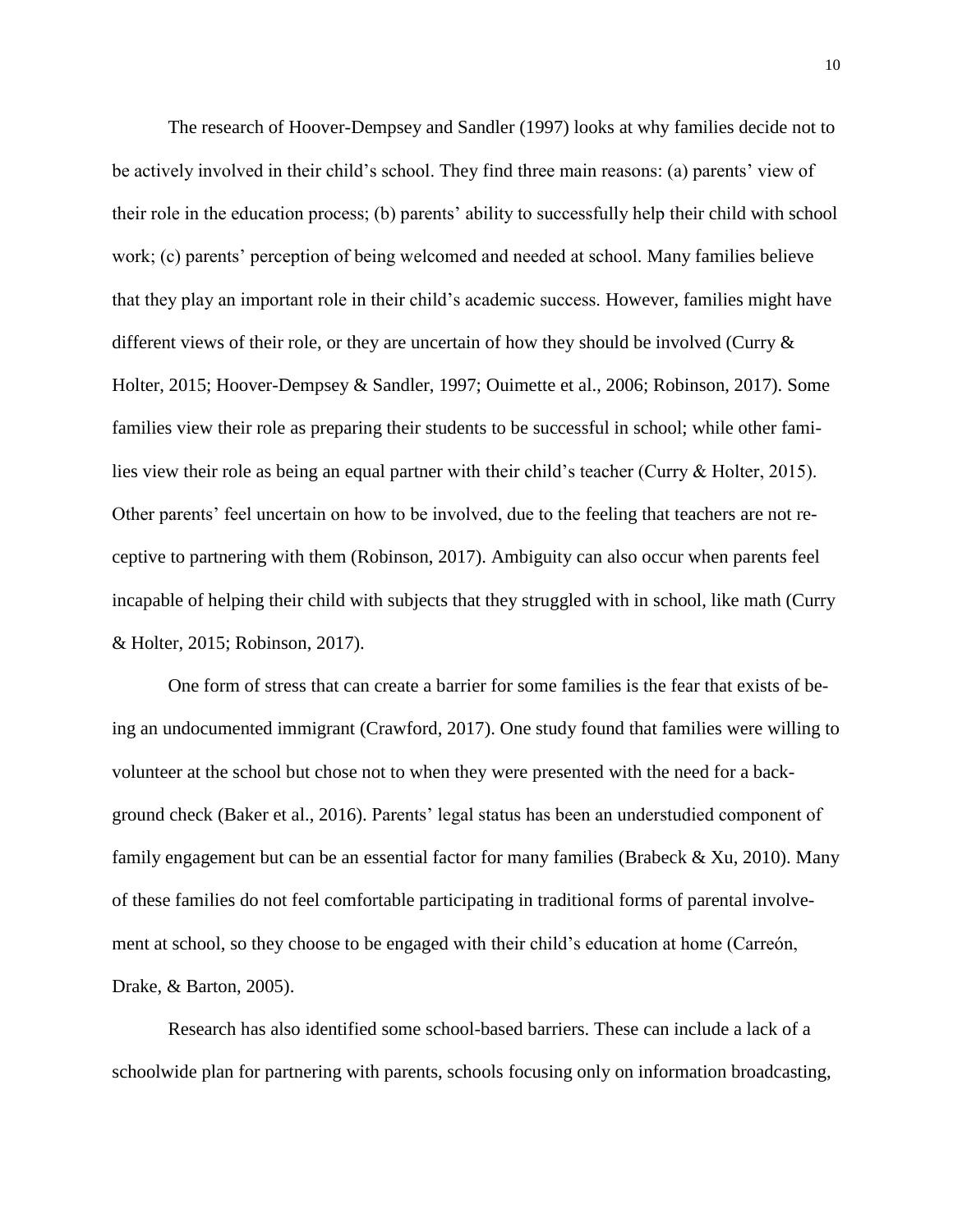The research of Hoover-Dempsey and Sandler (1997) looks at why families decide not to be actively involved in their child's school. They find three main reasons: (a) parents' view of their role in the education process; (b) parents' ability to successfully help their child with school work; (c) parents' perception of being welcomed and needed at school. Many families believe that they play an important role in their child's academic success. However, families might have different views of their role, or they are uncertain of how they should be involved (Curry & Holter, 2015; Hoover-Dempsey & Sandler, 1997; Ouimette et al., 2006; Robinson, 2017). Some families view their role as preparing their students to be successful in school; while other families view their role as being an equal partner with their child's teacher (Curry & Holter, 2015). Other parents' feel uncertain on how to be involved, due to the feeling that teachers are not receptive to partnering with them (Robinson, 2017). Ambiguity can also occur when parents feel incapable of helping their child with subjects that they struggled with in school, like math (Curry & Holter, 2015; Robinson, 2017).

One form of stress that can create a barrier for some families is the fear that exists of being an undocumented immigrant (Crawford, 2017). One study found that families were willing to volunteer at the school but chose not to when they were presented with the need for a background check (Baker et al., 2016). Parents' legal status has been an understudied component of family engagement but can be an essential factor for many families (Brabeck  $\&$  Xu, 2010). Many of these families do not feel comfortable participating in traditional forms of parental involvement at school, so they choose to be engaged with their child's education at home (Carreón, Drake, & Barton, 2005).

Research has also identified some school-based barriers. These can include a lack of a schoolwide plan for partnering with parents, schools focusing only on information broadcasting,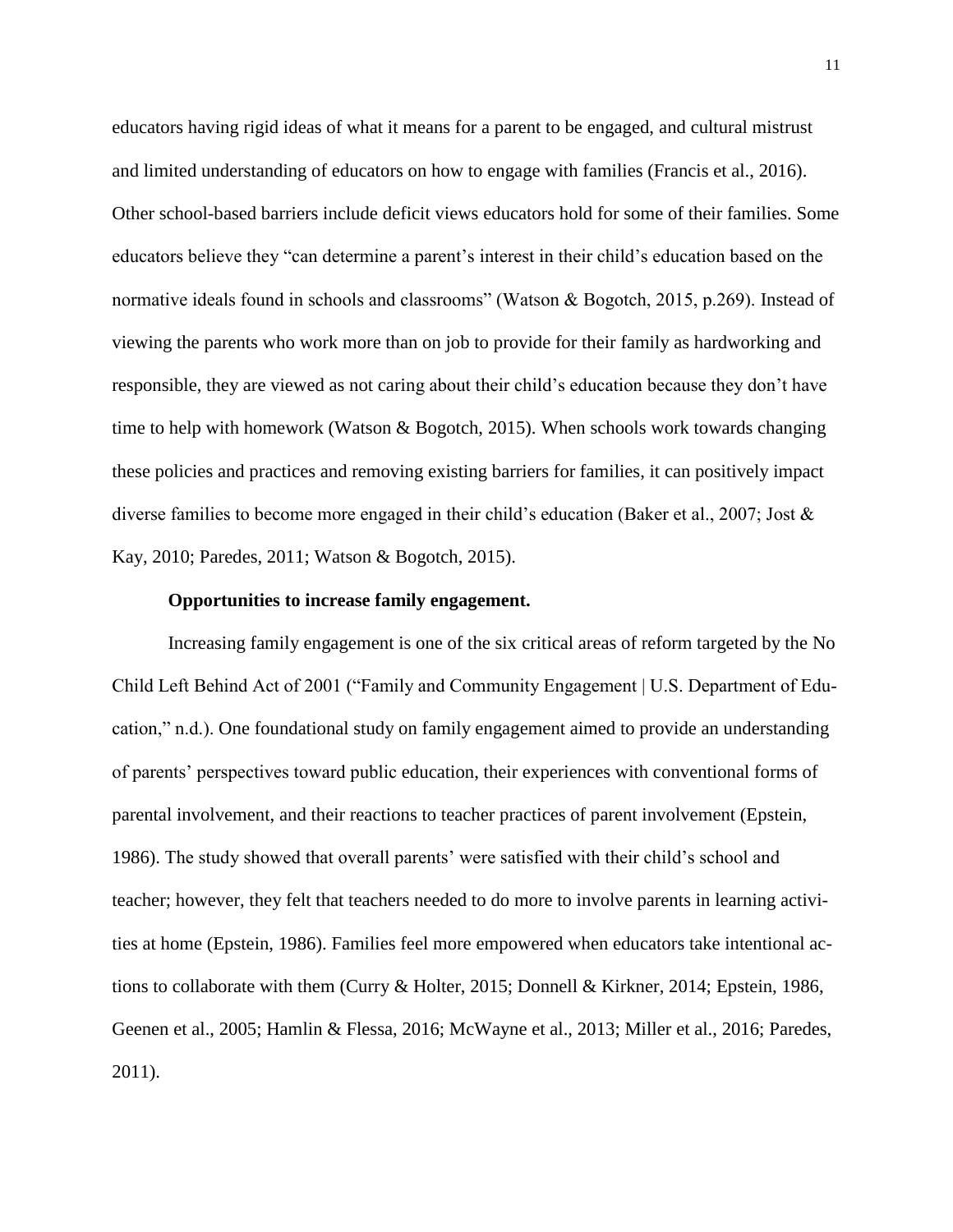educators having rigid ideas of what it means for a parent to be engaged, and cultural mistrust and limited understanding of educators on how to engage with families (Francis et al., 2016). Other school-based barriers include deficit views educators hold for some of their families. Some educators believe they "can determine a parent's interest in their child's education based on the normative ideals found in schools and classrooms" (Watson & Bogotch, 2015, p.269). Instead of viewing the parents who work more than on job to provide for their family as hardworking and responsible, they are viewed as not caring about their child's education because they don't have time to help with homework (Watson & Bogotch, 2015). When schools work towards changing these policies and practices and removing existing barriers for families, it can positively impact diverse families to become more engaged in their child's education (Baker et al., 2007; Jost & Kay, 2010; Paredes, 2011; Watson & Bogotch, 2015).

### **Opportunities to increase family engagement.**

Increasing family engagement is one of the six critical areas of reform targeted by the No Child Left Behind Act of 2001 ("Family and Community Engagement | U.S. Department of Education," n.d.). One foundational study on family engagement aimed to provide an understanding of parents' perspectives toward public education, their experiences with conventional forms of parental involvement, and their reactions to teacher practices of parent involvement (Epstein, 1986). The study showed that overall parents' were satisfied with their child's school and teacher; however, they felt that teachers needed to do more to involve parents in learning activities at home (Epstein, 1986). Families feel more empowered when educators take intentional actions to collaborate with them (Curry & Holter, 2015; Donnell & Kirkner, 2014; Epstein, 1986, Geenen et al., 2005; Hamlin & Flessa, 2016; McWayne et al., 2013; Miller et al., 2016; Paredes, 2011).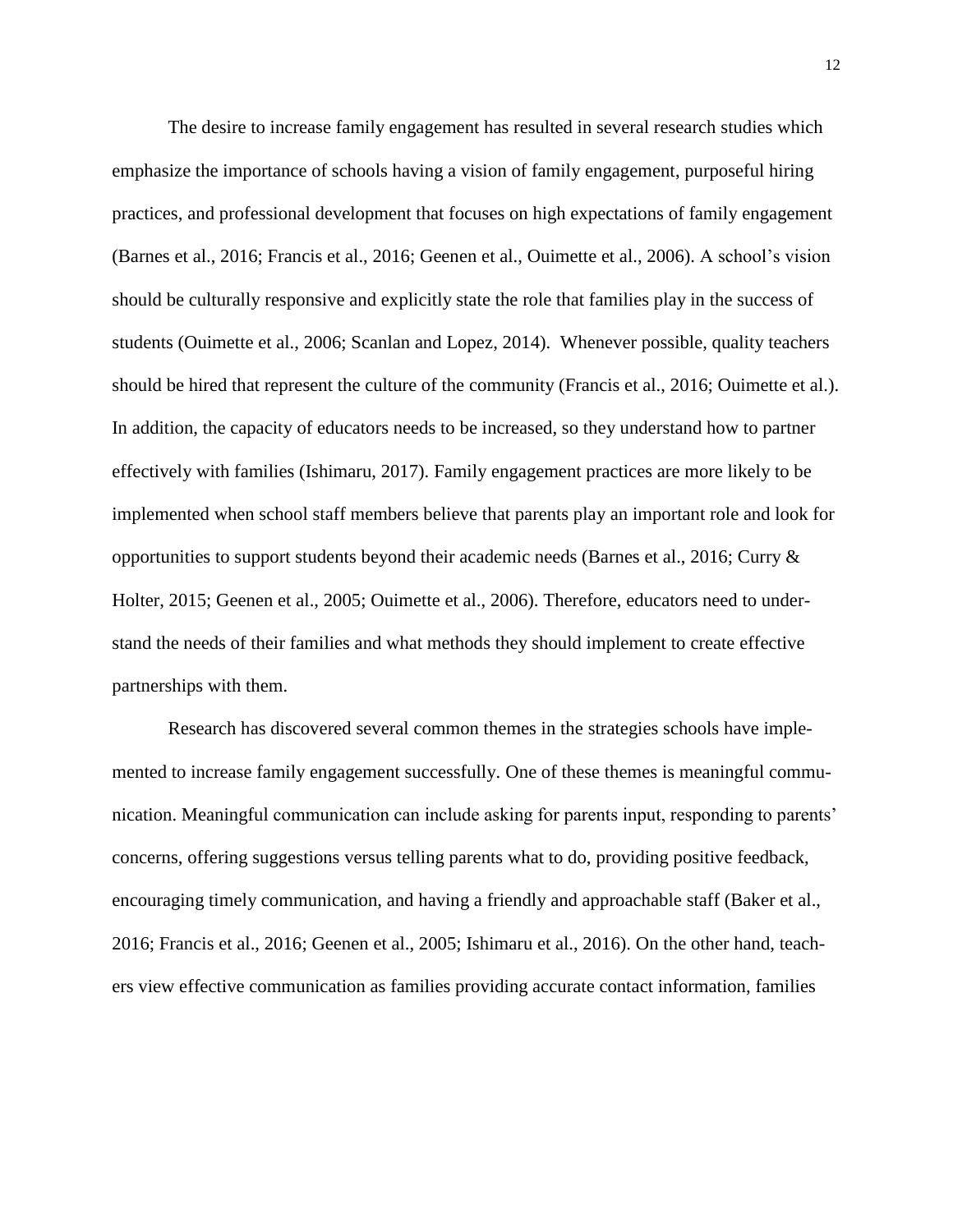The desire to increase family engagement has resulted in several research studies which emphasize the importance of schools having a vision of family engagement, purposeful hiring practices, and professional development that focuses on high expectations of family engagement (Barnes et al., 2016; Francis et al., 2016; Geenen et al., Ouimette et al., 2006). A school's vision should be culturally responsive and explicitly state the role that families play in the success of students (Ouimette et al., 2006; Scanlan and Lopez, 2014). Whenever possible, quality teachers should be hired that represent the culture of the community (Francis et al., 2016; Ouimette et al.). In addition, the capacity of educators needs to be increased, so they understand how to partner effectively with families (Ishimaru, 2017). Family engagement practices are more likely to be implemented when school staff members believe that parents play an important role and look for opportunities to support students beyond their academic needs (Barnes et al., 2016; Curry & Holter, 2015; Geenen et al., 2005; Ouimette et al., 2006). Therefore, educators need to understand the needs of their families and what methods they should implement to create effective partnerships with them.

Research has discovered several common themes in the strategies schools have implemented to increase family engagement successfully. One of these themes is meaningful communication. Meaningful communication can include asking for parents input, responding to parents' concerns, offering suggestions versus telling parents what to do, providing positive feedback, encouraging timely communication, and having a friendly and approachable staff (Baker et al., 2016; Francis et al., 2016; Geenen et al., 2005; Ishimaru et al., 2016). On the other hand, teachers view effective communication as families providing accurate contact information, families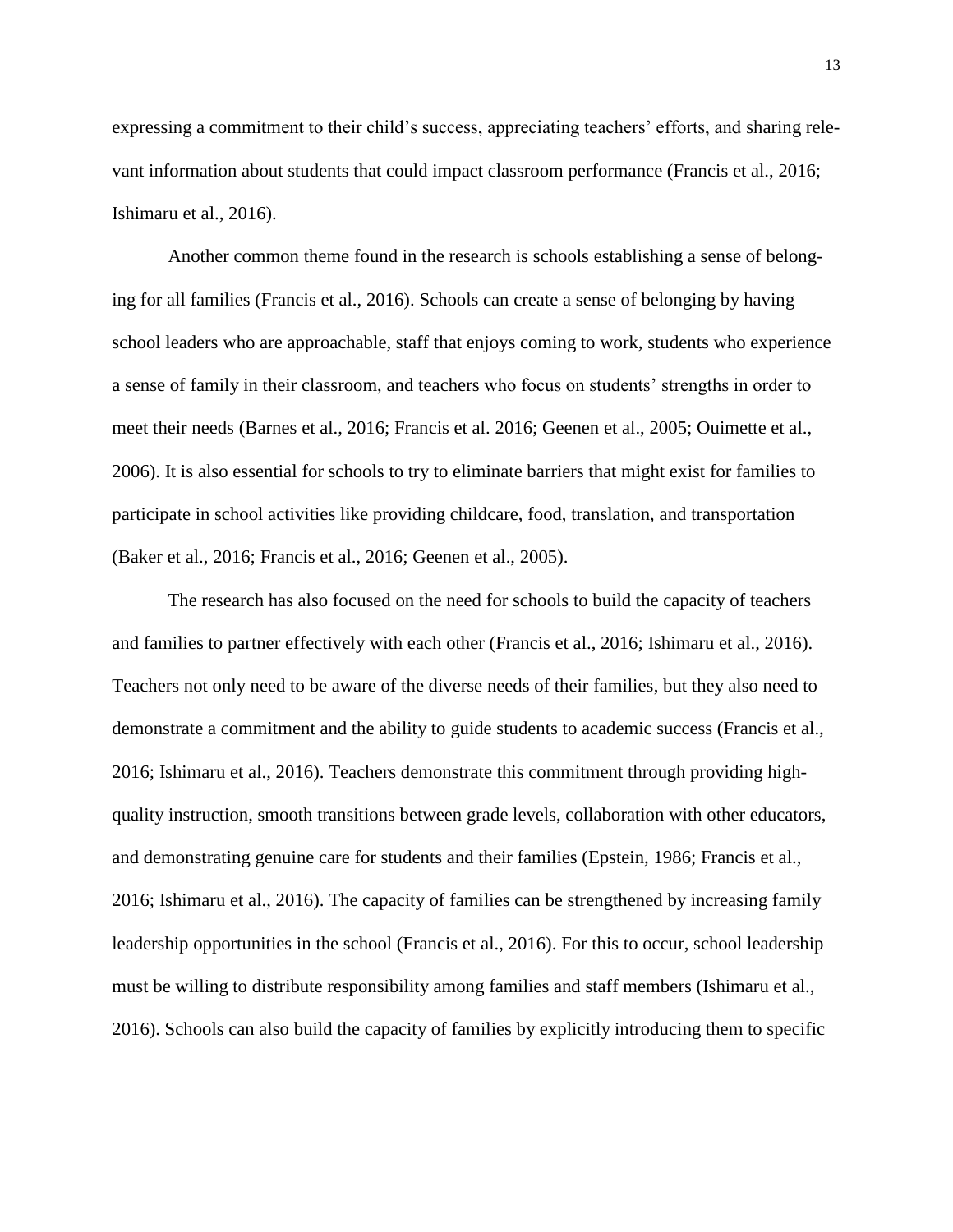expressing a commitment to their child's success, appreciating teachers' efforts, and sharing relevant information about students that could impact classroom performance (Francis et al., 2016; Ishimaru et al., 2016).

Another common theme found in the research is schools establishing a sense of belonging for all families (Francis et al., 2016). Schools can create a sense of belonging by having school leaders who are approachable, staff that enjoys coming to work, students who experience a sense of family in their classroom, and teachers who focus on students' strengths in order to meet their needs (Barnes et al., 2016; Francis et al. 2016; Geenen et al., 2005; Ouimette et al., 2006). It is also essential for schools to try to eliminate barriers that might exist for families to participate in school activities like providing childcare, food, translation, and transportation (Baker et al., 2016; Francis et al., 2016; Geenen et al., 2005).

The research has also focused on the need for schools to build the capacity of teachers and families to partner effectively with each other (Francis et al., 2016; Ishimaru et al., 2016). Teachers not only need to be aware of the diverse needs of their families, but they also need to demonstrate a commitment and the ability to guide students to academic success (Francis et al., 2016; Ishimaru et al., 2016). Teachers demonstrate this commitment through providing highquality instruction, smooth transitions between grade levels, collaboration with other educators, and demonstrating genuine care for students and their families (Epstein, 1986; Francis et al., 2016; Ishimaru et al., 2016). The capacity of families can be strengthened by increasing family leadership opportunities in the school (Francis et al., 2016). For this to occur, school leadership must be willing to distribute responsibility among families and staff members (Ishimaru et al., 2016). Schools can also build the capacity of families by explicitly introducing them to specific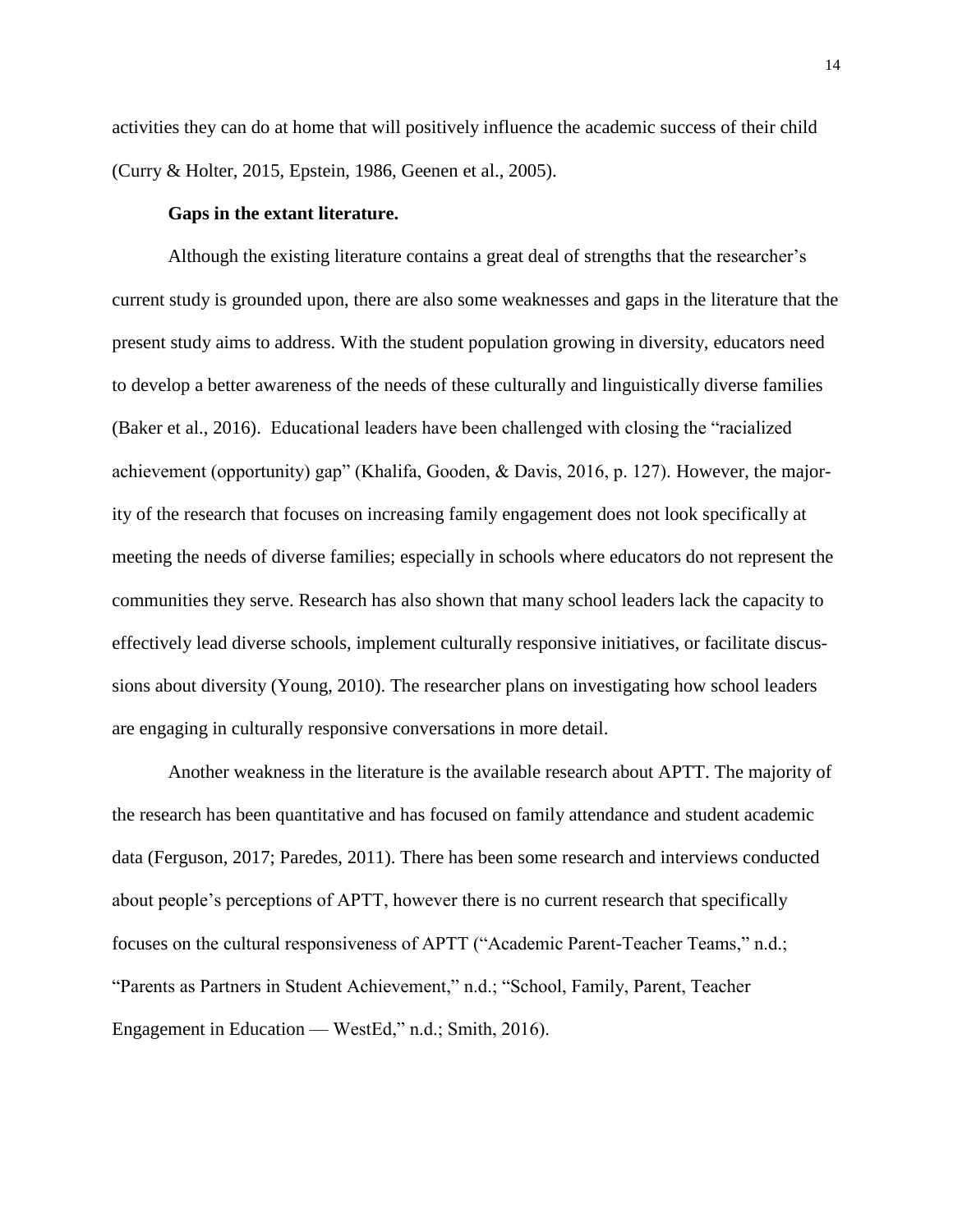activities they can do at home that will positively influence the academic success of their child (Curry & Holter, 2015, Epstein, 1986, Geenen et al., 2005).

## **Gaps in the extant literature.**

Although the existing literature contains a great deal of strengths that the researcher's current study is grounded upon, there are also some weaknesses and gaps in the literature that the present study aims to address. With the student population growing in diversity, educators need to develop a better awareness of the needs of these culturally and linguistically diverse families (Baker et al., 2016). Educational leaders have been challenged with closing the "racialized achievement (opportunity) gap" (Khalifa, Gooden, & Davis, 2016, p. 127). However, the majority of the research that focuses on increasing family engagement does not look specifically at meeting the needs of diverse families; especially in schools where educators do not represent the communities they serve. Research has also shown that many school leaders lack the capacity to effectively lead diverse schools, implement culturally responsive initiatives, or facilitate discussions about diversity (Young, 2010). The researcher plans on investigating how school leaders are engaging in culturally responsive conversations in more detail.

Another weakness in the literature is the available research about APTT. The majority of the research has been quantitative and has focused on family attendance and student academic data (Ferguson, 2017; Paredes, 2011). There has been some research and interviews conducted about people's perceptions of APTT, however there is no current research that specifically focuses on the cultural responsiveness of APTT ("Academic Parent-Teacher Teams," n.d.; "Parents as Partners in Student Achievement," n.d.; "School, Family, Parent, Teacher Engagement in Education — WestEd," n.d.; Smith, 2016).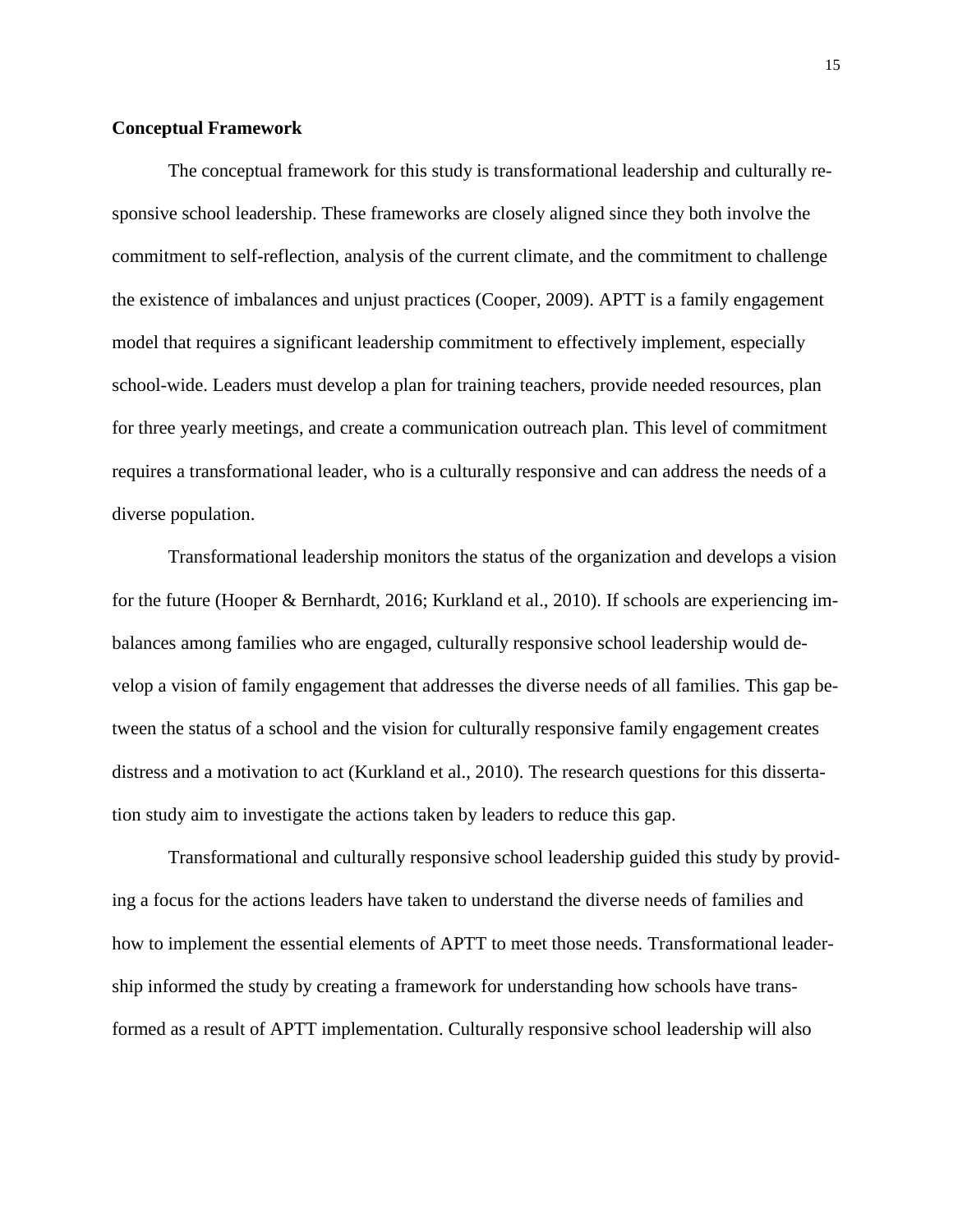### **Conceptual Framework**

The conceptual framework for this study is transformational leadership and culturally responsive school leadership. These frameworks are closely aligned since they both involve the commitment to self-reflection, analysis of the current climate, and the commitment to challenge the existence of imbalances and unjust practices (Cooper, 2009). APTT is a family engagement model that requires a significant leadership commitment to effectively implement, especially school-wide. Leaders must develop a plan for training teachers, provide needed resources, plan for three yearly meetings, and create a communication outreach plan. This level of commitment requires a transformational leader, who is a culturally responsive and can address the needs of a diverse population.

Transformational leadership monitors the status of the organization and develops a vision for the future (Hooper & Bernhardt, 2016; Kurkland et al., 2010). If schools are experiencing imbalances among families who are engaged, culturally responsive school leadership would develop a vision of family engagement that addresses the diverse needs of all families. This gap between the status of a school and the vision for culturally responsive family engagement creates distress and a motivation to act (Kurkland et al., 2010). The research questions for this dissertation study aim to investigate the actions taken by leaders to reduce this gap.

Transformational and culturally responsive school leadership guided this study by providing a focus for the actions leaders have taken to understand the diverse needs of families and how to implement the essential elements of APTT to meet those needs. Transformational leadership informed the study by creating a framework for understanding how schools have transformed as a result of APTT implementation. Culturally responsive school leadership will also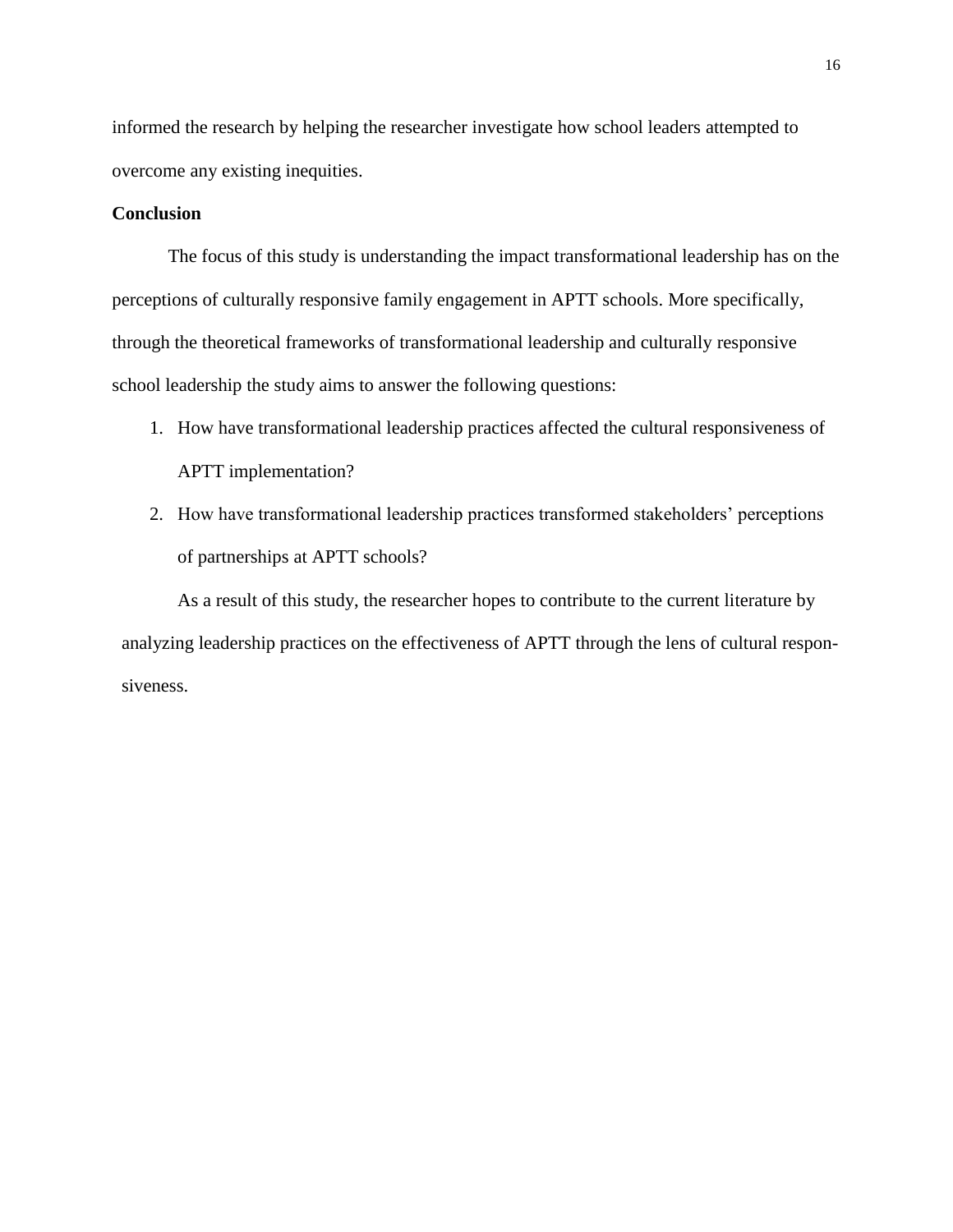informed the research by helping the researcher investigate how school leaders attempted to overcome any existing inequities.

## **Conclusion**

The focus of this study is understanding the impact transformational leadership has on the perceptions of culturally responsive family engagement in APTT schools. More specifically, through the theoretical frameworks of transformational leadership and culturally responsive school leadership the study aims to answer the following questions:

- 1. How have transformational leadership practices affected the cultural responsiveness of APTT implementation?
- 2. How have transformational leadership practices transformed stakeholders' perceptions of partnerships at APTT schools?

As a result of this study, the researcher hopes to contribute to the current literature by analyzing leadership practices on the effectiveness of APTT through the lens of cultural responsiveness.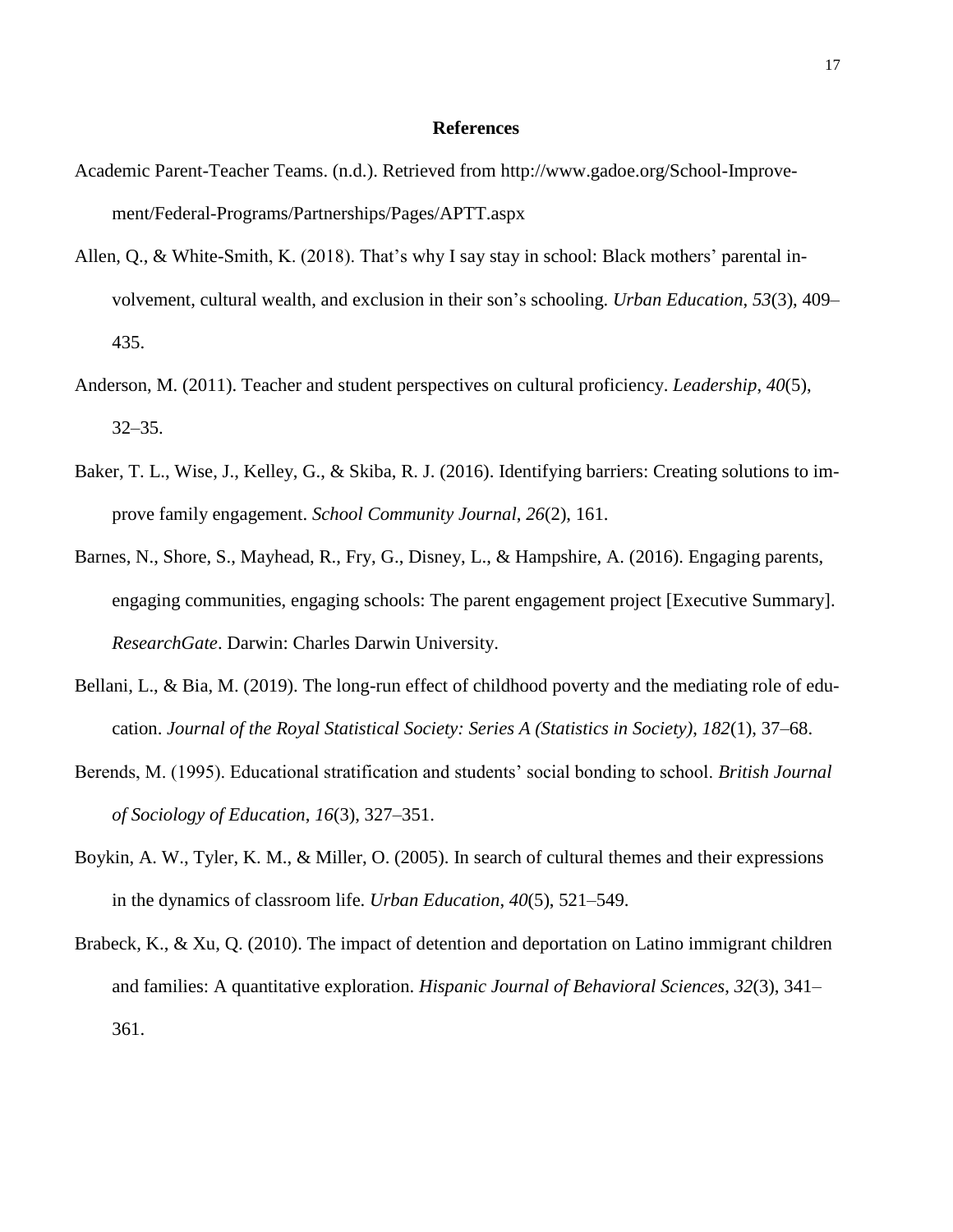#### **References**

- Academic Parent-Teacher Teams. (n.d.). Retrieved from [http://www.gadoe.org/School-Improve](http://www.gadoe.org/School-Improvement/Federal-Programs/Partnerships/Pages/APTT.aspx)[ment/Federal-Programs/Partnerships/Pages/APTT.aspx](http://www.gadoe.org/School-Improvement/Federal-Programs/Partnerships/Pages/APTT.aspx)
- Allen, Q., & White-Smith, K. (2018). That's why I say stay in school: Black mothers' parental involvement, cultural wealth, and exclusion in their son's schooling. *Urban Education*, *53*(3), 409– 435.
- Anderson, M. (2011). Teacher and student perspectives on cultural proficiency. *Leadership*, *40*(5), 32–35.
- Baker, T. L., Wise, J., Kelley, G., & Skiba, R. J. (2016). Identifying barriers: Creating solutions to improve family engagement. *School Community Journal*, *26*(2), 161.
- Barnes, N., Shore, S., Mayhead, R., Fry, G., Disney, L., & Hampshire, A. (2016). Engaging parents, engaging communities, engaging schools: The parent engagement project [Executive Summary]. *ResearchGate*. Darwin: Charles Darwin University.
- Bellani, L., & Bia, M. (2019). The long-run effect of childhood poverty and the mediating role of education. *Journal of the Royal Statistical Society: Series A (Statistics in Society)*, *182*(1), 37–68.
- Berends, M. (1995). Educational stratification and students' social bonding to school. *British Journal of Sociology of Education*, *16*(3), 327–351.
- Boykin, A. W., Tyler, K. M., & Miller, O. (2005). In search of cultural themes and their expressions in the dynamics of classroom life. *Urban Education*, *40*(5), 521–549.
- Brabeck, K., & Xu, Q. (2010). The impact of detention and deportation on Latino immigrant children and families: A quantitative exploration. *Hispanic Journal of Behavioral Sciences*, *32*(3), 341– 361.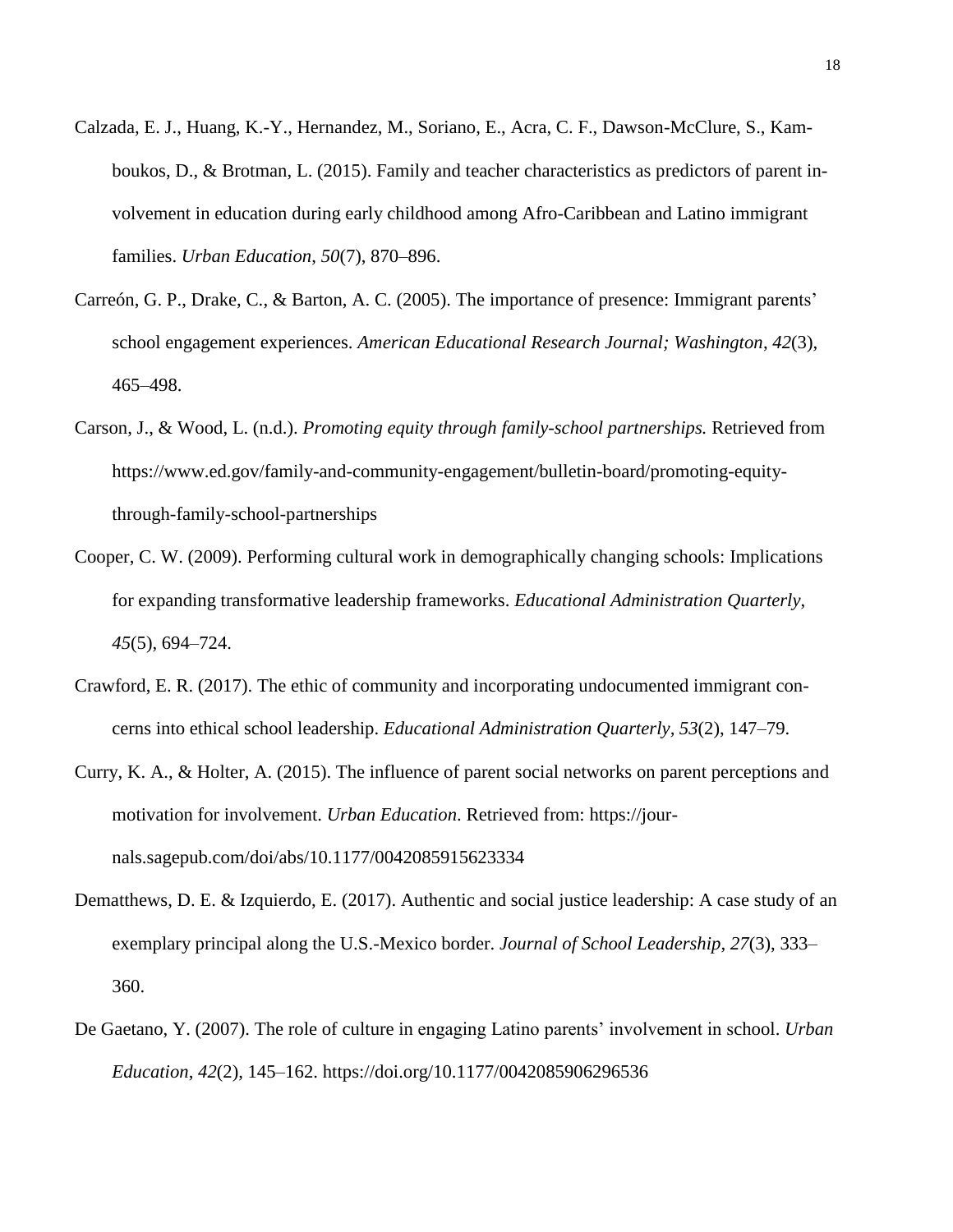- Calzada, E. J., Huang, K.-Y., Hernandez, M., Soriano, E., Acra, C. F., Dawson-McClure, S., Kamboukos, D., & Brotman, L. (2015). Family and teacher characteristics as predictors of parent involvement in education during early childhood among Afro-Caribbean and Latino immigrant families. *Urban Education*, *50*(7), 870–896.
- Carreón, G. P., Drake, C., & Barton, A. C. (2005). The importance of presence: Immigrant parents' school engagement experiences. *American Educational Research Journal; Washington*, *42*(3), 465–498.
- Carson, J., & Wood, L. (n.d.). *Promoting equity through family-school partnerships.* Retrieved from [https://www.ed.gov/family-and-community-engagement/bulletin-board/promoting-equity](https://www.ed.gov/family-and-community-engagement/bulletin-board/promoting-equity-through-family-school-partnerships)[through-family-school-partnerships](https://www.ed.gov/family-and-community-engagement/bulletin-board/promoting-equity-through-family-school-partnerships)
- Cooper, C. W. (2009). Performing cultural work in demographically changing schools: Implications for expanding transformative leadership frameworks. *Educational Administration Quarterly*, *45*(5), 694–724.
- Crawford, E. R. (2017). The ethic of community and incorporating undocumented immigrant concerns into ethical school leadership. *Educational Administration Quarterly, 53*(2), 147–79.
- Curry, K. A., & Holter, A. (2015). The influence of parent social networks on parent perceptions and motivation for involvement. *Urban Education*. Retrieved from: https://journals.sagepub.com/doi/abs/10.1177/0042085915623334
- Dematthews, D. E. & Izquierdo, E. (2017). Authentic and social justice leadership: A case study of an exemplary principal along the U.S.-Mexico border. *Journal of School Leadership*, *27*(3), 333– 360.
- De Gaetano, Y. (2007). The role of culture in engaging Latino parents' involvement in school. *Urban Education*, *42*(2), 145–162.<https://doi.org/10.1177/0042085906296536>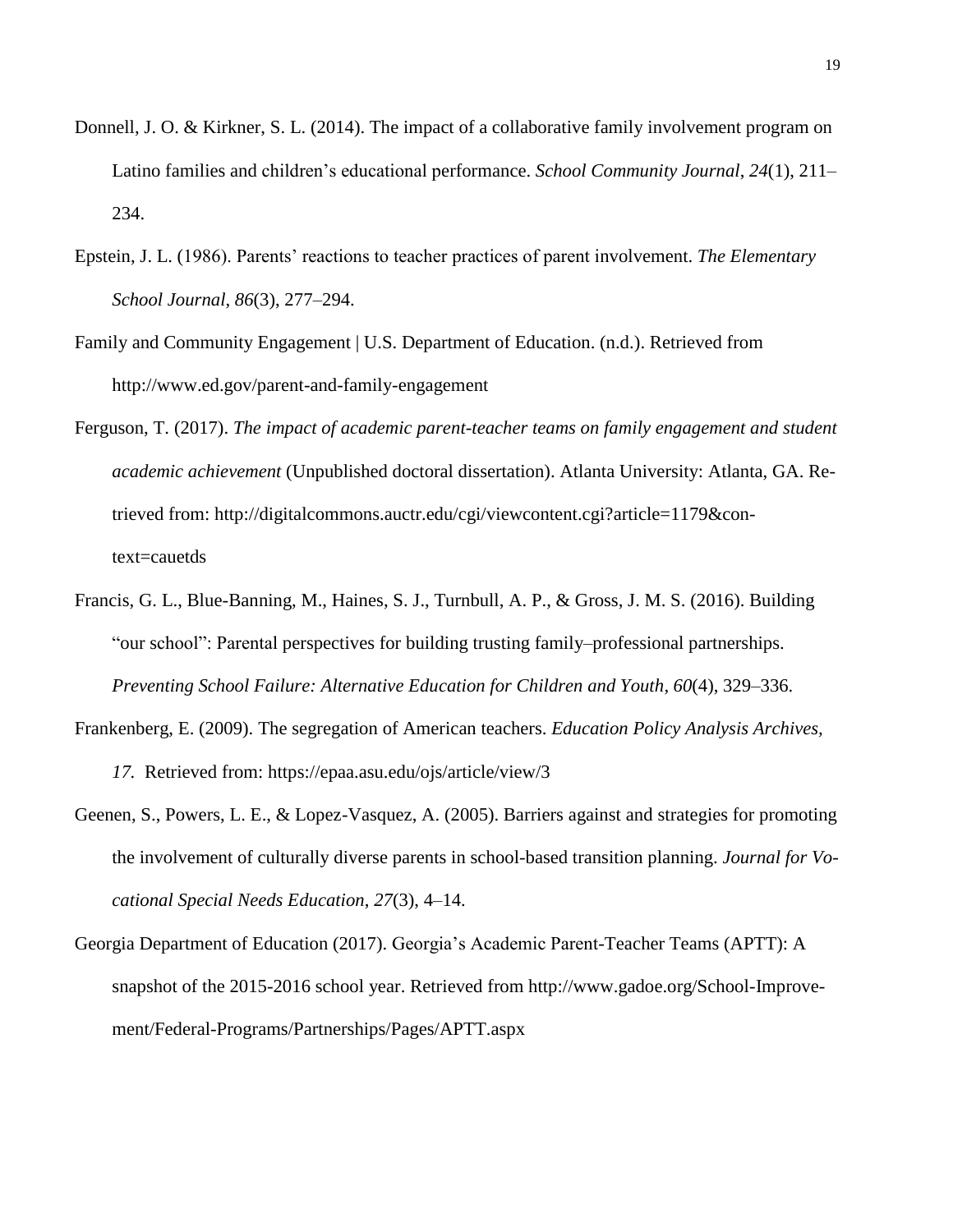- Donnell, J. O. & Kirkner, S. L. (2014). The impact of a collaborative family involvement program on Latino families and children's educational performance. *School Community Journal*, *24*(1), 211– 234.
- Epstein, J. L. (1986). Parents' reactions to teacher practices of parent involvement. *The Elementary School Journal*, *86*(3), 277–294.
- Family and Community Engagement | U.S. Department of Education. (n.d.). Retrieved from <http://www.ed.gov/parent-and-family-engagement>
- Ferguson, T. (2017). *The impact of academic parent-teacher teams on family engagement and student academic achievement* (Unpublished doctoral dissertation). Atlanta University: Atlanta, GA. Retrieved from: http://digitalcommons.auctr.edu/cgi/viewcontent.cgi?article=1179&context=cauetds
- Francis, G. L., Blue-Banning, M., Haines, S. J., Turnbull, A. P., & Gross, J. M. S. (2016). Building "our school": Parental perspectives for building trusting family–professional partnerships. *Preventing School Failure: Alternative Education for Children and Youth*, *60*(4), 329–336.
- Frankenberg, E. (2009). The segregation of American teachers. *Education Policy Analysis Archives, 17.* Retrieved from: https://epaa.asu.edu/ojs/article/view/3
- Geenen, S., Powers, L. E., & Lopez-Vasquez, A. (2005). Barriers against and strategies for promoting the involvement of culturally diverse parents in school-based transition planning. *Journal for Vocational Special Needs Education*, *27*(3), 4–14.
- Georgia Department of Education (2017). Georgia's Academic Parent-Teacher Teams (APTT): A snapshot of the 2015-2016 school year. Retrieved from http://www.gadoe.org/School-Improvement/Federal-Programs/Partnerships/Pages/APTT.aspx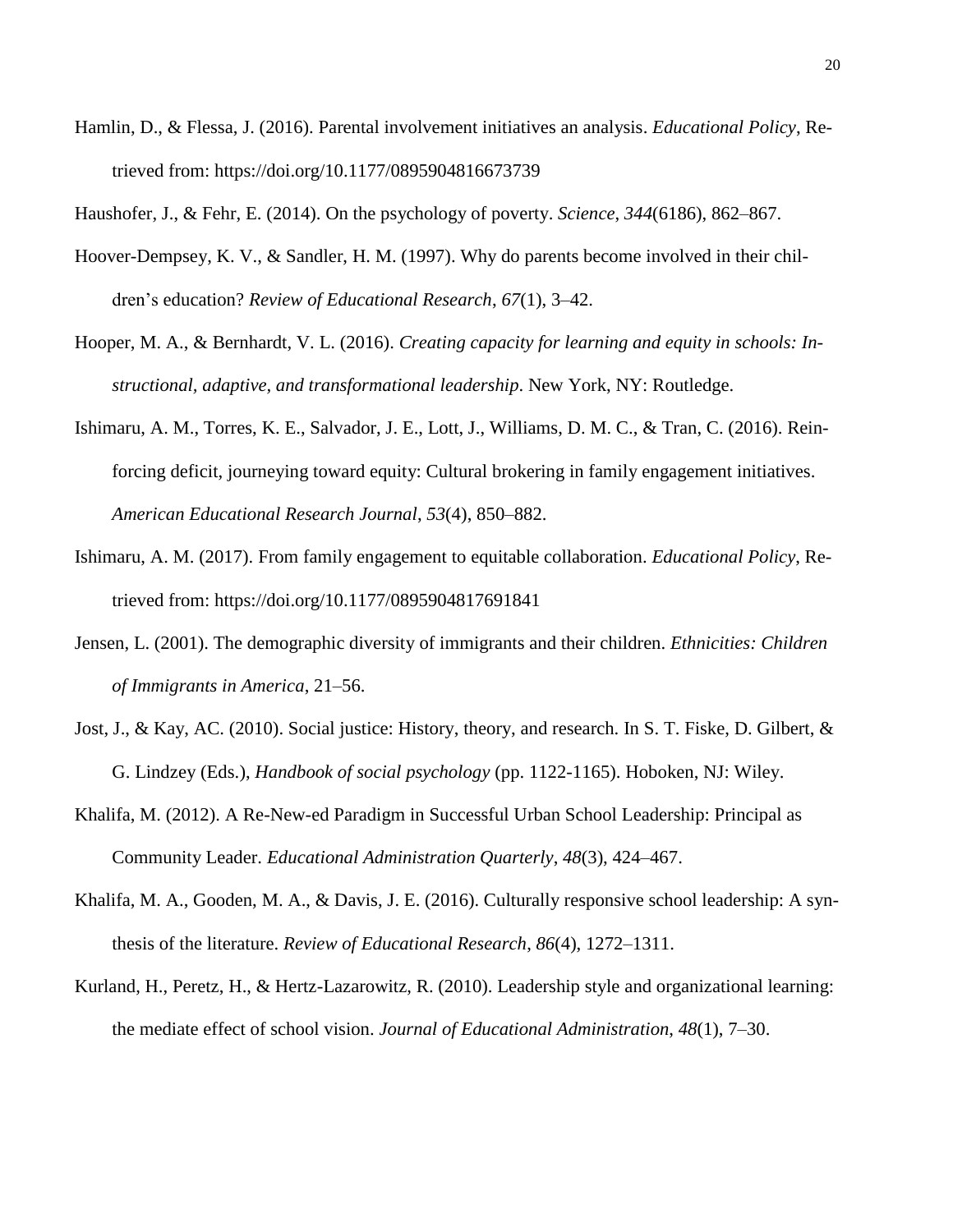Hamlin, D., & Flessa, J. (2016). Parental involvement initiatives an analysis. *Educational Policy*, Retrieved from: [https://doi.org/10.1177/0895904816673739](https://doi.org/10.1177%2F0895904816673739)

Haushofer, J., & Fehr, E. (2014). On the psychology of poverty. *Science*, *344*(6186), 862–867.

- Hoover-Dempsey, K. V., & Sandler, H. M. (1997). Why do parents become involved in their children's education? *Review of Educational Research*, *67*(1), 3–42.
- Hooper, M. A., & Bernhardt, V. L. (2016). *Creating capacity for learning and equity in schools: Instructional, adaptive, and transformational leadership*. New York, NY: Routledge.
- Ishimaru, A. M., Torres, K. E., Salvador, J. E., Lott, J., Williams, D. M. C., & Tran, C. (2016). Reinforcing deficit, journeying toward equity: Cultural brokering in family engagement initiatives. *American Educational Research Journal*, *53*(4), 850–882.
- Ishimaru, A. M. (2017). From family engagement to equitable collaboration. *Educational Policy*, Retrieved from: [https://doi.org/10.1177/0895904817691841](https://doi.org/10.1177%2F0895904817691841)
- Jensen, L. (2001). The demographic diversity of immigrants and their children. *Ethnicities: Children of Immigrants in America*, 21–56.
- Jost, J., & Kay, AC. (2010). Social justice: History, theory, and research. In S. T. Fiske, D. Gilbert, & G. Lindzey (Eds.), *Handbook of social psychology* (pp. 1122-1165). Hoboken, NJ: Wiley.
- Khalifa, M. (2012). A Re-New-ed Paradigm in Successful Urban School Leadership: Principal as Community Leader. *Educational Administration Quarterly*, *48*(3), 424–467.
- Khalifa, M. A., Gooden, M. A., & Davis, J. E. (2016). Culturally responsive school leadership: A synthesis of the literature. *Review of Educational Research*, *86*(4), 1272–1311.
- Kurland, H., Peretz, H., & Hertz-Lazarowitz, R. (2010). Leadership style and organizational learning: the mediate effect of school vision. *Journal of Educational Administration*, *48*(1), 7–30.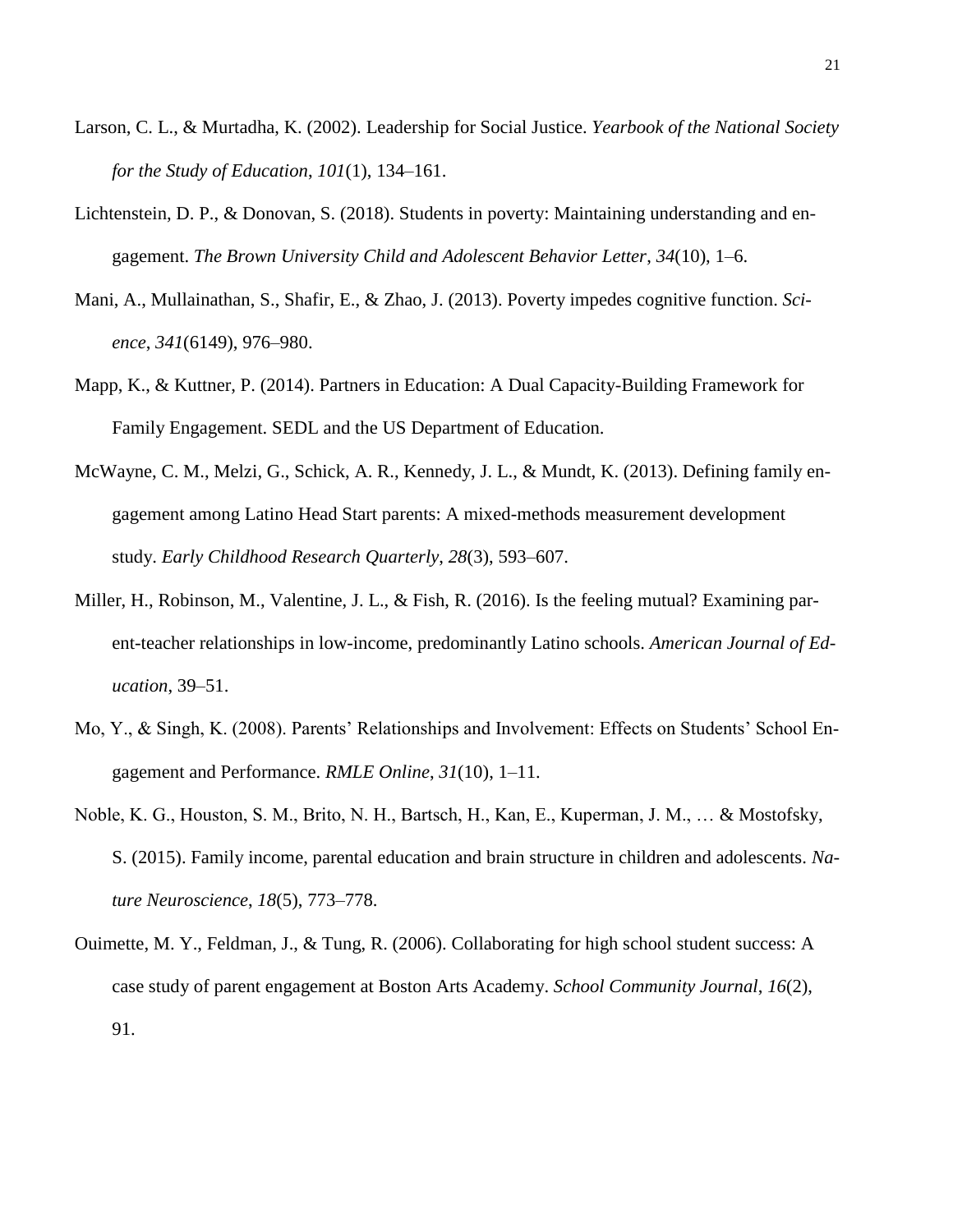- Larson, C. L., & Murtadha, K. (2002). Leadership for Social Justice. *Yearbook of the National Society for the Study of Education*, *101*(1), 134–161.
- Lichtenstein, D. P., & Donovan, S. (2018). Students in poverty: Maintaining understanding and engagement. *The Brown University Child and Adolescent Behavior Letter*, *34*(10), 1–6.
- Mani, A., Mullainathan, S., Shafir, E., & Zhao, J. (2013). Poverty impedes cognitive function. *Science*, *341*(6149), 976–980.
- Mapp, K., & Kuttner, P. (2014). Partners in Education: A Dual Capacity-Building Framework for Family Engagement. SEDL and the US Department of Education.
- McWayne, C. M., Melzi, G., Schick, A. R., Kennedy, J. L., & Mundt, K. (2013). Defining family engagement among Latino Head Start parents: A mixed-methods measurement development study. *Early Childhood Research Quarterly*, *28*(3), 593–607.
- Miller, H., Robinson, M., Valentine, J. L., & Fish, R. (2016). Is the feeling mutual? Examining parent-teacher relationships in low-income, predominantly Latino schools. *American Journal of Education*, 39–51.
- Mo, Y., & Singh, K. (2008). Parents' Relationships and Involvement: Effects on Students' School Engagement and Performance. *RMLE Online*, *31*(10), 1–11.
- Noble, K. G., Houston, S. M., Brito, N. H., Bartsch, H., Kan, E., Kuperman, J. M., … & Mostofsky, S. (2015). Family income, parental education and brain structure in children and adolescents. *Nature Neuroscience*, *18*(5), 773–778.
- Ouimette, M. Y., Feldman, J., & Tung, R. (2006). Collaborating for high school student success: A case study of parent engagement at Boston Arts Academy. *School Community Journal*, *16*(2), 91.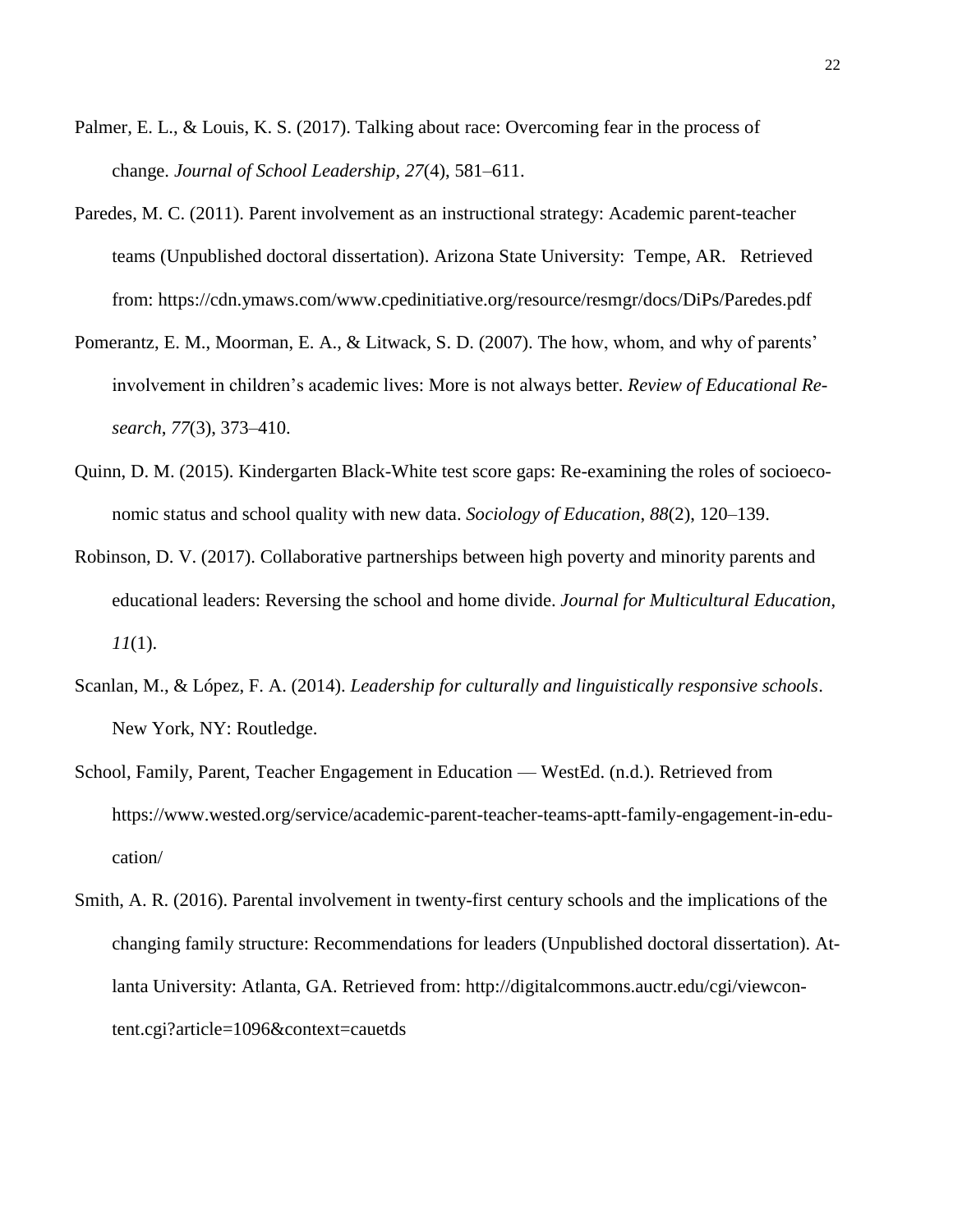- Palmer, E. L., & Louis, K. S. (2017). Talking about race: Overcoming fear in the process of change. *Journal of School Leadership*, *27*(4), 581–611.
- Paredes, M. C. (2011). Parent involvement as an instructional strategy: Academic parent-teacher teams (Unpublished doctoral dissertation). Arizona State University: Tempe, AR. Retrieved from: https://cdn.ymaws.com/www.cpedinitiative.org/resource/resmgr/docs/DiPs/Paredes.pdf
- Pomerantz, E. M., Moorman, E. A., & Litwack, S. D. (2007). The how, whom, and why of parents' involvement in children's academic lives: More is not always better. *Review of Educational Research*, *77*(3), 373–410.
- Quinn, D. M. (2015). Kindergarten Black-White test score gaps: Re-examining the roles of socioeconomic status and school quality with new data. *Sociology of Education*, *88*(2), 120–139.
- Robinson, D. V. (2017). Collaborative partnerships between high poverty and minority parents and educational leaders: Reversing the school and home divide. *Journal for Multicultural Education*, *11*(1).
- Scanlan, M., & López, F. A. (2014). *Leadership for culturally and linguistically responsive schools*. New York, NY: Routledge.
- School, Family, Parent, Teacher Engagement in Education WestEd. (n.d.). Retrieved from [https://www.wested.org/service/academic-parent-teacher-teams-aptt-family-engagement-in-edu](https://www.wested.org/service/academic-parent-teacher-teams-aptt-family-engagement-in-education/)[cation/](https://www.wested.org/service/academic-parent-teacher-teams-aptt-family-engagement-in-education/)
- Smith, A. R. (2016). Parental involvement in twenty-first century schools and the implications of the changing family structure: Recommendations for leaders (Unpublished doctoral dissertation). Atlanta University: Atlanta, GA. Retrieved from: http://digitalcommons.auctr.edu/cgi/viewcontent.cgi?article=1096&context=cauetds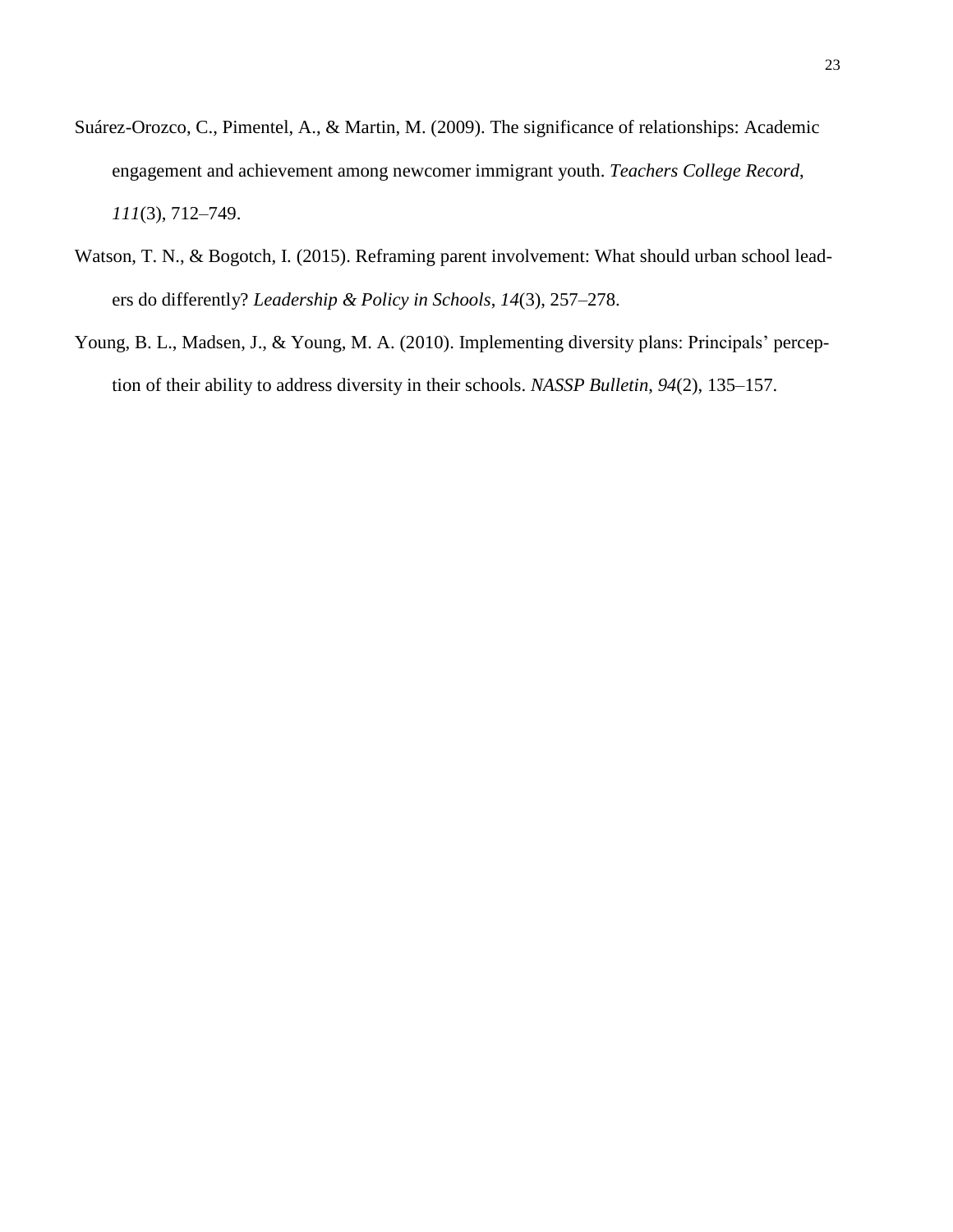- Suárez-Orozco, C., Pimentel, A., & Martin, M. (2009). The significance of relationships: Academic engagement and achievement among newcomer immigrant youth. *Teachers College Record*, *111*(3), 712–749.
- Watson, T. N., & Bogotch, I. (2015). Reframing parent involvement: What should urban school leaders do differently? *Leadership & Policy in Schools*, *14*(3), 257–278.
- Young, B. L., Madsen, J., & Young, M. A. (2010). Implementing diversity plans: Principals' perception of their ability to address diversity in their schools. *NASSP Bulletin*, *94*(2), 135–157.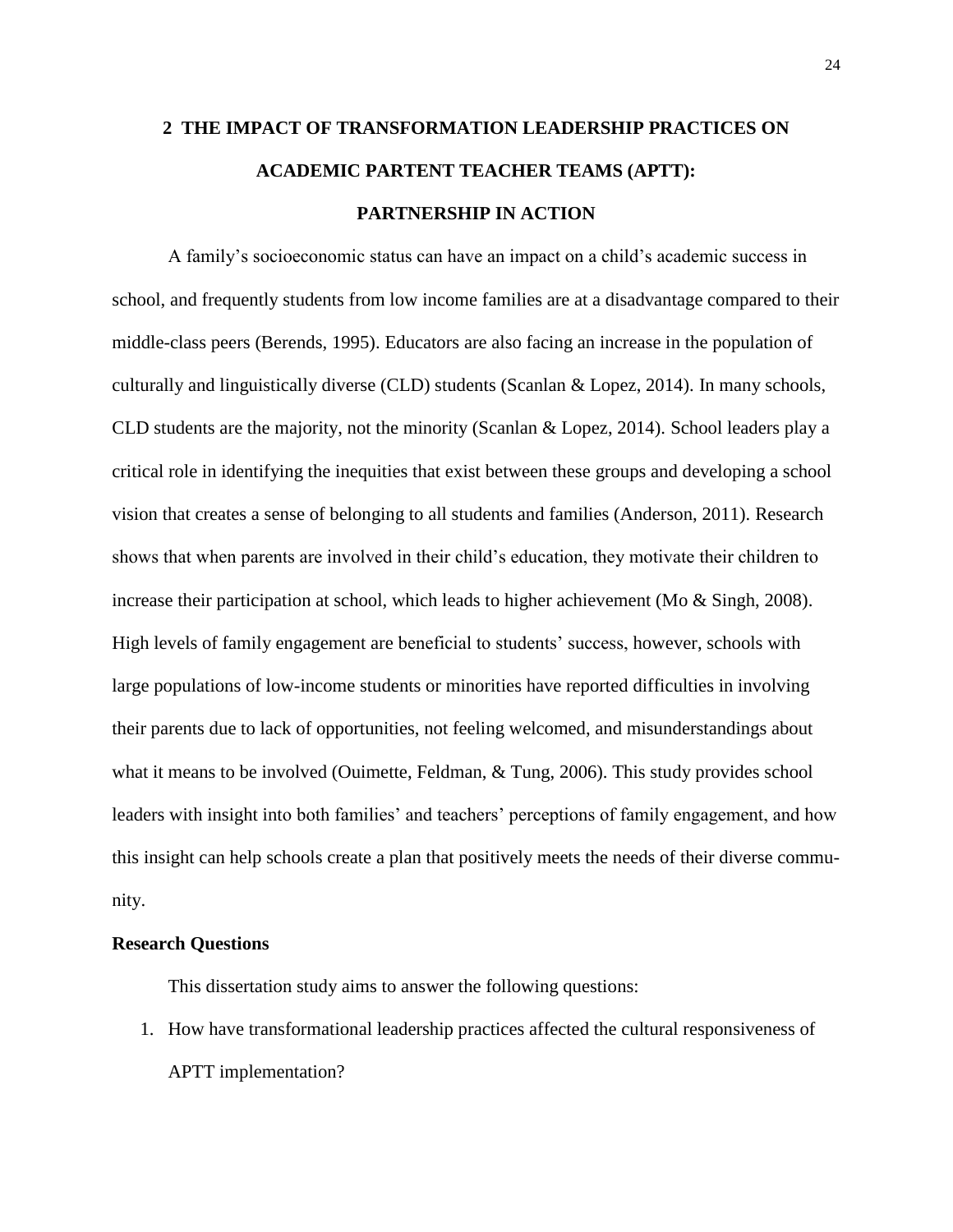# **2 THE IMPACT OF TRANSFORMATION LEADERSHIP PRACTICES ON ACADEMIC PARTENT TEACHER TEAMS (APTT): PARTNERSHIP IN ACTION**

A family's socioeconomic status can have an impact on a child's academic success in school, and frequently students from low income families are at a disadvantage compared to their middle-class peers (Berends, 1995). Educators are also facing an increase in the population of culturally and linguistically diverse (CLD) students (Scanlan & Lopez, 2014). In many schools, CLD students are the majority, not the minority (Scanlan & Lopez, 2014). School leaders play a critical role in identifying the inequities that exist between these groups and developing a school vision that creates a sense of belonging to all students and families (Anderson, 2011). Research shows that when parents are involved in their child's education, they motivate their children to increase their participation at school, which leads to higher achievement (Mo & Singh, 2008). High levels of family engagement are beneficial to students' success, however, schools with large populations of low-income students or minorities have reported difficulties in involving their parents due to lack of opportunities, not feeling welcomed, and misunderstandings about what it means to be involved (Ouimette, Feldman, & Tung, 2006). This study provides school leaders with insight into both families' and teachers' perceptions of family engagement, and how this insight can help schools create a plan that positively meets the needs of their diverse community.

#### **Research Questions**

This dissertation study aims to answer the following questions:

1. How have transformational leadership practices affected the cultural responsiveness of APTT implementation?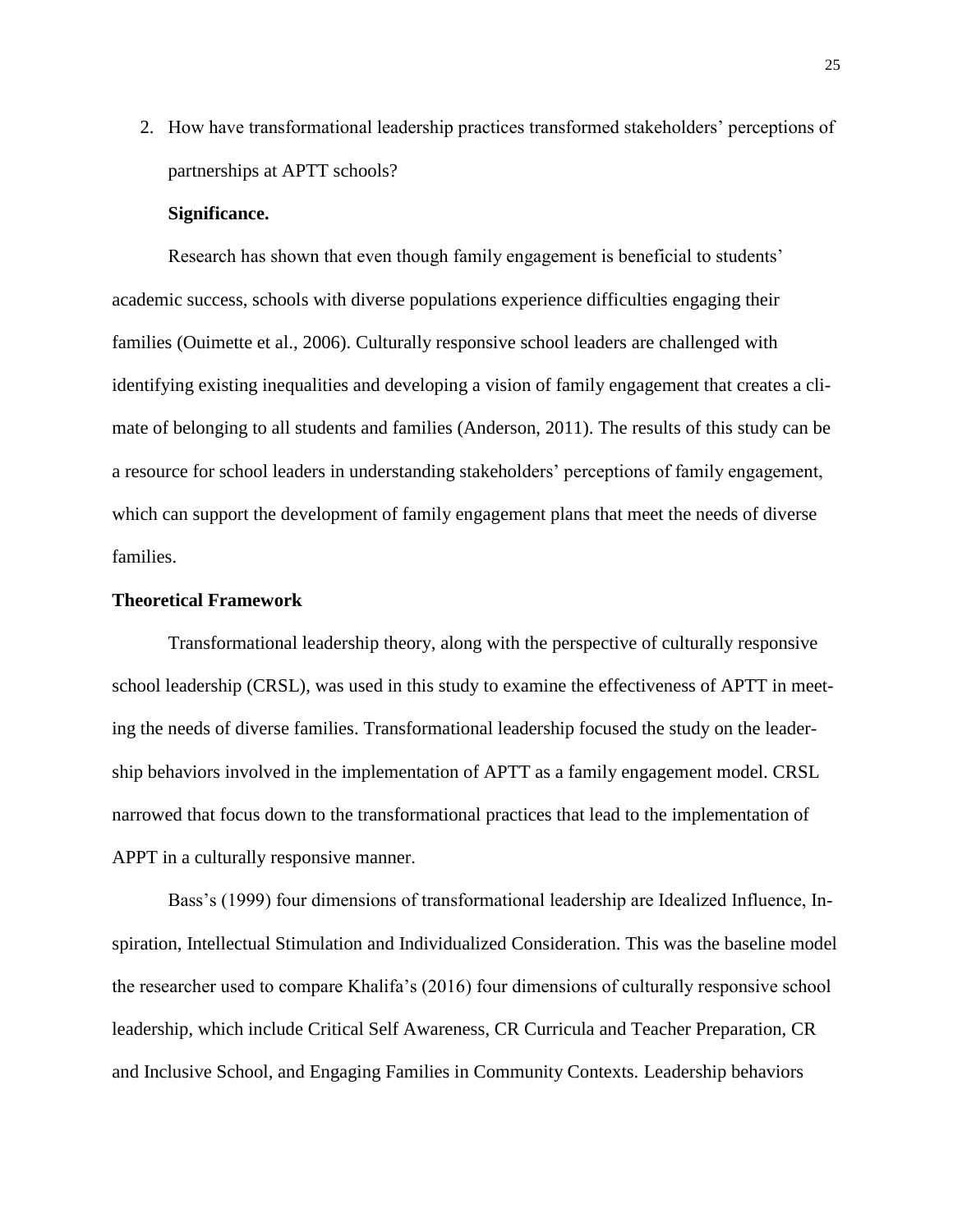2. How have transformational leadership practices transformed stakeholders' perceptions of partnerships at APTT schools?

# **Significance.**

Research has shown that even though family engagement is beneficial to students' academic success, schools with diverse populations experience difficulties engaging their families (Ouimette et al., 2006). Culturally responsive school leaders are challenged with identifying existing inequalities and developing a vision of family engagement that creates a climate of belonging to all students and families (Anderson, 2011). The results of this study can be a resource for school leaders in understanding stakeholders' perceptions of family engagement, which can support the development of family engagement plans that meet the needs of diverse families.

# **Theoretical Framework**

Transformational leadership theory, along with the perspective of culturally responsive school leadership (CRSL), was used in this study to examine the effectiveness of APTT in meeting the needs of diverse families. Transformational leadership focused the study on the leadership behaviors involved in the implementation of APTT as a family engagement model. CRSL narrowed that focus down to the transformational practices that lead to the implementation of APPT in a culturally responsive manner.

Bass's (1999) four dimensions of transformational leadership are Idealized Influence, Inspiration, Intellectual Stimulation and Individualized Consideration. This was the baseline model the researcher used to compare Khalifa's (2016) four dimensions of culturally responsive school leadership, which include Critical Self Awareness, CR Curricula and Teacher Preparation, CR and Inclusive School, and Engaging Families in Community Contexts. Leadership behaviors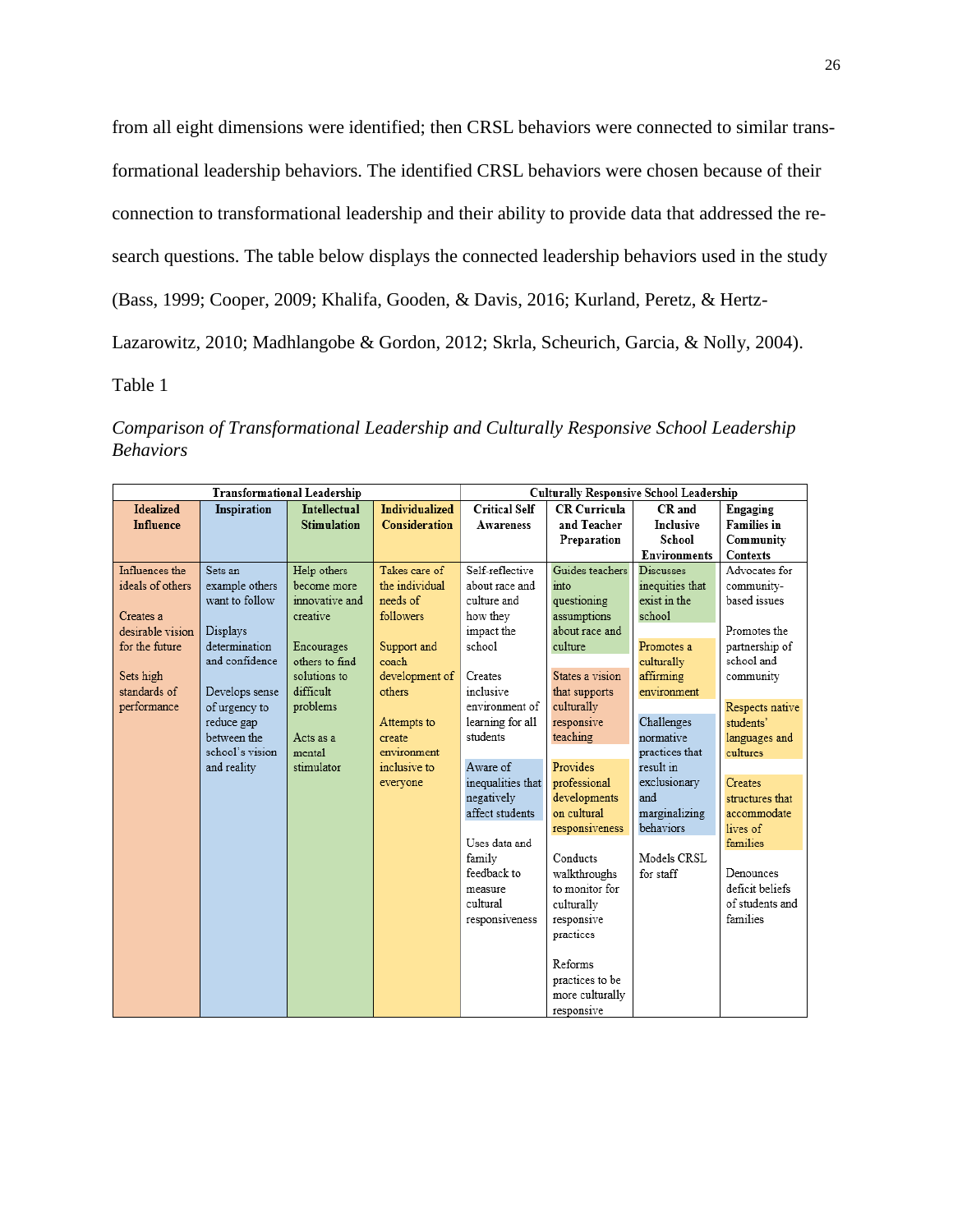from all eight dimensions were identified; then CRSL behaviors were connected to similar transformational leadership behaviors. The identified CRSL behaviors were chosen because of their connection to transformational leadership and their ability to provide data that addressed the research questions. The table below displays the connected leadership behaviors used in the study (Bass, 1999; Cooper, 2009; Khalifa, Gooden, & Davis, 2016; Kurland, Peretz, & Hertz-

Lazarowitz, 2010; Madhlangobe & Gordon, 2012; Skrla, Scheurich, Garcia, & Nolly, 2004).

Table 1

*Comparison of Transformational Leadership and Culturally Responsive School Leadership Behaviors*

| <b>Transformational Leadership</b> |                 |                     | <b>Culturally Responsive School Leadership</b> |                      |                     |                     |                    |
|------------------------------------|-----------------|---------------------|------------------------------------------------|----------------------|---------------------|---------------------|--------------------|
| <b>Idealized</b>                   | Inspiration     | <b>Intellectual</b> | <b>Individualized</b>                          | <b>Critical Self</b> | <b>CR Curricula</b> | CR and              | Engaging           |
| <b>Influence</b>                   |                 | <b>Stimulation</b>  | <b>Consideration</b>                           | Awareness            | and Teacher         | <b>Inclusive</b>    | <b>Families</b> in |
|                                    |                 |                     |                                                |                      | Preparation         | School              | Community          |
|                                    |                 |                     |                                                |                      |                     | <b>Environments</b> | <b>Contexts</b>    |
| Influences the                     | Sets an         | Help others         | Takes care of                                  | Self-reflective      | Guides teachers     | <b>Discusses</b>    | Advocates for      |
| ideals of others                   | example others  | become more         | the individual                                 | about race and       | into                | inequities that     | community-         |
|                                    | want to follow  | innovative and      | needs of                                       | culture and          | questioning         | exist in the        | based issues       |
| Creates a                          |                 | creative            | followers                                      | how they             | assumptions         | school              |                    |
| desirable vision.                  | Displays        |                     |                                                | impact the           | about race and      |                     | Promotes the       |
| for the future                     | determination   | Encourages          | Support and                                    | school               | culture             | Promotes a          | partnership of     |
|                                    | and confidence  | others to find      | coach                                          |                      |                     | culturally          | school and         |
| Sets high                          |                 | solutions to        | development of                                 | Creates              | States a vision     | affirming           | community          |
| standards of                       | Develops sense  | difficult           | others                                         | inclusive            | that supports       | environment         |                    |
| performance                        | of urgency to   | problems            |                                                | environment of       | culturally          |                     | Respects native    |
|                                    | reduce gap      |                     | Attempts to                                    | learning for all     | responsive          | Challenges          | students'          |
|                                    | between the     | Acts as a           | create                                         | students             | teaching            | normative           | languages and      |
|                                    | school's vision | mental              | environment                                    |                      |                     | practices that      | cultures           |
|                                    | and reality     | stimulator          | inclusive to                                   | Aware of             | Provides            | result in           |                    |
|                                    |                 |                     | everyone                                       | inequalities that    | professional        | exclusionary        | Creates            |
|                                    |                 |                     |                                                | negatively           | developments        | and                 | structures that    |
|                                    |                 |                     |                                                | affect students      | on cultural         | marginalizing       | accommodate        |
|                                    |                 |                     |                                                |                      | responsiveness      | behaviors           | lives of           |
|                                    |                 |                     |                                                | Uses data and        |                     |                     | families           |
|                                    |                 |                     |                                                | family               | Conducts            | Models CRSL         |                    |
|                                    |                 |                     |                                                | feedback to          | walkthroughs        | for staff           | Denounces          |
|                                    |                 |                     |                                                | measure              | to monitor for      |                     | deficit beliefs    |
|                                    |                 |                     |                                                | cultural             | culturally          |                     | of students and    |
|                                    |                 |                     |                                                | responsiveness       | responsive          |                     | families           |
|                                    |                 |                     |                                                |                      | practices           |                     |                    |
|                                    |                 |                     |                                                |                      |                     |                     |                    |
|                                    |                 |                     |                                                |                      | Reforms             |                     |                    |
|                                    |                 |                     |                                                |                      | practices to be     |                     |                    |
|                                    |                 |                     |                                                |                      | more culturally     |                     |                    |
|                                    |                 |                     |                                                |                      | responsive          |                     |                    |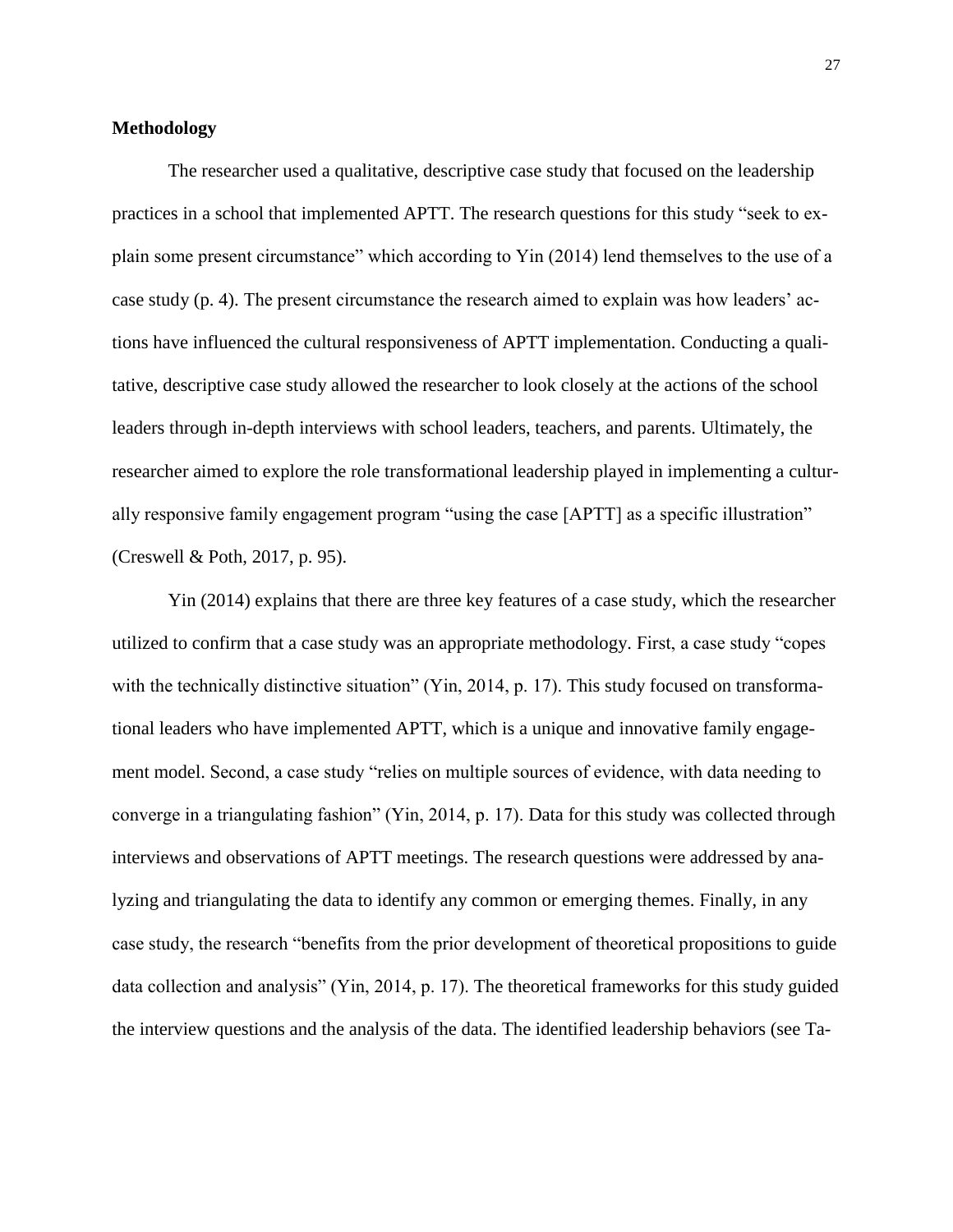# **Methodology**

The researcher used a qualitative, descriptive case study that focused on the leadership practices in a school that implemented APTT. The research questions for this study "seek to explain some present circumstance" which according to Yin (2014) lend themselves to the use of a case study (p. 4). The present circumstance the research aimed to explain was how leaders' actions have influenced the cultural responsiveness of APTT implementation. Conducting a qualitative, descriptive case study allowed the researcher to look closely at the actions of the school leaders through in-depth interviews with school leaders, teachers, and parents. Ultimately, the researcher aimed to explore the role transformational leadership played in implementing a culturally responsive family engagement program "using the case [APTT] as a specific illustration" (Creswell & Poth, 2017, p. 95).

Yin (2014) explains that there are three key features of a case study, which the researcher utilized to confirm that a case study was an appropriate methodology. First, a case study "copes with the technically distinctive situation" (Yin, 2014, p. 17). This study focused on transformational leaders who have implemented APTT, which is a unique and innovative family engagement model. Second, a case study "relies on multiple sources of evidence, with data needing to converge in a triangulating fashion" (Yin, 2014, p. 17). Data for this study was collected through interviews and observations of APTT meetings. The research questions were addressed by analyzing and triangulating the data to identify any common or emerging themes. Finally, in any case study, the research "benefits from the prior development of theoretical propositions to guide data collection and analysis" (Yin, 2014, p. 17). The theoretical frameworks for this study guided the interview questions and the analysis of the data. The identified leadership behaviors (see Ta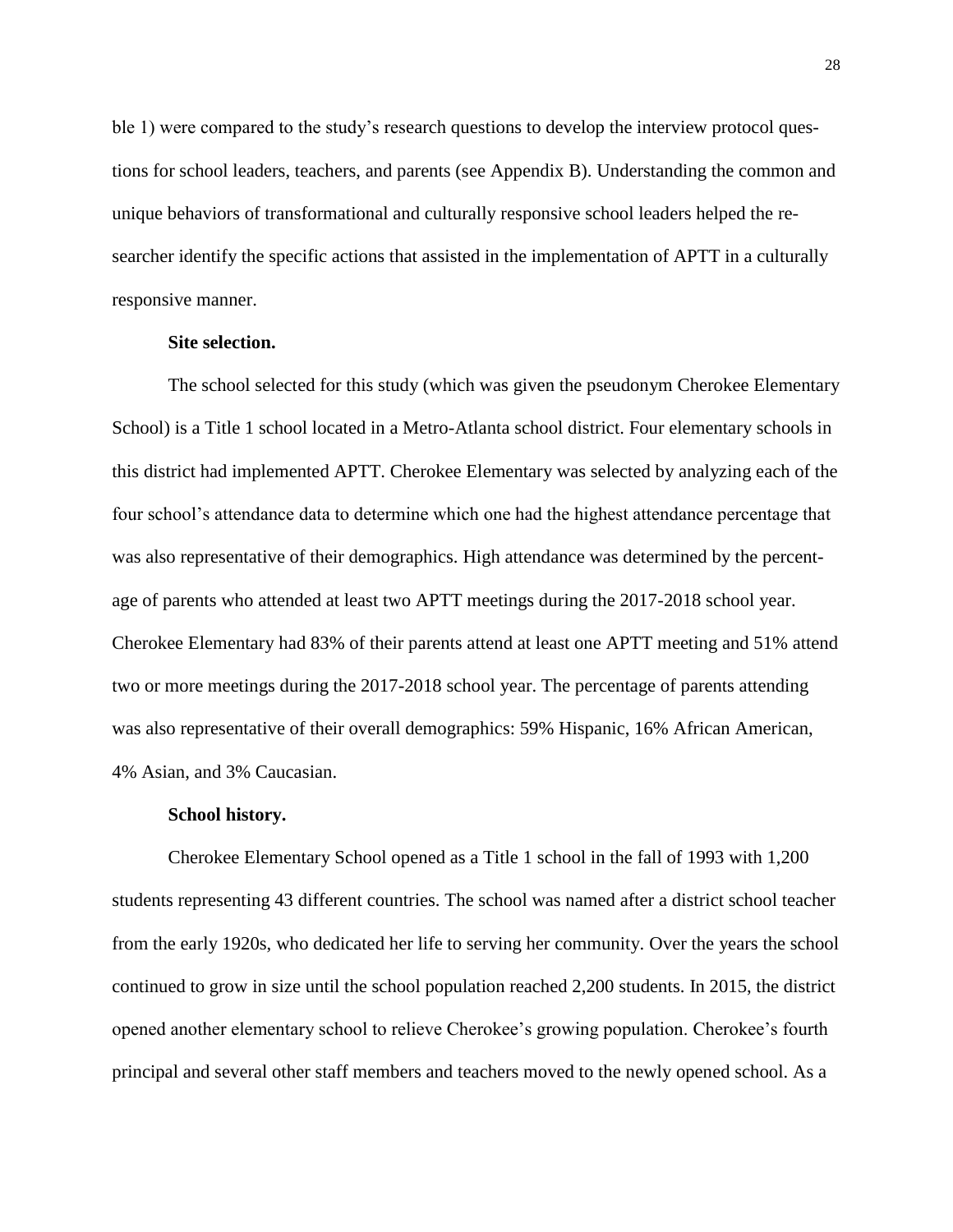ble 1) were compared to the study's research questions to develop the interview protocol questions for school leaders, teachers, and parents (see Appendix B). Understanding the common and unique behaviors of transformational and culturally responsive school leaders helped the researcher identify the specific actions that assisted in the implementation of APTT in a culturally responsive manner.

# **Site selection.**

The school selected for this study (which was given the pseudonym Cherokee Elementary School) is a Title 1 school located in a Metro-Atlanta school district. Four elementary schools in this district had implemented APTT. Cherokee Elementary was selected by analyzing each of the four school's attendance data to determine which one had the highest attendance percentage that was also representative of their demographics. High attendance was determined by the percentage of parents who attended at least two APTT meetings during the 2017-2018 school year. Cherokee Elementary had 83% of their parents attend at least one APTT meeting and 51% attend two or more meetings during the 2017-2018 school year. The percentage of parents attending was also representative of their overall demographics: 59% Hispanic, 16% African American, 4% Asian, and 3% Caucasian.

### **School history.**

Cherokee Elementary School opened as a Title 1 school in the fall of 1993 with 1,200 students representing 43 different countries. The school was named after a district school teacher from the early 1920s, who dedicated her life to serving her community. Over the years the school continued to grow in size until the school population reached 2,200 students. In 2015, the district opened another elementary school to relieve Cherokee's growing population. Cherokee's fourth principal and several other staff members and teachers moved to the newly opened school. As a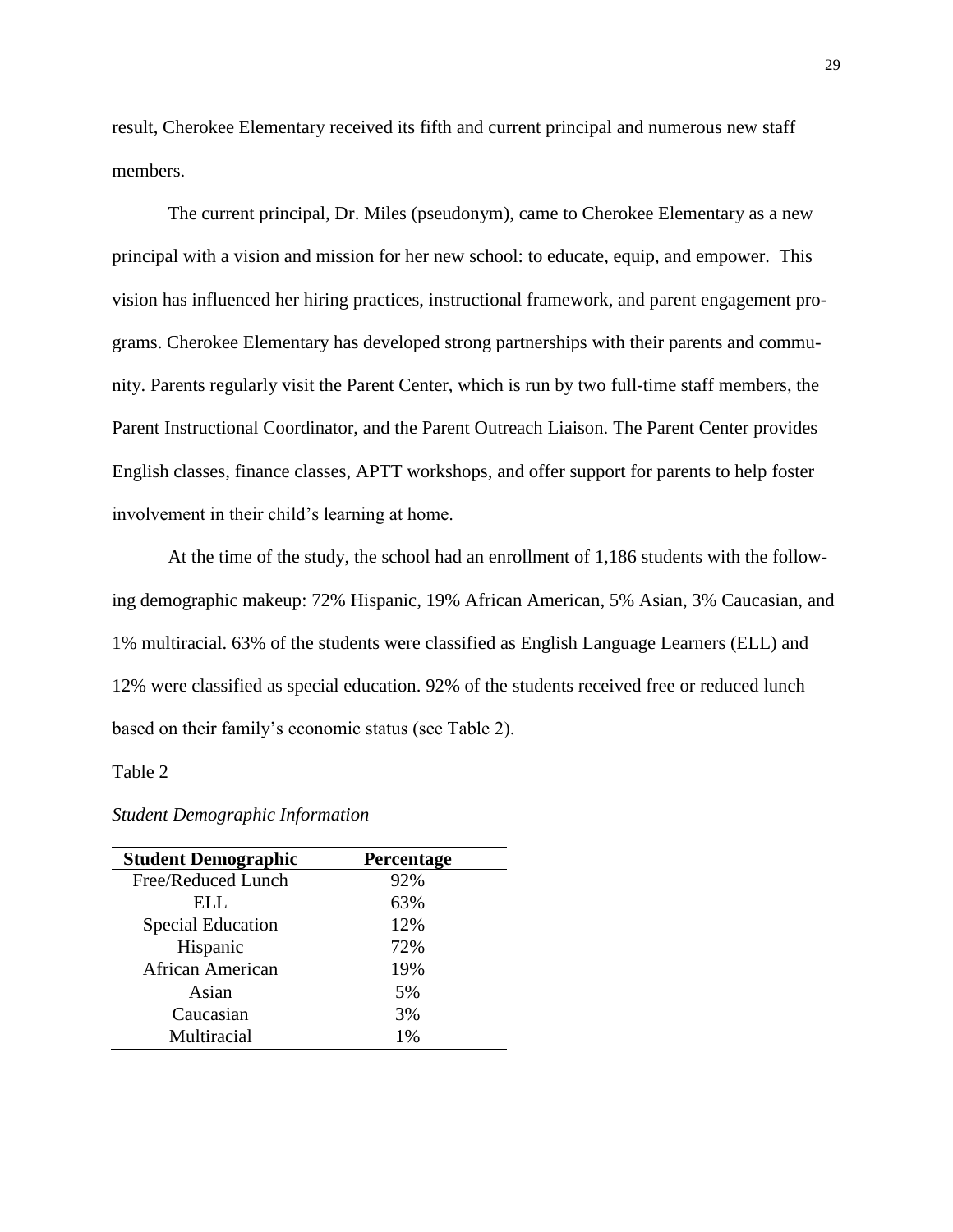result, Cherokee Elementary received its fifth and current principal and numerous new staff members.

The current principal, Dr. Miles (pseudonym), came to Cherokee Elementary as a new principal with a vision and mission for her new school: to educate, equip, and empower. This vision has influenced her hiring practices, instructional framework, and parent engagement programs. Cherokee Elementary has developed strong partnerships with their parents and community. Parents regularly visit the Parent Center, which is run by two full-time staff members, the Parent Instructional Coordinator, and the Parent Outreach Liaison. The Parent Center provides English classes, finance classes, APTT workshops, and offer support for parents to help foster involvement in their child's learning at home.

At the time of the study, the school had an enrollment of 1,186 students with the following demographic makeup: 72% Hispanic, 19% African American, 5% Asian, 3% Caucasian, and 1% multiracial. 63% of the students were classified as English Language Learners (ELL) and 12% were classified as special education. 92% of the students received free or reduced lunch based on their family's economic status (see Table 2).

# Table 2

#### *Student Demographic Information*

| <b>Student Demographic</b> | Percentage |
|----------------------------|------------|
| Free/Reduced Lunch         | 92%        |
| ELL.                       | 63%        |
| <b>Special Education</b>   | 12%        |
| Hispanic                   | 72%        |
| African American           | 19%        |
| Asian                      | 5%         |
| Caucasian                  | 3%         |
| Multiracial                | $1\%$      |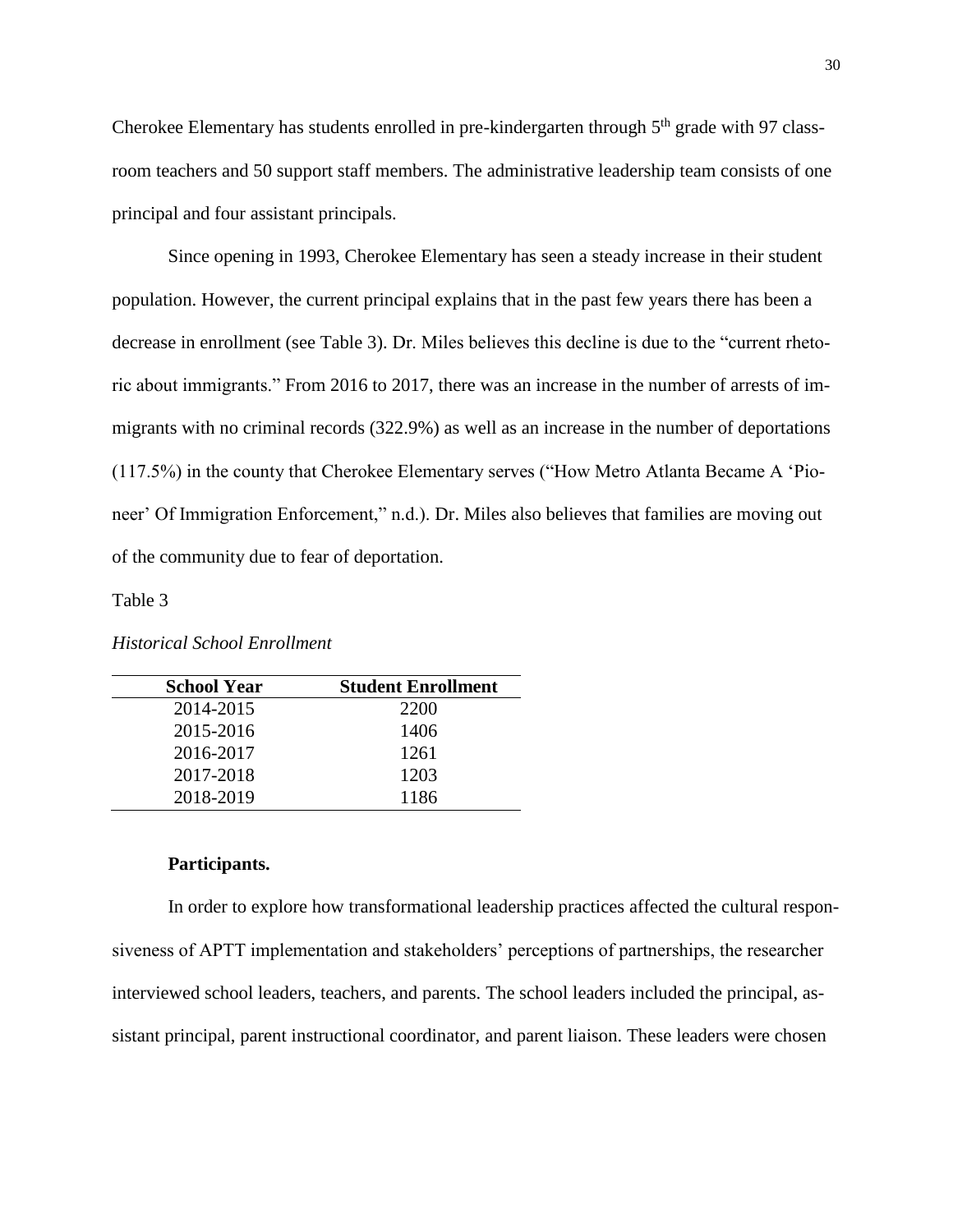Cherokee Elementary has students enrolled in pre-kindergarten through  $5<sup>th</sup>$  grade with 97 classroom teachers and 50 support staff members. The administrative leadership team consists of one principal and four assistant principals.

Since opening in 1993, Cherokee Elementary has seen a steady increase in their student population. However, the current principal explains that in the past few years there has been a decrease in enrollment (see Table 3). Dr. Miles believes this decline is due to the "current rhetoric about immigrants." From 2016 to 2017, there was an increase in the number of arrests of immigrants with no criminal records (322.9%) as well as an increase in the number of deportations (117.5%) in the county that Cherokee Elementary serves ("How Metro Atlanta Became A 'Pioneer' Of Immigration Enforcement," n.d.). Dr. Miles also believes that families are moving out of the community due to fear of deportation.

# Table 3

| <b>School Year</b> | <b>Student Enrollment</b> |
|--------------------|---------------------------|
| 2014-2015          | 2200                      |
| 2015-2016          | 1406                      |
| 2016-2017          | 1261                      |
| 2017-2018          | 1203                      |
| 2018-2019          | 1186                      |

# **Participants.**

In order to explore how transformational leadership practices affected the cultural responsiveness of APTT implementation and stakeholders' perceptions of partnerships, the researcher interviewed school leaders, teachers, and parents. The school leaders included the principal, assistant principal, parent instructional coordinator, and parent liaison. These leaders were chosen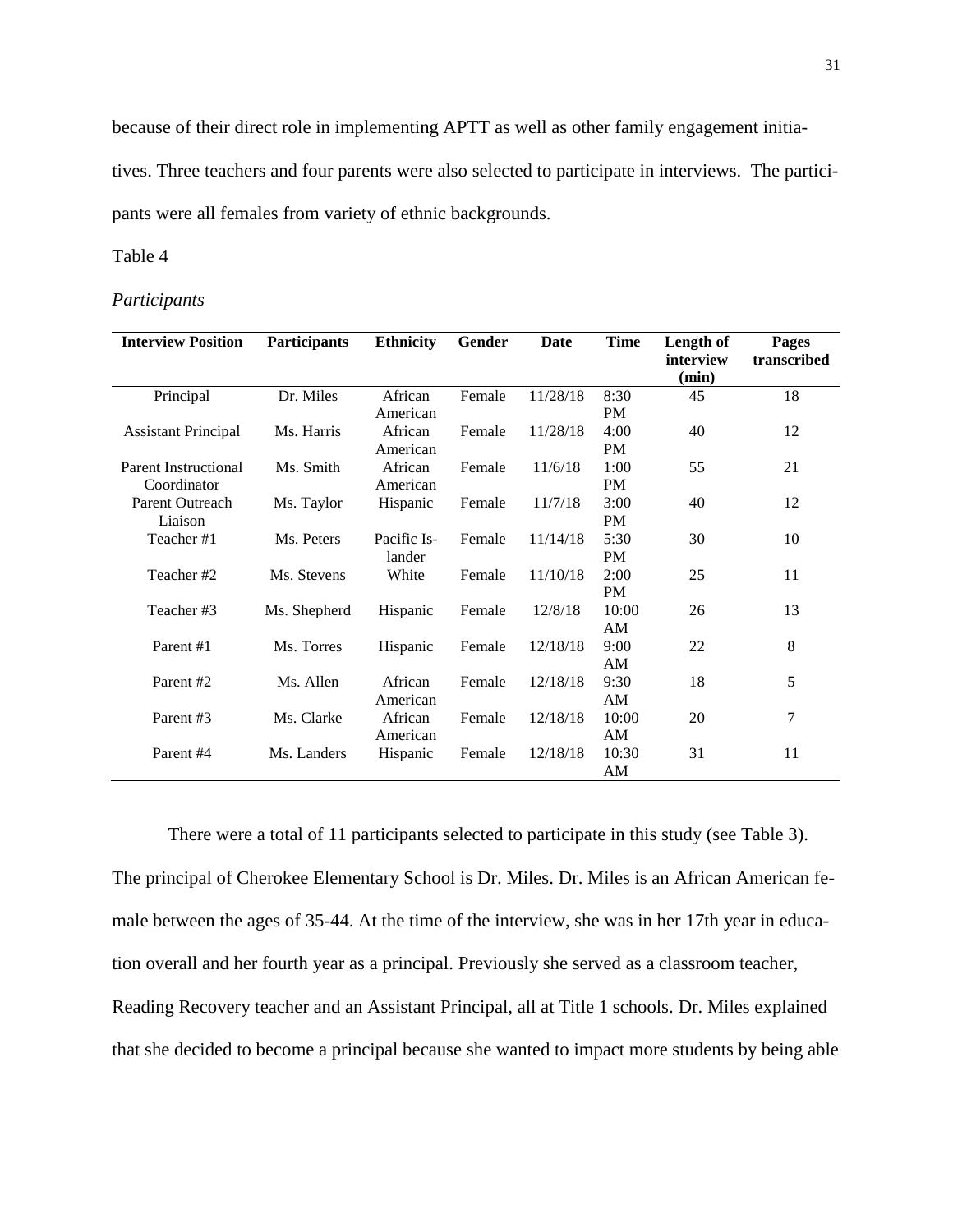because of their direct role in implementing APTT as well as other family engagement initia-

tives. Three teachers and four parents were also selected to participate in interviews. The participants were all females from variety of ethnic backgrounds.

# Table 4

#### *Participants*

| <b>Participants</b> | <b>Ethnicity</b>                                                                | Gender                                                                                                                                     | <b>Date</b>                                              | <b>Time</b>                                                        | Length of<br>interview                                                                                 | <b>Pages</b><br>transcribed                     |
|---------------------|---------------------------------------------------------------------------------|--------------------------------------------------------------------------------------------------------------------------------------------|----------------------------------------------------------|--------------------------------------------------------------------|--------------------------------------------------------------------------------------------------------|-------------------------------------------------|
|                     |                                                                                 |                                                                                                                                            |                                                          |                                                                    |                                                                                                        | 18                                              |
|                     |                                                                                 |                                                                                                                                            |                                                          |                                                                    |                                                                                                        |                                                 |
|                     |                                                                                 |                                                                                                                                            |                                                          |                                                                    |                                                                                                        |                                                 |
|                     |                                                                                 |                                                                                                                                            |                                                          |                                                                    |                                                                                                        | 12                                              |
|                     |                                                                                 |                                                                                                                                            |                                                          |                                                                    |                                                                                                        |                                                 |
|                     |                                                                                 |                                                                                                                                            |                                                          |                                                                    |                                                                                                        | 21                                              |
|                     |                                                                                 |                                                                                                                                            |                                                          |                                                                    |                                                                                                        |                                                 |
|                     |                                                                                 |                                                                                                                                            |                                                          |                                                                    |                                                                                                        | 12                                              |
|                     |                                                                                 |                                                                                                                                            |                                                          |                                                                    |                                                                                                        |                                                 |
|                     |                                                                                 |                                                                                                                                            |                                                          |                                                                    |                                                                                                        | 10                                              |
|                     |                                                                                 |                                                                                                                                            |                                                          |                                                                    |                                                                                                        |                                                 |
| Ms. Stevens         | White                                                                           | Female                                                                                                                                     | 11/10/18                                                 | 2:00                                                               | 25                                                                                                     | 11                                              |
|                     |                                                                                 |                                                                                                                                            |                                                          | <b>PM</b>                                                          |                                                                                                        |                                                 |
| Ms. Shepherd        | Hispanic                                                                        | Female                                                                                                                                     | 12/8/18                                                  | 10:00                                                              | 26                                                                                                     | 13                                              |
|                     |                                                                                 |                                                                                                                                            |                                                          | AM                                                                 |                                                                                                        |                                                 |
| Ms. Torres          |                                                                                 | Female                                                                                                                                     | 12/18/18                                                 | 9:00                                                               | 22                                                                                                     | 8                                               |
|                     |                                                                                 |                                                                                                                                            |                                                          | AM                                                                 |                                                                                                        |                                                 |
| Ms. Allen           | African                                                                         | Female                                                                                                                                     | 12/18/18                                                 | 9:30                                                               | 18                                                                                                     | 5                                               |
|                     | American                                                                        |                                                                                                                                            |                                                          | AM                                                                 |                                                                                                        |                                                 |
| Ms. Clarke          | African                                                                         | Female                                                                                                                                     | 12/18/18                                                 | 10:00                                                              |                                                                                                        | 7                                               |
|                     |                                                                                 |                                                                                                                                            |                                                          |                                                                    |                                                                                                        |                                                 |
|                     |                                                                                 |                                                                                                                                            |                                                          |                                                                    |                                                                                                        | 11                                              |
|                     |                                                                                 |                                                                                                                                            |                                                          | AM                                                                 |                                                                                                        |                                                 |
|                     | Dr. Miles<br>Ms. Harris<br>Ms. Smith<br>Ms. Taylor<br>Ms. Peters<br>Ms. Landers | African<br>American<br>African<br>American<br>African<br>American<br>Hispanic<br>Pacific Is-<br>lander<br>Hispanic<br>American<br>Hispanic | Female<br>Female<br>Female<br>Female<br>Female<br>Female | 11/28/18<br>11/28/18<br>11/6/18<br>11/7/18<br>11/14/18<br>12/18/18 | 8:30<br><b>PM</b><br>4:00<br>PM<br>1:00<br><b>PM</b><br>3:00<br>PM<br>5:30<br><b>PM</b><br>AM<br>10:30 | (min)<br>45<br>40<br>55<br>40<br>30<br>20<br>31 |

There were a total of 11 participants selected to participate in this study (see Table 3). The principal of Cherokee Elementary School is Dr. Miles. Dr. Miles is an African American female between the ages of 35-44. At the time of the interview, she was in her 17th year in education overall and her fourth year as a principal. Previously she served as a classroom teacher, Reading Recovery teacher and an Assistant Principal, all at Title 1 schools. Dr. Miles explained that she decided to become a principal because she wanted to impact more students by being able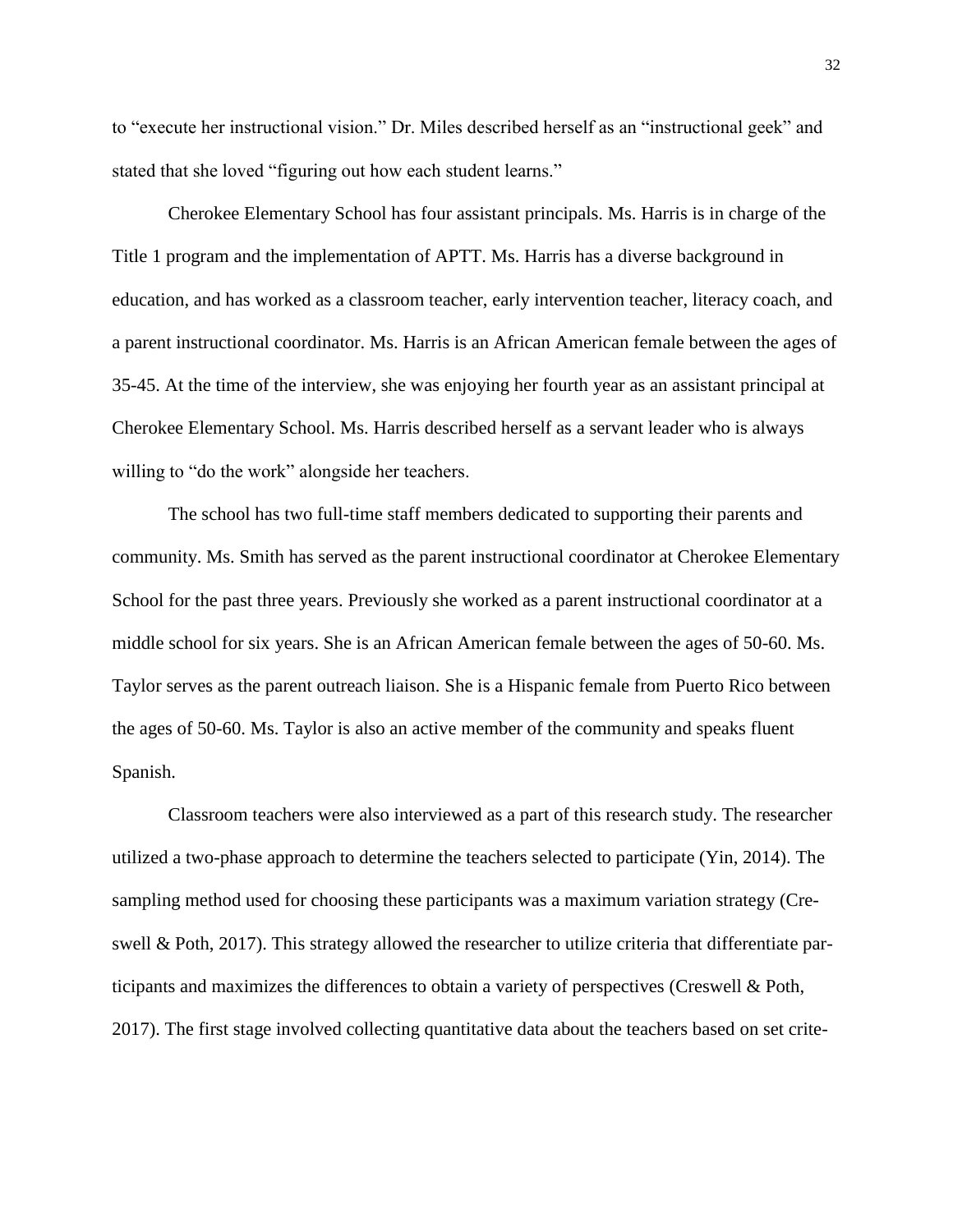to "execute her instructional vision." Dr. Miles described herself as an "instructional geek" and stated that she loved "figuring out how each student learns."

Cherokee Elementary School has four assistant principals. Ms. Harris is in charge of the Title 1 program and the implementation of APTT. Ms. Harris has a diverse background in education, and has worked as a classroom teacher, early intervention teacher, literacy coach, and a parent instructional coordinator. Ms. Harris is an African American female between the ages of 35-45. At the time of the interview, she was enjoying her fourth year as an assistant principal at Cherokee Elementary School. Ms. Harris described herself as a servant leader who is always willing to "do the work" alongside her teachers.

The school has two full-time staff members dedicated to supporting their parents and community. Ms. Smith has served as the parent instructional coordinator at Cherokee Elementary School for the past three years. Previously she worked as a parent instructional coordinator at a middle school for six years. She is an African American female between the ages of 50-60. Ms. Taylor serves as the parent outreach liaison. She is a Hispanic female from Puerto Rico between the ages of 50-60. Ms. Taylor is also an active member of the community and speaks fluent Spanish.

Classroom teachers were also interviewed as a part of this research study. The researcher utilized a two-phase approach to determine the teachers selected to participate (Yin, 2014). The sampling method used for choosing these participants was a maximum variation strategy (Creswell & Poth, 2017). This strategy allowed the researcher to utilize criteria that differentiate participants and maximizes the differences to obtain a variety of perspectives (Creswell & Poth, 2017). The first stage involved collecting quantitative data about the teachers based on set crite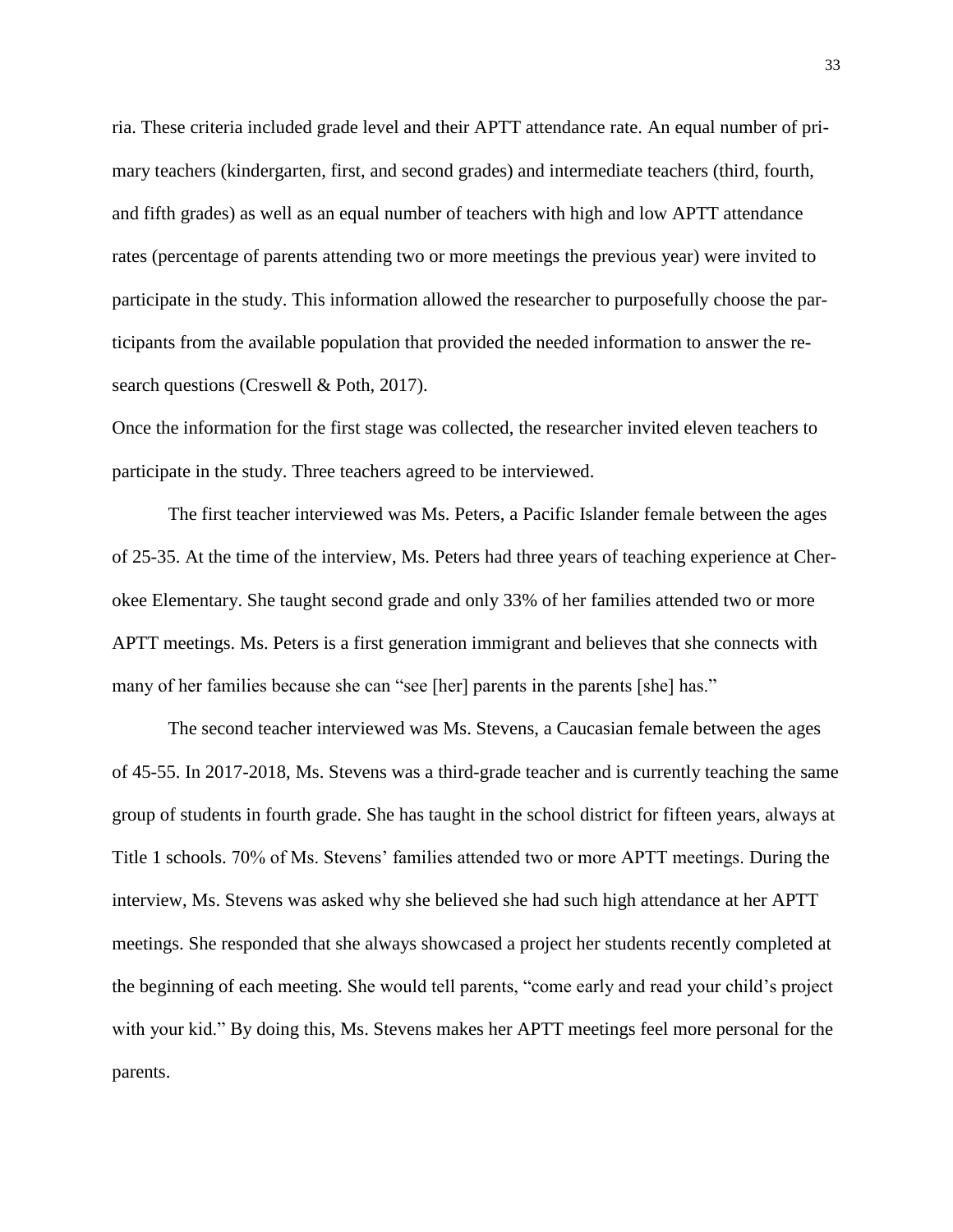ria. These criteria included grade level and their APTT attendance rate. An equal number of primary teachers (kindergarten, first, and second grades) and intermediate teachers (third, fourth, and fifth grades) as well as an equal number of teachers with high and low APTT attendance rates (percentage of parents attending two or more meetings the previous year) were invited to participate in the study. This information allowed the researcher to purposefully choose the participants from the available population that provided the needed information to answer the research questions (Creswell & Poth, 2017).

Once the information for the first stage was collected, the researcher invited eleven teachers to participate in the study. Three teachers agreed to be interviewed.

The first teacher interviewed was Ms. Peters, a Pacific Islander female between the ages of 25-35. At the time of the interview, Ms. Peters had three years of teaching experience at Cherokee Elementary. She taught second grade and only 33% of her families attended two or more APTT meetings. Ms. Peters is a first generation immigrant and believes that she connects with many of her families because she can "see [her] parents in the parents [she] has."

The second teacher interviewed was Ms. Stevens, a Caucasian female between the ages of 45-55. In 2017-2018, Ms. Stevens was a third-grade teacher and is currently teaching the same group of students in fourth grade. She has taught in the school district for fifteen years, always at Title 1 schools. 70% of Ms. Stevens' families attended two or more APTT meetings. During the interview, Ms. Stevens was asked why she believed she had such high attendance at her APTT meetings. She responded that she always showcased a project her students recently completed at the beginning of each meeting. She would tell parents, "come early and read your child's project with your kid." By doing this, Ms. Stevens makes her APTT meetings feel more personal for the parents.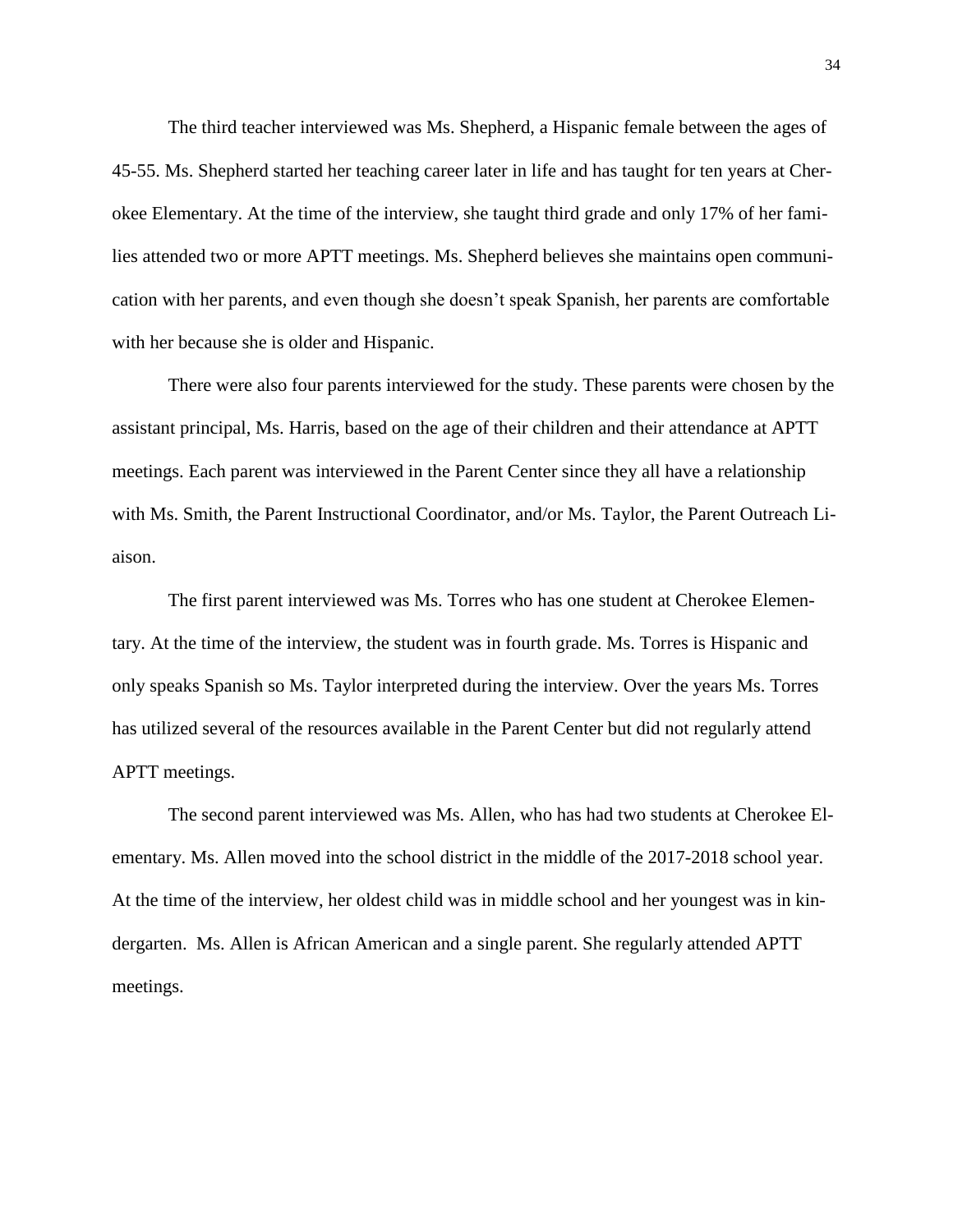The third teacher interviewed was Ms. Shepherd, a Hispanic female between the ages of 45-55. Ms. Shepherd started her teaching career later in life and has taught for ten years at Cherokee Elementary. At the time of the interview, she taught third grade and only 17% of her families attended two or more APTT meetings. Ms. Shepherd believes she maintains open communication with her parents, and even though she doesn't speak Spanish, her parents are comfortable with her because she is older and Hispanic.

There were also four parents interviewed for the study. These parents were chosen by the assistant principal, Ms. Harris, based on the age of their children and their attendance at APTT meetings. Each parent was interviewed in the Parent Center since they all have a relationship with Ms. Smith, the Parent Instructional Coordinator, and/or Ms. Taylor, the Parent Outreach Liaison.

The first parent interviewed was Ms. Torres who has one student at Cherokee Elementary. At the time of the interview, the student was in fourth grade. Ms. Torres is Hispanic and only speaks Spanish so Ms. Taylor interpreted during the interview. Over the years Ms. Torres has utilized several of the resources available in the Parent Center but did not regularly attend APTT meetings.

The second parent interviewed was Ms. Allen, who has had two students at Cherokee Elementary. Ms. Allen moved into the school district in the middle of the 2017-2018 school year. At the time of the interview, her oldest child was in middle school and her youngest was in kindergarten. Ms. Allen is African American and a single parent. She regularly attended APTT meetings.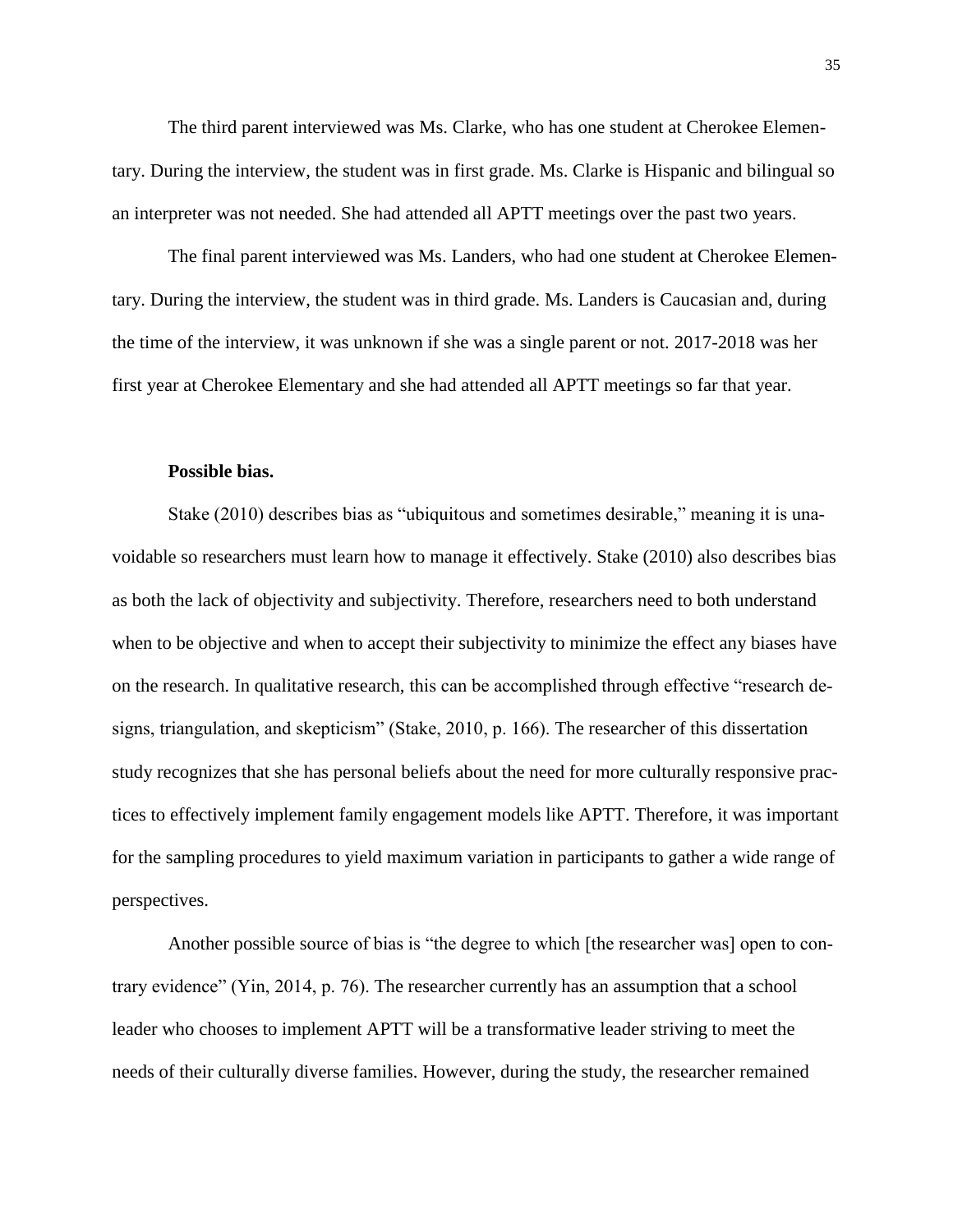The third parent interviewed was Ms. Clarke, who has one student at Cherokee Elementary. During the interview, the student was in first grade. Ms. Clarke is Hispanic and bilingual so an interpreter was not needed. She had attended all APTT meetings over the past two years.

The final parent interviewed was Ms. Landers, who had one student at Cherokee Elementary. During the interview, the student was in third grade. Ms. Landers is Caucasian and, during the time of the interview, it was unknown if she was a single parent or not. 2017-2018 was her first year at Cherokee Elementary and she had attended all APTT meetings so far that year.

# **Possible bias.**

Stake (2010) describes bias as "ubiquitous and sometimes desirable," meaning it is unavoidable so researchers must learn how to manage it effectively. Stake (2010) also describes bias as both the lack of objectivity and subjectivity. Therefore, researchers need to both understand when to be objective and when to accept their subjectivity to minimize the effect any biases have on the research. In qualitative research, this can be accomplished through effective "research designs, triangulation, and skepticism" (Stake, 2010, p. 166). The researcher of this dissertation study recognizes that she has personal beliefs about the need for more culturally responsive practices to effectively implement family engagement models like APTT. Therefore, it was important for the sampling procedures to yield maximum variation in participants to gather a wide range of perspectives.

Another possible source of bias is "the degree to which [the researcher was] open to contrary evidence" (Yin, 2014, p. 76). The researcher currently has an assumption that a school leader who chooses to implement APTT will be a transformative leader striving to meet the needs of their culturally diverse families. However, during the study, the researcher remained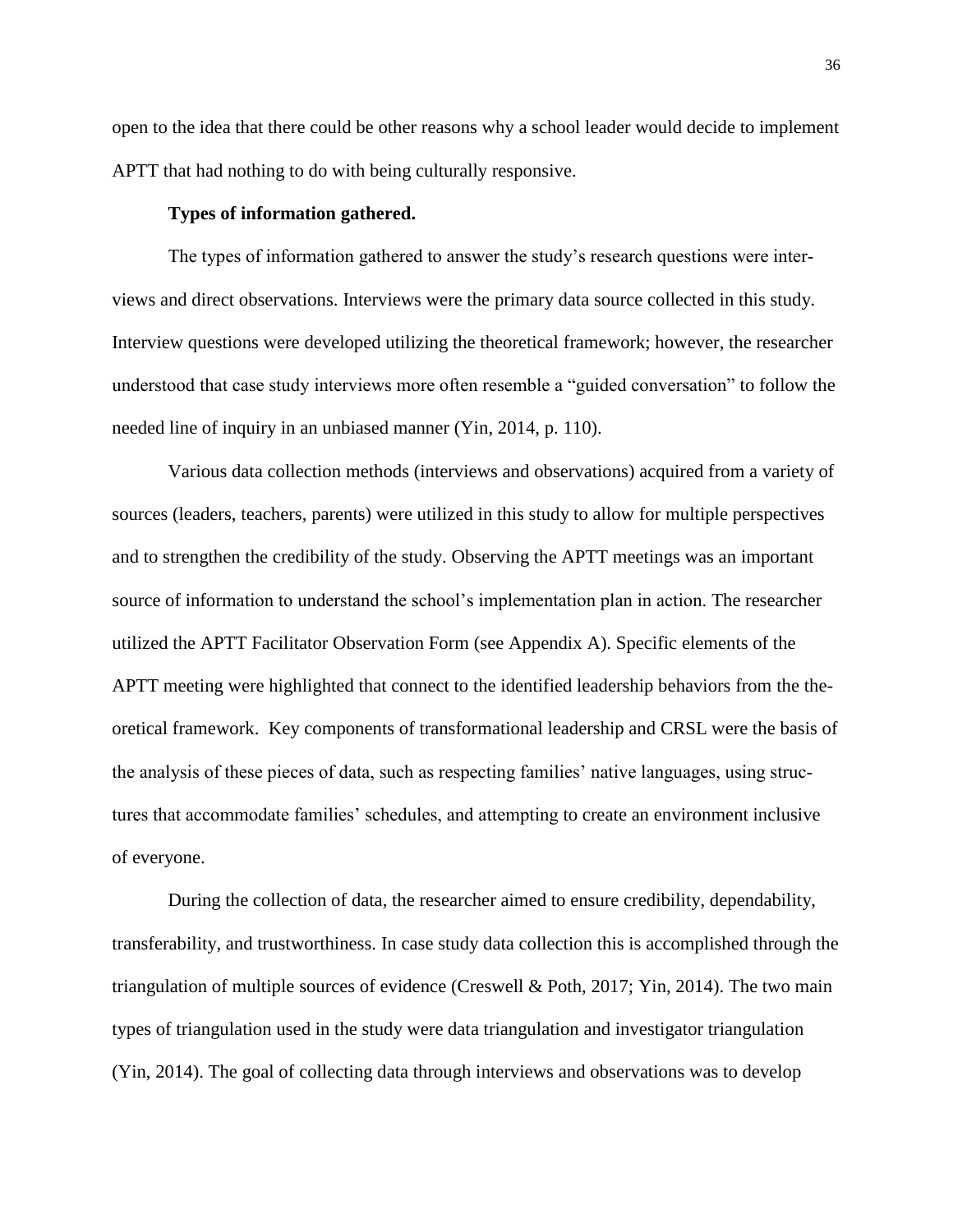open to the idea that there could be other reasons why a school leader would decide to implement APTT that had nothing to do with being culturally responsive.

#### **Types of information gathered.**

The types of information gathered to answer the study's research questions were interviews and direct observations. Interviews were the primary data source collected in this study. Interview questions were developed utilizing the theoretical framework; however, the researcher understood that case study interviews more often resemble a "guided conversation" to follow the needed line of inquiry in an unbiased manner (Yin, 2014, p. 110).

Various data collection methods (interviews and observations) acquired from a variety of sources (leaders, teachers, parents) were utilized in this study to allow for multiple perspectives and to strengthen the credibility of the study. Observing the APTT meetings was an important source of information to understand the school's implementation plan in action. The researcher utilized the APTT Facilitator Observation Form (see Appendix A). Specific elements of the APTT meeting were highlighted that connect to the identified leadership behaviors from the theoretical framework. Key components of transformational leadership and CRSL were the basis of the analysis of these pieces of data, such as respecting families' native languages, using structures that accommodate families' schedules, and attempting to create an environment inclusive of everyone.

During the collection of data, the researcher aimed to ensure credibility, dependability, transferability, and trustworthiness. In case study data collection this is accomplished through the triangulation of multiple sources of evidence (Creswell & Poth, 2017; Yin, 2014). The two main types of triangulation used in the study were data triangulation and investigator triangulation (Yin, 2014). The goal of collecting data through interviews and observations was to develop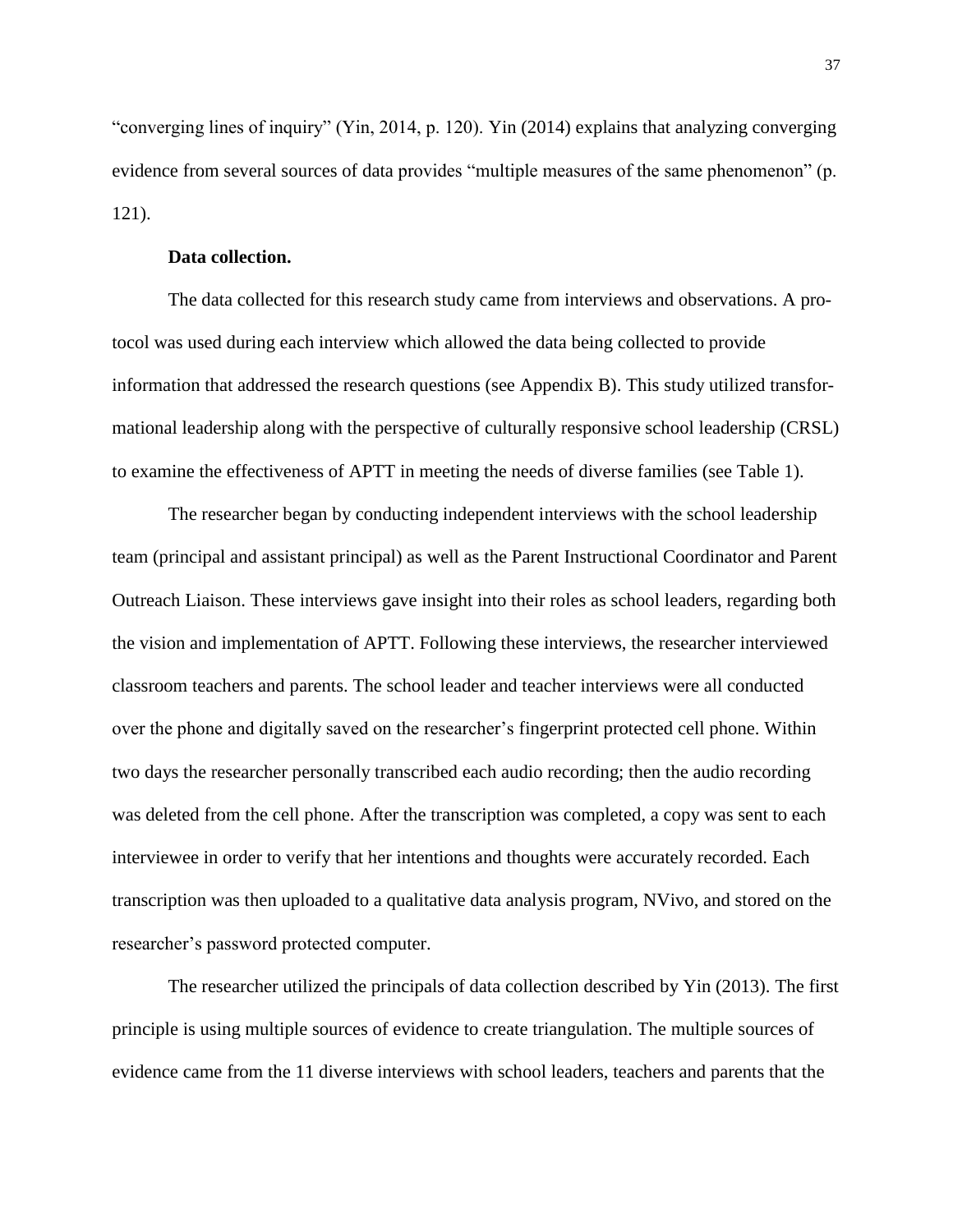"converging lines of inquiry" (Yin, 2014, p. 120). Yin (2014) explains that analyzing converging evidence from several sources of data provides "multiple measures of the same phenomenon" (p. 121).

# **Data collection.**

The data collected for this research study came from interviews and observations. A protocol was used during each interview which allowed the data being collected to provide information that addressed the research questions (see Appendix B). This study utilized transformational leadership along with the perspective of culturally responsive school leadership (CRSL) to examine the effectiveness of APTT in meeting the needs of diverse families (see Table 1).

The researcher began by conducting independent interviews with the school leadership team (principal and assistant principal) as well as the Parent Instructional Coordinator and Parent Outreach Liaison. These interviews gave insight into their roles as school leaders, regarding both the vision and implementation of APTT. Following these interviews, the researcher interviewed classroom teachers and parents. The school leader and teacher interviews were all conducted over the phone and digitally saved on the researcher's fingerprint protected cell phone. Within two days the researcher personally transcribed each audio recording; then the audio recording was deleted from the cell phone. After the transcription was completed, a copy was sent to each interviewee in order to verify that her intentions and thoughts were accurately recorded. Each transcription was then uploaded to a qualitative data analysis program, NVivo, and stored on the researcher's password protected computer.

The researcher utilized the principals of data collection described by Yin (2013). The first principle is using multiple sources of evidence to create triangulation. The multiple sources of evidence came from the 11 diverse interviews with school leaders, teachers and parents that the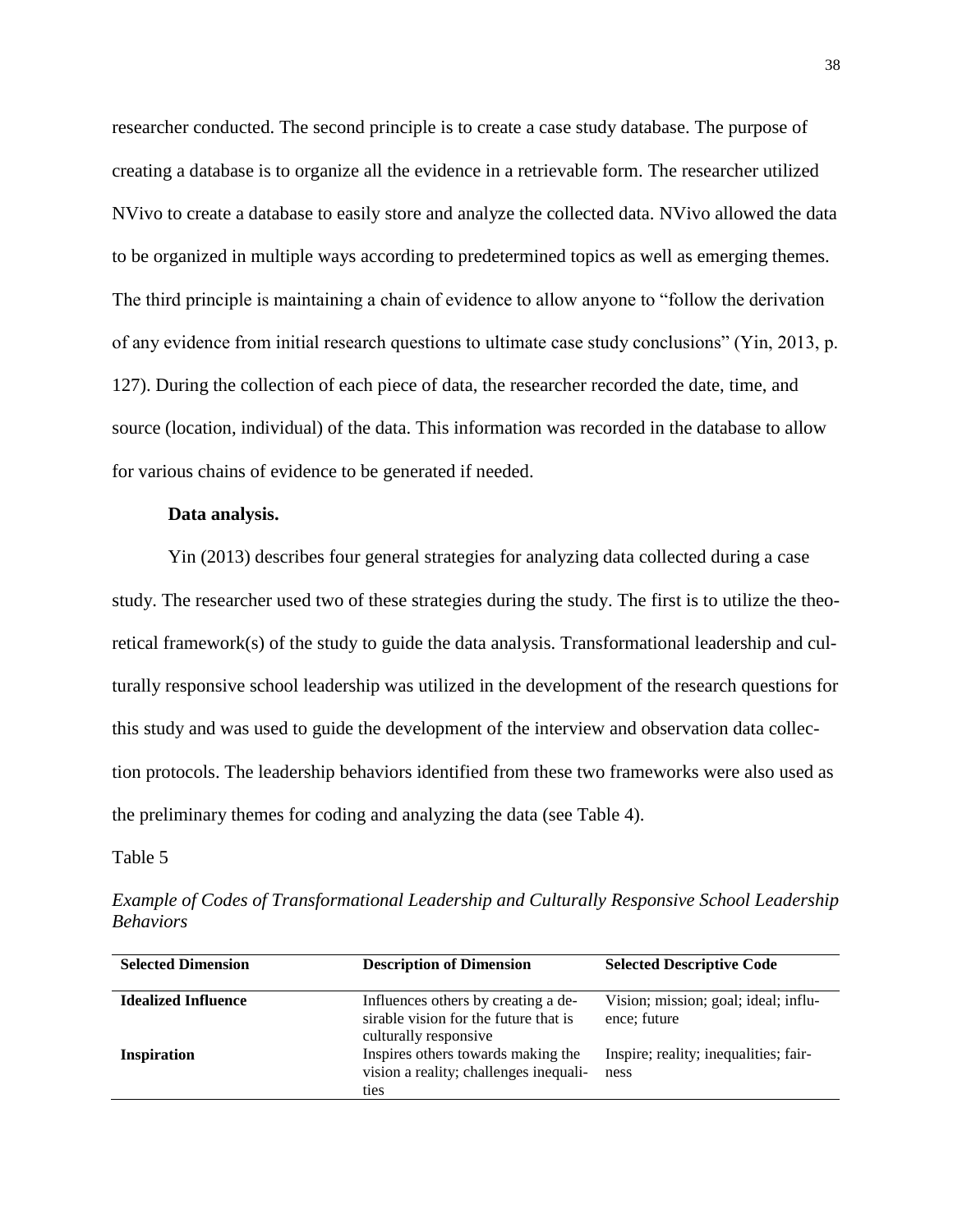researcher conducted. The second principle is to create a case study database. The purpose of creating a database is to organize all the evidence in a retrievable form. The researcher utilized NVivo to create a database to easily store and analyze the collected data. NVivo allowed the data to be organized in multiple ways according to predetermined topics as well as emerging themes. The third principle is maintaining a chain of evidence to allow anyone to "follow the derivation of any evidence from initial research questions to ultimate case study conclusions" (Yin, 2013, p. 127). During the collection of each piece of data, the researcher recorded the date, time, and source (location, individual) of the data. This information was recorded in the database to allow for various chains of evidence to be generated if needed.

# **Data analysis.**

Yin (2013) describes four general strategies for analyzing data collected during a case study. The researcher used two of these strategies during the study. The first is to utilize the theoretical framework(s) of the study to guide the data analysis. Transformational leadership and culturally responsive school leadership was utilized in the development of the research questions for this study and was used to guide the development of the interview and observation data collection protocols. The leadership behaviors identified from these two frameworks were also used as the preliminary themes for coding and analyzing the data (see Table 4).

## Table 5

| <b>Selected Dimension</b>  | <b>Description of Dimension</b>                                                                       | <b>Selected Descriptive Code</b>                     |
|----------------------------|-------------------------------------------------------------------------------------------------------|------------------------------------------------------|
| <b>Idealized Influence</b> | Influences others by creating a de-<br>sirable vision for the future that is<br>culturally responsive | Vision; mission; goal; ideal; influ-<br>ence; future |
| Inspiration                | Inspires others towards making the<br>vision a reality; challenges inequali-<br>ties                  | Inspire; reality; inequalities; fair-<br>ness        |

*Example of Codes of Transformational Leadership and Culturally Responsive School Leadership Behaviors*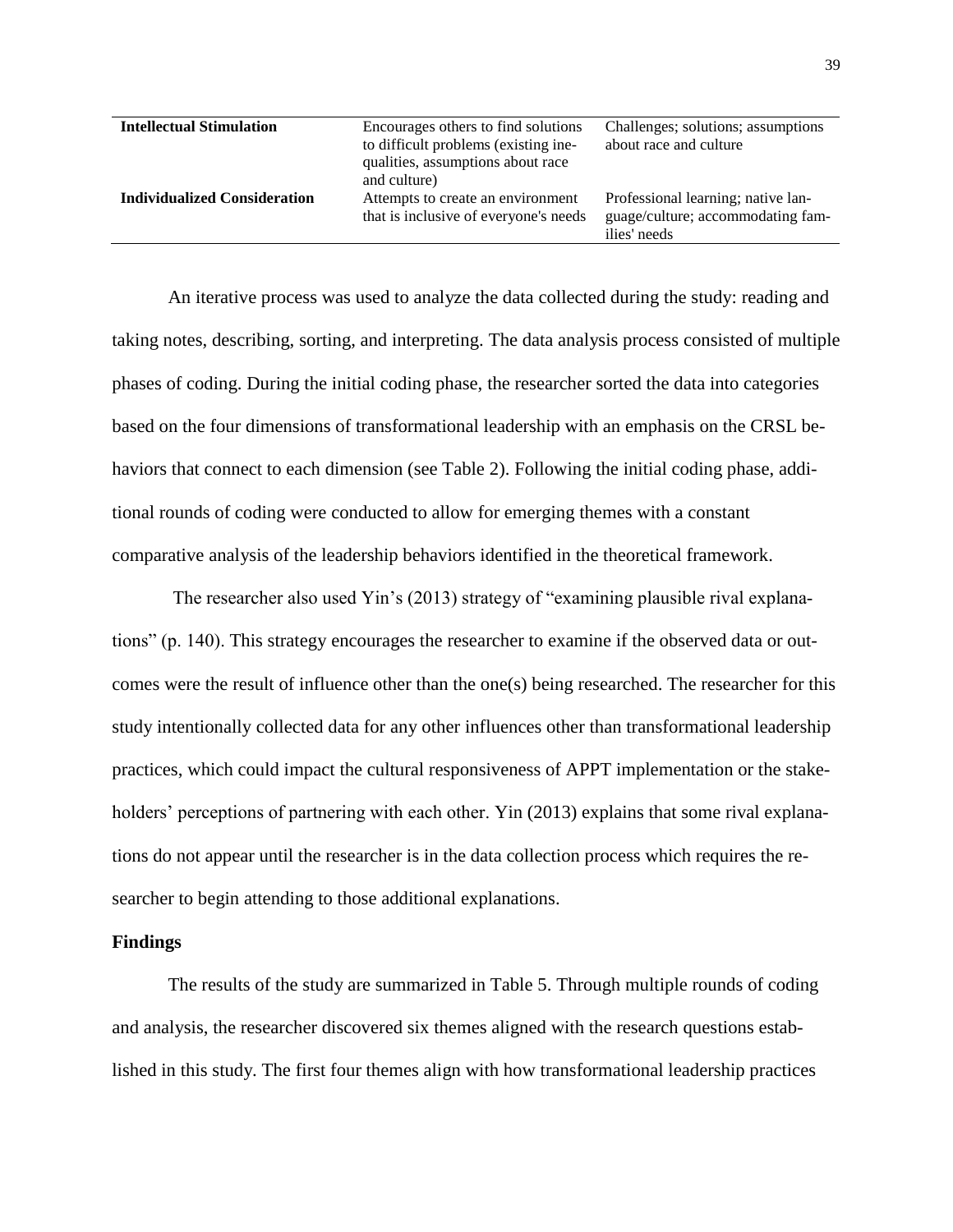| <b>Intellectual Stimulation</b>     | Encourages others to find solutions                                                       | Challenges; solutions; assumptions                                                      |  |
|-------------------------------------|-------------------------------------------------------------------------------------------|-----------------------------------------------------------------------------------------|--|
|                                     | to difficult problems (existing ine-<br>qualities, assumptions about race<br>and culture) | about race and culture                                                                  |  |
| <b>Individualized Consideration</b> | Attempts to create an environment<br>that is inclusive of everyone's needs                | Professional learning; native lan-<br>guage/culture; accommodating fam-<br>ilies' needs |  |

An iterative process was used to analyze the data collected during the study: reading and taking notes, describing, sorting, and interpreting. The data analysis process consisted of multiple phases of coding. During the initial coding phase, the researcher sorted the data into categories based on the four dimensions of transformational leadership with an emphasis on the CRSL behaviors that connect to each dimension (see Table 2). Following the initial coding phase, additional rounds of coding were conducted to allow for emerging themes with a constant comparative analysis of the leadership behaviors identified in the theoretical framework.

The researcher also used Yin's (2013) strategy of "examining plausible rival explanations" (p. 140). This strategy encourages the researcher to examine if the observed data or outcomes were the result of influence other than the one(s) being researched. The researcher for this study intentionally collected data for any other influences other than transformational leadership practices, which could impact the cultural responsiveness of APPT implementation or the stakeholders' perceptions of partnering with each other. Yin (2013) explains that some rival explanations do not appear until the researcher is in the data collection process which requires the researcher to begin attending to those additional explanations.

# **Findings**

The results of the study are summarized in Table 5. Through multiple rounds of coding and analysis, the researcher discovered six themes aligned with the research questions established in this study. The first four themes align with how transformational leadership practices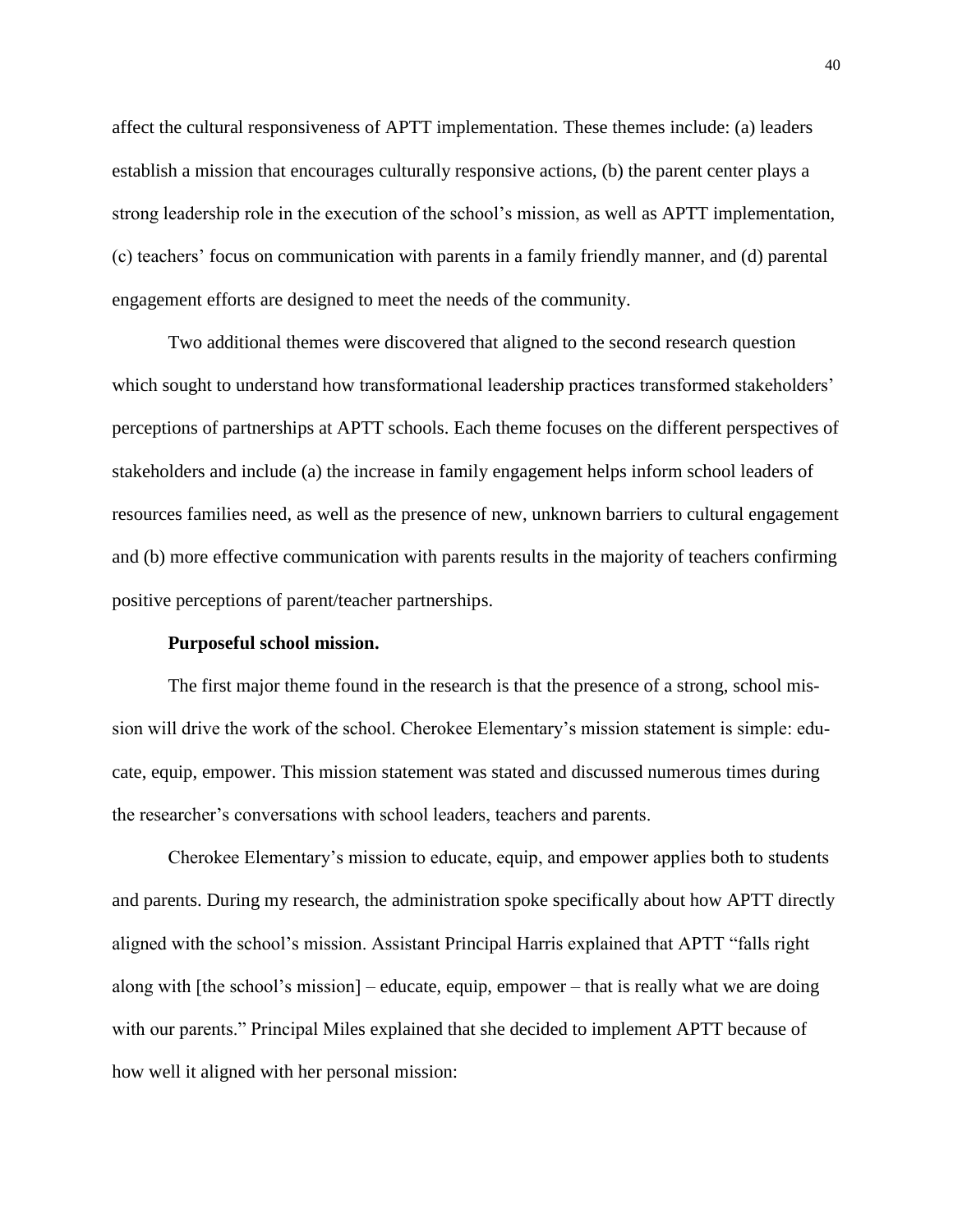affect the cultural responsiveness of APTT implementation. These themes include: (a) leaders establish a mission that encourages culturally responsive actions, (b) the parent center plays a strong leadership role in the execution of the school's mission, as well as APTT implementation, (c) teachers' focus on communication with parents in a family friendly manner, and (d) parental engagement efforts are designed to meet the needs of the community.

Two additional themes were discovered that aligned to the second research question which sought to understand how transformational leadership practices transformed stakeholders' perceptions of partnerships at APTT schools. Each theme focuses on the different perspectives of stakeholders and include (a) the increase in family engagement helps inform school leaders of resources families need, as well as the presence of new, unknown barriers to cultural engagement and (b) more effective communication with parents results in the majority of teachers confirming positive perceptions of parent/teacher partnerships.

#### **Purposeful school mission.**

The first major theme found in the research is that the presence of a strong, school mission will drive the work of the school. Cherokee Elementary's mission statement is simple: educate, equip, empower. This mission statement was stated and discussed numerous times during the researcher's conversations with school leaders, teachers and parents.

Cherokee Elementary's mission to educate, equip, and empower applies both to students and parents. During my research, the administration spoke specifically about how APTT directly aligned with the school's mission. Assistant Principal Harris explained that APTT "falls right along with [the school's mission] – educate, equip, empower – that is really what we are doing with our parents." Principal Miles explained that she decided to implement APTT because of how well it aligned with her personal mission: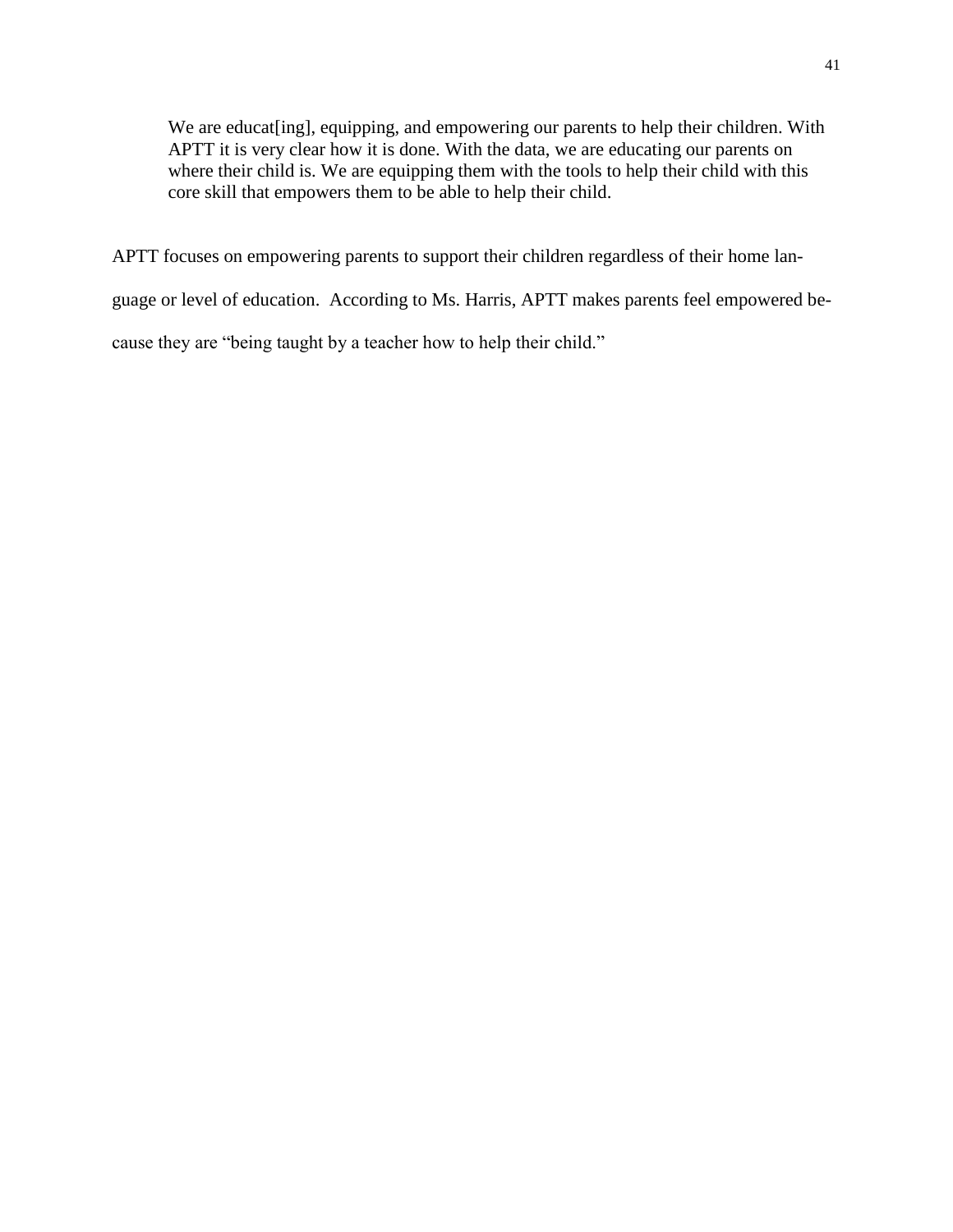We are educat[ing], equipping, and empowering our parents to help their children. With APTT it is very clear how it is done. With the data, we are educating our parents on where their child is. We are equipping them with the tools to help their child with this core skill that empowers them to be able to help their child.

APTT focuses on empowering parents to support their children regardless of their home lan-

guage or level of education. According to Ms. Harris, APTT makes parents feel empowered be-

cause they are "being taught by a teacher how to help their child."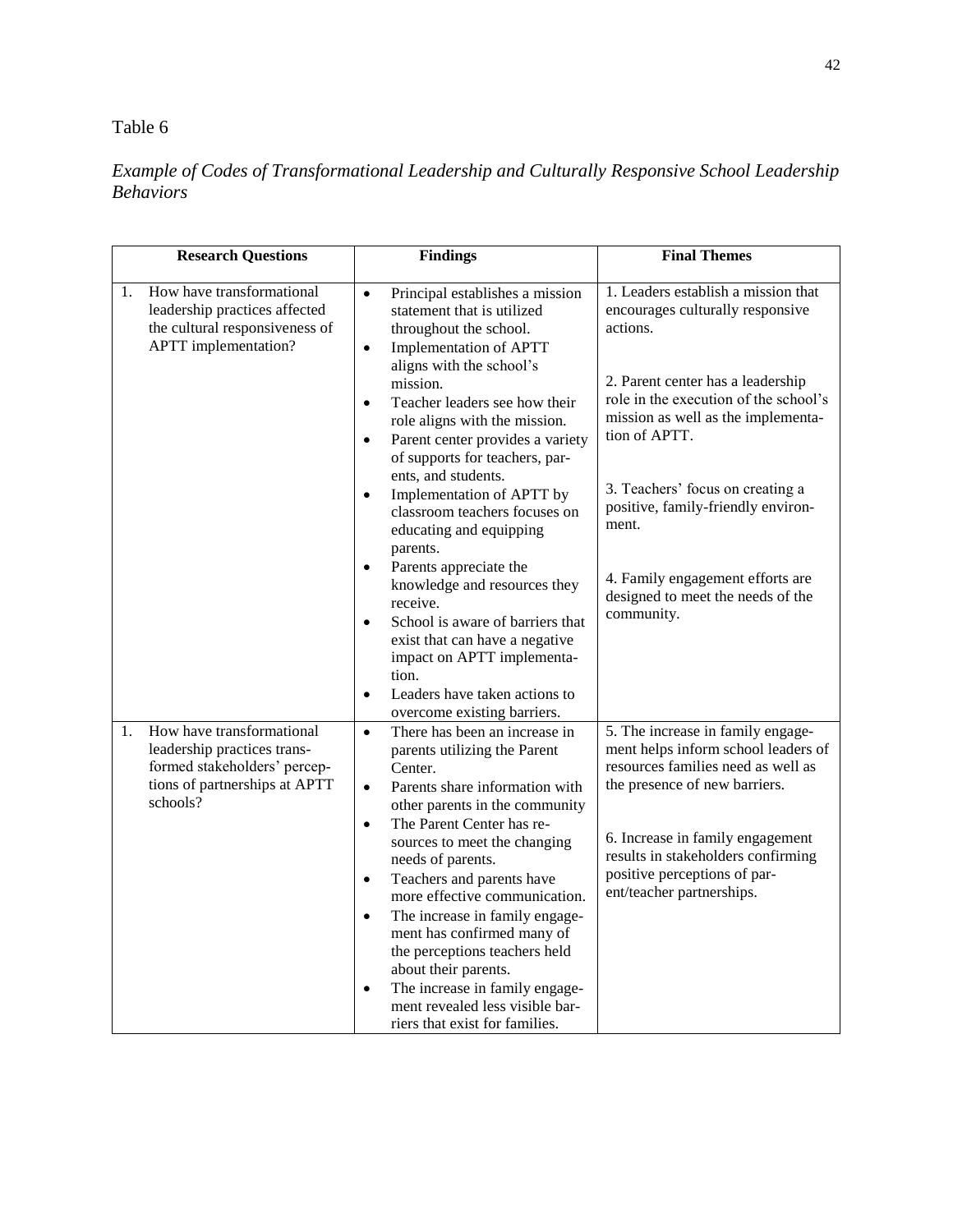# Table 6

# *Example of Codes of Transformational Leadership and Culturally Responsive School Leadership Behaviors*

| <b>Research Questions</b>                                                                                                                   | <b>Findings</b>                                                                                                                                                                                                                                                                                                                                                                                                                                                                                                                                                                                            | <b>Final Themes</b>                                                                                                                                                                                                                                                                    |  |
|---------------------------------------------------------------------------------------------------------------------------------------------|------------------------------------------------------------------------------------------------------------------------------------------------------------------------------------------------------------------------------------------------------------------------------------------------------------------------------------------------------------------------------------------------------------------------------------------------------------------------------------------------------------------------------------------------------------------------------------------------------------|----------------------------------------------------------------------------------------------------------------------------------------------------------------------------------------------------------------------------------------------------------------------------------------|--|
| How have transformational<br>1.<br>leadership practices affected<br>the cultural responsiveness of<br>APTT implementation?                  | Principal establishes a mission<br>$\bullet$<br>statement that is utilized<br>throughout the school.<br>Implementation of APTT<br>$\bullet$<br>aligns with the school's<br>mission.<br>Teacher leaders see how their<br>$\bullet$<br>role aligns with the mission.<br>Parent center provides a variety<br>$\bullet$                                                                                                                                                                                                                                                                                        | 1. Leaders establish a mission that<br>encourages culturally responsive<br>actions.<br>2. Parent center has a leadership<br>role in the execution of the school's<br>mission as well as the implementa-<br>tion of APTT.                                                               |  |
|                                                                                                                                             | of supports for teachers, par-<br>ents, and students.<br>Implementation of APTT by<br>$\bullet$<br>classroom teachers focuses on<br>educating and equipping<br>parents.                                                                                                                                                                                                                                                                                                                                                                                                                                    | 3. Teachers' focus on creating a<br>positive, family-friendly environ-<br>ment.                                                                                                                                                                                                        |  |
|                                                                                                                                             | Parents appreciate the<br>$\bullet$<br>knowledge and resources they<br>receive.<br>School is aware of barriers that<br>$\bullet$<br>exist that can have a negative<br>impact on APTT implementa-                                                                                                                                                                                                                                                                                                                                                                                                           | 4. Family engagement efforts are<br>designed to meet the needs of the<br>community.                                                                                                                                                                                                    |  |
|                                                                                                                                             | tion.<br>Leaders have taken actions to<br>$\bullet$<br>overcome existing barriers.                                                                                                                                                                                                                                                                                                                                                                                                                                                                                                                         |                                                                                                                                                                                                                                                                                        |  |
| How have transformational<br>1.<br>leadership practices trans-<br>formed stakeholders' percep-<br>tions of partnerships at APTT<br>schools? | $\bullet$<br>There has been an increase in<br>parents utilizing the Parent<br>Center.<br>Parents share information with<br>$\bullet$<br>other parents in the community<br>The Parent Center has re-<br>$\bullet$<br>sources to meet the changing<br>needs of parents.<br>Teachers and parents have<br>$\bullet$<br>more effective communication.<br>The increase in family engage-<br>$\bullet$<br>ment has confirmed many of<br>the perceptions teachers held<br>about their parents.<br>The increase in family engage-<br>$\bullet$<br>ment revealed less visible bar-<br>riers that exist for families. | 5. The increase in family engage-<br>ment helps inform school leaders of<br>resources families need as well as<br>the presence of new barriers.<br>6. Increase in family engagement<br>results in stakeholders confirming<br>positive perceptions of par-<br>ent/teacher partnerships. |  |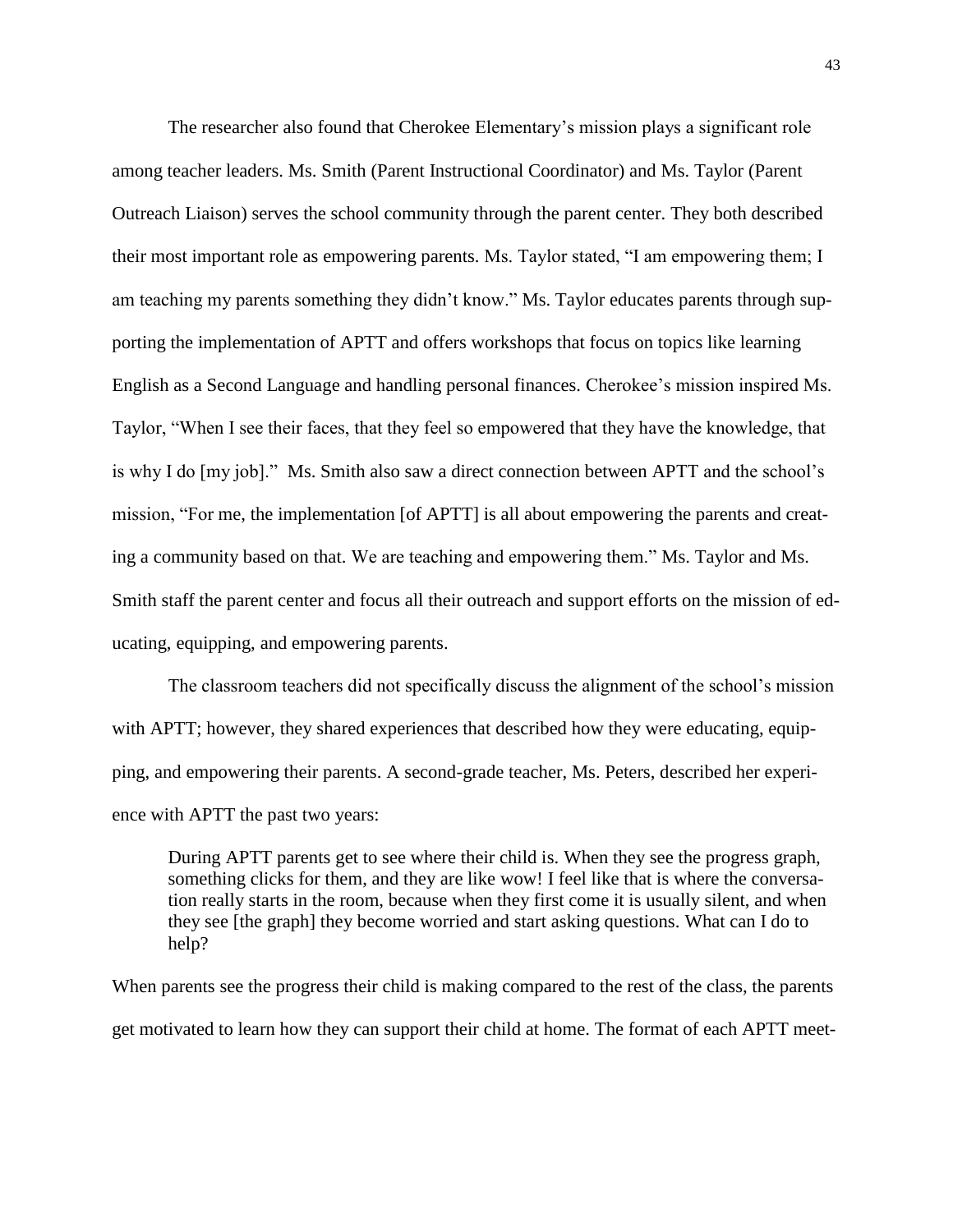The researcher also found that Cherokee Elementary's mission plays a significant role among teacher leaders. Ms. Smith (Parent Instructional Coordinator) and Ms. Taylor (Parent Outreach Liaison) serves the school community through the parent center. They both described their most important role as empowering parents. Ms. Taylor stated, "I am empowering them; I am teaching my parents something they didn't know." Ms. Taylor educates parents through supporting the implementation of APTT and offers workshops that focus on topics like learning English as a Second Language and handling personal finances. Cherokee's mission inspired Ms. Taylor, "When I see their faces, that they feel so empowered that they have the knowledge, that is why I do [my job]." Ms. Smith also saw a direct connection between APTT and the school's mission, "For me, the implementation [of APTT] is all about empowering the parents and creating a community based on that. We are teaching and empowering them." Ms. Taylor and Ms. Smith staff the parent center and focus all their outreach and support efforts on the mission of educating, equipping, and empowering parents.

The classroom teachers did not specifically discuss the alignment of the school's mission with APTT; however, they shared experiences that described how they were educating, equipping, and empowering their parents. A second-grade teacher, Ms. Peters, described her experience with APTT the past two years:

During APTT parents get to see where their child is. When they see the progress graph, something clicks for them, and they are like wow! I feel like that is where the conversation really starts in the room, because when they first come it is usually silent, and when they see [the graph] they become worried and start asking questions. What can I do to help?

When parents see the progress their child is making compared to the rest of the class, the parents get motivated to learn how they can support their child at home. The format of each APTT meet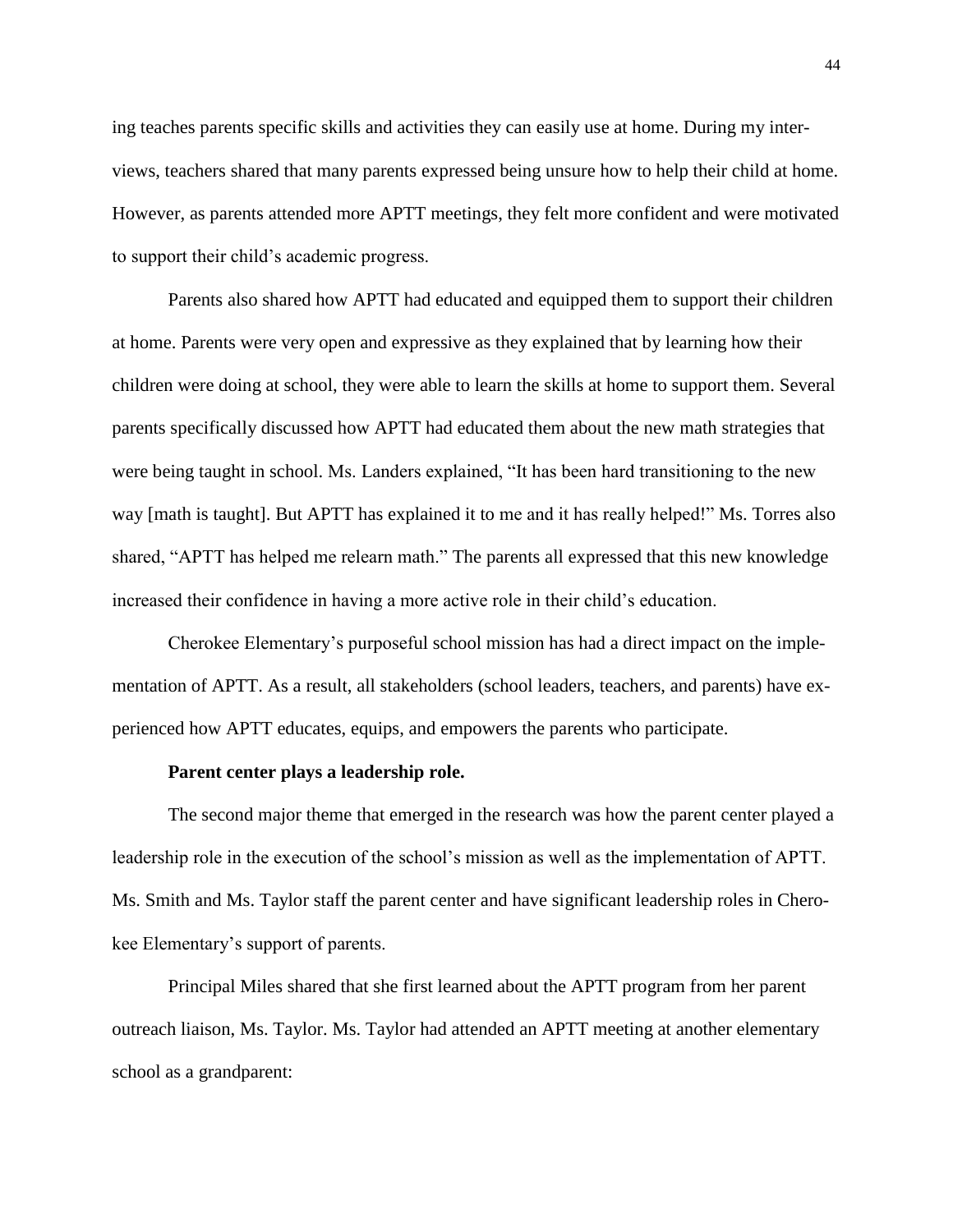ing teaches parents specific skills and activities they can easily use at home. During my interviews, teachers shared that many parents expressed being unsure how to help their child at home. However, as parents attended more APTT meetings, they felt more confident and were motivated to support their child's academic progress.

Parents also shared how APTT had educated and equipped them to support their children at home. Parents were very open and expressive as they explained that by learning how their children were doing at school, they were able to learn the skills at home to support them. Several parents specifically discussed how APTT had educated them about the new math strategies that were being taught in school. Ms. Landers explained, "It has been hard transitioning to the new way [math is taught]. But APTT has explained it to me and it has really helped!" Ms. Torres also shared, "APTT has helped me relearn math." The parents all expressed that this new knowledge increased their confidence in having a more active role in their child's education.

Cherokee Elementary's purposeful school mission has had a direct impact on the implementation of APTT. As a result, all stakeholders (school leaders, teachers, and parents) have experienced how APTT educates, equips, and empowers the parents who participate.

#### **Parent center plays a leadership role.**

The second major theme that emerged in the research was how the parent center played a leadership role in the execution of the school's mission as well as the implementation of APTT. Ms. Smith and Ms. Taylor staff the parent center and have significant leadership roles in Cherokee Elementary's support of parents.

Principal Miles shared that she first learned about the APTT program from her parent outreach liaison, Ms. Taylor. Ms. Taylor had attended an APTT meeting at another elementary school as a grandparent: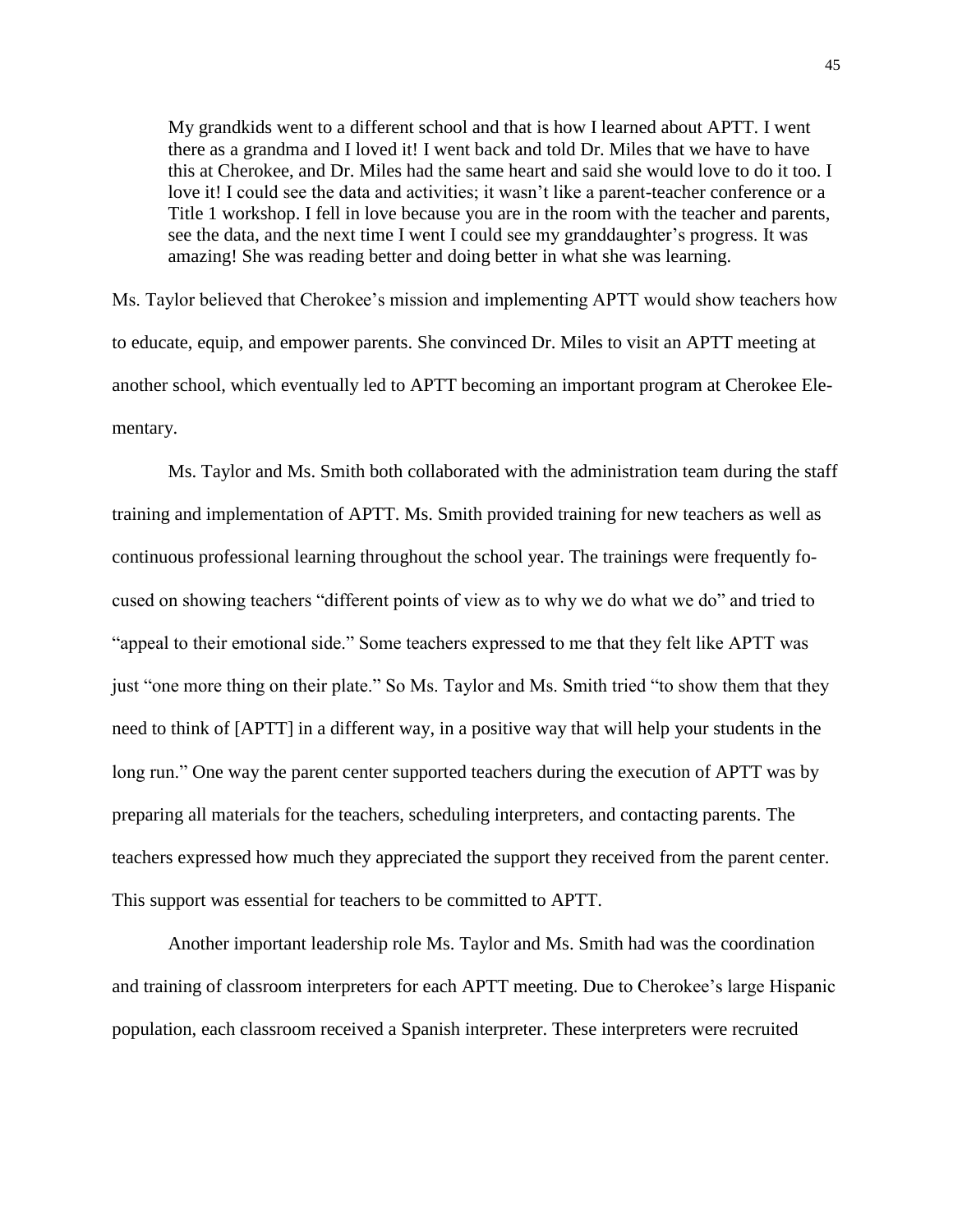My grandkids went to a different school and that is how I learned about APTT. I went there as a grandma and I loved it! I went back and told Dr. Miles that we have to have this at Cherokee, and Dr. Miles had the same heart and said she would love to do it too. I love it! I could see the data and activities; it wasn't like a parent-teacher conference or a Title 1 workshop. I fell in love because you are in the room with the teacher and parents, see the data, and the next time I went I could see my granddaughter's progress. It was amazing! She was reading better and doing better in what she was learning.

Ms. Taylor believed that Cherokee's mission and implementing APTT would show teachers how to educate, equip, and empower parents. She convinced Dr. Miles to visit an APTT meeting at another school, which eventually led to APTT becoming an important program at Cherokee Elementary.

Ms. Taylor and Ms. Smith both collaborated with the administration team during the staff training and implementation of APTT. Ms. Smith provided training for new teachers as well as continuous professional learning throughout the school year. The trainings were frequently focused on showing teachers "different points of view as to why we do what we do" and tried to "appeal to their emotional side." Some teachers expressed to me that they felt like APTT was just "one more thing on their plate." So Ms. Taylor and Ms. Smith tried "to show them that they need to think of [APTT] in a different way, in a positive way that will help your students in the long run." One way the parent center supported teachers during the execution of APTT was by preparing all materials for the teachers, scheduling interpreters, and contacting parents. The teachers expressed how much they appreciated the support they received from the parent center. This support was essential for teachers to be committed to APTT.

Another important leadership role Ms. Taylor and Ms. Smith had was the coordination and training of classroom interpreters for each APTT meeting. Due to Cherokee's large Hispanic population, each classroom received a Spanish interpreter. These interpreters were recruited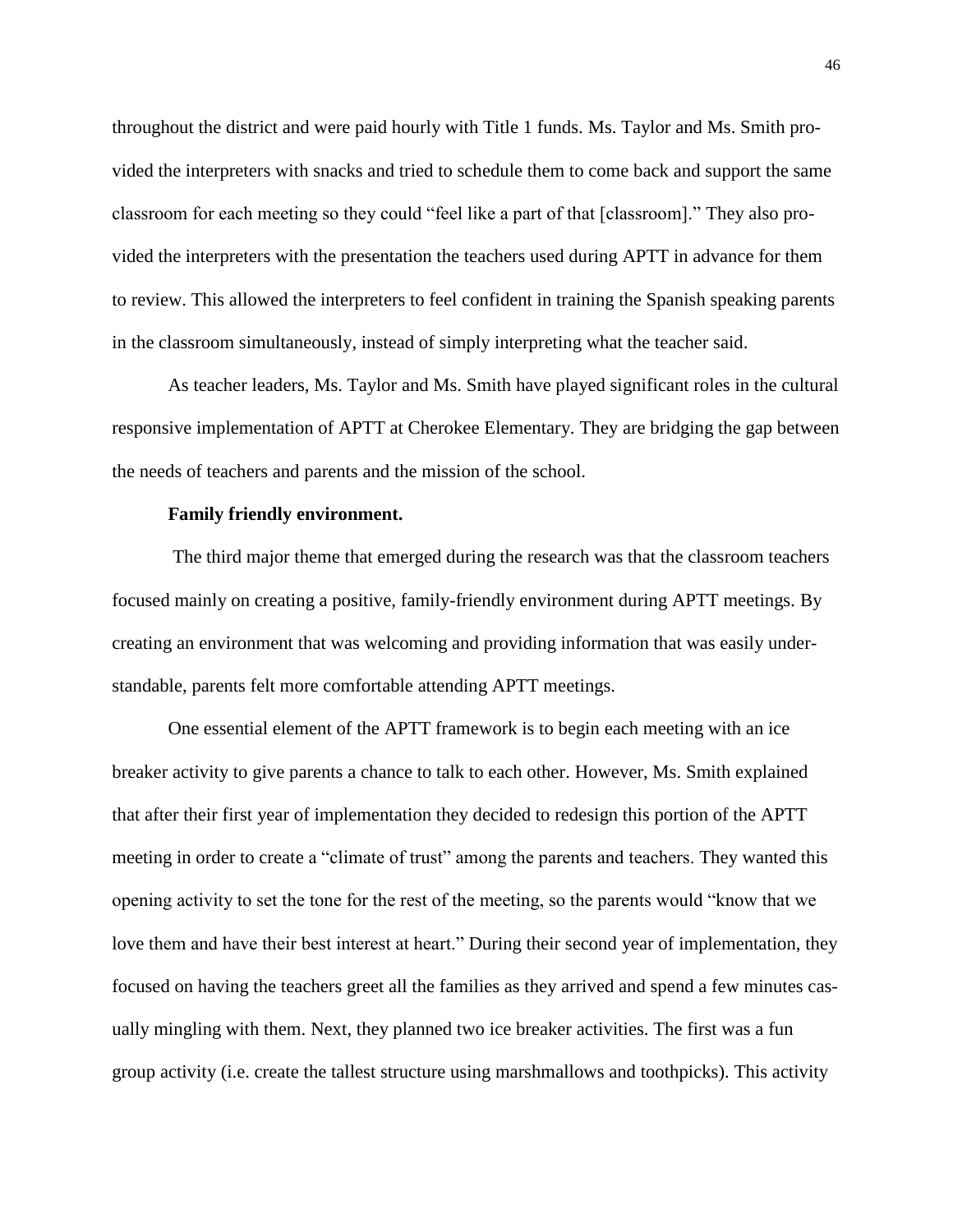throughout the district and were paid hourly with Title 1 funds. Ms. Taylor and Ms. Smith provided the interpreters with snacks and tried to schedule them to come back and support the same classroom for each meeting so they could "feel like a part of that [classroom]." They also provided the interpreters with the presentation the teachers used during APTT in advance for them to review. This allowed the interpreters to feel confident in training the Spanish speaking parents in the classroom simultaneously, instead of simply interpreting what the teacher said.

As teacher leaders, Ms. Taylor and Ms. Smith have played significant roles in the cultural responsive implementation of APTT at Cherokee Elementary. They are bridging the gap between the needs of teachers and parents and the mission of the school.

# **Family friendly environment.**

The third major theme that emerged during the research was that the classroom teachers focused mainly on creating a positive, family-friendly environment during APTT meetings. By creating an environment that was welcoming and providing information that was easily understandable, parents felt more comfortable attending APTT meetings.

One essential element of the APTT framework is to begin each meeting with an ice breaker activity to give parents a chance to talk to each other. However, Ms. Smith explained that after their first year of implementation they decided to redesign this portion of the APTT meeting in order to create a "climate of trust" among the parents and teachers. They wanted this opening activity to set the tone for the rest of the meeting, so the parents would "know that we love them and have their best interest at heart." During their second year of implementation, they focused on having the teachers greet all the families as they arrived and spend a few minutes casually mingling with them. Next, they planned two ice breaker activities. The first was a fun group activity (i.e. create the tallest structure using marshmallows and toothpicks). This activity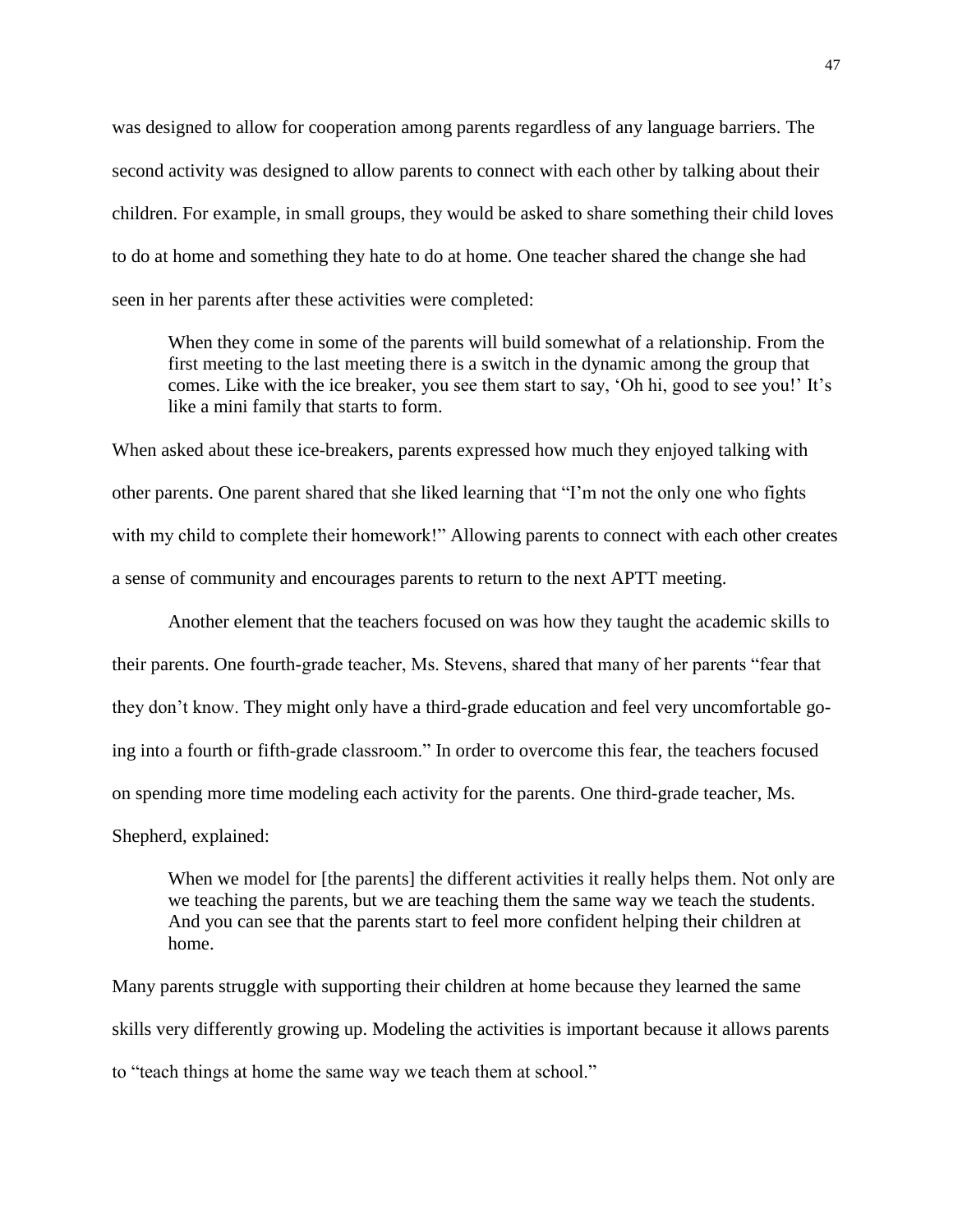was designed to allow for cooperation among parents regardless of any language barriers. The second activity was designed to allow parents to connect with each other by talking about their children. For example, in small groups, they would be asked to share something their child loves to do at home and something they hate to do at home. One teacher shared the change she had seen in her parents after these activities were completed:

When they come in some of the parents will build somewhat of a relationship. From the first meeting to the last meeting there is a switch in the dynamic among the group that comes. Like with the ice breaker, you see them start to say, 'Oh hi, good to see you!' It's like a mini family that starts to form.

When asked about these ice-breakers, parents expressed how much they enjoyed talking with other parents. One parent shared that she liked learning that "I'm not the only one who fights with my child to complete their homework!" Allowing parents to connect with each other creates a sense of community and encourages parents to return to the next APTT meeting.

Another element that the teachers focused on was how they taught the academic skills to their parents. One fourth-grade teacher, Ms. Stevens, shared that many of her parents "fear that they don't know. They might only have a third-grade education and feel very uncomfortable going into a fourth or fifth-grade classroom." In order to overcome this fear, the teachers focused on spending more time modeling each activity for the parents. One third-grade teacher, Ms.

Shepherd, explained:

When we model for [the parents] the different activities it really helps them. Not only are we teaching the parents, but we are teaching them the same way we teach the students. And you can see that the parents start to feel more confident helping their children at home.

Many parents struggle with supporting their children at home because they learned the same skills very differently growing up. Modeling the activities is important because it allows parents to "teach things at home the same way we teach them at school."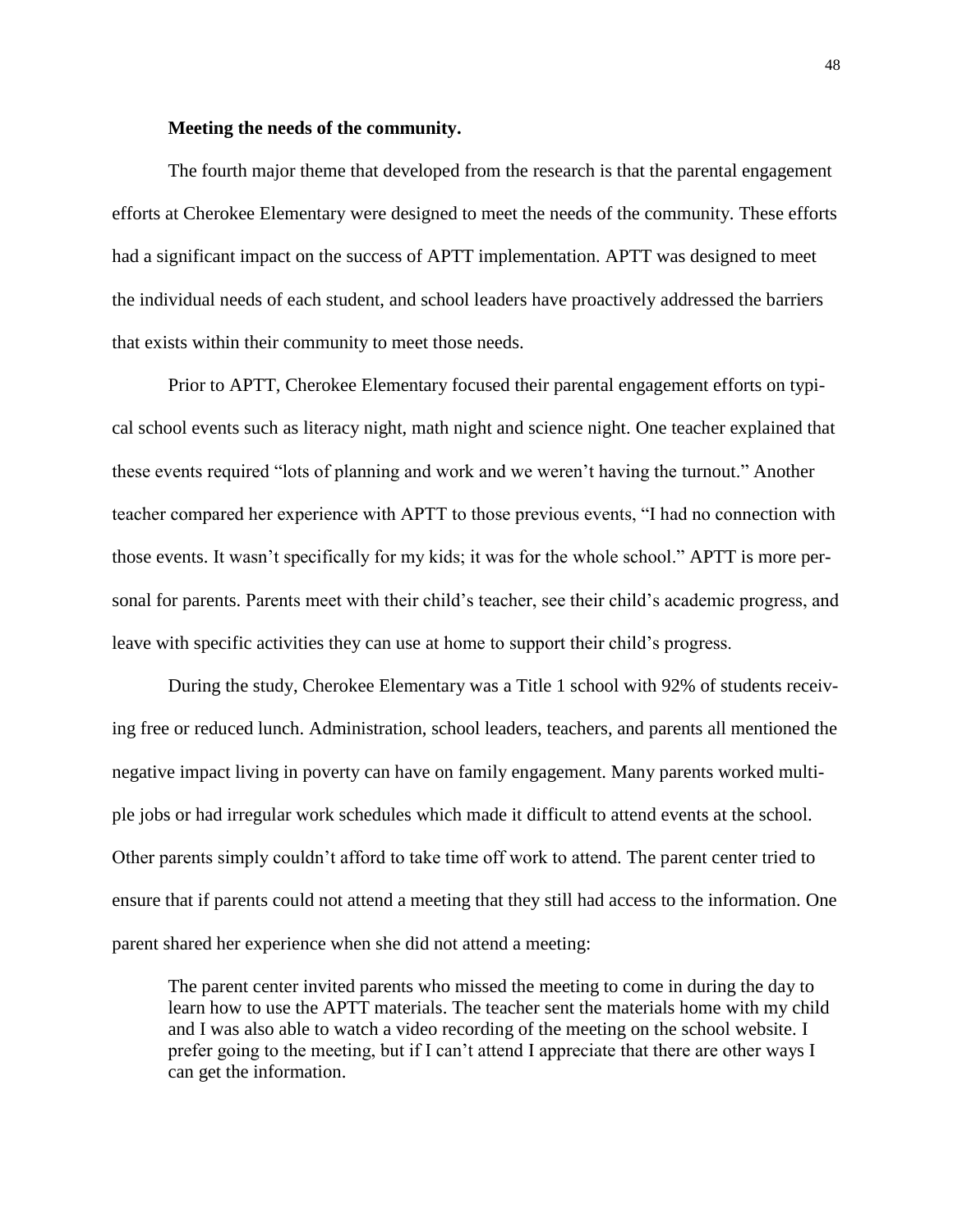# **Meeting the needs of the community.**

The fourth major theme that developed from the research is that the parental engagement efforts at Cherokee Elementary were designed to meet the needs of the community. These efforts had a significant impact on the success of APTT implementation. APTT was designed to meet the individual needs of each student, and school leaders have proactively addressed the barriers that exists within their community to meet those needs.

Prior to APTT, Cherokee Elementary focused their parental engagement efforts on typical school events such as literacy night, math night and science night. One teacher explained that these events required "lots of planning and work and we weren't having the turnout." Another teacher compared her experience with APTT to those previous events, "I had no connection with those events. It wasn't specifically for my kids; it was for the whole school." APTT is more personal for parents. Parents meet with their child's teacher, see their child's academic progress, and leave with specific activities they can use at home to support their child's progress.

During the study, Cherokee Elementary was a Title 1 school with 92% of students receiving free or reduced lunch. Administration, school leaders, teachers, and parents all mentioned the negative impact living in poverty can have on family engagement. Many parents worked multiple jobs or had irregular work schedules which made it difficult to attend events at the school. Other parents simply couldn't afford to take time off work to attend. The parent center tried to ensure that if parents could not attend a meeting that they still had access to the information. One parent shared her experience when she did not attend a meeting:

The parent center invited parents who missed the meeting to come in during the day to learn how to use the APTT materials. The teacher sent the materials home with my child and I was also able to watch a video recording of the meeting on the school website. I prefer going to the meeting, but if I can't attend I appreciate that there are other ways I can get the information.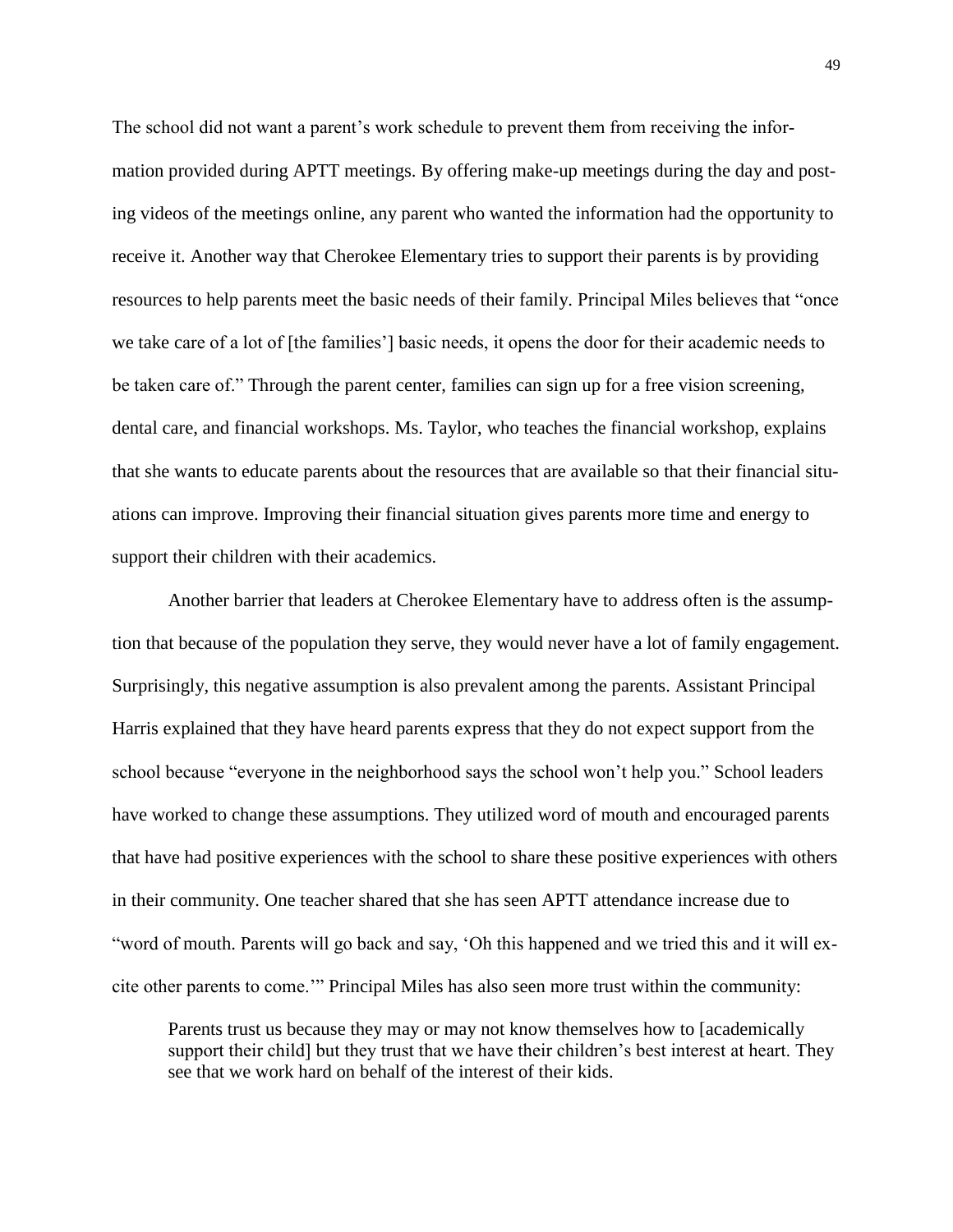The school did not want a parent's work schedule to prevent them from receiving the information provided during APTT meetings. By offering make-up meetings during the day and posting videos of the meetings online, any parent who wanted the information had the opportunity to receive it. Another way that Cherokee Elementary tries to support their parents is by providing resources to help parents meet the basic needs of their family. Principal Miles believes that "once we take care of a lot of [the families'] basic needs, it opens the door for their academic needs to be taken care of." Through the parent center, families can sign up for a free vision screening, dental care, and financial workshops. Ms. Taylor, who teaches the financial workshop, explains that she wants to educate parents about the resources that are available so that their financial situations can improve. Improving their financial situation gives parents more time and energy to support their children with their academics.

Another barrier that leaders at Cherokee Elementary have to address often is the assumption that because of the population they serve, they would never have a lot of family engagement. Surprisingly, this negative assumption is also prevalent among the parents. Assistant Principal Harris explained that they have heard parents express that they do not expect support from the school because "everyone in the neighborhood says the school won't help you." School leaders have worked to change these assumptions. They utilized word of mouth and encouraged parents that have had positive experiences with the school to share these positive experiences with others in their community. One teacher shared that she has seen APTT attendance increase due to "word of mouth. Parents will go back and say, 'Oh this happened and we tried this and it will excite other parents to come.'" Principal Miles has also seen more trust within the community:

Parents trust us because they may or may not know themselves how to [academically support their child] but they trust that we have their children's best interest at heart. They see that we work hard on behalf of the interest of their kids.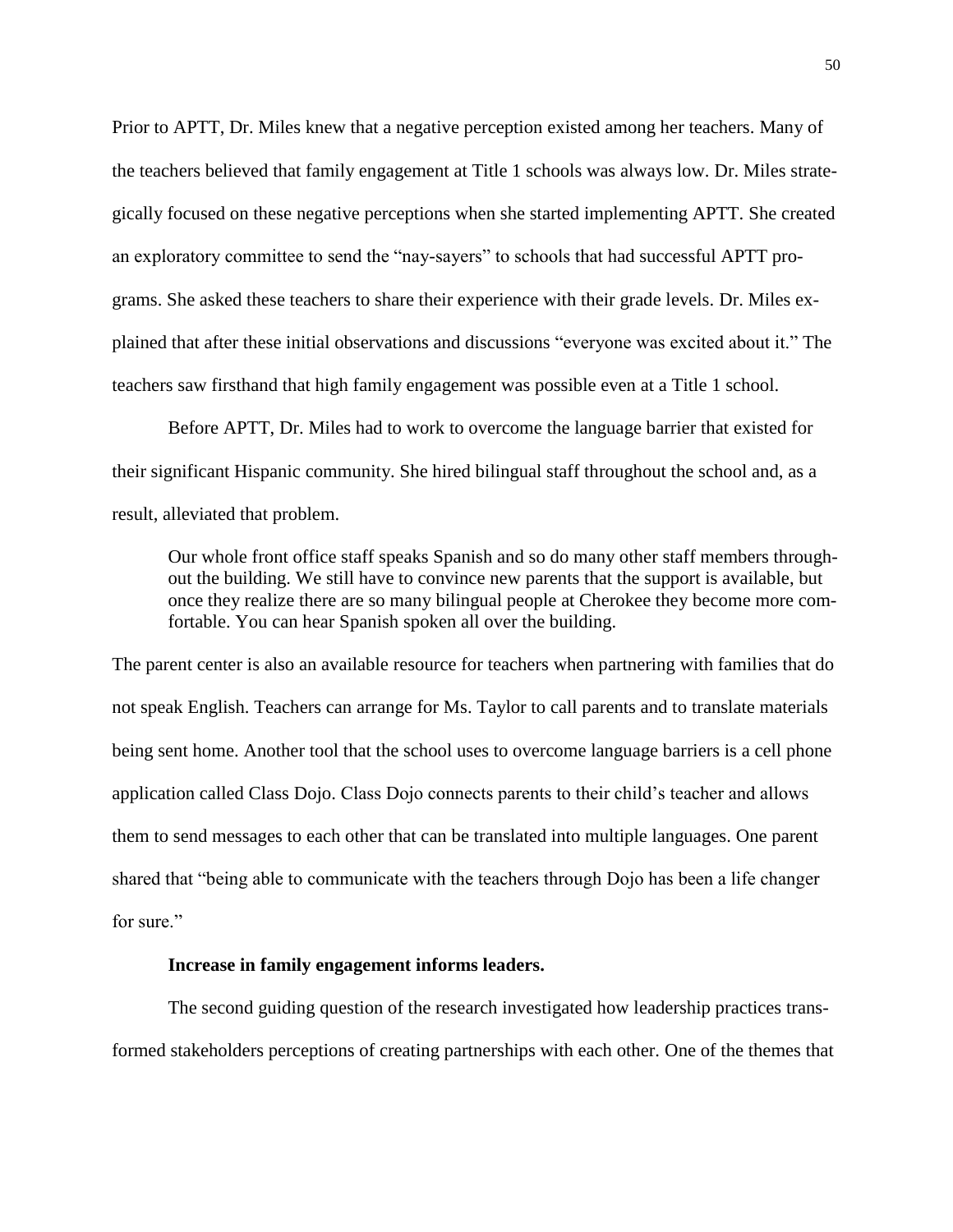Prior to APTT, Dr. Miles knew that a negative perception existed among her teachers. Many of the teachers believed that family engagement at Title 1 schools was always low. Dr. Miles strategically focused on these negative perceptions when she started implementing APTT. She created an exploratory committee to send the "nay-sayers" to schools that had successful APTT programs. She asked these teachers to share their experience with their grade levels. Dr. Miles explained that after these initial observations and discussions "everyone was excited about it." The teachers saw firsthand that high family engagement was possible even at a Title 1 school.

Before APTT, Dr. Miles had to work to overcome the language barrier that existed for their significant Hispanic community. She hired bilingual staff throughout the school and, as a result, alleviated that problem.

Our whole front office staff speaks Spanish and so do many other staff members throughout the building. We still have to convince new parents that the support is available, but once they realize there are so many bilingual people at Cherokee they become more comfortable. You can hear Spanish spoken all over the building.

The parent center is also an available resource for teachers when partnering with families that do not speak English. Teachers can arrange for Ms. Taylor to call parents and to translate materials being sent home. Another tool that the school uses to overcome language barriers is a cell phone application called Class Dojo. Class Dojo connects parents to their child's teacher and allows them to send messages to each other that can be translated into multiple languages. One parent shared that "being able to communicate with the teachers through Dojo has been a life changer for sure."

# **Increase in family engagement informs leaders.**

The second guiding question of the research investigated how leadership practices transformed stakeholders perceptions of creating partnerships with each other. One of the themes that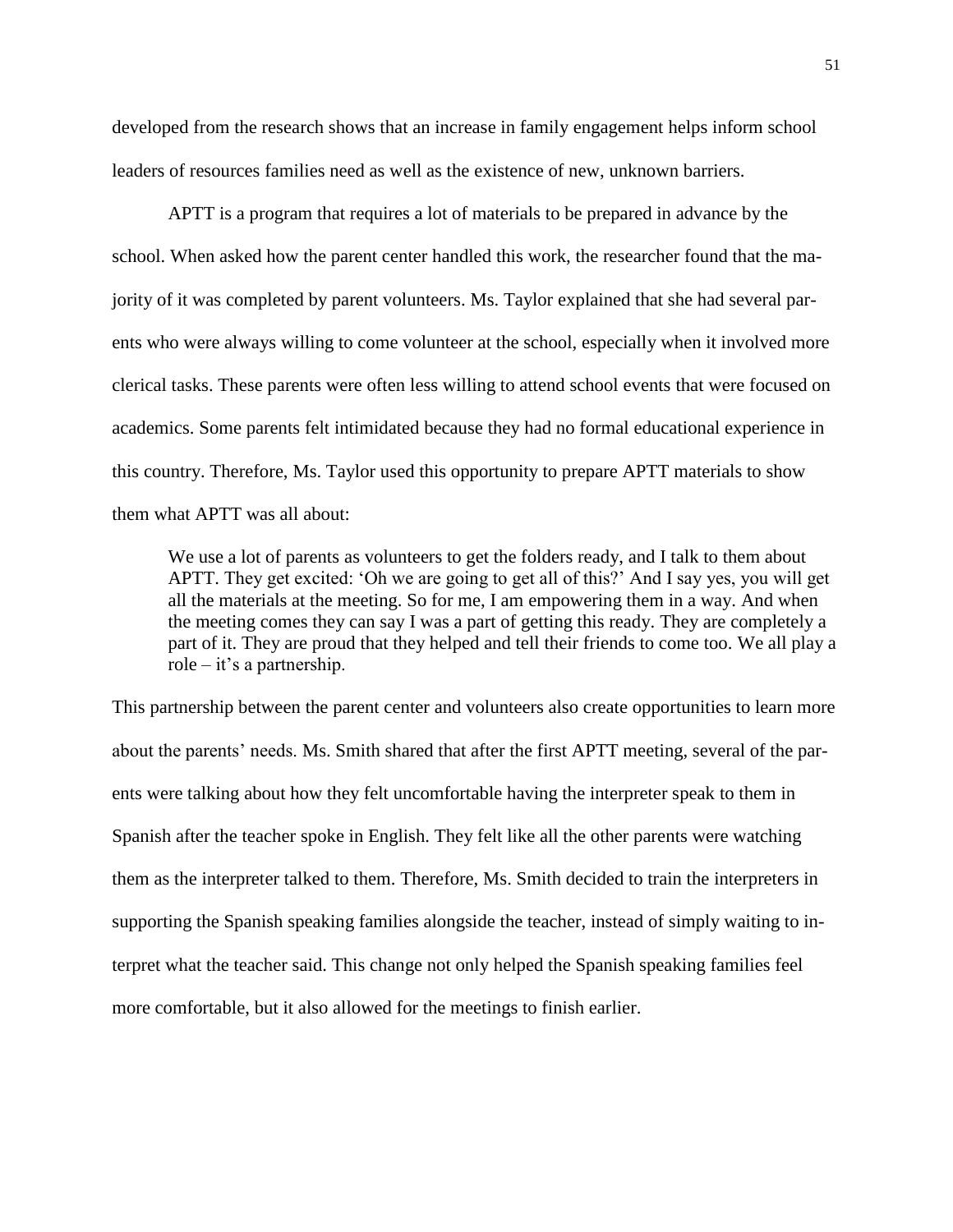developed from the research shows that an increase in family engagement helps inform school leaders of resources families need as well as the existence of new, unknown barriers.

APTT is a program that requires a lot of materials to be prepared in advance by the school. When asked how the parent center handled this work, the researcher found that the majority of it was completed by parent volunteers. Ms. Taylor explained that she had several parents who were always willing to come volunteer at the school, especially when it involved more clerical tasks. These parents were often less willing to attend school events that were focused on academics. Some parents felt intimidated because they had no formal educational experience in this country. Therefore, Ms. Taylor used this opportunity to prepare APTT materials to show them what APTT was all about:

We use a lot of parents as volunteers to get the folders ready, and I talk to them about APTT. They get excited: 'Oh we are going to get all of this?' And I say yes, you will get all the materials at the meeting. So for me, I am empowering them in a way. And when the meeting comes they can say I was a part of getting this ready. They are completely a part of it. They are proud that they helped and tell their friends to come too. We all play a role – it's a partnership.

This partnership between the parent center and volunteers also create opportunities to learn more about the parents' needs. Ms. Smith shared that after the first APTT meeting, several of the parents were talking about how they felt uncomfortable having the interpreter speak to them in Spanish after the teacher spoke in English. They felt like all the other parents were watching them as the interpreter talked to them. Therefore, Ms. Smith decided to train the interpreters in supporting the Spanish speaking families alongside the teacher, instead of simply waiting to interpret what the teacher said. This change not only helped the Spanish speaking families feel more comfortable, but it also allowed for the meetings to finish earlier.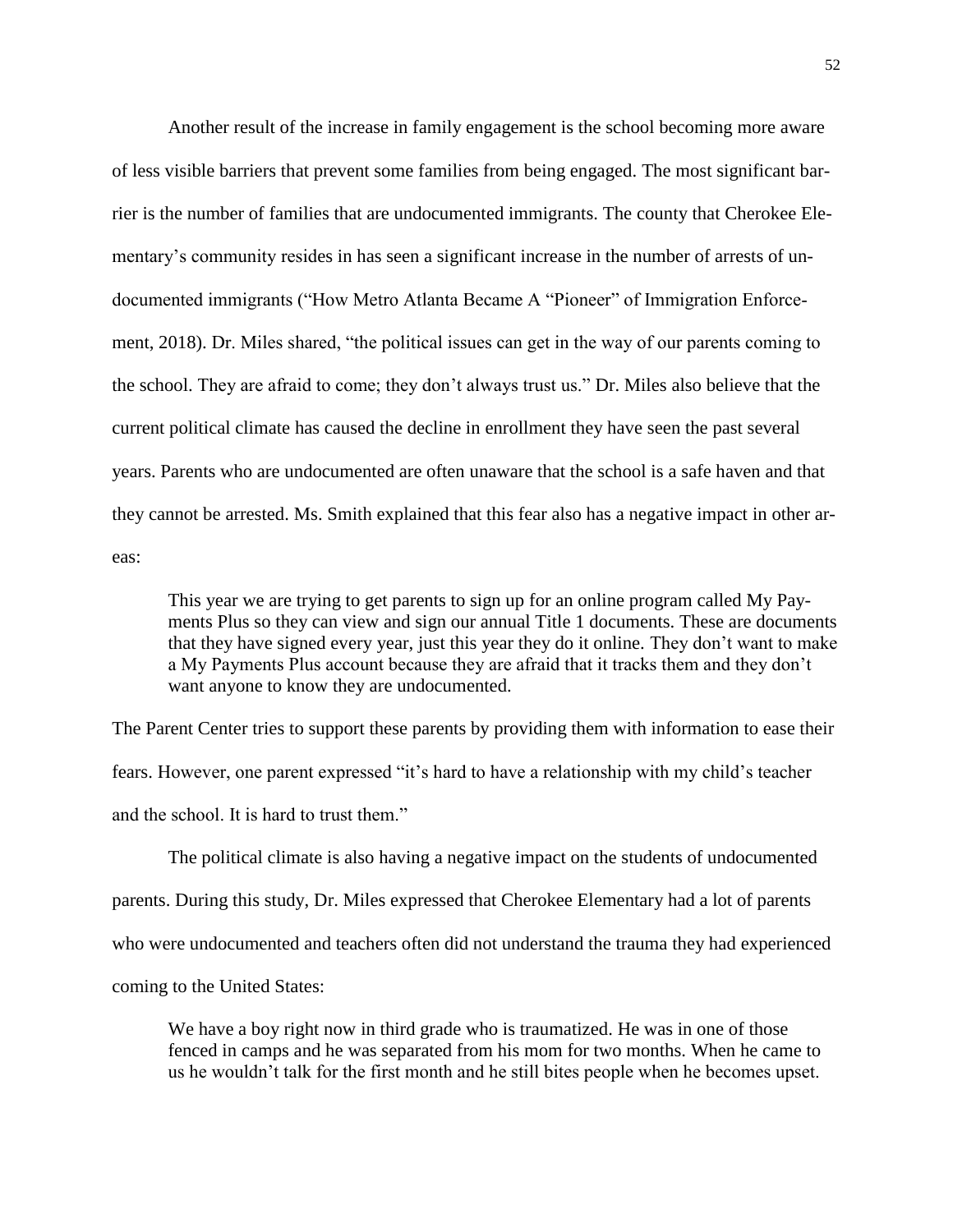Another result of the increase in family engagement is the school becoming more aware of less visible barriers that prevent some families from being engaged. The most significant barrier is the number of families that are undocumented immigrants. The county that Cherokee Elementary's community resides in has seen a significant increase in the number of arrests of undocumented immigrants ("How Metro Atlanta Became A "Pioneer" of Immigration Enforcement, 2018). Dr. Miles shared, "the political issues can get in the way of our parents coming to the school. They are afraid to come; they don't always trust us." Dr. Miles also believe that the current political climate has caused the decline in enrollment they have seen the past several years. Parents who are undocumented are often unaware that the school is a safe haven and that they cannot be arrested. Ms. Smith explained that this fear also has a negative impact in other areas:

This year we are trying to get parents to sign up for an online program called My Payments Plus so they can view and sign our annual Title 1 documents. These are documents that they have signed every year, just this year they do it online. They don't want to make a My Payments Plus account because they are afraid that it tracks them and they don't want anyone to know they are undocumented.

The Parent Center tries to support these parents by providing them with information to ease their fears. However, one parent expressed "it's hard to have a relationship with my child's teacher and the school. It is hard to trust them."

The political climate is also having a negative impact on the students of undocumented parents. During this study, Dr. Miles expressed that Cherokee Elementary had a lot of parents who were undocumented and teachers often did not understand the trauma they had experienced coming to the United States:

We have a boy right now in third grade who is traumatized. He was in one of those fenced in camps and he was separated from his mom for two months. When he came to us he wouldn't talk for the first month and he still bites people when he becomes upset.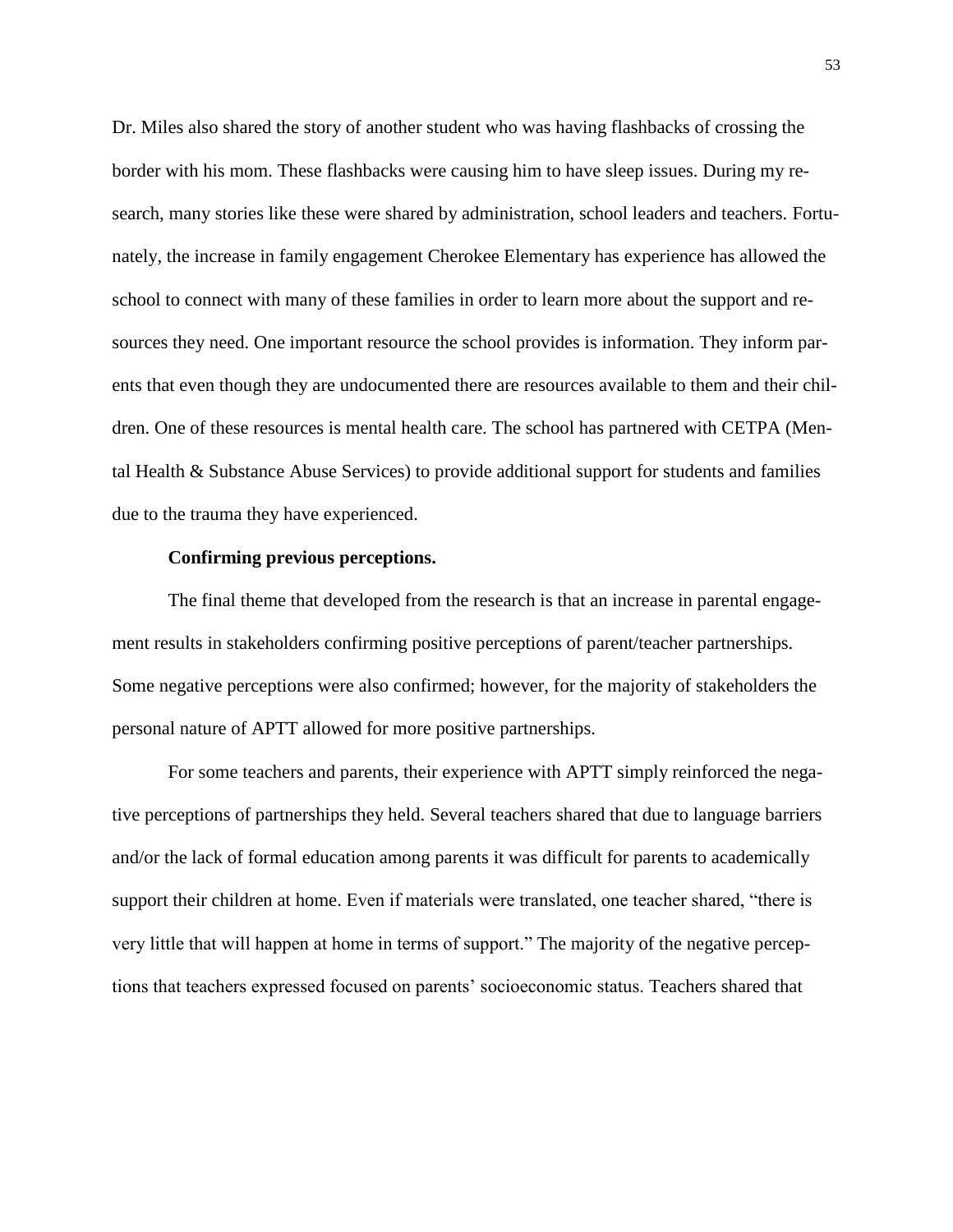Dr. Miles also shared the story of another student who was having flashbacks of crossing the border with his mom. These flashbacks were causing him to have sleep issues. During my research, many stories like these were shared by administration, school leaders and teachers. Fortunately, the increase in family engagement Cherokee Elementary has experience has allowed the school to connect with many of these families in order to learn more about the support and resources they need. One important resource the school provides is information. They inform parents that even though they are undocumented there are resources available to them and their children. One of these resources is mental health care. The school has partnered with CETPA (Mental Health & Substance Abuse Services) to provide additional support for students and families due to the trauma they have experienced.

## **Confirming previous perceptions.**

The final theme that developed from the research is that an increase in parental engagement results in stakeholders confirming positive perceptions of parent/teacher partnerships. Some negative perceptions were also confirmed; however, for the majority of stakeholders the personal nature of APTT allowed for more positive partnerships.

For some teachers and parents, their experience with APTT simply reinforced the negative perceptions of partnerships they held. Several teachers shared that due to language barriers and/or the lack of formal education among parents it was difficult for parents to academically support their children at home. Even if materials were translated, one teacher shared, "there is very little that will happen at home in terms of support." The majority of the negative perceptions that teachers expressed focused on parents' socioeconomic status. Teachers shared that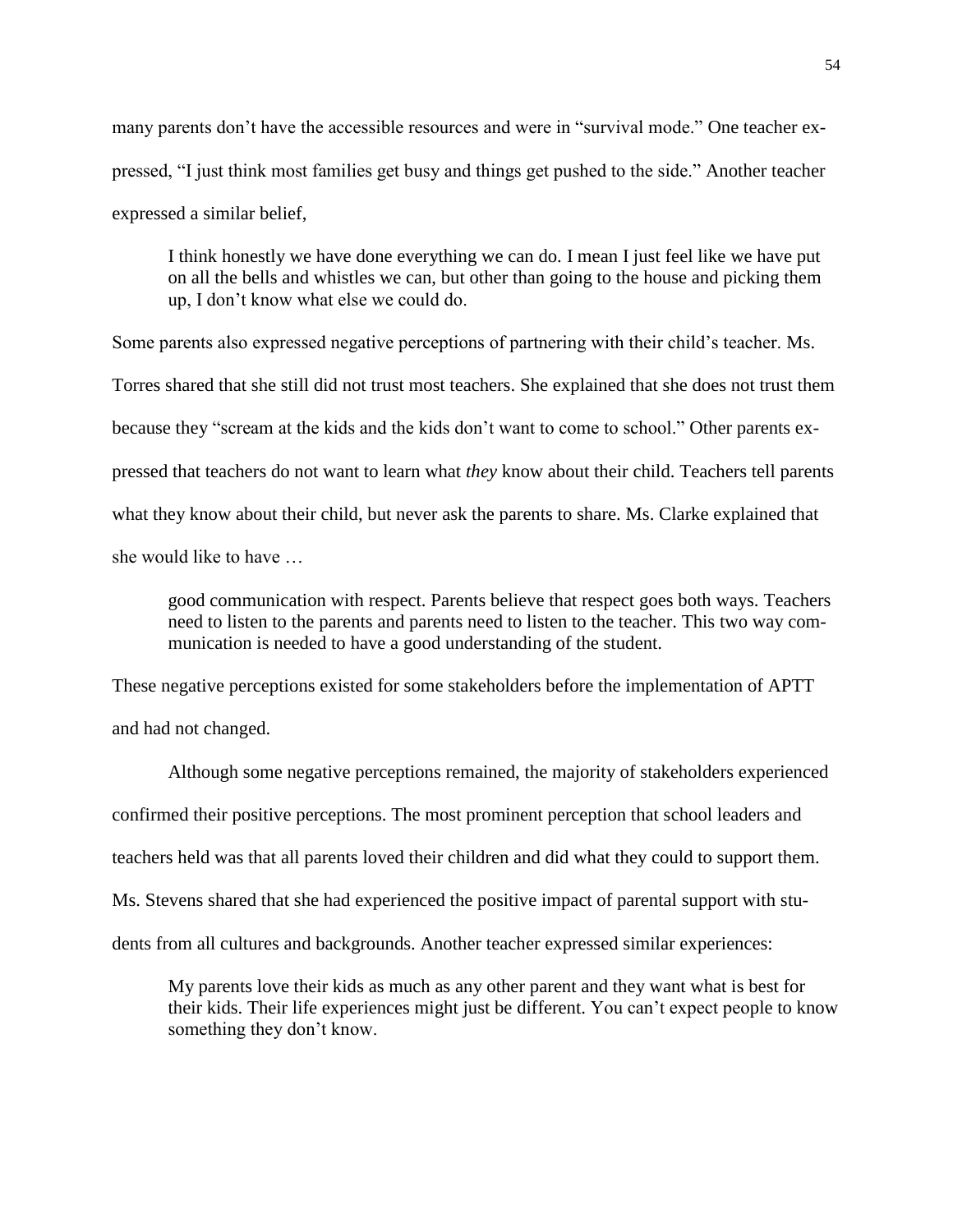many parents don't have the accessible resources and were in "survival mode." One teacher expressed, "I just think most families get busy and things get pushed to the side." Another teacher expressed a similar belief,

I think honestly we have done everything we can do. I mean I just feel like we have put on all the bells and whistles we can, but other than going to the house and picking them up, I don't know what else we could do.

Some parents also expressed negative perceptions of partnering with their child's teacher. Ms. Torres shared that she still did not trust most teachers. She explained that she does not trust them because they "scream at the kids and the kids don't want to come to school." Other parents expressed that teachers do not want to learn what *they* know about their child. Teachers tell parents what they know about their child, but never ask the parents to share. Ms. Clarke explained that she would like to have …

good communication with respect. Parents believe that respect goes both ways. Teachers need to listen to the parents and parents need to listen to the teacher. This two way communication is needed to have a good understanding of the student.

These negative perceptions existed for some stakeholders before the implementation of APTT and had not changed.

Although some negative perceptions remained, the majority of stakeholders experienced confirmed their positive perceptions. The most prominent perception that school leaders and teachers held was that all parents loved their children and did what they could to support them. Ms. Stevens shared that she had experienced the positive impact of parental support with students from all cultures and backgrounds. Another teacher expressed similar experiences:

My parents love their kids as much as any other parent and they want what is best for their kids. Their life experiences might just be different. You can't expect people to know something they don't know.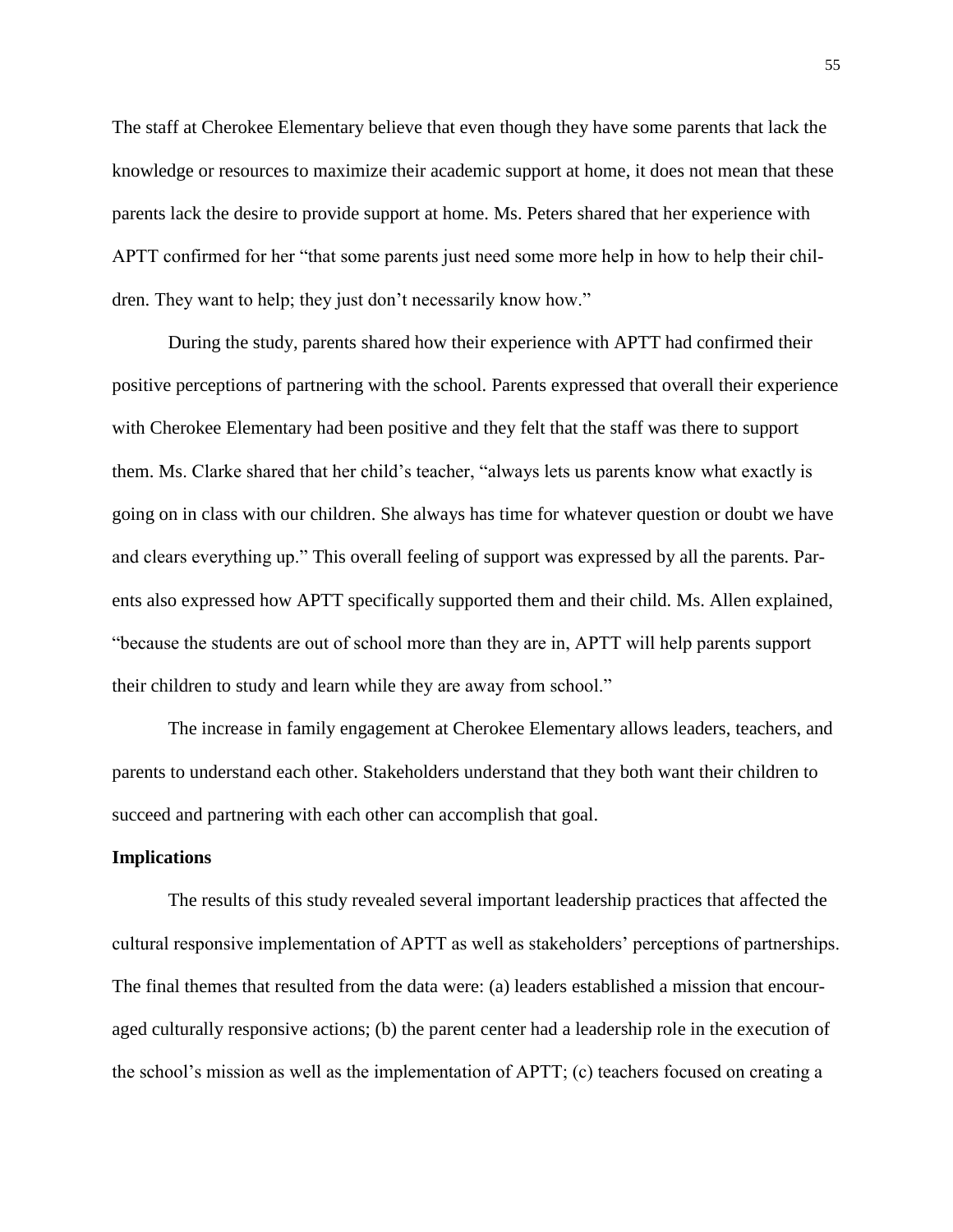The staff at Cherokee Elementary believe that even though they have some parents that lack the knowledge or resources to maximize their academic support at home, it does not mean that these parents lack the desire to provide support at home. Ms. Peters shared that her experience with APTT confirmed for her "that some parents just need some more help in how to help their children. They want to help; they just don't necessarily know how."

During the study, parents shared how their experience with APTT had confirmed their positive perceptions of partnering with the school. Parents expressed that overall their experience with Cherokee Elementary had been positive and they felt that the staff was there to support them. Ms. Clarke shared that her child's teacher, "always lets us parents know what exactly is going on in class with our children. She always has time for whatever question or doubt we have and clears everything up." This overall feeling of support was expressed by all the parents. Parents also expressed how APTT specifically supported them and their child. Ms. Allen explained, "because the students are out of school more than they are in, APTT will help parents support their children to study and learn while they are away from school."

The increase in family engagement at Cherokee Elementary allows leaders, teachers, and parents to understand each other. Stakeholders understand that they both want their children to succeed and partnering with each other can accomplish that goal.

#### **Implications**

The results of this study revealed several important leadership practices that affected the cultural responsive implementation of APTT as well as stakeholders' perceptions of partnerships. The final themes that resulted from the data were: (a) leaders established a mission that encouraged culturally responsive actions; (b) the parent center had a leadership role in the execution of the school's mission as well as the implementation of APTT; (c) teachers focused on creating a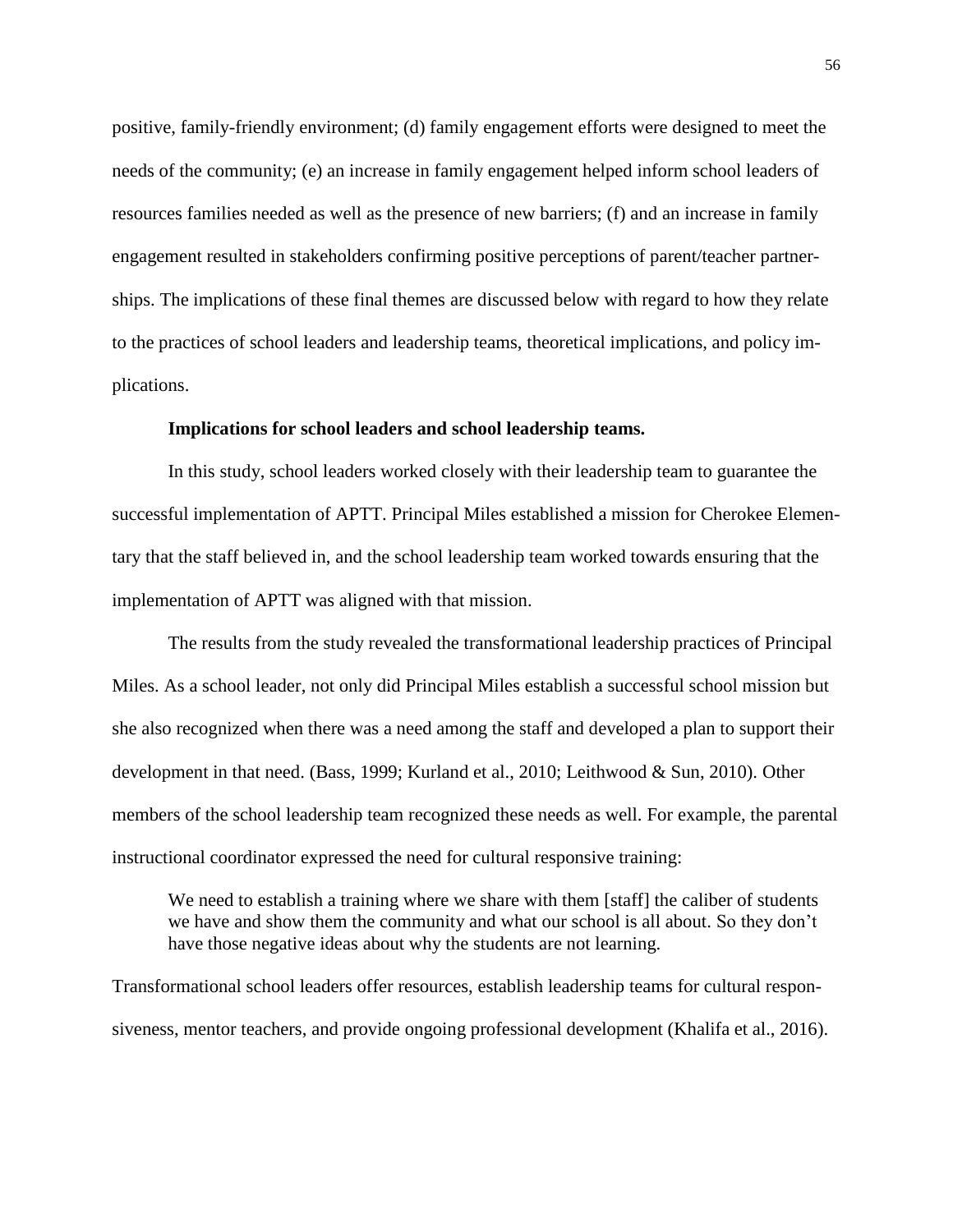positive, family-friendly environment; (d) family engagement efforts were designed to meet the needs of the community; (e) an increase in family engagement helped inform school leaders of resources families needed as well as the presence of new barriers; (f) and an increase in family engagement resulted in stakeholders confirming positive perceptions of parent/teacher partnerships. The implications of these final themes are discussed below with regard to how they relate to the practices of school leaders and leadership teams, theoretical implications, and policy implications.

# **Implications for school leaders and school leadership teams.**

In this study, school leaders worked closely with their leadership team to guarantee the successful implementation of APTT. Principal Miles established a mission for Cherokee Elementary that the staff believed in, and the school leadership team worked towards ensuring that the implementation of APTT was aligned with that mission.

The results from the study revealed the transformational leadership practices of Principal Miles. As a school leader, not only did Principal Miles establish a successful school mission but she also recognized when there was a need among the staff and developed a plan to support their development in that need. (Bass, 1999; Kurland et al., 2010; Leithwood & Sun, 2010). Other members of the school leadership team recognized these needs as well. For example, the parental instructional coordinator expressed the need for cultural responsive training:

We need to establish a training where we share with them [staff] the caliber of students we have and show them the community and what our school is all about. So they don't have those negative ideas about why the students are not learning.

Transformational school leaders offer resources, establish leadership teams for cultural responsiveness, mentor teachers, and provide ongoing professional development (Khalifa et al., 2016).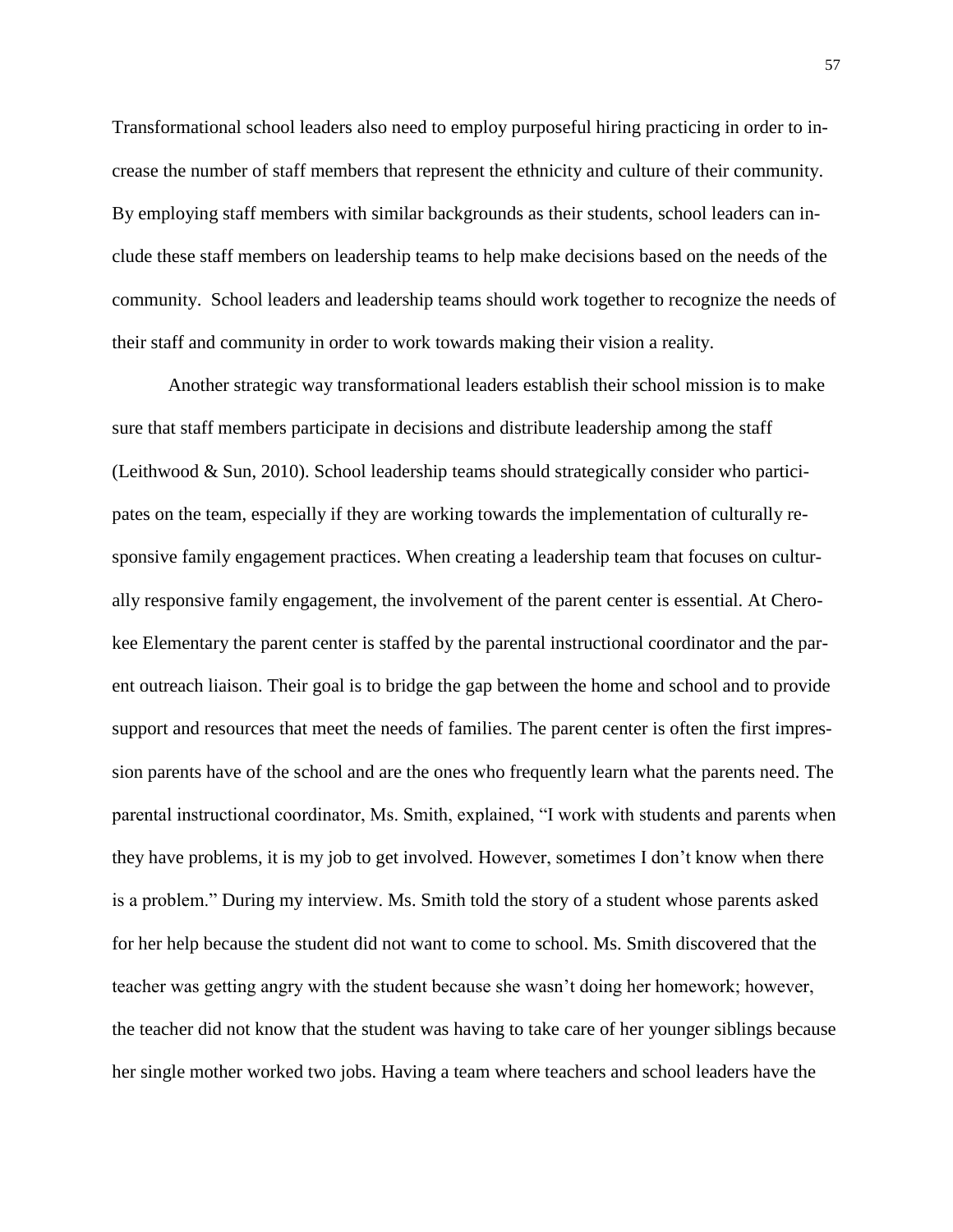Transformational school leaders also need to employ purposeful hiring practicing in order to increase the number of staff members that represent the ethnicity and culture of their community. By employing staff members with similar backgrounds as their students, school leaders can include these staff members on leadership teams to help make decisions based on the needs of the community. School leaders and leadership teams should work together to recognize the needs of their staff and community in order to work towards making their vision a reality.

Another strategic way transformational leaders establish their school mission is to make sure that staff members participate in decisions and distribute leadership among the staff (Leithwood & Sun, 2010). School leadership teams should strategically consider who participates on the team, especially if they are working towards the implementation of culturally responsive family engagement practices. When creating a leadership team that focuses on culturally responsive family engagement, the involvement of the parent center is essential. At Cherokee Elementary the parent center is staffed by the parental instructional coordinator and the parent outreach liaison. Their goal is to bridge the gap between the home and school and to provide support and resources that meet the needs of families. The parent center is often the first impression parents have of the school and are the ones who frequently learn what the parents need. The parental instructional coordinator, Ms. Smith, explained, "I work with students and parents when they have problems, it is my job to get involved. However, sometimes I don't know when there is a problem." During my interview. Ms. Smith told the story of a student whose parents asked for her help because the student did not want to come to school. Ms. Smith discovered that the teacher was getting angry with the student because she wasn't doing her homework; however, the teacher did not know that the student was having to take care of her younger siblings because her single mother worked two jobs. Having a team where teachers and school leaders have the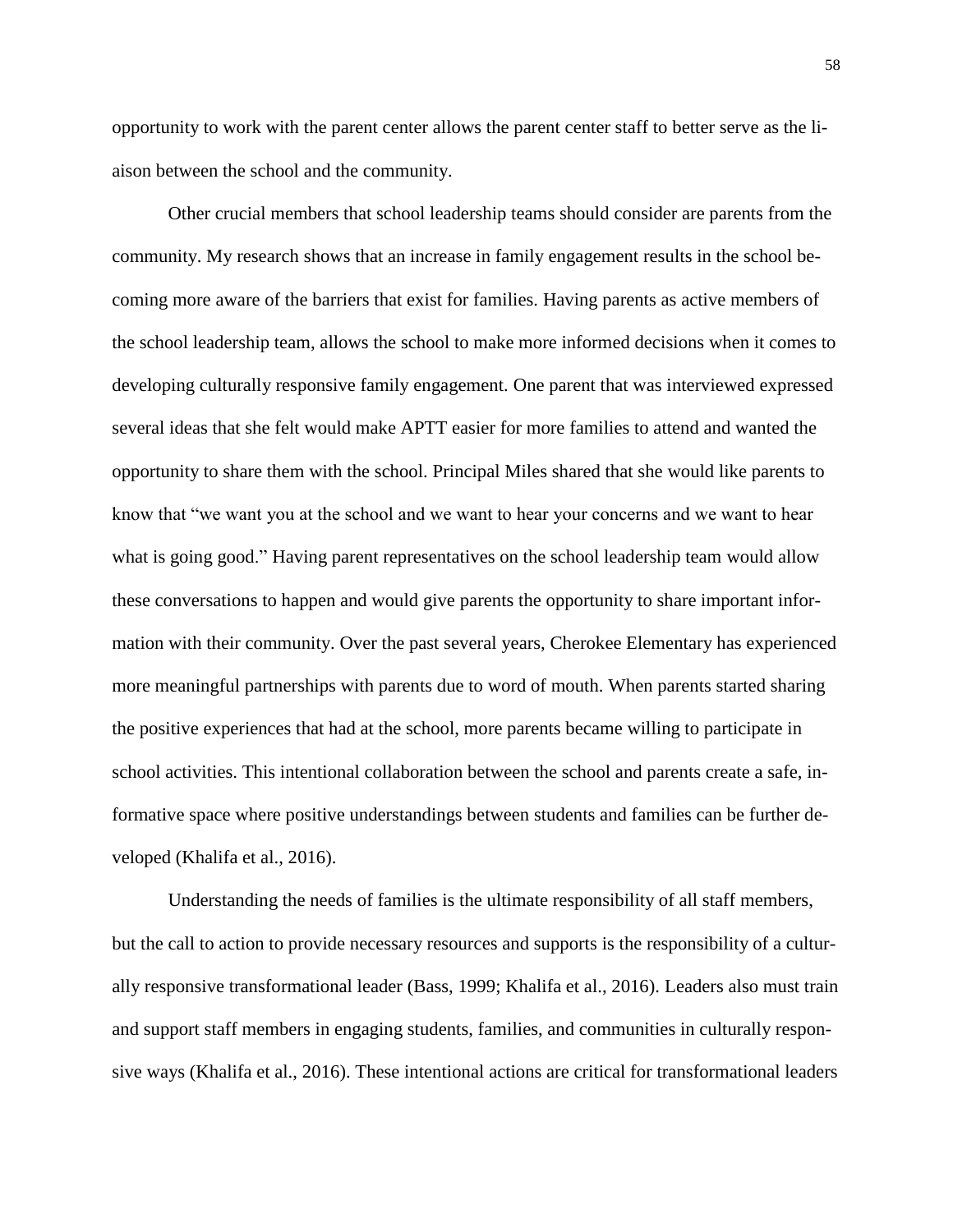opportunity to work with the parent center allows the parent center staff to better serve as the liaison between the school and the community.

Other crucial members that school leadership teams should consider are parents from the community. My research shows that an increase in family engagement results in the school becoming more aware of the barriers that exist for families. Having parents as active members of the school leadership team, allows the school to make more informed decisions when it comes to developing culturally responsive family engagement. One parent that was interviewed expressed several ideas that she felt would make APTT easier for more families to attend and wanted the opportunity to share them with the school. Principal Miles shared that she would like parents to know that "we want you at the school and we want to hear your concerns and we want to hear what is going good." Having parent representatives on the school leadership team would allow these conversations to happen and would give parents the opportunity to share important information with their community. Over the past several years, Cherokee Elementary has experienced more meaningful partnerships with parents due to word of mouth. When parents started sharing the positive experiences that had at the school, more parents became willing to participate in school activities. This intentional collaboration between the school and parents create a safe, informative space where positive understandings between students and families can be further developed (Khalifa et al., 2016).

Understanding the needs of families is the ultimate responsibility of all staff members, but the call to action to provide necessary resources and supports is the responsibility of a culturally responsive transformational leader (Bass, 1999; Khalifa et al., 2016). Leaders also must train and support staff members in engaging students, families, and communities in culturally responsive ways (Khalifa et al., 2016). These intentional actions are critical for transformational leaders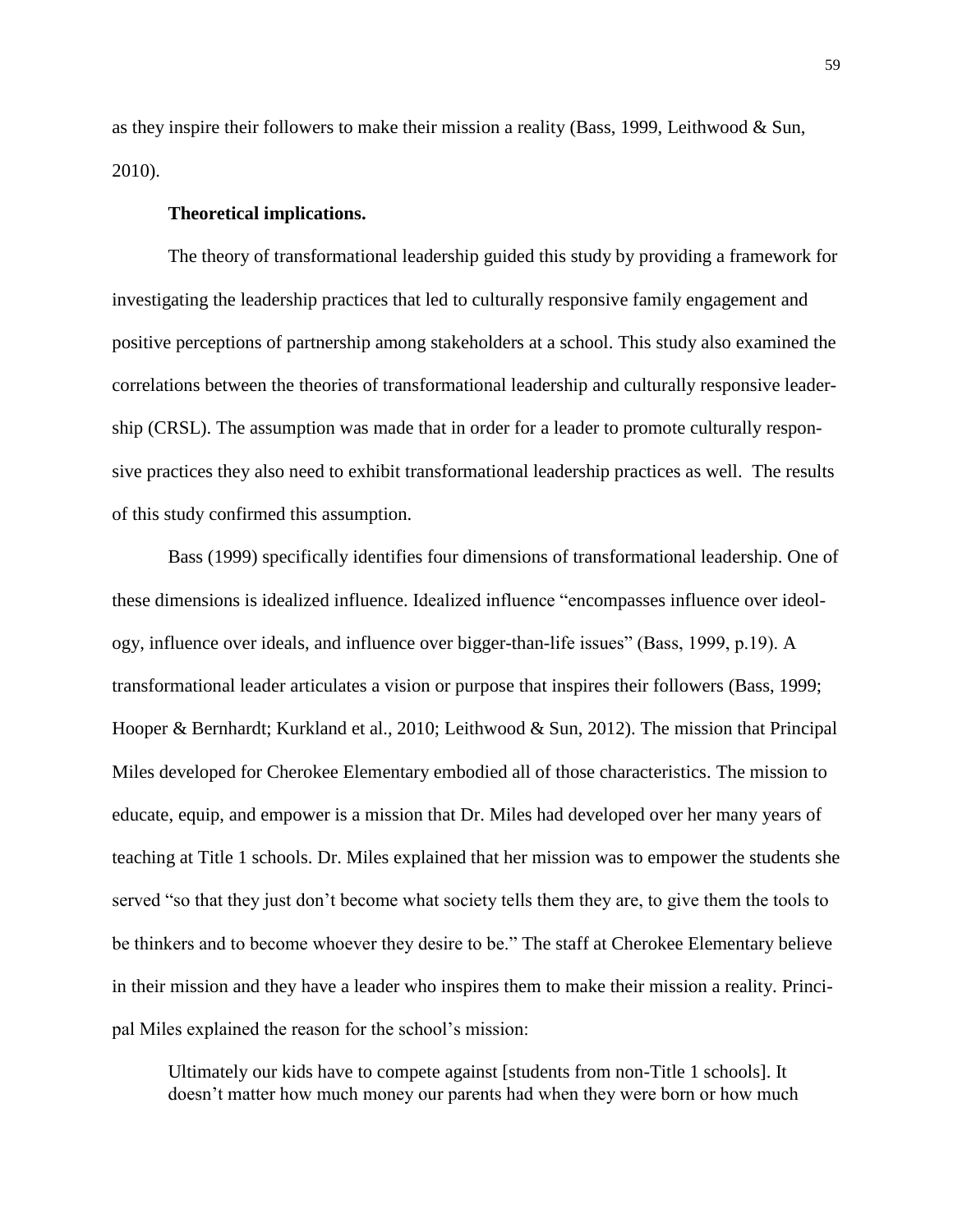as they inspire their followers to make their mission a reality (Bass, 1999, Leithwood & Sun, 2010).

### **Theoretical implications.**

The theory of transformational leadership guided this study by providing a framework for investigating the leadership practices that led to culturally responsive family engagement and positive perceptions of partnership among stakeholders at a school. This study also examined the correlations between the theories of transformational leadership and culturally responsive leadership (CRSL). The assumption was made that in order for a leader to promote culturally responsive practices they also need to exhibit transformational leadership practices as well. The results of this study confirmed this assumption.

Bass (1999) specifically identifies four dimensions of transformational leadership. One of these dimensions is idealized influence. Idealized influence "encompasses influence over ideology, influence over ideals, and influence over bigger-than-life issues" (Bass, 1999, p.19). A transformational leader articulates a vision or purpose that inspires their followers (Bass, 1999; Hooper & Bernhardt; Kurkland et al., 2010; Leithwood & Sun, 2012). The mission that Principal Miles developed for Cherokee Elementary embodied all of those characteristics. The mission to educate, equip, and empower is a mission that Dr. Miles had developed over her many years of teaching at Title 1 schools. Dr. Miles explained that her mission was to empower the students she served "so that they just don't become what society tells them they are, to give them the tools to be thinkers and to become whoever they desire to be." The staff at Cherokee Elementary believe in their mission and they have a leader who inspires them to make their mission a reality. Principal Miles explained the reason for the school's mission:

Ultimately our kids have to compete against [students from non-Title 1 schools]. It doesn't matter how much money our parents had when they were born or how much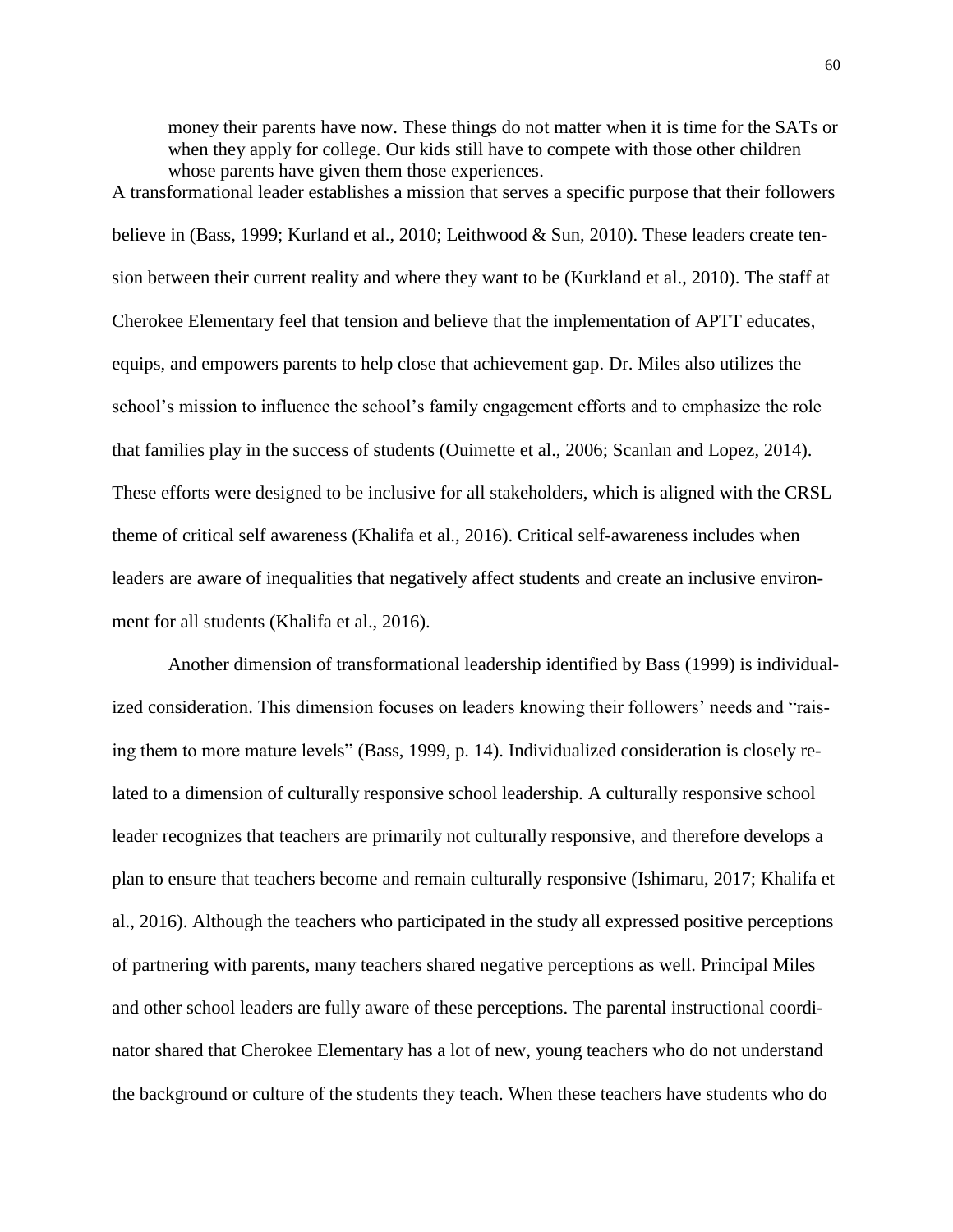money their parents have now. These things do not matter when it is time for the SATs or when they apply for college. Our kids still have to compete with those other children whose parents have given them those experiences.

A transformational leader establishes a mission that serves a specific purpose that their followers believe in (Bass, 1999; Kurland et al., 2010; Leithwood & Sun, 2010). These leaders create tension between their current reality and where they want to be (Kurkland et al., 2010). The staff at Cherokee Elementary feel that tension and believe that the implementation of APTT educates, equips, and empowers parents to help close that achievement gap. Dr. Miles also utilizes the school's mission to influence the school's family engagement efforts and to emphasize the role that families play in the success of students (Ouimette et al., 2006; Scanlan and Lopez, 2014). These efforts were designed to be inclusive for all stakeholders, which is aligned with the CRSL theme of critical self awareness (Khalifa et al., 2016). Critical self-awareness includes when leaders are aware of inequalities that negatively affect students and create an inclusive environment for all students (Khalifa et al., 2016).

Another dimension of transformational leadership identified by Bass (1999) is individualized consideration. This dimension focuses on leaders knowing their followers' needs and "raising them to more mature levels" (Bass, 1999, p. 14). Individualized consideration is closely related to a dimension of culturally responsive school leadership. A culturally responsive school leader recognizes that teachers are primarily not culturally responsive, and therefore develops a plan to ensure that teachers become and remain culturally responsive (Ishimaru, 2017; Khalifa et al., 2016). Although the teachers who participated in the study all expressed positive perceptions of partnering with parents, many teachers shared negative perceptions as well. Principal Miles and other school leaders are fully aware of these perceptions. The parental instructional coordinator shared that Cherokee Elementary has a lot of new, young teachers who do not understand the background or culture of the students they teach. When these teachers have students who do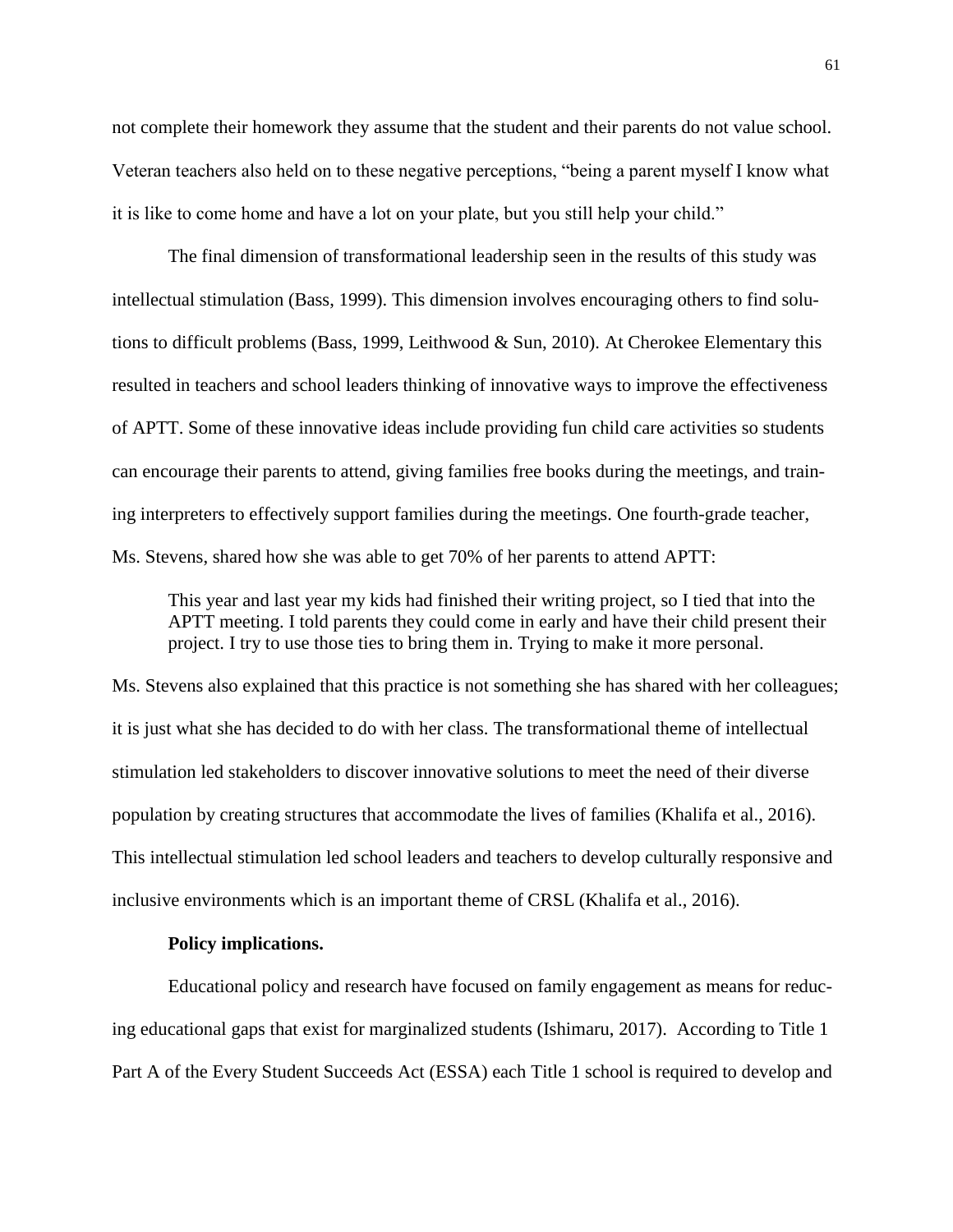not complete their homework they assume that the student and their parents do not value school. Veteran teachers also held on to these negative perceptions, "being a parent myself I know what it is like to come home and have a lot on your plate, but you still help your child."

The final dimension of transformational leadership seen in the results of this study was intellectual stimulation (Bass, 1999). This dimension involves encouraging others to find solutions to difficult problems (Bass, 1999, Leithwood & Sun, 2010). At Cherokee Elementary this resulted in teachers and school leaders thinking of innovative ways to improve the effectiveness of APTT. Some of these innovative ideas include providing fun child care activities so students can encourage their parents to attend, giving families free books during the meetings, and training interpreters to effectively support families during the meetings. One fourth-grade teacher, Ms. Stevens, shared how she was able to get 70% of her parents to attend APTT:

This year and last year my kids had finished their writing project, so I tied that into the APTT meeting. I told parents they could come in early and have their child present their project. I try to use those ties to bring them in. Trying to make it more personal.

Ms. Stevens also explained that this practice is not something she has shared with her colleagues; it is just what she has decided to do with her class. The transformational theme of intellectual stimulation led stakeholders to discover innovative solutions to meet the need of their diverse population by creating structures that accommodate the lives of families (Khalifa et al., 2016). This intellectual stimulation led school leaders and teachers to develop culturally responsive and inclusive environments which is an important theme of CRSL (Khalifa et al., 2016).

#### **Policy implications.**

Educational policy and research have focused on family engagement as means for reducing educational gaps that exist for marginalized students (Ishimaru, 2017). According to Title 1 Part A of the Every Student Succeeds Act (ESSA) each Title 1 school is required to develop and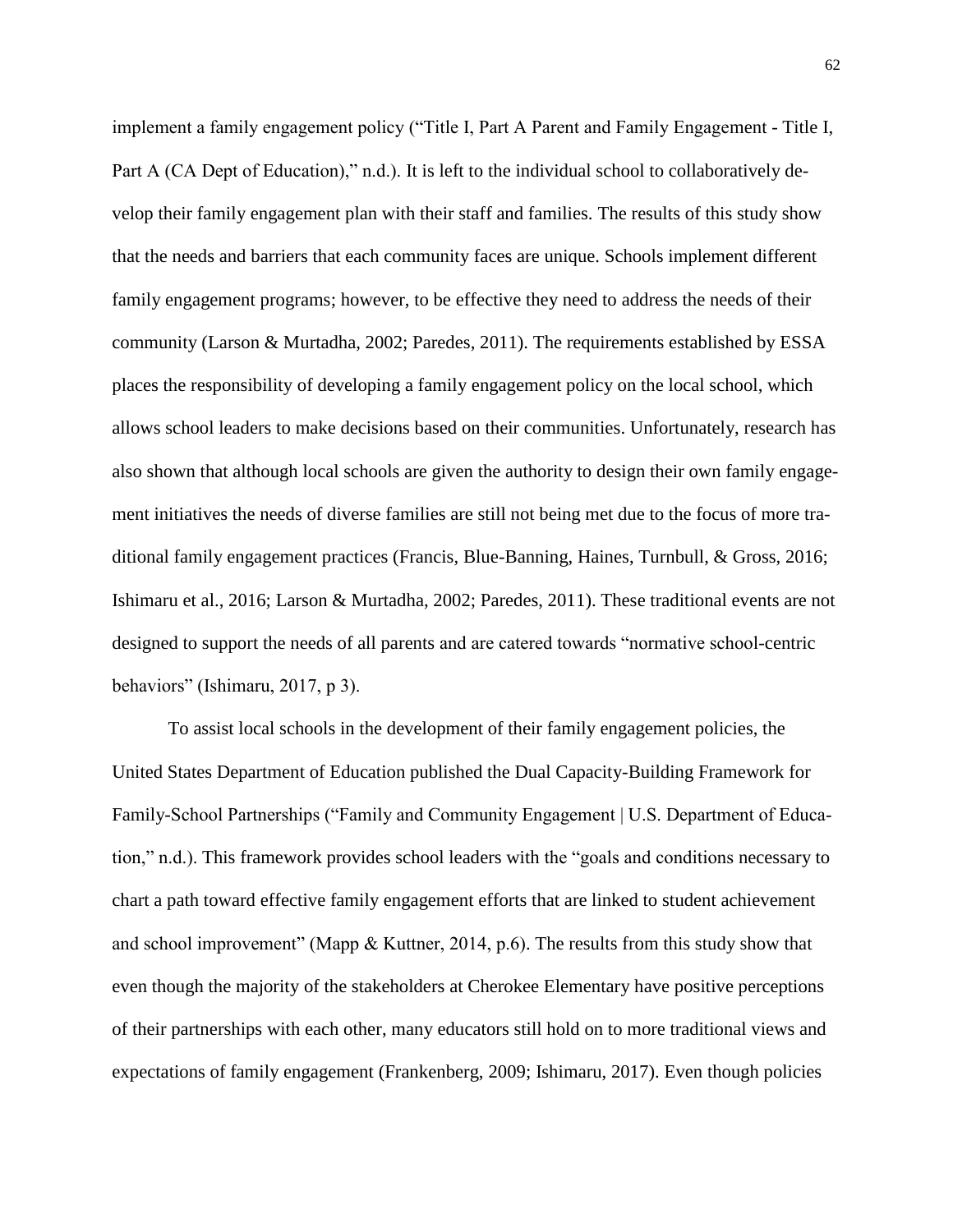implement a family engagement policy ("Title I, Part A Parent and Family Engagement - Title I, Part A (CA Dept of Education)," n.d.). It is left to the individual school to collaboratively develop their family engagement plan with their staff and families. The results of this study show that the needs and barriers that each community faces are unique. Schools implement different family engagement programs; however, to be effective they need to address the needs of their community (Larson & Murtadha, 2002; Paredes, 2011). The requirements established by ESSA places the responsibility of developing a family engagement policy on the local school, which allows school leaders to make decisions based on their communities. Unfortunately, research has also shown that although local schools are given the authority to design their own family engagement initiatives the needs of diverse families are still not being met due to the focus of more traditional family engagement practices (Francis, Blue-Banning, Haines, Turnbull, & Gross, 2016; Ishimaru et al., 2016; Larson & Murtadha, 2002; Paredes, 2011). These traditional events are not designed to support the needs of all parents and are catered towards "normative school-centric behaviors" (Ishimaru, 2017, p 3).

To assist local schools in the development of their family engagement policies, the United States Department of Education published the Dual Capacity-Building Framework for Family-School Partnerships ("Family and Community Engagement | U.S. Department of Education," n.d.). This framework provides school leaders with the "goals and conditions necessary to chart a path toward effective family engagement efforts that are linked to student achievement and school improvement" (Mapp & Kuttner, 2014, p.6). The results from this study show that even though the majority of the stakeholders at Cherokee Elementary have positive perceptions of their partnerships with each other, many educators still hold on to more traditional views and expectations of family engagement (Frankenberg, 2009; Ishimaru, 2017). Even though policies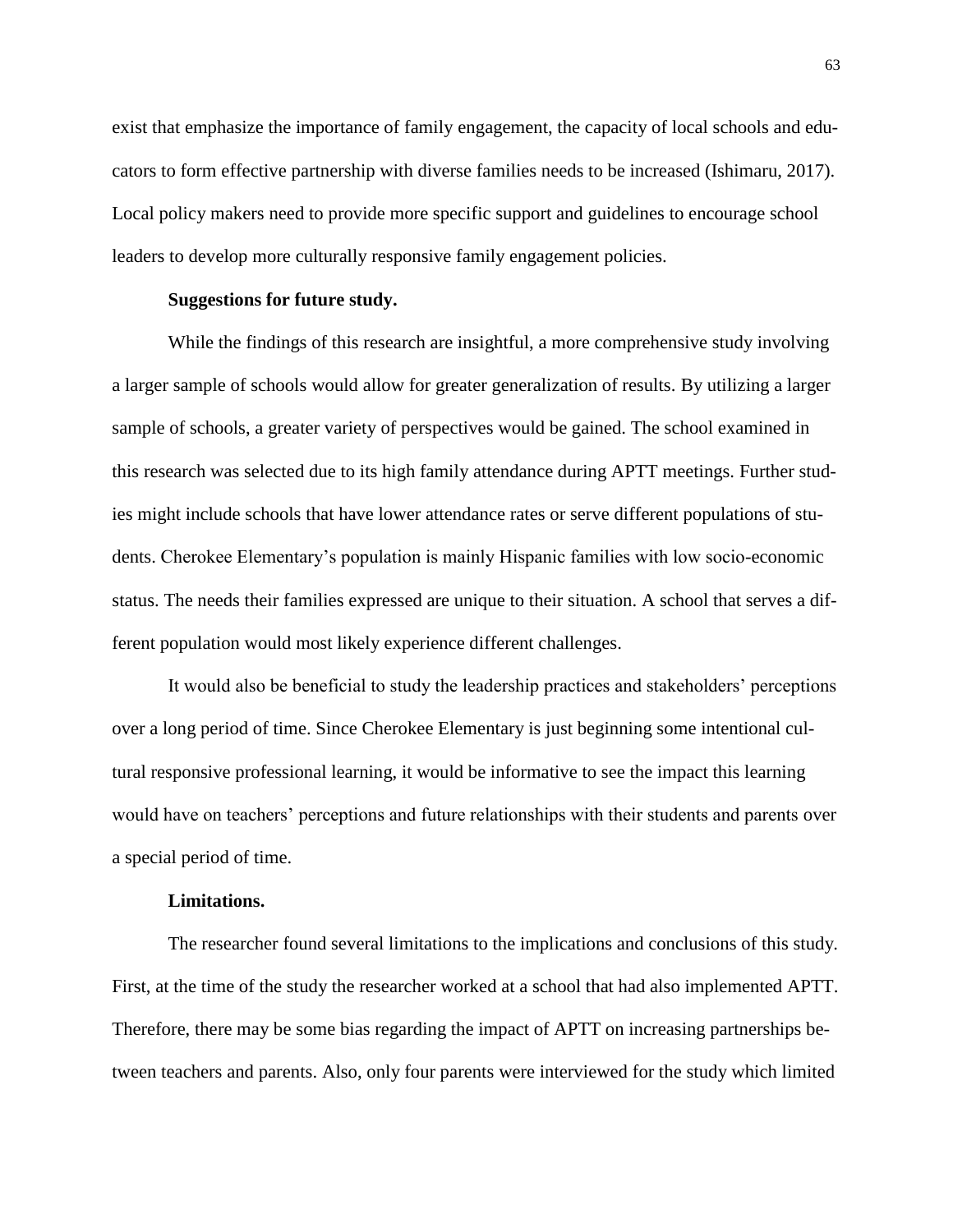exist that emphasize the importance of family engagement, the capacity of local schools and educators to form effective partnership with diverse families needs to be increased (Ishimaru, 2017). Local policy makers need to provide more specific support and guidelines to encourage school leaders to develop more culturally responsive family engagement policies.

#### **Suggestions for future study.**

While the findings of this research are insightful, a more comprehensive study involving a larger sample of schools would allow for greater generalization of results. By utilizing a larger sample of schools, a greater variety of perspectives would be gained. The school examined in this research was selected due to its high family attendance during APTT meetings. Further studies might include schools that have lower attendance rates or serve different populations of students. Cherokee Elementary's population is mainly Hispanic families with low socio-economic status. The needs their families expressed are unique to their situation. A school that serves a different population would most likely experience different challenges.

It would also be beneficial to study the leadership practices and stakeholders' perceptions over a long period of time. Since Cherokee Elementary is just beginning some intentional cultural responsive professional learning, it would be informative to see the impact this learning would have on teachers' perceptions and future relationships with their students and parents over a special period of time.

## **Limitations.**

The researcher found several limitations to the implications and conclusions of this study. First, at the time of the study the researcher worked at a school that had also implemented APTT. Therefore, there may be some bias regarding the impact of APTT on increasing partnerships between teachers and parents. Also, only four parents were interviewed for the study which limited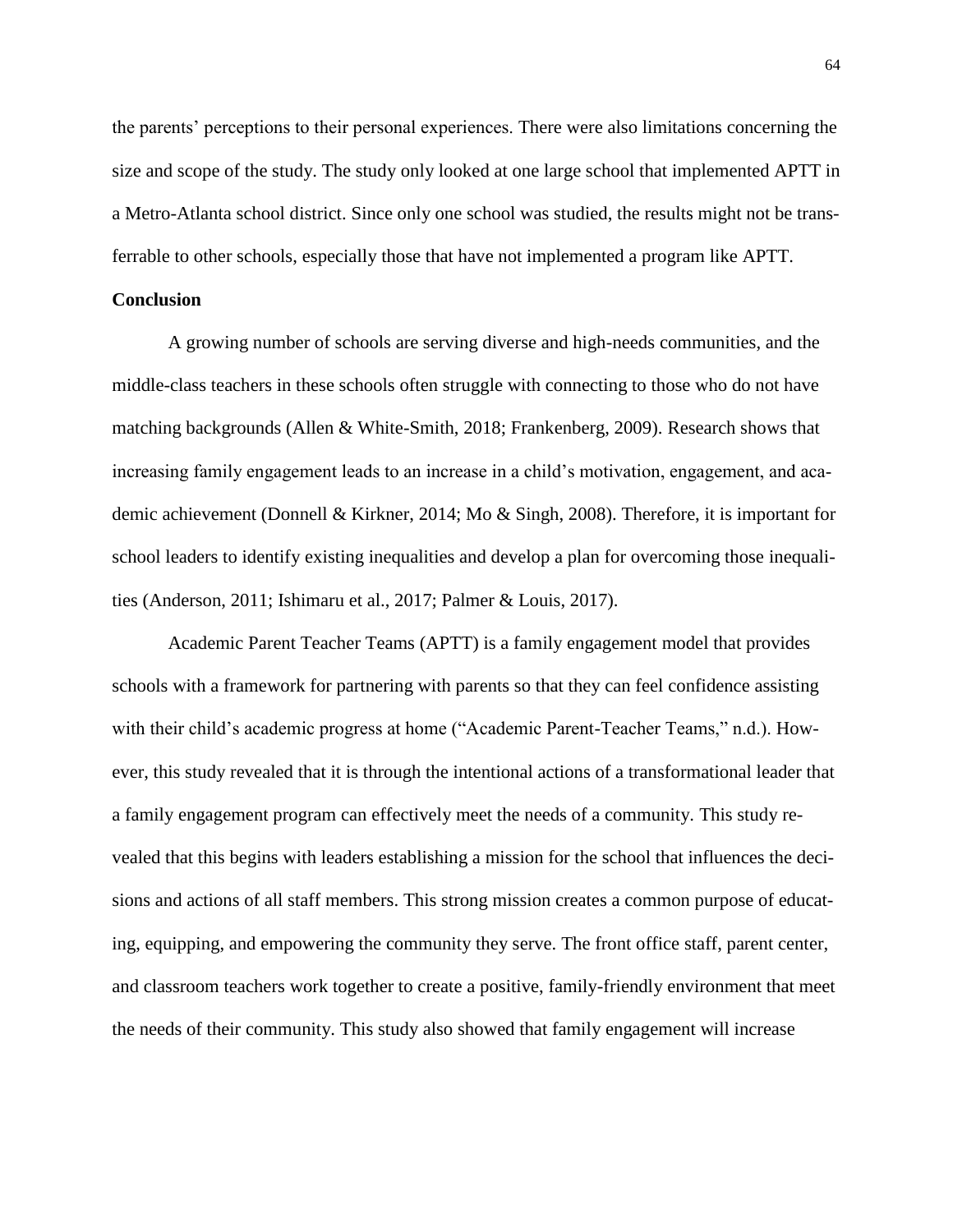the parents' perceptions to their personal experiences. There were also limitations concerning the size and scope of the study. The study only looked at one large school that implemented APTT in a Metro-Atlanta school district. Since only one school was studied, the results might not be transferrable to other schools, especially those that have not implemented a program like APTT.

### **Conclusion**

A growing number of schools are serving diverse and high-needs communities, and the middle-class teachers in these schools often struggle with connecting to those who do not have matching backgrounds (Allen & White-Smith, 2018; Frankenberg, 2009). Research shows that increasing family engagement leads to an increase in a child's motivation, engagement, and academic achievement (Donnell & Kirkner, 2014; Mo & Singh, 2008). Therefore, it is important for school leaders to identify existing inequalities and develop a plan for overcoming those inequalities (Anderson, 2011; Ishimaru et al., 2017; Palmer & Louis, 2017).

Academic Parent Teacher Teams (APTT) is a family engagement model that provides schools with a framework for partnering with parents so that they can feel confidence assisting with their child's academic progress at home ("Academic Parent-Teacher Teams," n.d.). However, this study revealed that it is through the intentional actions of a transformational leader that a family engagement program can effectively meet the needs of a community. This study revealed that this begins with leaders establishing a mission for the school that influences the decisions and actions of all staff members. This strong mission creates a common purpose of educating, equipping, and empowering the community they serve. The front office staff, parent center, and classroom teachers work together to create a positive, family-friendly environment that meet the needs of their community. This study also showed that family engagement will increase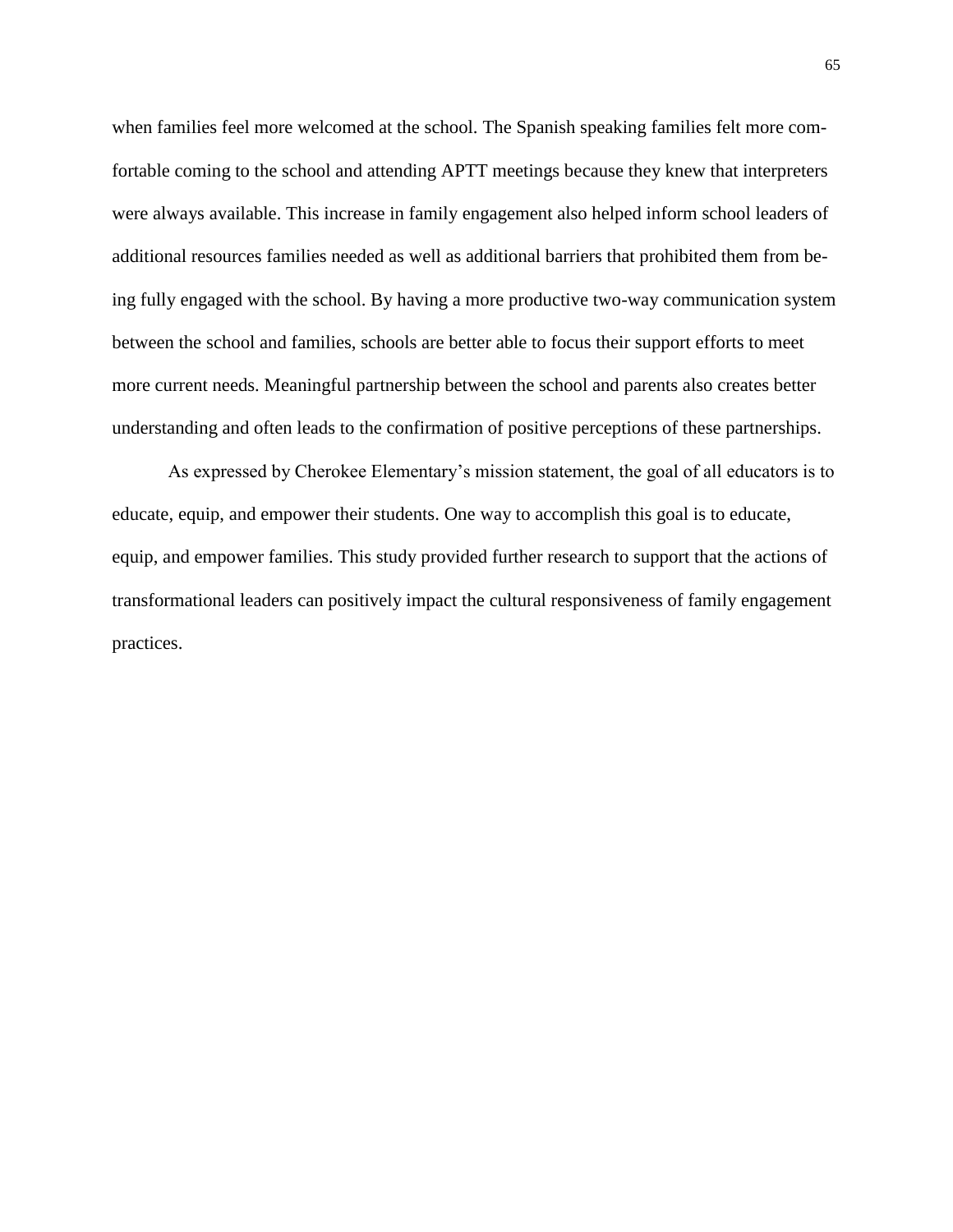when families feel more welcomed at the school. The Spanish speaking families felt more comfortable coming to the school and attending APTT meetings because they knew that interpreters were always available. This increase in family engagement also helped inform school leaders of additional resources families needed as well as additional barriers that prohibited them from being fully engaged with the school. By having a more productive two-way communication system between the school and families, schools are better able to focus their support efforts to meet more current needs. Meaningful partnership between the school and parents also creates better understanding and often leads to the confirmation of positive perceptions of these partnerships.

As expressed by Cherokee Elementary's mission statement, the goal of all educators is to educate, equip, and empower their students. One way to accomplish this goal is to educate, equip, and empower families. This study provided further research to support that the actions of transformational leaders can positively impact the cultural responsiveness of family engagement practices.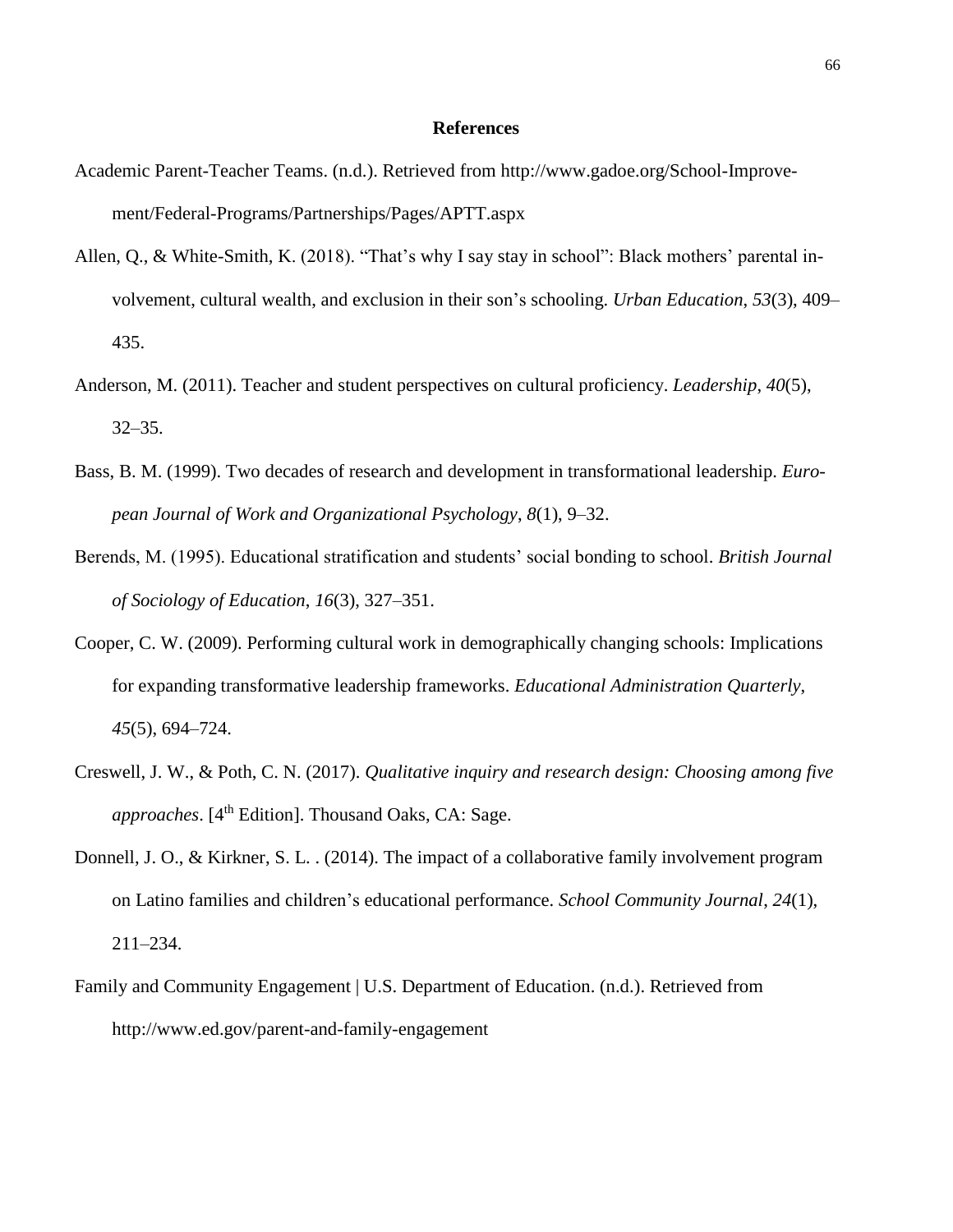#### **References**

- Academic Parent-Teacher Teams. (n.d.). Retrieved from [http://www.gadoe.org/School-Improve](http://www.gadoe.org/School-Improvement/Federal-Programs/Partnerships/Pages/APTT.aspx)[ment/Federal-Programs/Partnerships/Pages/APTT.aspx](http://www.gadoe.org/School-Improvement/Federal-Programs/Partnerships/Pages/APTT.aspx)
- Allen, Q., & White-Smith, K. (2018). "That's why I say stay in school": Black mothers' parental involvement, cultural wealth, and exclusion in their son's schooling. *Urban Education*, *53*(3), 409– 435.
- Anderson, M. (2011). Teacher and student perspectives on cultural proficiency. *Leadership*, *40*(5), 32–35.
- Bass, B. M. (1999). Two decades of research and development in transformational leadership. *European Journal of Work and Organizational Psychology*, *8*(1), 9–32.
- Berends, M. (1995). Educational stratification and students' social bonding to school. *British Journal of Sociology of Education*, *16*(3), 327–351.
- Cooper, C. W. (2009). Performing cultural work in demographically changing schools: Implications for expanding transformative leadership frameworks. *Educational Administration Quarterly*, *45*(5), 694–724.
- Creswell, J. W., & Poth, C. N. (2017). *Qualitative inquiry and research design: Choosing among five approaches*. [4 th Edition]. Thousand Oaks, CA: Sage.
- Donnell, J. O., & Kirkner, S. L. . (2014). The impact of a collaborative family involvement program on Latino families and children's educational performance. *School Community Journal*, *24*(1), 211–234.
- Family and Community Engagement | U.S. Department of Education. (n.d.). Retrieved from <http://www.ed.gov/parent-and-family-engagement>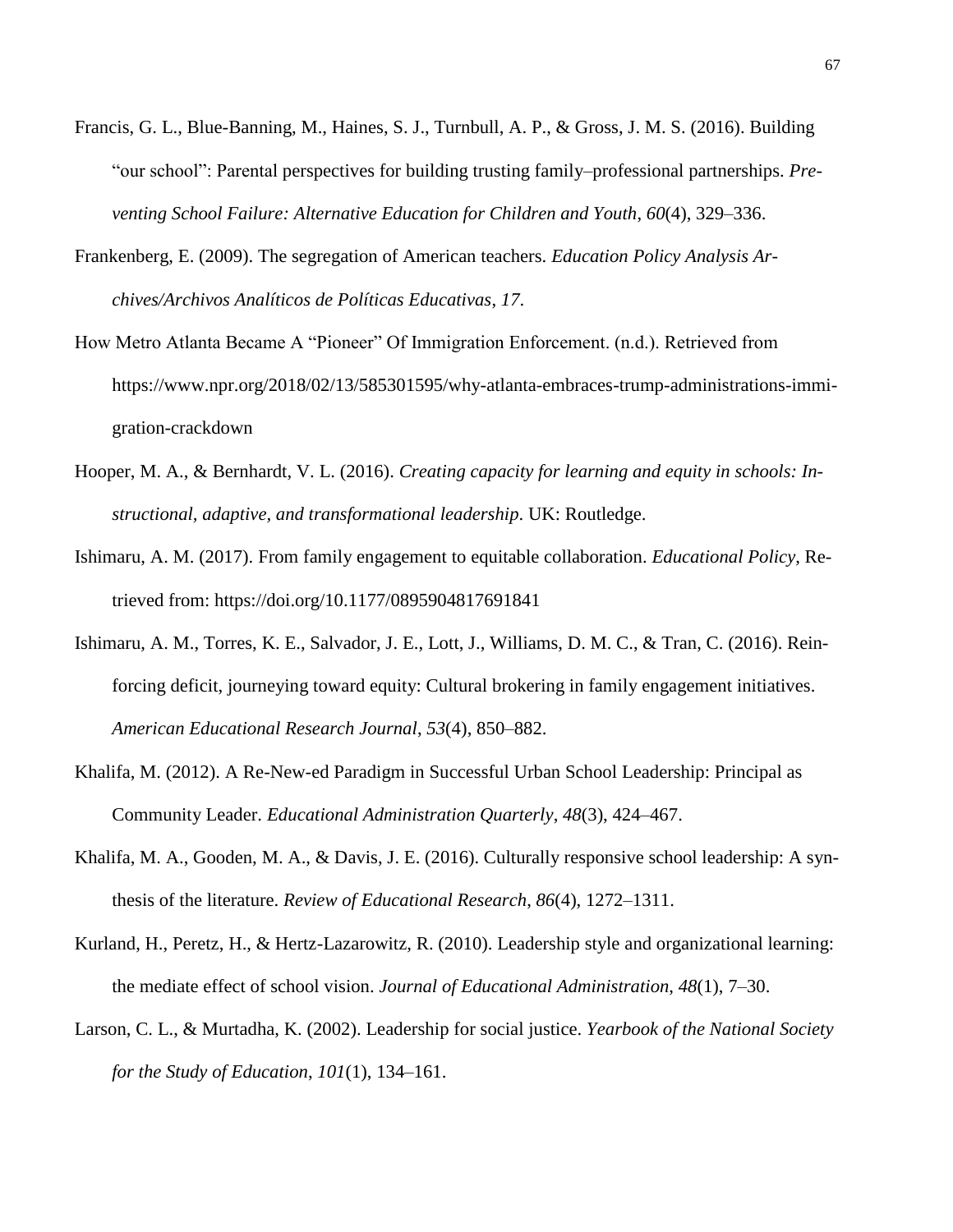- Francis, G. L., Blue-Banning, M., Haines, S. J., Turnbull, A. P., & Gross, J. M. S. (2016). Building "our school": Parental perspectives for building trusting family–professional partnerships. *Preventing School Failure: Alternative Education for Children and Youth*, *60*(4), 329–336.
- Frankenberg, E. (2009). The segregation of American teachers. *Education Policy Analysis Archives/Archivos Analíticos de Políticas Educativas*, *17*.
- How Metro Atlanta Became A "Pioneer" Of Immigration Enforcement. (n.d.). Retrieved from [https://www.npr.org/2018/02/13/585301595/why-atlanta-embraces-trump-administrations-immi](https://www.npr.org/2018/02/13/585301595/why-atlanta-embraces-trump-administrations-immigration-crackdown)[gration-crackdown](https://www.npr.org/2018/02/13/585301595/why-atlanta-embraces-trump-administrations-immigration-crackdown)
- Hooper, M. A., & Bernhardt, V. L. (2016). *Creating capacity for learning and equity in schools: Instructional, adaptive, and transformational leadership*. UK: Routledge.
- Ishimaru, A. M. (2017). From family engagement to equitable collaboration. *Educational Policy*, Retrieved from: [https://doi.org/10.1177/0895904817691841](https://doi.org/10.1177%2F0895904817691841)
- Ishimaru, A. M., Torres, K. E., Salvador, J. E., Lott, J., Williams, D. M. C., & Tran, C. (2016). Reinforcing deficit, journeying toward equity: Cultural brokering in family engagement initiatives. *American Educational Research Journal*, *53*(4), 850–882.
- Khalifa, M. (2012). A Re-New-ed Paradigm in Successful Urban School Leadership: Principal as Community Leader. *Educational Administration Quarterly*, *48*(3), 424–467.
- Khalifa, M. A., Gooden, M. A., & Davis, J. E. (2016). Culturally responsive school leadership: A synthesis of the literature. *Review of Educational Research*, *86*(4), 1272–1311.
- Kurland, H., Peretz, H., & Hertz-Lazarowitz, R. (2010). Leadership style and organizational learning: the mediate effect of school vision. *Journal of Educational Administration*, *48*(1), 7–30.
- Larson, C. L., & Murtadha, K. (2002). Leadership for social justice. *Yearbook of the National Society for the Study of Education*, *101*(1), 134–161.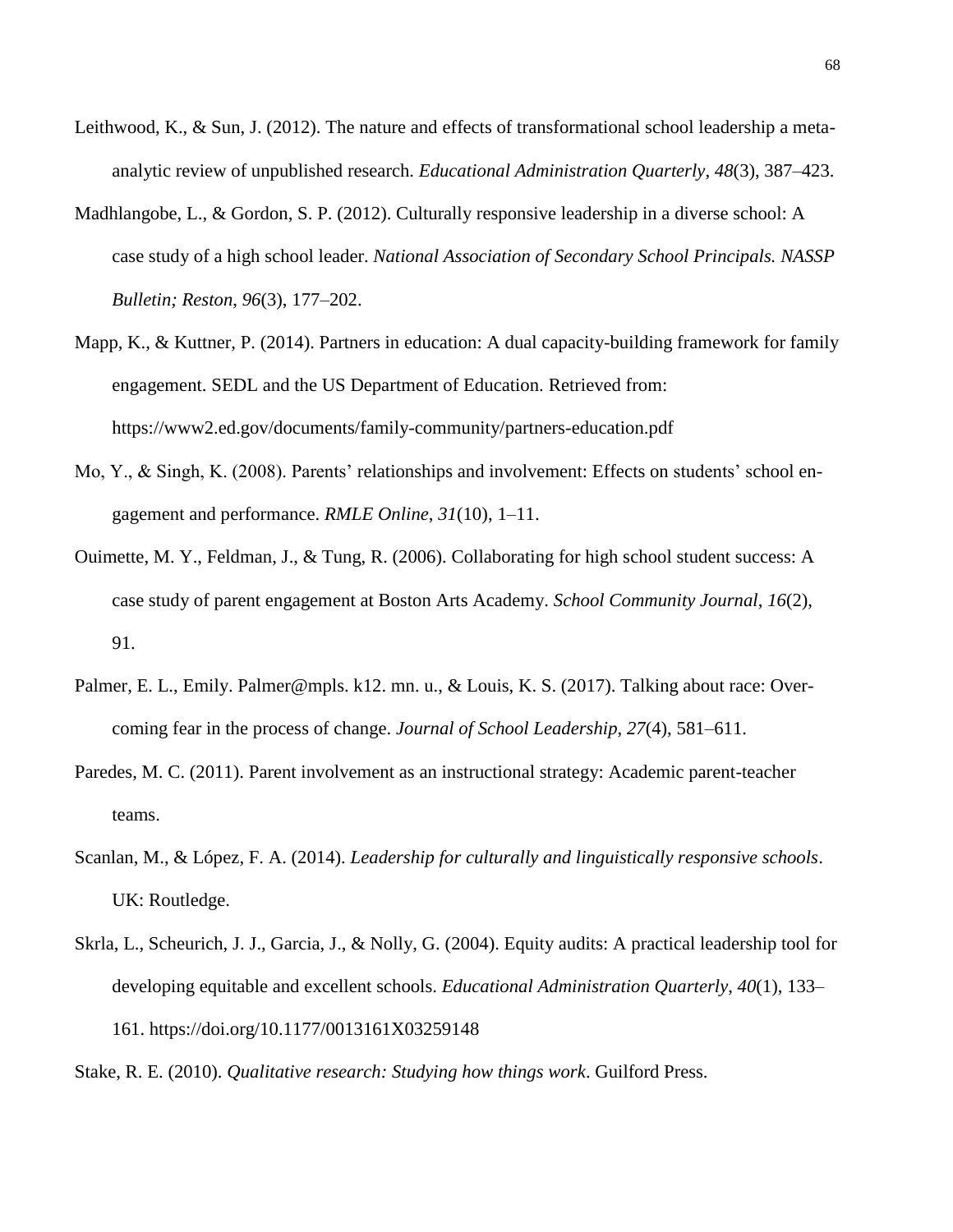- Leithwood, K., & Sun, J. (2012). The nature and effects of transformational school leadership a metaanalytic review of unpublished research. *Educational Administration Quarterly*, *48*(3), 387–423.
- Madhlangobe, L., & Gordon, S. P. (2012). Culturally responsive leadership in a diverse school: A case study of a high school leader. *National Association of Secondary School Principals. NASSP Bulletin; Reston*, *96*(3), 177–202.
- Mapp, K., & Kuttner, P. (2014). Partners in education: A dual capacity-building framework for family engagement. SEDL and the US Department of Education. Retrieved from: https://www2.ed.gov/documents/family-community/partners-education.pdf
- Mo, Y., & Singh, K. (2008). Parents' relationships and involvement: Effects on students' school engagement and performance. *RMLE Online*, *31*(10), 1–11.
- Ouimette, M. Y., Feldman, J., & Tung, R. (2006). Collaborating for high school student success: A case study of parent engagement at Boston Arts Academy. *School Community Journal*, *16*(2), 91.
- Palmer, E. L., Emily. Palmer@mpls. k12. mn. u., & Louis, K. S. (2017). Talking about race: Overcoming fear in the process of change. *Journal of School Leadership*, *27*(4), 581–611.
- Paredes, M. C. (2011). Parent involvement as an instructional strategy: Academic parent-teacher teams.
- Scanlan, M., & López, F. A. (2014). *Leadership for culturally and linguistically responsive schools*. UK: Routledge.
- Skrla, L., Scheurich, J. J., Garcia, J., & Nolly, G. (2004). Equity audits: A practical leadership tool for developing equitable and excellent schools. *Educational Administration Quarterly*, *40*(1), 133– 161.<https://doi.org/10.1177/0013161X03259148>

Stake, R. E. (2010). *Qualitative research: Studying how things work*. Guilford Press.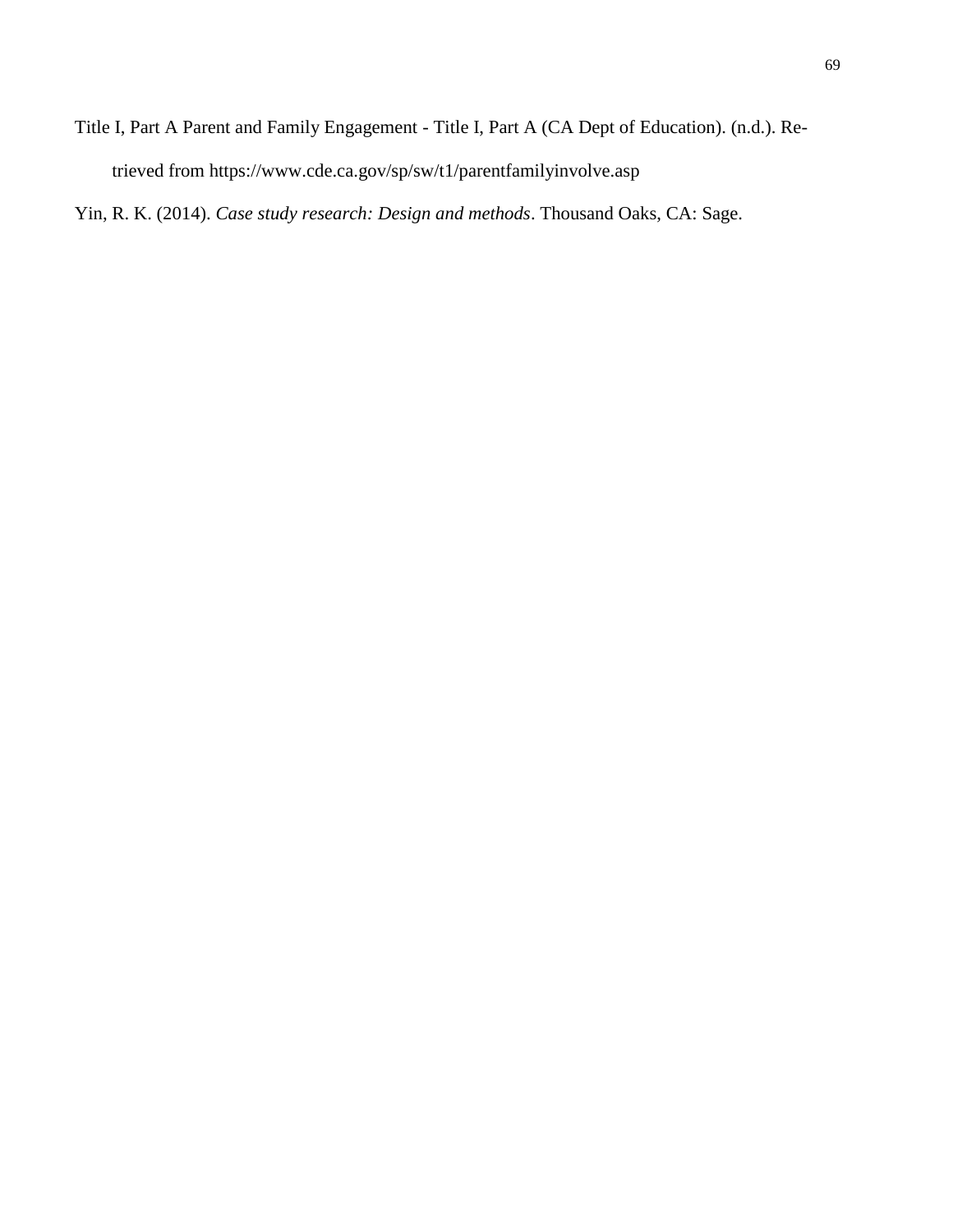Title I, Part A Parent and Family Engagement - Title I, Part A (CA Dept of Education). (n.d.). Retrieved from<https://www.cde.ca.gov/sp/sw/t1/parentfamilyinvolve.asp>

Yin, R. K. (2014). *Case study research: Design and methods*. Thousand Oaks, CA: Sage.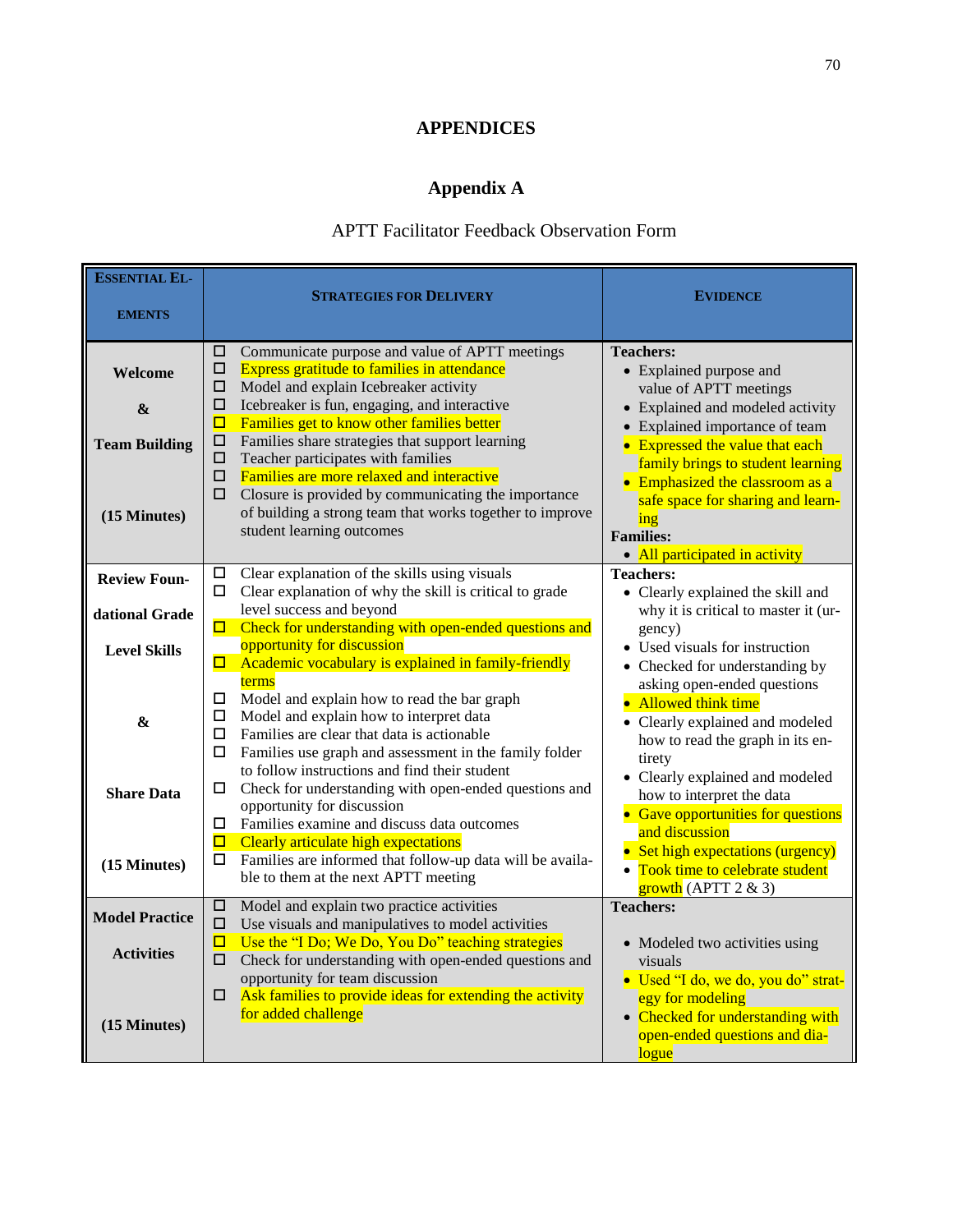# **APPENDICES**

# **Appendix A**

# APTT Facilitator Feedback Observation Form

| <b>ESSENTIAL EL-</b><br><b>EMENTS</b>                        | <b>STRATEGIES FOR DELIVERY</b>                                                                                                                                                                                                                                                                                                                                                                                                                                                                                                                                                      | <b>EVIDENCE</b>                                                                                                                                                                                                                                                                                                                                                       |
|--------------------------------------------------------------|-------------------------------------------------------------------------------------------------------------------------------------------------------------------------------------------------------------------------------------------------------------------------------------------------------------------------------------------------------------------------------------------------------------------------------------------------------------------------------------------------------------------------------------------------------------------------------------|-----------------------------------------------------------------------------------------------------------------------------------------------------------------------------------------------------------------------------------------------------------------------------------------------------------------------------------------------------------------------|
| Welcome<br>&<br><b>Team Building</b><br>(15 Minutes)         | □<br>Communicate purpose and value of APTT meetings<br><b>Express gratitude to families in attendance</b><br>□<br>Model and explain Icebreaker activity<br>□<br>Icebreaker is fun, engaging, and interactive<br>□<br>Families get to know other families better<br>□<br>Families share strategies that support learning<br>□<br>Teacher participates with families<br>□<br>Families are more relaxed and interactive<br>□<br>□<br>Closure is provided by communicating the importance<br>of building a strong team that works together to improve<br>student learning outcomes      | <b>Teachers:</b><br>• Explained purpose and<br>value of APTT meetings<br>• Explained and modeled activity<br>• Explained importance of team<br>• Expressed the value that each<br>family brings to student learning<br>• Emphasized the classroom as a<br>safe space for sharing and learn-<br>ing<br><b>Families:</b><br>• All participated in activity              |
| <b>Review Foun-</b><br>dational Grade<br><b>Level Skills</b> | Clear explanation of the skills using visuals<br>□<br>Clear explanation of why the skill is critical to grade<br>0.<br>level success and beyond<br>$\Box$ Check for understanding with open-ended questions and<br>opportunity for discussion<br>Academic vocabulary is explained in family-friendly<br>О.                                                                                                                                                                                                                                                                          | <b>Teachers:</b><br>• Clearly explained the skill and<br>why it is critical to master it (ur-<br>gency)<br>• Used visuals for instruction<br>• Checked for understanding by                                                                                                                                                                                           |
| $\pmb{\&}$<br><b>Share Data</b><br>(15 Minutes)              | terms<br>□<br>Model and explain how to read the bar graph<br>Model and explain how to interpret data<br>□<br>Families are clear that data is actionable.<br>□<br>□<br>Families use graph and assessment in the family folder<br>to follow instructions and find their student<br>Check for understanding with open-ended questions and<br>□<br>opportunity for discussion<br>Families examine and discuss data outcomes<br>□<br>◻<br>Clearly articulate high expectations<br>Families are informed that follow-up data will be availa-<br>□<br>ble to them at the next APTT meeting | asking open-ended questions<br>• Allowed think time<br>• Clearly explained and modeled<br>how to read the graph in its en-<br>tirety<br>• Clearly explained and modeled<br>how to interpret the data<br>• Gave opportunities for questions<br>and discussion<br>• Set high expectations (urgency)<br>• Took time to celebrate student<br>$\frac{$ growth (APTT 2 & 3) |
| <b>Model Practice</b><br><b>Activities</b><br>(15 Minutes)   | □<br>Model and explain two practice activities<br>□<br>Use visuals and manipulatives to model activities<br>Use the "I Do; We Do, You Do" teaching strategies<br>◻<br>□<br>Check for understanding with open-ended questions and<br>opportunity for team discussion<br>Ask families to provide ideas for extending the activity<br>□<br>for added challenge                                                                                                                                                                                                                         | <b>Teachers:</b><br>• Modeled two activities using<br>visuals<br>· Used "I do, we do, you do" strat-<br>egy for modeling<br>• Checked for understanding with<br>open-ended questions and dia-<br>logue                                                                                                                                                                |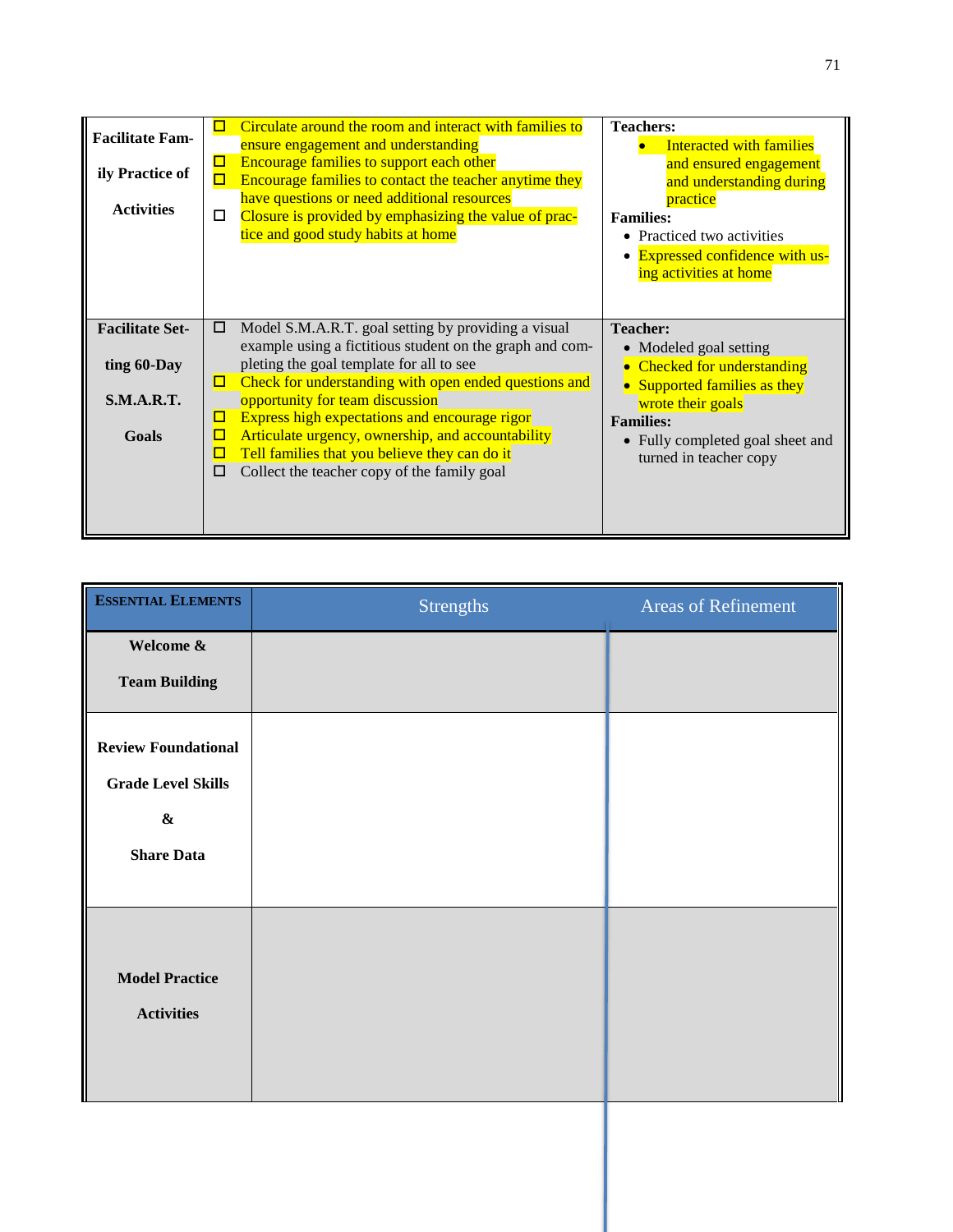| <b>Facilitate Fam-</b><br>ily Practice of<br><b>Activities</b>      | Circulate around the room and interact with families to<br>$\Box$<br>ensure engagement and understanding<br>Encourage families to support each other<br>□<br>Encourage families to contact the teacher anytime they<br>о<br>have questions or need additional resources<br>Closure is provided by emphasizing the value of prac-<br>tice and good study habits at home                                                                                                                      | <b>Teachers:</b><br>Interacted with families<br>and ensured engagement<br>and understanding during<br>practice<br><b>Families:</b><br>• Practiced two activities<br><b>Expressed confidence with us-</b><br>$\bullet$<br>ing activities at home |
|---------------------------------------------------------------------|---------------------------------------------------------------------------------------------------------------------------------------------------------------------------------------------------------------------------------------------------------------------------------------------------------------------------------------------------------------------------------------------------------------------------------------------------------------------------------------------|-------------------------------------------------------------------------------------------------------------------------------------------------------------------------------------------------------------------------------------------------|
| <b>Facilitate Set-</b><br>ting 60-Day<br><b>S.M.A.R.T.</b><br>Goals | Model S.M.A.R.T. goal setting by providing a visual<br>□<br>example using a fictitious student on the graph and com-<br>pleting the goal template for all to see<br>Check for understanding with open ended questions and<br>□<br>opportunity for team discussion<br>Express high expectations and encourage rigor<br>◻<br>Articulate urgency, ownership, and accountability<br>□<br>Tell families that you believe they can do it<br>о<br>Collect the teacher copy of the family goal<br>П | <b>Teacher:</b><br>• Modeled goal setting<br>• Checked for understanding<br>• Supported families as they<br>wrote their goals<br><b>Families:</b><br>• Fully completed goal sheet and<br>turned in teacher copy                                 |

| <b>ESSENTIAL ELEMENTS</b>                                                                  | <b>Strengths</b> | <b>Areas of Refinement</b> |
|--------------------------------------------------------------------------------------------|------------------|----------------------------|
| Welcome &                                                                                  |                  |                            |
| <b>Team Building</b>                                                                       |                  |                            |
| <b>Review Foundational</b><br><b>Grade Level Skills</b><br>$\pmb{\&}$<br><b>Share Data</b> |                  |                            |
| <b>Model Practice</b><br><b>Activities</b>                                                 |                  |                            |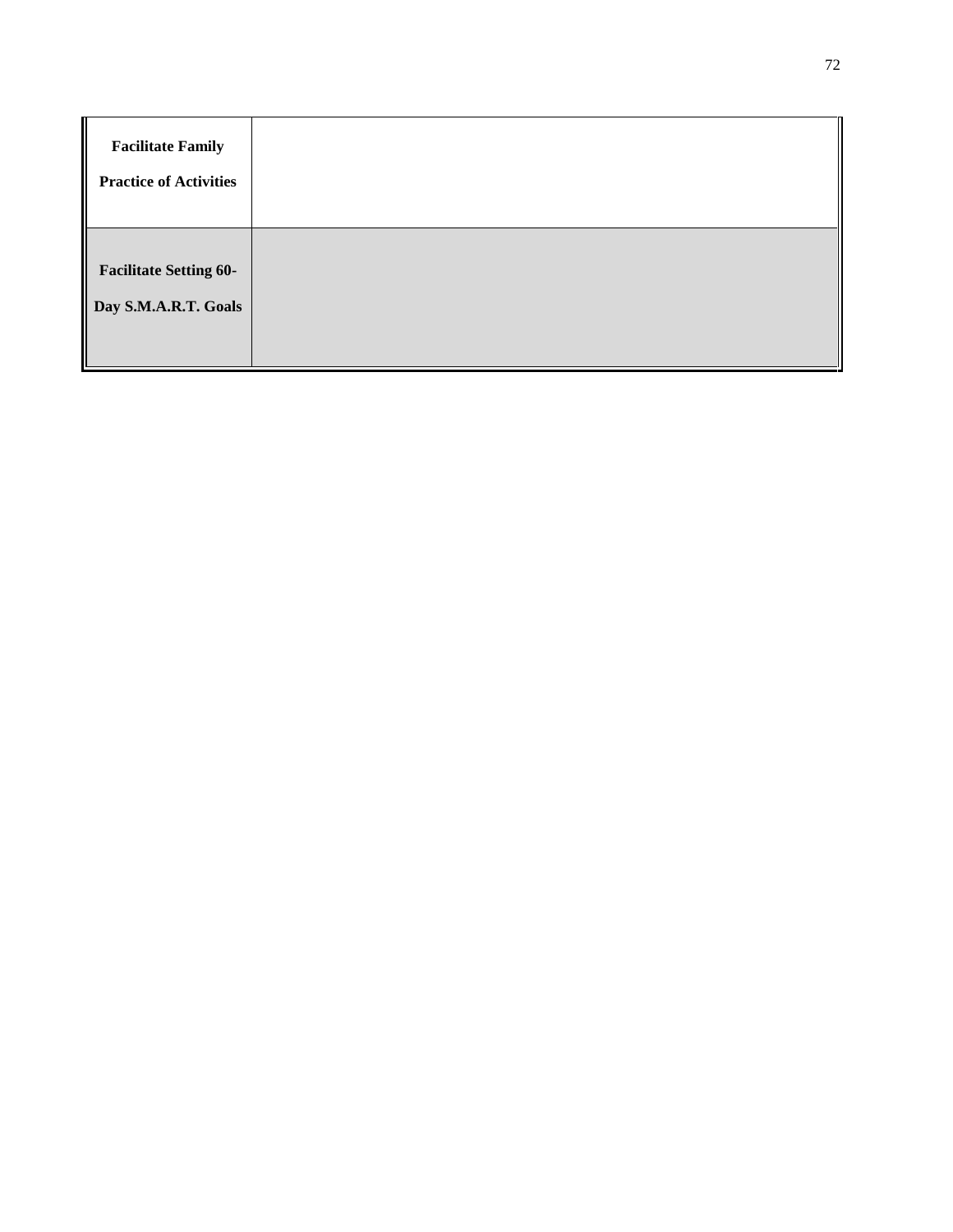| <b>Facilitate Family</b><br><b>Practice of Activities</b> |  |
|-----------------------------------------------------------|--|
| <b>Facilitate Setting 60-</b><br>Day S.M.A.R.T. Goals     |  |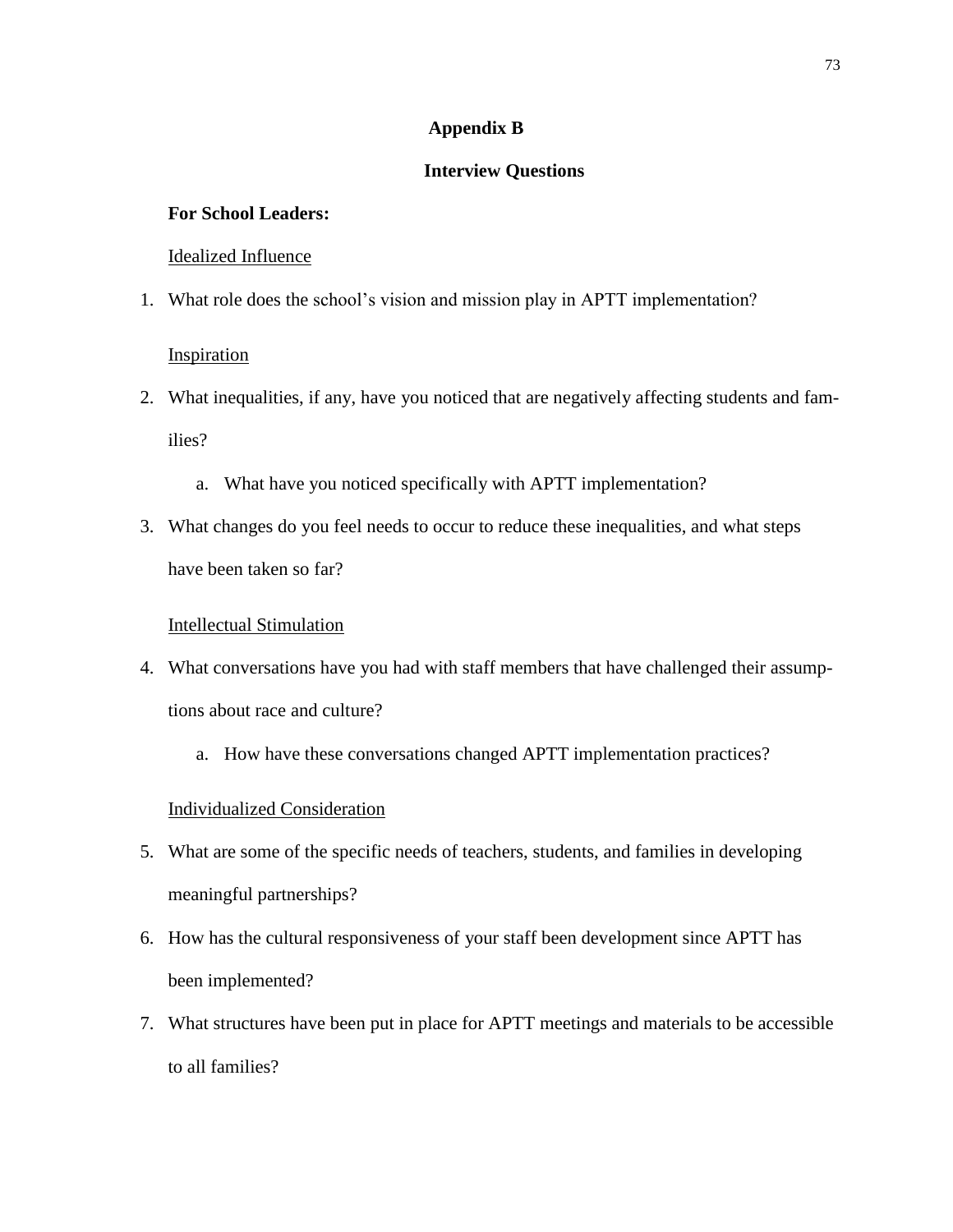# **Appendix B**

# **Interview Questions**

## **For School Leaders:**

# Idealized Influence

1. What role does the school's vision and mission play in APTT implementation?

# Inspiration

- 2. What inequalities, if any, have you noticed that are negatively affecting students and families?
	- a. What have you noticed specifically with APTT implementation?
- 3. What changes do you feel needs to occur to reduce these inequalities, and what steps have been taken so far?

#### Intellectual Stimulation

- 4. What conversations have you had with staff members that have challenged their assumptions about race and culture?
	- a. How have these conversations changed APTT implementation practices?

#### Individualized Consideration

- 5. What are some of the specific needs of teachers, students, and families in developing meaningful partnerships?
- 6. How has the cultural responsiveness of your staff been development since APTT has been implemented?
- 7. What structures have been put in place for APTT meetings and materials to be accessible to all families?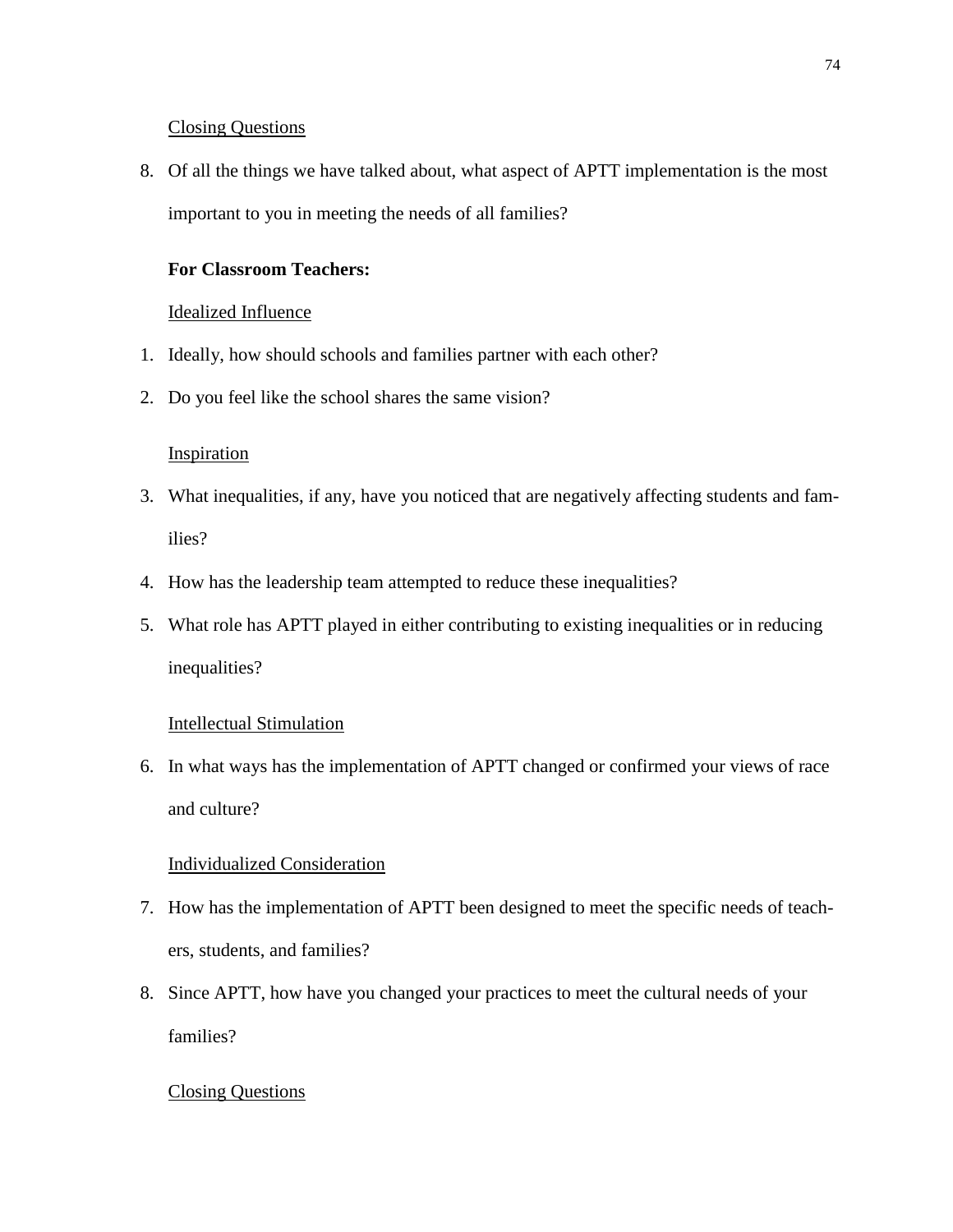# Closing Questions

8. Of all the things we have talked about, what aspect of APTT implementation is the most important to you in meeting the needs of all families?

# **For Classroom Teachers:**

# Idealized Influence

- 1. Ideally, how should schools and families partner with each other?
- 2. Do you feel like the school shares the same vision?

## **Inspiration**

- 3. What inequalities, if any, have you noticed that are negatively affecting students and families?
- 4. How has the leadership team attempted to reduce these inequalities?
- 5. What role has APTT played in either contributing to existing inequalities or in reducing inequalities?

## Intellectual Stimulation

6. In what ways has the implementation of APTT changed or confirmed your views of race and culture?

# Individualized Consideration

- 7. How has the implementation of APTT been designed to meet the specific needs of teachers, students, and families?
- 8. Since APTT, how have you changed your practices to meet the cultural needs of your families?

## Closing Questions